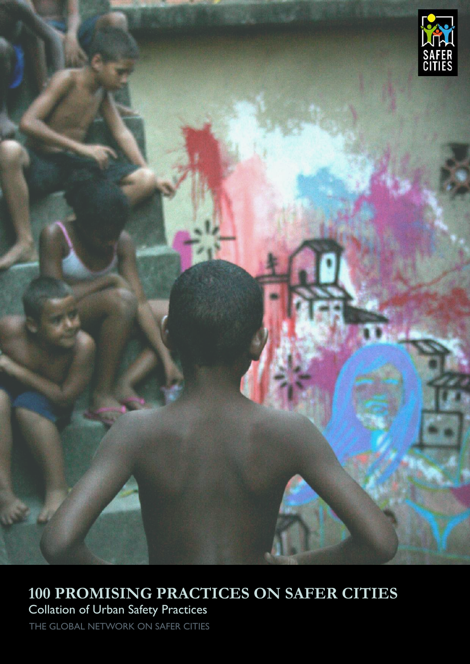

# **100 PROMISING PRACTICES ON SAFER CITIES**

Collation of Urban Safety Practices

THE GLOBAL NETWORK ON SAFER CITIES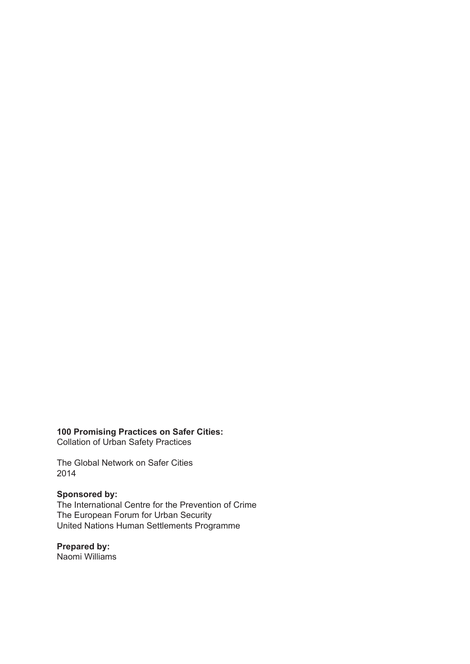**100 Promising Practices on Safer Cities:** Collation of Urban Safety Practices

The Global Network on Safer Cities 2014

#### **Sponsored by:**

The International Centre for the Prevention of Crime The European Forum for Urban Security United Nations Human Settlements Programme

**Prepared by:** Naomi Williams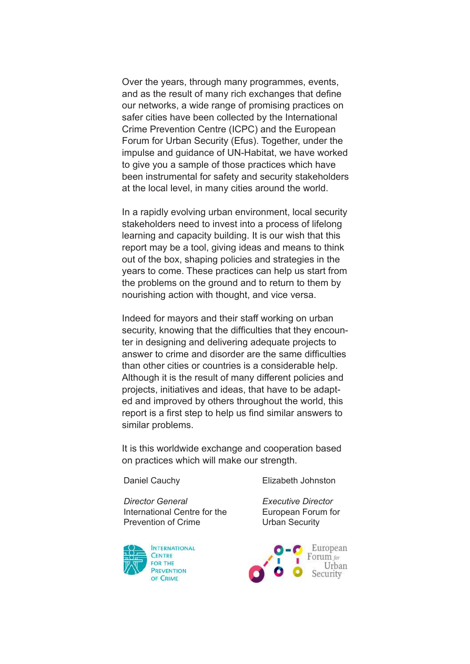Over the years, through many programmes, events, and as the result of many rich exchanges that define our networks, a wide range of promising practices on safer cities have been collected by the International Crime Prevention Centre (ICPC) and the European Forum for Urban Security (Efus). Together, under the impulse and guidance of UN-Habitat, we have worked to give you a sample of those practices which have been instrumental for safety and security stakeholders at the local level, in many cities around the world.

In a rapidly evolving urban environment, local security stakeholders need to invest into a process of lifelong learning and capacity building. It is our wish that this report may be a tool, giving ideas and means to think out of the box, shaping policies and strategies in the years to come. These practices can help us start from the problems on the ground and to return to them by nourishing action with thought, and vice versa.

Indeed for mayors and their staff working on urban security, knowing that the difficulties that they encounter in designing and delivering adequate projects to answer to crime and disorder are the same difficulties than other cities or countries is a considerable help. Although it is the result of many different policies and projects, initiatives and ideas, that have to be adapted and improved by others throughout the world, this report is a first step to help us find similar answers to similar problems.

It is this worldwide exchange and cooperation based on practices which will make our strength.

Daniel Cauchy

Elizabeth Johnston

*Director General* International Centre for the Prevention of Crime



*Executive Director* European Forum for Urban Security

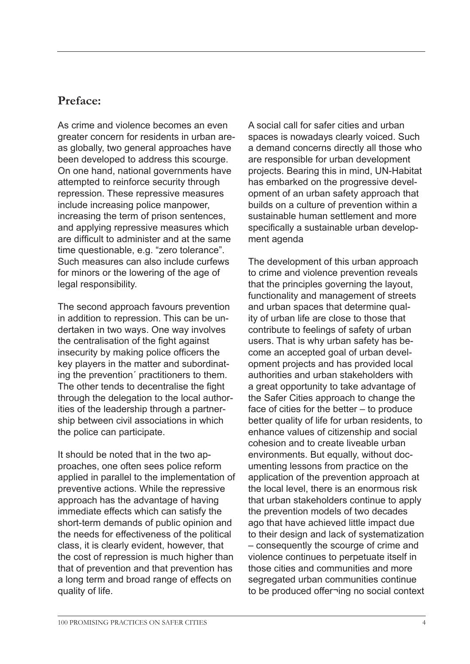### **Preface:**

As crime and violence becomes an even greater concern for residents in urban areas globally, two general approaches have been developed to address this scourge. On one hand, national governments have attempted to reinforce security through repression. These repressive measures include increasing police manpower, increasing the term of prison sentences, and applying repressive measures which are difficult to administer and at the same time questionable, e.g. "zero tolerance". Such measures can also include curfews for minors or the lowering of the age of legal responsibility.

The second approach favours prevention in addition to repression. This can be undertaken in two ways. One way involves the centralisation of the fight against insecurity by making police officers the key players in the matter and subordinating the prevention´ practitioners to them. The other tends to decentralise the fight through the delegation to the local authorities of the leadership through a partnership between civil associations in which the police can participate.

It should be noted that in the two approaches, one often sees police reform applied in parallel to the implementation of preventive actions. While the repressive approach has the advantage of having immediate effects which can satisfy the short-term demands of public opinion and the needs for effectiveness of the political class, it is clearly evident, however, that the cost of repression is much higher than that of prevention and that prevention has a long term and broad range of effects on quality of life.

A social call for safer cities and urban spaces is nowadays clearly voiced. Such a demand concerns directly all those who are responsible for urban development projects. Bearing this in mind, UN-Habitat has embarked on the progressive development of an urban safety approach that builds on a culture of prevention within a sustainable human settlement and more specifically a sustainable urban development agenda

The development of this urban approach to crime and violence prevention reveals that the principles governing the layout, functionality and management of streets and urban spaces that determine quality of urban life are close to those that contribute to feelings of safety of urban users. That is why urban safety has become an accepted goal of urban development projects and has provided local authorities and urban stakeholders with a great opportunity to take advantage of the Safer Cities approach to change the face of cities for the better – to produce better quality of life for urban residents, to enhance values of citizenship and social cohesion and to create liveable urban environments. But equally, without documenting lessons from practice on the application of the prevention approach at the local level, there is an enormous risk that urban stakeholders continue to apply the prevention models of two decades ago that have achieved little impact due to their design and lack of systematization – consequently the scourge of crime and violence continues to perpetuate itself in those cities and communities and more segregated urban communities continue to be produced offer¬ing no social context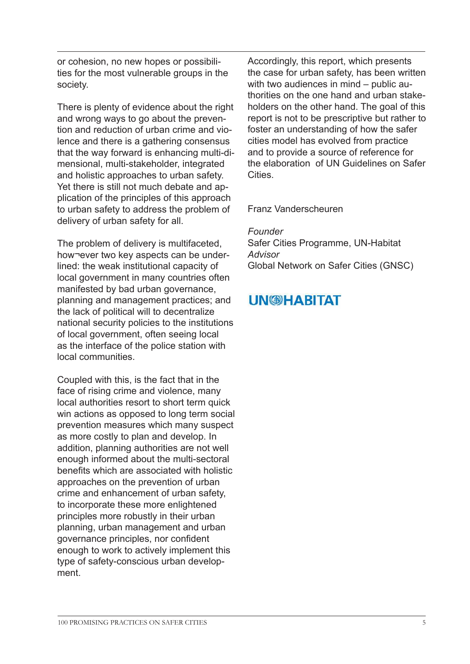or cohesion, no new hopes or possibilities for the most vulnerable groups in the society.

There is plenty of evidence about the right and wrong ways to go about the prevention and reduction of urban crime and violence and there is a gathering consensus that the way forward is enhancing multi-dimensional, multi-stakeholder, integrated and holistic approaches to urban safety. Yet there is still not much debate and application of the principles of this approach to urban safety to address the problem of delivery of urban safety for all.

The problem of delivery is multifaceted, how¬ever two key aspects can be underlined: the weak institutional capacity of local government in many countries often manifested by bad urban governance, planning and management practices; and the lack of political will to decentralize national security policies to the institutions of local government, often seeing local as the interface of the police station with local communities.

Coupled with this, is the fact that in the face of rising crime and violence, many local authorities resort to short term quick win actions as opposed to long term social prevention measures which many suspect as more costly to plan and develop. In addition, planning authorities are not well enough informed about the multi-sectoral benefits which are associated with holistic approaches on the prevention of urban crime and enhancement of urban safety, to incorporate these more enlightened principles more robustly in their urban planning, urban management and urban governance principles, nor confident enough to work to actively implement this type of safety-conscious urban development.

Accordingly, this report, which presents the case for urban safety, has been written with two audiences in mind – public authorities on the one hand and urban stakeholders on the other hand. The goal of this report is not to be prescriptive but rather to foster an understanding of how the safer cities model has evolved from practice and to provide a source of reference for the elaboration of UN Guidelines on Safer **Cities** 

Franz Vanderscheuren

*Founder* Safer Cities Programme, UN-Habitat *Advisor* Global Network on Safer Cities (GNSC)

### **UN@HABITAT**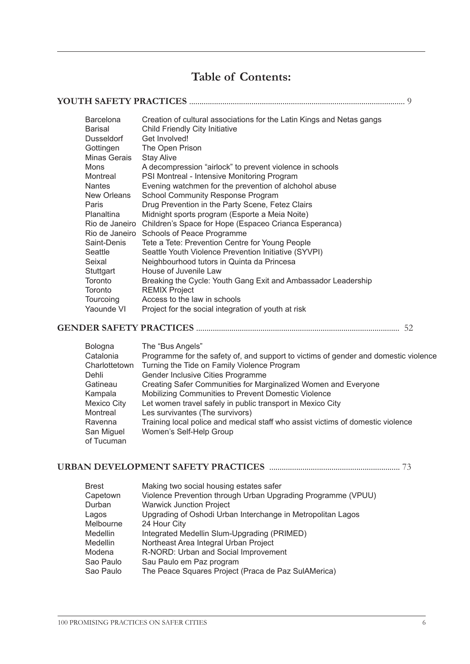### **Table of Contents:**

| <b>Barcelona</b><br>Creation of cultural associations for the Latin Kings and Netas gangs<br>Child Friendly City Initiative<br>Barisal<br>Get Involved!<br>Dusseldorf<br>Gottingen<br>The Open Prison<br>Minas Gerais<br><b>Stay Alive</b><br>A decompression "airlock" to prevent violence in schools<br>Mons<br>PSI Montreal - Intensive Monitoring Program<br>Montreal<br>Evening watchmen for the prevention of alchohol abuse<br><b>Nantes</b><br>New Orleans<br>School Community Response Program<br>Drug Prevention in the Party Scene, Fetez Clairs<br>Paris<br>Midnight sports program (Esporte a Meia Noite)<br>Planaltina<br>Rio de Janeiro Children's Space for Hope (Espaceo Crianca Esperanca)<br>Rio de Janeiro Schools of Peace Programme<br>Saint-Denis<br>Tete a Tete: Prevention Centre for Young People<br>Seattle Youth Violence Prevention Initiative (SYVPI)<br>Seattle<br>Neighbourhood tutors in Quinta da Princesa<br>Seixal<br>House of Juvenile Law<br>Stuttgart<br>Toronto<br>Breaking the Cycle: Youth Gang Exit and Ambassador Leadership<br><b>REMIX Project</b><br>Toronto<br>Access to the law in schools<br>Tourcoing<br>Yaounde VI<br>Project for the social integration of youth at risk |  |
|-------------------------------------------------------------------------------------------------------------------------------------------------------------------------------------------------------------------------------------------------------------------------------------------------------------------------------------------------------------------------------------------------------------------------------------------------------------------------------------------------------------------------------------------------------------------------------------------------------------------------------------------------------------------------------------------------------------------------------------------------------------------------------------------------------------------------------------------------------------------------------------------------------------------------------------------------------------------------------------------------------------------------------------------------------------------------------------------------------------------------------------------------------------------------------------------------------------------------------|--|
|                                                                                                                                                                                                                                                                                                                                                                                                                                                                                                                                                                                                                                                                                                                                                                                                                                                                                                                                                                                                                                                                                                                                                                                                                               |  |

**GENDER SAFETY PRACTICES** .................................................................................................. 52

| Bologna       | The "Bus Angels"                                                                    |
|---------------|-------------------------------------------------------------------------------------|
| Catalonia     | Programme for the safety of, and support to victims of gender and domestic violence |
| Charlottetown | Turning the Tide on Family Violence Program                                         |
| Dehli         | Gender Inclusive Cities Programme                                                   |
| Gatineau      | Creating Safer Communities for Marginalized Women and Everyone                      |
| Kampala       | Mobilizing Communities to Prevent Domestic Violence                                 |
| Mexico City   | Let women travel safely in public transport in Mexico City                          |
| Montreal      | Les survivantes (The survivors)                                                     |
| Ravenna       | Training local police and medical staff who assist victims of domestic violence     |
| San Miguel    | Women's Self-Help Group                                                             |
| of Tucuman    |                                                                                     |

### **URBAN DEVELOPMENT SAFETY PRACTICES** ............................................................... 73

| Violence Prevention through Urban Upgrading Programme (VPUU) |
|--------------------------------------------------------------|
|                                                              |
| Upgrading of Oshodi Urban Interchange in Metropolitan Lagos  |
|                                                              |
|                                                              |
|                                                              |
|                                                              |
|                                                              |
|                                                              |
|                                                              |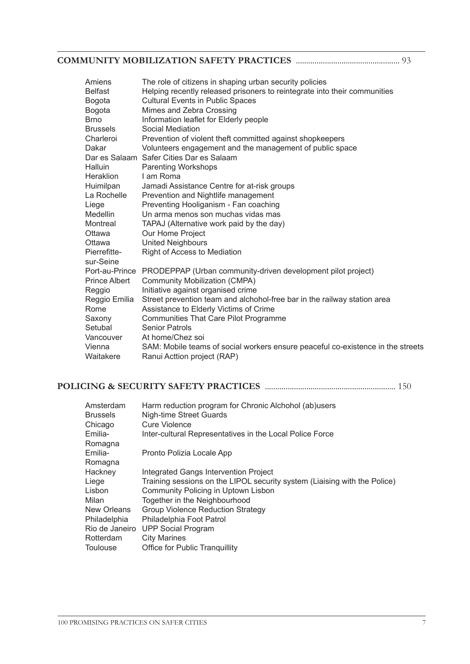### **COMMUNITY MOBILIZATION SAFETY PRACTICES** .................................................. 93

| Amiens               | The role of citizens in shaping urban security policies                         |
|----------------------|---------------------------------------------------------------------------------|
| <b>Belfast</b>       | Helping recently released prisoners to reintegrate into their communities       |
| Bogota               | <b>Cultural Events in Public Spaces</b>                                         |
| Bogota               | Mimes and Zebra Crossing                                                        |
| <b>Brno</b>          | Information leaflet for Elderly people                                          |
| <b>Brussels</b>      | Social Mediation                                                                |
| Charleroi            | Prevention of violent theft committed against shopkeepers                       |
| Dakar                | Volunteers engagement and the management of public space                        |
|                      | Dar es Salaam Safer Cities Dar es Salaam                                        |
| <b>Halluin</b>       | <b>Parenting Workshops</b>                                                      |
| Heraklion            | I am Roma                                                                       |
| Huimilpan            | Jamadi Assistance Centre for at-risk groups                                     |
| La Rochelle          | Prevention and Nightlife management                                             |
| Liege                | Preventing Hooliganism - Fan coaching                                           |
| Medellin             | Un arma menos son muchas vidas mas                                              |
| Montreal             | TAPAJ (Alternative work paid by the day)                                        |
| Ottawa               | Our Home Project                                                                |
| Ottawa               | <b>United Neighbours</b>                                                        |
| Pierrefitte-         | Right of Access to Mediation                                                    |
| sur-Seine            |                                                                                 |
|                      | Port-au-Prince PRODEPPAP (Urban community-driven development pilot project)     |
| <b>Prince Albert</b> | Community Mobilization (CMPA)                                                   |
| Reggio               | Initiative against organised crime                                              |
| Reggio Emilia        | Street prevention team and alchohol-free bar in the railway station area        |
| Rome                 | Assistance to Elderly Victims of Crime                                          |
| Saxony               | Communities That Care Pilot Programme                                           |
| Setubal              | <b>Senior Patrols</b>                                                           |
| Vancouver            | At home/Chez soi                                                                |
| Vienna               | SAM: Mobile teams of social workers ensure peaceful co-existence in the streets |
| Waitakere            | Ranui Acttion project (RAP)                                                     |

### **POLICING & SECURITY SAFETY PRACTICES** ............................................................... 150

| Amsterdam       | Harm reduction program for Chronic Alchohol (ab)users                     |
|-----------------|---------------------------------------------------------------------------|
| <b>Brussels</b> | Nigh-time Street Guards                                                   |
| Chicago         | Cure Violence                                                             |
| Emilia-         | Inter-cultural Representatives in the Local Police Force                  |
| Romagna         |                                                                           |
| Emilia-         | Pronto Polizia Locale App                                                 |
| Romagna         |                                                                           |
| Hackney         | Integrated Gangs Intervention Project                                     |
| Liege           | Training sessions on the LIPOL security system (Liaising with the Police) |
| Lisbon          | Community Policing in Uptown Lisbon                                       |
| Milan           | Together in the Neighbourhood                                             |
| New Orleans     | Group Violence Reduction Strategy                                         |
| Philadelphia    | Philadelphia Foot Patrol                                                  |
|                 | Rio de Janeiro UPP Social Program                                         |
| Rotterdam       | <b>City Marines</b>                                                       |
| Toulouse        | <b>Office for Public Tranguillity</b>                                     |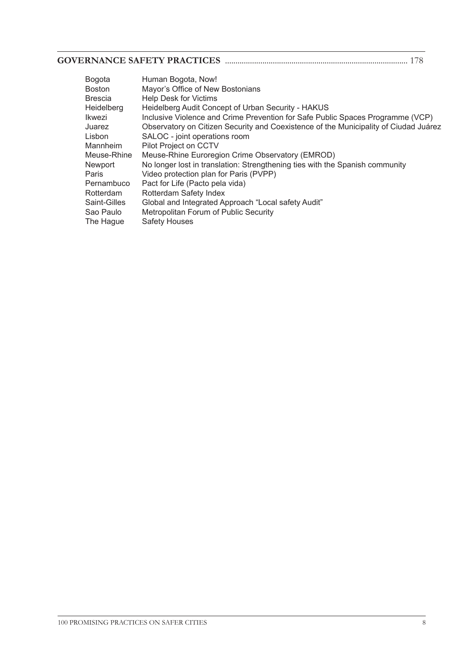#### **GOVERNANCE SAFETY PRACTICES** ........................................................................................ 178

| Bogota       | Human Bogota, Now!                                                                   |
|--------------|--------------------------------------------------------------------------------------|
| Boston       | Mayor's Office of New Bostonians                                                     |
| Brescia      | <b>Help Desk for Victims</b>                                                         |
| Heidelberg   | Heidelberg Audit Concept of Urban Security - HAKUS                                   |
| Ikwezi       | Inclusive Violence and Crime Prevention for Safe Public Spaces Programme (VCP)       |
| Juarez       | Observatory on Citizen Security and Coexistence of the Municipality of Ciudad Juárez |
| Lisbon       | SALOC - joint operations room                                                        |
| Mannheim     | Pilot Project on CCTV                                                                |
| Meuse-Rhine  | Meuse-Rhine Euroregion Crime Observatory (EMROD)                                     |
| Newport      | No longer lost in translation: Strengthening ties with the Spanish community         |
| Paris        | Video protection plan for Paris (PVPP)                                               |
| Pernambuco   | Pact for Life (Pacto pela vida)                                                      |
| Rotterdam    | Rotterdam Safety Index                                                               |
| Saint-Gilles | Global and Integrated Approach "Local safety Audit"                                  |
| Sao Paulo    | Metropolitan Forum of Public Security                                                |
| The Hague    | <b>Safety Houses</b>                                                                 |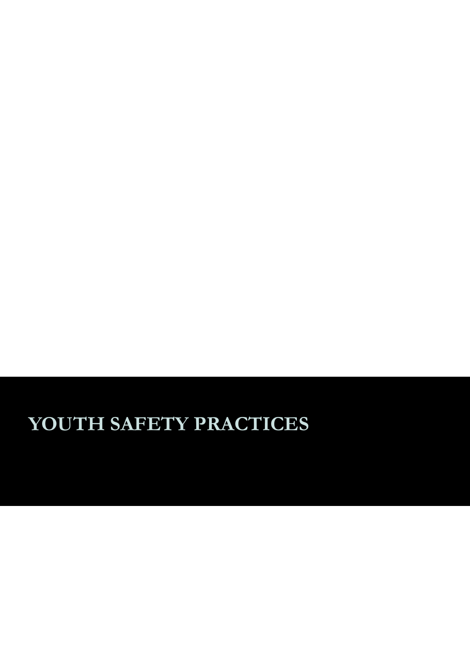# **YOUTH SAFETY PRACTICES**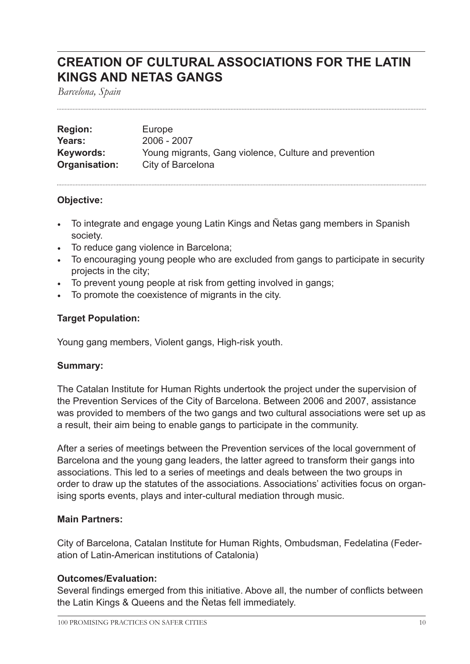### **CREATION OF CULTURAL ASSOCIATIONS FOR THE LATIN KINGS AND NETAS GANGS**

*Barcelona, Spain*

| <b>Region:</b> | Europe                                                |
|----------------|-------------------------------------------------------|
| Years:         | 2006 - 2007                                           |
| Keywords:      | Young migrants, Gang violence, Culture and prevention |
| Organisation:  | City of Barcelona                                     |

#### **Objective:**

- To integrate and engage young Latin Kings and Ñetas gang members in Spanish society.
- To reduce gang violence in Barcelona;
- To encouraging young people who are excluded from gangs to participate in security projects in the city;
- To prevent young people at risk from getting involved in gangs;
- To promote the coexistence of migrants in the city.

#### **Target Population:**

Young gang members, Violent gangs, High-risk youth.

#### **Summary:**

The Catalan Institute for Human Rights undertook the project under the supervision of the Prevention Services of the City of Barcelona. Between 2006 and 2007, assistance was provided to members of the two gangs and two cultural associations were set up as a result, their aim being to enable gangs to participate in the community.

After a series of meetings between the Prevention services of the local government of Barcelona and the young gang leaders, the latter agreed to transform their gangs into associations. This led to a series of meetings and deals between the two groups in order to draw up the statutes of the associations. Associations' activities focus on organising sports events, plays and inter-cultural mediation through music.

#### **Main Partners:**

City of Barcelona, Catalan Institute for Human Rights, Ombudsman, Fedelatina (Federation of Latin-American institutions of Catalonia)

#### **Outcomes/Evaluation:**

Several findings emerged from this initiative. Above all, the number of conflicts between the Latin Kings & Queens and the Ñetas fell immediately.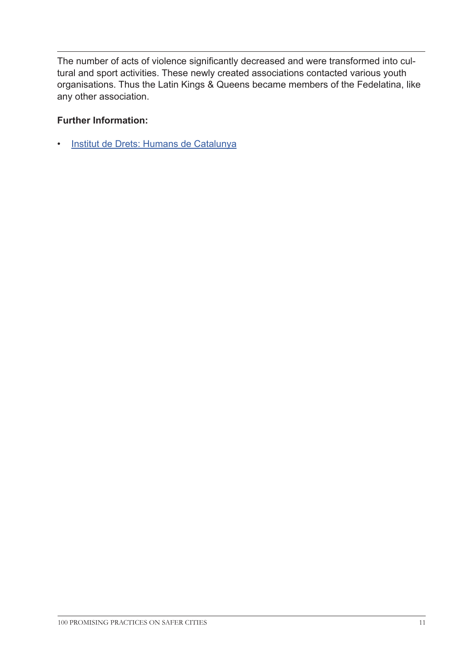The number of acts of violence significantly decreased and were transformed into cultural and sport activities. These newly created associations contacted various youth organisations. Thus the Latin Kings & Queens became members of the Fedelatina, like any other association.

#### **Further Information:**

• [Institut de Drets: Humans de Catalunya](http://www.idhc.org/eng/132_Altres.asp
)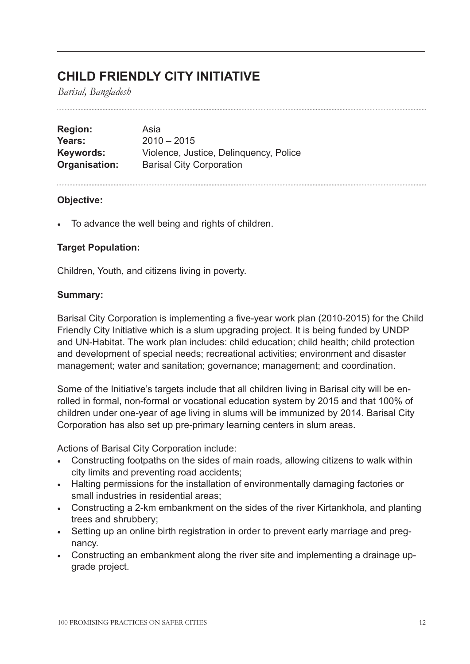### **CHILD FRIENDLY CITY INITIATIVE**

*Barisal, Bangladesh*

**Region:** Asia **Years:** 2010 – 2015 **Keywords:** Violence, Justice, Delinquency, Police **Organisation:** Barisal City Corporation

#### **Objective:**

• To advance the well being and rights of children.

#### **Target Population:**

Children, Youth, and citizens living in poverty.

#### **Summary:**

Barisal City Corporation is implementing a five-year work plan (2010-2015) for the Child Friendly City Initiative which is a slum upgrading project. It is being funded by UNDP and UN-Habitat. The work plan includes: child education; child health; child protection and development of special needs; recreational activities; environment and disaster management; water and sanitation; governance; management; and coordination.

Some of the Initiative's targets include that all children living in Barisal city will be enrolled in formal, non-formal or vocational education system by 2015 and that 100% of children under one-year of age living in slums will be immunized by 2014. Barisal City Corporation has also set up pre-primary learning centers in slum areas.

Actions of Barisal City Corporation include:

- Constructing footpaths on the sides of main roads, allowing citizens to walk within city limits and preventing road accidents;
- Halting permissions for the installation of environmentally damaging factories or small industries in residential areas;
- Constructing a 2-km embankment on the sides of the river Kirtankhola, and planting trees and shrubbery;
- Setting up an online birth registration in order to prevent early marriage and pregnancy.
- Constructing an embankment along the river site and implementing a drainage upgrade project.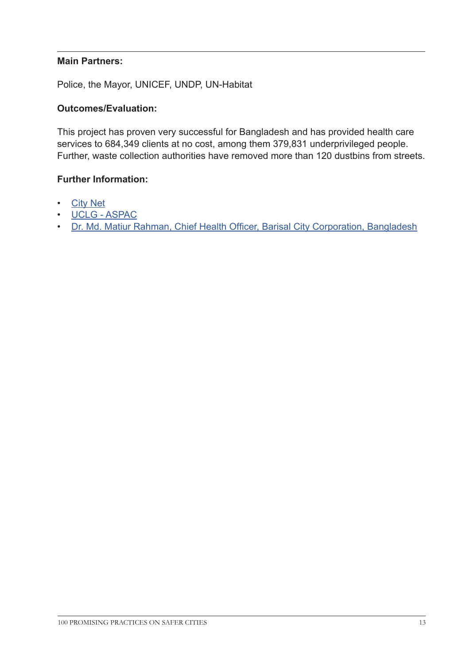#### **Main Partners:**

Police, the Mayor, UNICEF, UNDP, UN-Habitat

#### **Outcomes/Evaluation:**

This project has proven very successful for Bangladesh and has provided health care services to 684,349 clients at no cost, among them 379,831 underprivileged people. Further, waste collection authorities have removed more than 120 dustbins from streets.

#### **Further Information:**

- [City Net](http://citynet-ap.org/wp-content/uploads/2011/11/CityVoices-Disaster-2011.pdf 
)
- [UCLG ASPAC](http://www.uclg-aspac.org 
)
- [Dr. Md. Matiur Rahman, Chief Health Officer, Barisal City Corporation, Bangladesh](mailto:drrahmanchobcc%40yahoo.com%20?subject=Child%20Friendly%20City%20Initiative)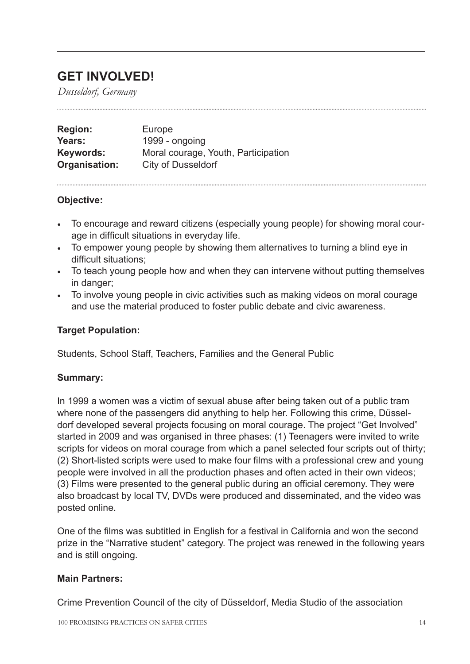### **GET INVOLVED!**

*Dusseldorf, Germany*

| <b>Region:</b> | Europe                              |
|----------------|-------------------------------------|
| Years:         | 1999 - ongoing                      |
| Keywords:      | Moral courage, Youth, Participation |
| Organisation:  | City of Dusseldorf                  |

#### **Objective:**

- To encourage and reward citizens (especially young people) for showing moral courage in difficult situations in everyday life.
- To empower young people by showing them alternatives to turning a blind eye in difficult situations;
- To teach young people how and when they can intervene without putting themselves in danger;
- To involve young people in civic activities such as making videos on moral courage and use the material produced to foster public debate and civic awareness.

#### **Target Population:**

Students, School Staff, Teachers, Families and the General Public

#### **Summary:**

In 1999 a women was a victim of sexual abuse after being taken out of a public tram where none of the passengers did anything to help her. Following this crime, Düsseldorf developed several projects focusing on moral courage. The project "Get Involved" started in 2009 and was organised in three phases: (1) Teenagers were invited to write scripts for videos on moral courage from which a panel selected four scripts out of thirty; (2) Short-listed scripts were used to make four films with a professional crew and young people were involved in all the production phases and often acted in their own videos; (3) Films were presented to the general public during an official ceremony. They were also broadcast by local TV, DVDs were produced and disseminated, and the video was posted online.

One of the films was subtitled in English for a festival in California and won the second prize in the "Narrative student" category. The project was renewed in the following years and is still ongoing.

#### **Main Partners:**

Crime Prevention Council of the city of Düsseldorf, Media Studio of the association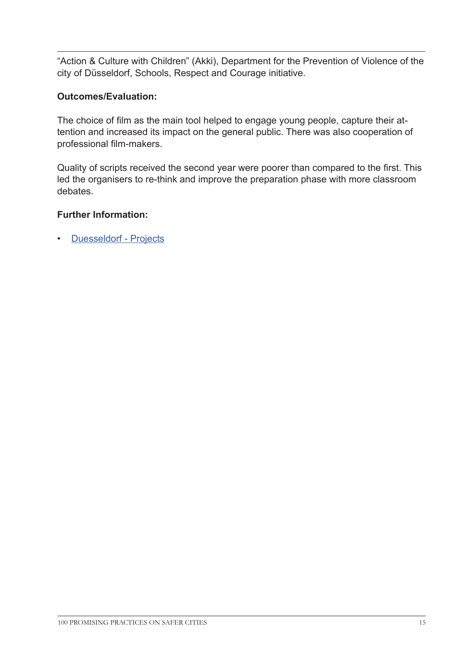"Action & Culture with Children" (Akki), Department for the Prevention of Violence of the city of Düsseldorf, Schools, Respect and Courage initiative.

#### **Outcomes/Evaluation:**

The choice of film as the main tool helped to engage young people, capture their attention and increased its impact on the general public. There was also cooperation of professional film-makers.

Quality of scripts received the second year were poorer than compared to the first. This led the organisers to re-think and improve the preparation phase with more classroom debates.

#### **Further Information:**

• [Duesseldorf - Projects](http://www.duesseldorf.de/eng/kpr/projects/courage.shtml	
)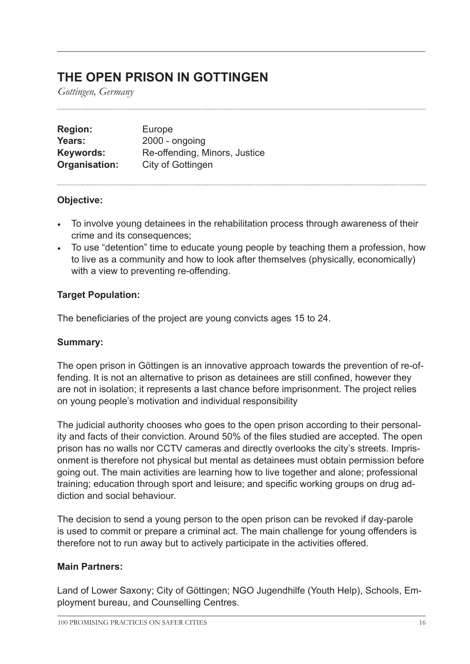### **THE OPEN PRISON IN GOTTINGEN**

*Gottingen, Germany*

| <b>Region:</b> | Europe                        |
|----------------|-------------------------------|
| Years:         | $2000 -$ ongoing              |
| Keywords:      | Re-offending, Minors, Justice |
| Organisation:  | City of Gottingen             |

#### **Objective:**

- To involve young detainees in the rehabilitation process through awareness of their crime and its consequences;
- To use "detention" time to educate young people by teaching them a profession, how to live as a community and how to look after themselves (physically, economically) with a view to preventing re-offending.

#### **Target Population:**

The beneficiaries of the project are young convicts ages 15 to 24.

#### **Summary:**

The open prison in Göttingen is an innovative approach towards the prevention of re-offending. It is not an alternative to prison as detainees are still confined, however they are not in isolation; it represents a last chance before imprisonment. The project relies on young people's motivation and individual responsibility

The judicial authority chooses who goes to the open prison according to their personality and facts of their conviction. Around 50% of the files studied are accepted. The open prison has no walls nor CCTV cameras and directly overlooks the city's streets. Imprisonment is therefore not physical but mental as detainees must obtain permission before going out. The main activities are learning how to live together and alone; professional training; education through sport and leisure; and specific working groups on drug addiction and social behaviour.

The decision to send a young person to the open prison can be revoked if day-parole is used to commit or prepare a criminal act. The main challenge for young offenders is therefore not to run away but to actively participate in the activities offered.

#### **Main Partners:**

Land of Lower Saxony; City of Göttingen; NGO Jugendhilfe (Youth Help), Schools, Employment bureau, and Counselling Centres.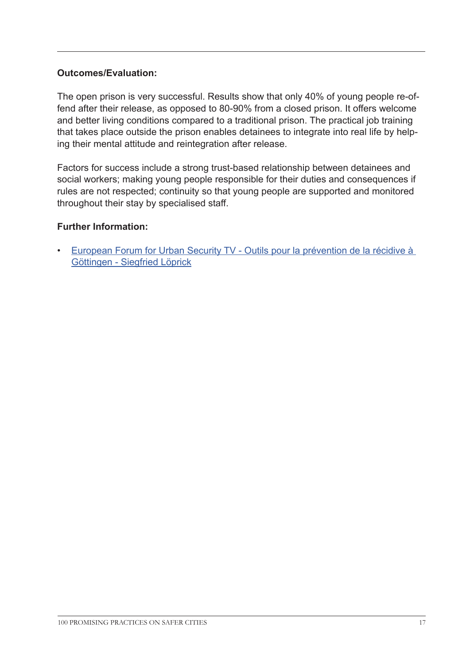#### **Outcomes/Evaluation:**

The open prison is very successful. Results show that only 40% of young people re-offend after their release, as opposed to 80-90% from a closed prison. It offers welcome and better living conditions compared to a traditional prison. The practical job training that takes place outside the prison enables detainees to integrate into real life by helping their mental attitude and reintegration after release.

Factors for success include a strong trust-based relationship between detainees and social workers; making young people responsible for their duties and consequences if rules are not respected; continuity so that young people are supported and monitored throughout their stay by specialised staff.

#### **Further Information:**

• [European Forum for Urban Security TV - Outils pour la prévention de la récidive à](http://www.youtube.com/watch?v=xozkGwei1X0
)  [Göttingen - Siegfried Löprick](http://www.youtube.com/watch?v=xozkGwei1X0
)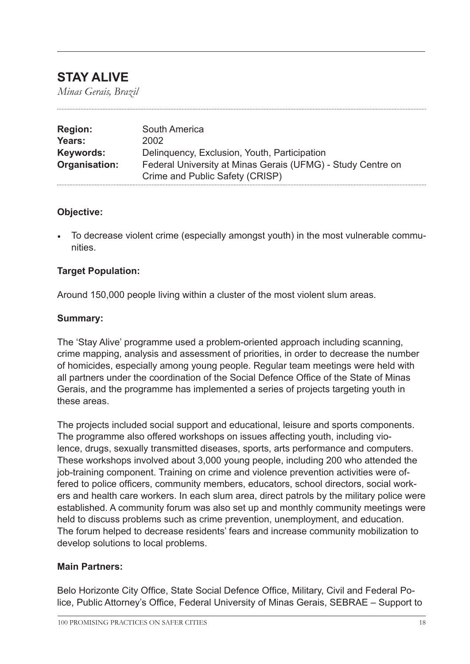### **STAY ALIVE**

*Minas Gerais, Brazil*

| <b>Region:</b> | South America                                               |
|----------------|-------------------------------------------------------------|
| Years:         | 2002                                                        |
| Keywords:      | Delinquency, Exclusion, Youth, Participation                |
| Organisation:  | Federal University at Minas Gerais (UFMG) - Study Centre on |
|                | Crime and Public Safety (CRISP)                             |

#### **Objective:**

• To decrease violent crime (especially amongst youth) in the most vulnerable communities.

#### **Target Population:**

Around 150,000 people living within a cluster of the most violent slum areas.

#### **Summary:**

The 'Stay Alive' programme used a problem-oriented approach including scanning, crime mapping, analysis and assessment of priorities, in order to decrease the number of homicides, especially among young people. Regular team meetings were held with all partners under the coordination of the Social Defence Office of the State of Minas Gerais, and the programme has implemented a series of projects targeting youth in these areas.

The projects included social support and educational, leisure and sports components. The programme also offered workshops on issues affecting youth, including violence, drugs, sexually transmitted diseases, sports, arts performance and computers. These workshops involved about 3,000 young people, including 200 who attended the job-training component. Training on crime and violence prevention activities were offered to police officers, community members, educators, school directors, social workers and health care workers. In each slum area, direct patrols by the military police were established. A community forum was also set up and monthly community meetings were held to discuss problems such as crime prevention, unemployment, and education. The forum helped to decrease residents' fears and increase community mobilization to develop solutions to local problems.

#### **Main Partners:**

Belo Horizonte City Office, State Social Defence Office, Military, Civil and Federal Police, Public Attorney's Office, Federal University of Minas Gerais, SEBRAE – Support to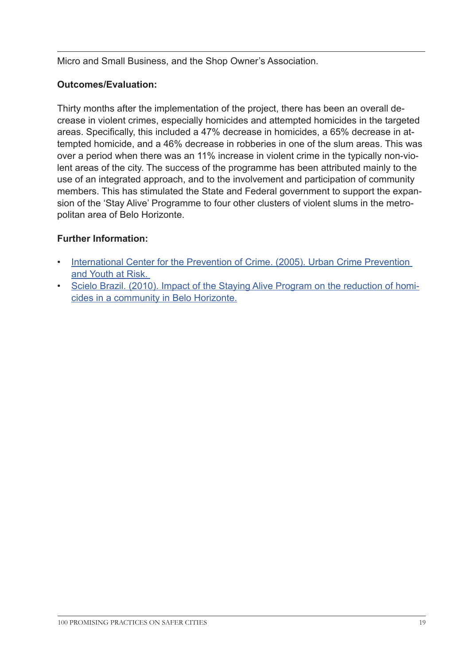Micro and Small Business, and the Shop Owner's Association.

#### **Outcomes/Evaluation:**

Thirty months after the implementation of the project, there has been an overall decrease in violent crimes, especially homicides and attempted homicides in the targeted areas. Specifically, this included a 47% decrease in homicides, a 65% decrease in attempted homicide, and a 46% decrease in robberies in one of the slum areas. This was over a period when there was an 11% increase in violent crime in the typically non-violent areas of the city. The success of the programme has been attributed mainly to the use of an integrated approach, and to the involvement and participation of community members. This has stimulated the State and Federal government to support the expansion of the 'Stay Alive' Programme to four other clusters of violent slums in the metropolitan area of Belo Horizonte.

#### **Further Information:**

- International Center for the Prevention of Crime. (2005). Urban Crime Prevention [and Youth at Risk.](http://www.crime-prevention-intl.org/fileadmin/user_upload/Publications/Urban_Crime_Prevention_and_Youth_at_Risk_ANG.pdf)
- [Scielo Brazil. \(2010\). Impact of the Staying Alive Program on the reduction of homi](http://www.scielo.br/scielo.php?pid=S0034-89102010000300013&script=sci_arttext&tlng=en)[cides in a community in Belo Horizonte.](http://www.scielo.br/scielo.php?pid=S0034-89102010000300013&script=sci_arttext&tlng=en)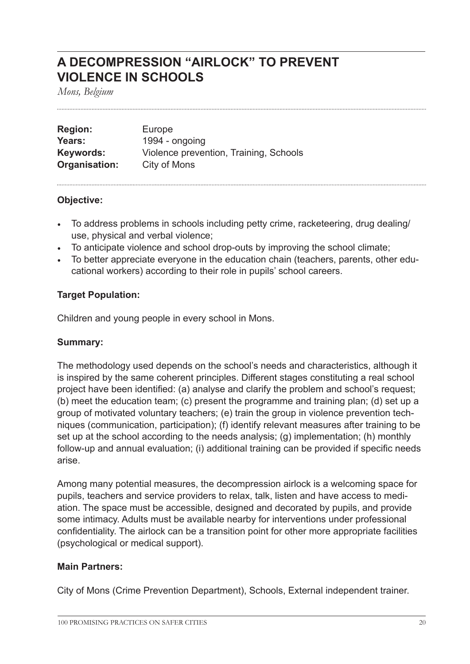### **A DECOMPRESSION "AIRLOCK" TO PREVENT VIOLENCE IN SCHOOLS**

*Mons, Belgium*

| <b>Region:</b> | Europe                                 |
|----------------|----------------------------------------|
| Years:         | 1994 - ongoing                         |
| Keywords:      | Violence prevention, Training, Schools |
| Organisation:  | City of Mons                           |

#### **Objective:**

- To address problems in schools including petty crime, racketeering, drug dealing/ use, physical and verbal violence;
- To anticipate violence and school drop-outs by improving the school climate;
- To better appreciate everyone in the education chain (teachers, parents, other educational workers) according to their role in pupils' school careers.

#### **Target Population:**

Children and young people in every school in Mons.

#### **Summary:**

The methodology used depends on the school's needs and characteristics, although it is inspired by the same coherent principles. Different stages constituting a real school project have been identified: (a) analyse and clarify the problem and school's request; (b) meet the education team; (c) present the programme and training plan; (d) set up a group of motivated voluntary teachers; (e) train the group in violence prevention techniques (communication, participation); (f) identify relevant measures after training to be set up at the school according to the needs analysis; (g) implementation; (h) monthly follow-up and annual evaluation; (i) additional training can be provided if specific needs arise.

Among many potential measures, the decompression airlock is a welcoming space for pupils, teachers and service providers to relax, talk, listen and have access to mediation. The space must be accessible, designed and decorated by pupils, and provide some intimacy. Adults must be available nearby for interventions under professional confidentiality. The airlock can be a transition point for other more appropriate facilities (psychological or medical support).

#### **Main Partners:**

City of Mons (Crime Prevention Department), Schools, External independent trainer.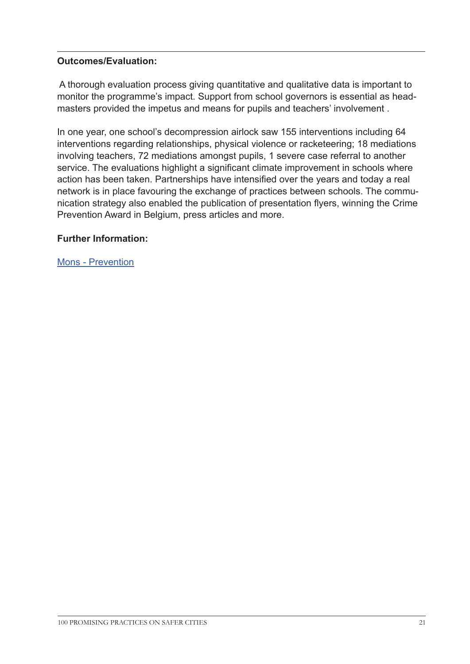#### **Outcomes/Evaluation:**

 A thorough evaluation process giving quantitative and qualitative data is important to monitor the programme's impact. Support from school governors is essential as headmasters provided the impetus and means for pupils and teachers' involvement .

In one year, one school's decompression airlock saw 155 interventions including 64 interventions regarding relationships, physical violence or racketeering; 18 mediations involving teachers, 72 mediations amongst pupils, 1 severe case referral to another service. The evaluations highlight a significant climate improvement in schools where action has been taken. Partnerships have intensified over the years and today a real network is in place favouring the exchange of practices between schools. The communication strategy also enabled the publication of presentation flyers, winning the Crime Prevention Award in Belgium, press articles and more.

#### **Further Information:**

[Mons - Prevention](http://www.mons.be/vivre-a-mons/cadre-de-vie/prevention
)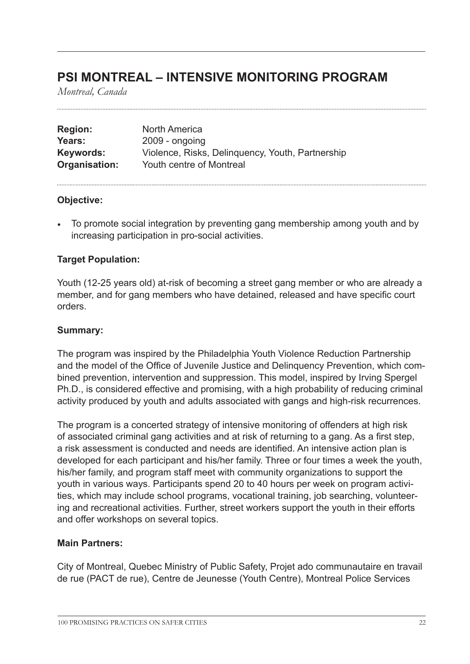### **PSI MONTREAL – INTENSIVE MONITORING PROGRAM**

*Montreal, Canada*

| <b>Region:</b> | North America                                    |
|----------------|--------------------------------------------------|
| Years:         | $2009 - ongoing$                                 |
| Keywords:      | Violence, Risks, Delinguency, Youth, Partnership |
| Organisation:  | Youth centre of Montreal                         |

#### **Objective:**

• To promote social integration by preventing gang membership among youth and by increasing participation in pro-social activities.

#### **Target Population:**

Youth (12-25 years old) at-risk of becoming a street gang member or who are already a member, and for gang members who have detained, released and have specific court orders.

#### **Summary:**

The program was inspired by the Philadelphia Youth Violence Reduction Partnership and the model of the Office of Juvenile Justice and Delinquency Prevention, which combined prevention, intervention and suppression. This model, inspired by Irving Spergel Ph.D., is considered effective and promising, with a high probability of reducing criminal activity produced by youth and adults associated with gangs and high-risk recurrences.

The program is a concerted strategy of intensive monitoring of offenders at high risk of associated criminal gang activities and at risk of returning to a gang. As a first step, a risk assessment is conducted and needs are identified. An intensive action plan is developed for each participant and his/her family. Three or four times a week the youth, his/her family, and program staff meet with community organizations to support the youth in various ways. Participants spend 20 to 40 hours per week on program activities, which may include school programs, vocational training, job searching, volunteering and recreational activities. Further, street workers support the youth in their efforts and offer workshops on several topics.

#### **Main Partners:**

City of Montreal, Quebec Ministry of Public Safety, Projet ado communautaire en travail de rue (PACT de rue), Centre de Jeunesse (Youth Centre), Montreal Police Services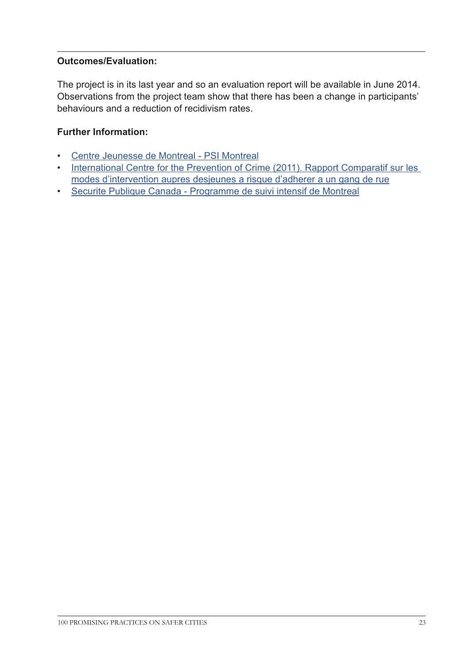#### **Outcomes/Evaluation:**

The project is in its last year and so an evaluation report will be available in June 2014. Observations from the project team show that there has been a change in participants' behaviours and a reduction of recidivism rates.

#### **Further Information:**

- [Centre Jeunesse de Montreal PSI Montreal](http://centrejeunessedemontreal.qc.ca/rapportannuel2010-2011/Page%20Video/psi-montreal/ )
- International Centre for the Prevention of Crime (2011). Rapport Comparatif sur les [modes d'intervention aupres desjeunes a risque d'adherer a un gang de rue](http://www.crime-prevention-intl.org/fileadmin/user_upload/Publications/Rapport_comparatif_sur_les_modes_d_intervention_aupres_des_jeunes_a_risque_d_adherer_a_un_gang_de_rue_.pdf 
)
- [Securite Publique Canada Programme de suivi intensif de Montreal](http://www.securitepublique.gc.ca/cnt/rsrcs/pblctns/prgrm-sv-ntsf/index-fra.aspx 
)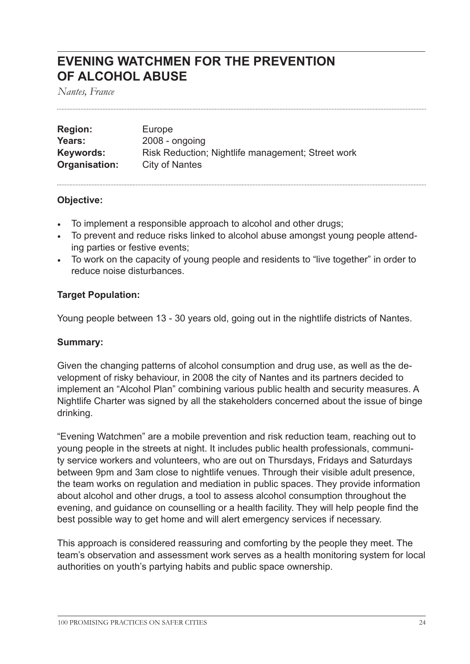### **EVENING WATCHMEN FOR THE PREVENTION OF ALCOHOL ABUSE**

*Nantes, France*

| <b>Region:</b> | Europe                                            |
|----------------|---------------------------------------------------|
| Years:         | $2008 - ongoing$                                  |
| Keywords:      | Risk Reduction; Nightlife management; Street work |
| Organisation:  | City of Nantes                                    |

#### **Objective:**

- To implement a responsible approach to alcohol and other drugs;
- To prevent and reduce risks linked to alcohol abuse amongst young people attending parties or festive events;
- To work on the capacity of young people and residents to "live together" in order to reduce noise disturbances.

#### **Target Population:**

Young people between 13 - 30 years old, going out in the nightlife districts of Nantes.

#### **Summary:**

Given the changing patterns of alcohol consumption and drug use, as well as the development of risky behaviour, in 2008 the city of Nantes and its partners decided to implement an "Alcohol Plan" combining various public health and security measures. A Nightlife Charter was signed by all the stakeholders concerned about the issue of binge drinking.

"Evening Watchmen" are a mobile prevention and risk reduction team, reaching out to young people in the streets at night. It includes public health professionals, community service workers and volunteers, who are out on Thursdays, Fridays and Saturdays between 9pm and 3am close to nightlife venues. Through their visible adult presence, the team works on regulation and mediation in public spaces. They provide information about alcohol and other drugs, a tool to assess alcohol consumption throughout the evening, and guidance on counselling or a health facility. They will help people find the best possible way to get home and will alert emergency services if necessary.

This approach is considered reassuring and comforting by the people they meet. The team's observation and assessment work serves as a health monitoring system for local authorities on youth's partying habits and public space ownership.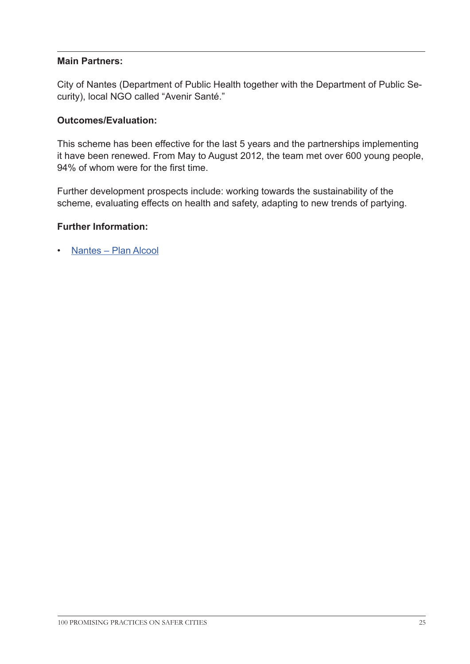#### **Main Partners:**

City of Nantes (Department of Public Health together with the Department of Public Security), local NGO called "Avenir Santé."

#### **Outcomes/Evaluation:**

This scheme has been effective for the last 5 years and the partnerships implementing it have been renewed. From May to August 2012, the team met over 600 young people, 94% of whom were for the first time.

Further development prospects include: working towards the sustainability of the scheme, evaluating effects on health and safety, adapting to new trends of partying.

#### **Further Information:**

• [Nantes – Plan Alcool](www.nantes.fr/home/ville-de-nantes/solidarites/sante-publique/plan-alcool.html
)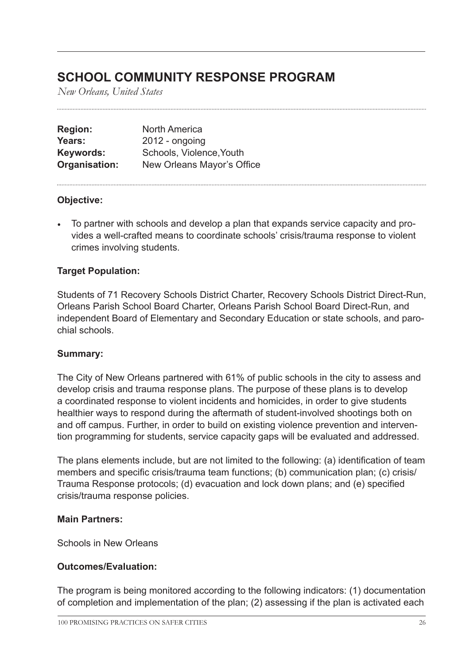## **SCHOOL COMMUNITY RESPONSE PROGRAM**

*New Orleans, United States*

| <b>Region:</b> | <b>North America</b>       |
|----------------|----------------------------|
| Years:         | $2012 -$ ongoing           |
| Keywords:      | Schools, Violence, Youth   |
| Organisation:  | New Orleans Mayor's Office |

#### **Objective:**

• To partner with schools and develop a plan that expands service capacity and provides a well-crafted means to coordinate schools' crisis/trauma response to violent crimes involving students.

#### **Target Population:**

Students of 71 Recovery Schools District Charter, Recovery Schools District Direct-Run, Orleans Parish School Board Charter, Orleans Parish School Board Direct-Run, and independent Board of Elementary and Secondary Education or state schools, and parochial schools.

#### **Summary:**

The City of New Orleans partnered with 61% of public schools in the city to assess and develop crisis and trauma response plans. The purpose of these plans is to develop a coordinated response to violent incidents and homicides, in order to give students healthier ways to respond during the aftermath of student-involved shootings both on and off campus. Further, in order to build on existing violence prevention and intervention programming for students, service capacity gaps will be evaluated and addressed.

The plans elements include, but are not limited to the following: (a) identification of team members and specific crisis/trauma team functions; (b) communication plan; (c) crisis/ Trauma Response protocols; (d) evacuation and lock down plans; and (e) specified crisis/trauma response policies.

#### **Main Partners:**

Schools in New Orleans

#### **Outcomes/Evaluation:**

The program is being monitored according to the following indicators: (1) documentation of completion and implementation of the plan; (2) assessing if the plan is activated each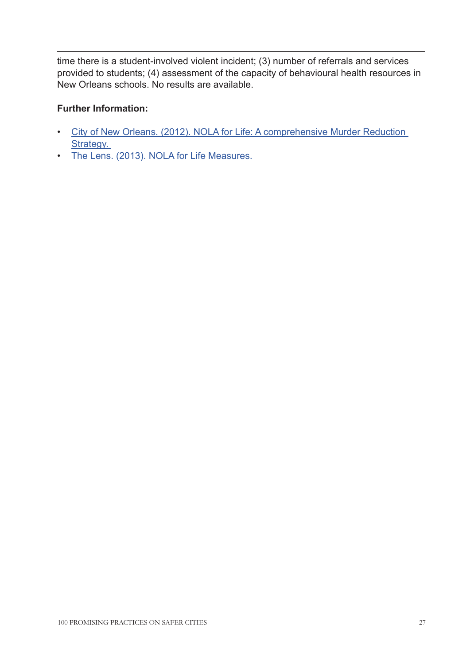time there is a student-involved violent incident; (3) number of referrals and services provided to students; (4) assessment of the capacity of behavioural health resources in New Orleans schools. No results are available.

#### **Further Information:**

- [City of New Orleans. \(2012\). NOLA for Life: A comprehensive Murder Reduction](http://www.fbi.gov/neworleans/press-releases/2013/multi-agency-gang-unit-investigation-nets-sweeping-indictment-of-20-defendants)  Strategy.
- [The Lens. \(2013\). NOLA for Life Measures.]( http://lensnola.wpengine.netdna-cdn.com/wp-content/uploads/2013/05/NOLA-For-Life-Measures-1.pdf
)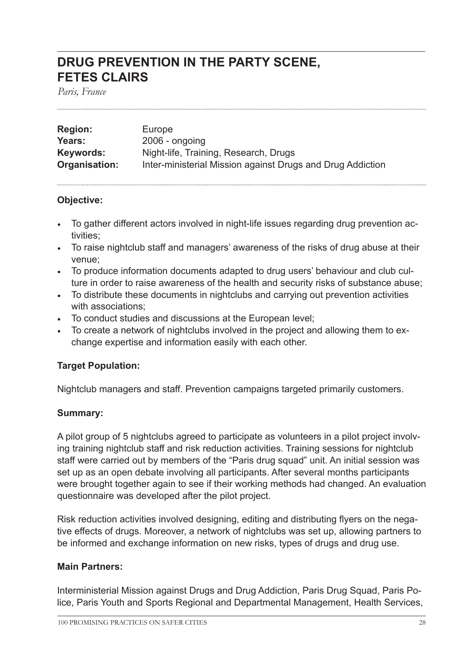### **DRUG PREVENTION IN THE PARTY SCENE, FETES CLAIRS**

*Paris, France*

| <b>Region:</b> | Europe                                                     |
|----------------|------------------------------------------------------------|
| Years:         | $2006$ - ongoing                                           |
| Keywords:      | Night-life, Training, Research, Drugs                      |
| Organisation:  | Inter-ministerial Mission against Drugs and Drug Addiction |

#### **Objective:**

- To gather different actors involved in night-life issues regarding drug prevention activities;
- To raise nightclub staff and managers' awareness of the risks of drug abuse at their venue;
- To produce information documents adapted to drug users' behaviour and club culture in order to raise awareness of the health and security risks of substance abuse;
- To distribute these documents in nightclubs and carrying out prevention activities with associations;
- To conduct studies and discussions at the European level;
- To create a network of nightclubs involved in the project and allowing them to exchange expertise and information easily with each other.

#### **Target Population:**

Nightclub managers and staff. Prevention campaigns targeted primarily customers.

#### **Summary:**

A pilot group of 5 nightclubs agreed to participate as volunteers in a pilot project involving training nightclub staff and risk reduction activities. Training sessions for nightclub staff were carried out by members of the "Paris drug squad" unit. An initial session was set up as an open debate involving all participants. After several months participants were brought together again to see if their working methods had changed. An evaluation questionnaire was developed after the pilot project.

Risk reduction activities involved designing, editing and distributing flyers on the negative effects of drugs. Moreover, a network of nightclubs was set up, allowing partners to be informed and exchange information on new risks, types of drugs and drug use.

#### **Main Partners:**

Interministerial Mission against Drugs and Drug Addiction, Paris Drug Squad, Paris Police, Paris Youth and Sports Regional and Departmental Management, Health Services,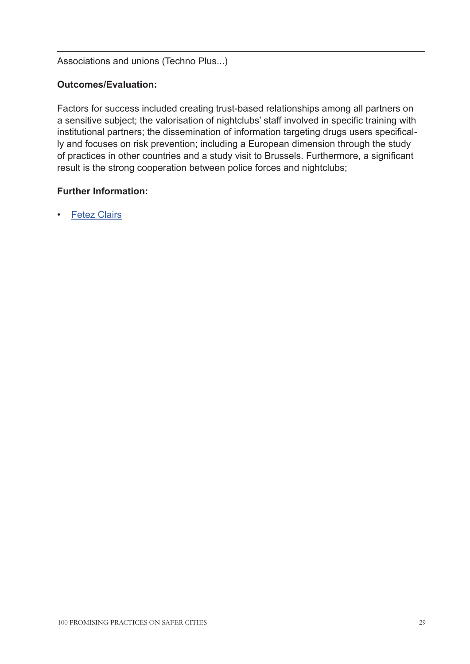#### Associations and unions (Techno Plus...)

#### **Outcomes/Evaluation:**

Factors for success included creating trust-based relationships among all partners on a sensitive subject; the valorisation of nightclubs' staff involved in specific training with institutional partners; the dissemination of information targeting drugs users specifically and focuses on risk prevention; including a European dimension through the study of practices in other countries and a study visit to Brussels. Furthermore, a significant result is the strong cooperation between police forces and nightclubs;

#### **Further Information:**

**[Fetez Clairs](http://www.fetez-clairs.org/
)**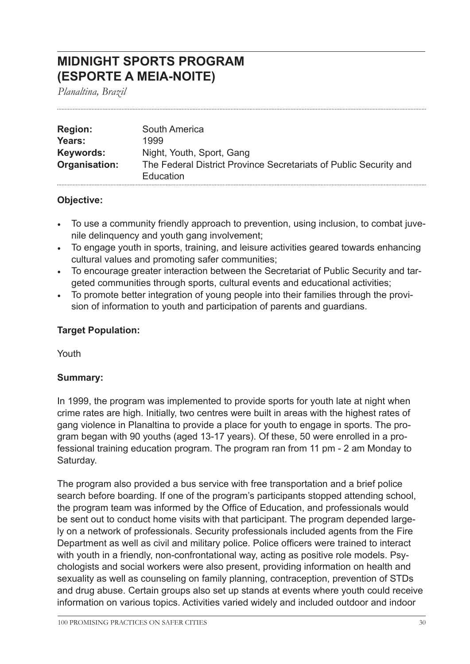### **MIDNIGHT SPORTS PROGRAM (ESPORTE A MEIA-NOITE)**

*Planaltina, Brazil*

| <b>Region:</b> | South America                                                     |
|----------------|-------------------------------------------------------------------|
| Years:         | 1999                                                              |
| Keywords:      | Night, Youth, Sport, Gang                                         |
| Organisation:  | The Federal District Province Secretariats of Public Security and |
|                | Education                                                         |

#### **Objective:**

- To use a community friendly approach to prevention, using inclusion, to combat juvenile delinquency and youth gang involvement;
- To engage youth in sports, training, and leisure activities geared towards enhancing cultural values and promoting safer communities;
- To encourage greater interaction between the Secretariat of Public Security and targeted communities through sports, cultural events and educational activities;
- To promote better integration of young people into their families through the provision of information to youth and participation of parents and guardians.

#### **Target Population:**

Youth

#### **Summary:**

In 1999, the program was implemented to provide sports for youth late at night when crime rates are high. Initially, two centres were built in areas with the highest rates of gang violence in Planaltina to provide a place for youth to engage in sports. The program began with 90 youths (aged 13-17 years). Of these, 50 were enrolled in a professional training education program. The program ran from 11 pm - 2 am Monday to Saturday.

The program also provided a bus service with free transportation and a brief police search before boarding. If one of the program's participants stopped attending school, the program team was informed by the Office of Education, and professionals would be sent out to conduct home visits with that participant. The program depended largely on a network of professionals. Security professionals included agents from the Fire Department as well as civil and military police. Police officers were trained to interact with youth in a friendly, non-confrontational way, acting as positive role models. Psychologists and social workers were also present, providing information on health and sexuality as well as counseling on family planning, contraception, prevention of STDs and drug abuse. Certain groups also set up stands at events where youth could receive information on various topics. Activities varied widely and included outdoor and indoor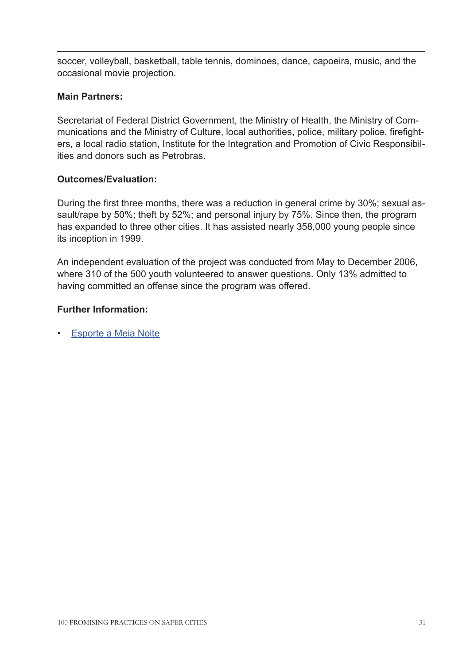soccer, volleyball, basketball, table tennis, dominoes, dance, capoeira, music, and the occasional movie projection.

#### **Main Partners:**

Secretariat of Federal District Government, the Ministry of Health, the Ministry of Communications and the Ministry of Culture, local authorities, police, military police, firefighters, a local radio station, Institute for the Integration and Promotion of Civic Responsibilities and donors such as Petrobras.

#### **Outcomes/Evaluation:**

During the first three months, there was a reduction in general crime by 30%; sexual assault/rape by 50%; theft by 52%; and personal injury by 75%. Since then, the program has expanded to three other cities. It has assisted nearly 358,000 young people since its inception in 1999.

An independent evaluation of the project was conducted from May to December 2006, where 310 of the 500 youth volunteered to answer questions. Only 13% admitted to having committed an offense since the program was offered.

#### **Further Information:**

• [Esporte a Meia Noite](http://www.ssp.df.gov.br/servicos/programas-comunitarios/esporte-a-meia-noite.html )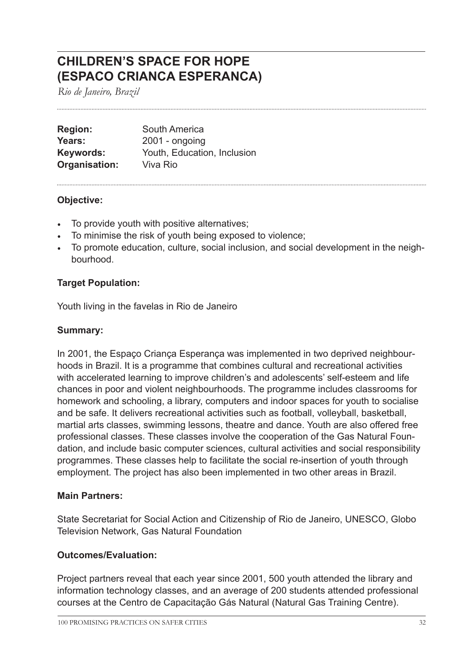### **CHILDREN'S SPACE FOR HOPE (ESPACO CRIANCA ESPERANCA)**

*Rio de Janeiro, Brazil*

| <b>Region:</b>   | South America               |
|------------------|-----------------------------|
| Years:           | $2001 - ongoing$            |
| <b>Keywords:</b> | Youth, Education, Inclusion |
| Organisation:    | Viva Rio                    |

#### **Objective:**

- To provide youth with positive alternatives;
- To minimise the risk of youth being exposed to violence;
- To promote education, culture, social inclusion, and social development in the neighbourhood.

#### **Target Population:**

Youth living in the favelas in Rio de Janeiro

#### **Summary:**

In 2001, the Espaço Criança Esperança was implemented in two deprived neighbourhoods in Brazil. It is a programme that combines cultural and recreational activities with accelerated learning to improve children's and adolescents' self-esteem and life chances in poor and violent neighbourhoods. The programme includes classrooms for homework and schooling, a library, computers and indoor spaces for youth to socialise and be safe. It delivers recreational activities such as football, volleyball, basketball, martial arts classes, swimming lessons, theatre and dance. Youth are also offered free professional classes. These classes involve the cooperation of the Gas Natural Foundation, and include basic computer sciences, cultural activities and social responsibility programmes. These classes help to facilitate the social re-insertion of youth through employment. The project has also been implemented in two other areas in Brazil.

#### **Main Partners:**

State Secretariat for Social Action and Citizenship of Rio de Janeiro, UNESCO, Globo Television Network, Gas Natural Foundation

#### **Outcomes/Evaluation:**

Project partners reveal that each year since 2001, 500 youth attended the library and information technology classes, and an average of 200 students attended professional courses at the Centro de Capacitação Gás Natural (Natural Gas Training Centre).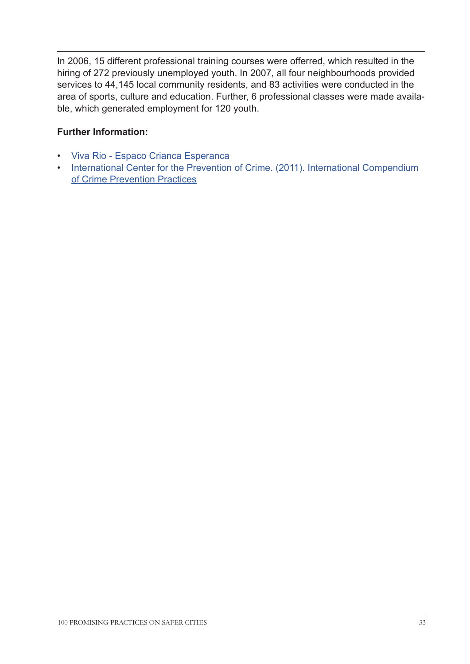In 2006, 15 different professional training courses were offerred, which resulted in the hiring of 272 previously unemployed youth. In 2007, all four neighbourhoods provided services to 44,145 local community residents, and 83 activities were conducted in the area of sports, culture and education. Further, 6 professional classes were made available, which generated employment for 120 youth.

#### **Further Information:**

- [Viva Rio Espaco Crianca Esperanca](http://vivario.org.br/en/education-arts-and-sports/espaco-crianca-esperanca/
)
- [International Center for the Prevention of Crime. \(2011\). I](http://www.crime-prevention-intl.org/fileadmin/user_upload/Publications/International_Compendium_of_Crime_Prevention_Practices_ANG.pdf)nternational Compendium of Crime Prevention Practices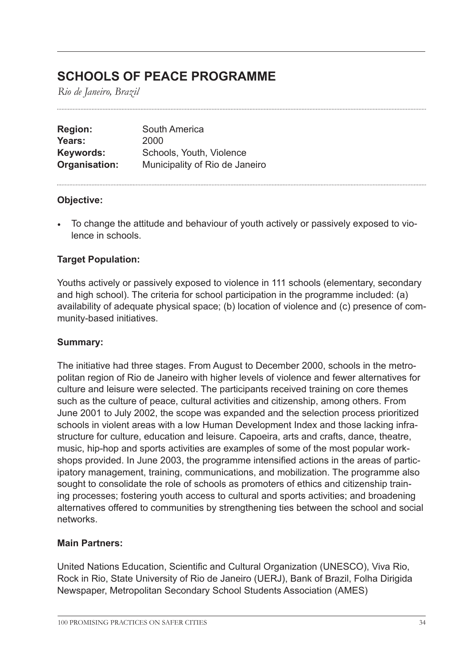### **SCHOOLS OF PEACE PROGRAMME**

*Rio de Janeiro, Brazil*

| South America                  |
|--------------------------------|
| 2000                           |
| Schools, Youth, Violence       |
| Municipality of Rio de Janeiro |
|                                |

#### **Objective:**

• To change the attitude and behaviour of youth actively or passively exposed to violence in schools.

#### **Target Population:**

Youths actively or passively exposed to violence in 111 schools (elementary, secondary and high school). The criteria for school participation in the programme included: (a) availability of adequate physical space; (b) location of violence and (c) presence of community-based initiatives.

#### **Summary:**

The initiative had three stages. From August to December 2000, schools in the metropolitan region of Rio de Janeiro with higher levels of violence and fewer alternatives for culture and leisure were selected. The participants received training on core themes such as the culture of peace, cultural activities and citizenship, among others. From June 2001 to July 2002, the scope was expanded and the selection process prioritized schools in violent areas with a low Human Development Index and those lacking infrastructure for culture, education and leisure. Capoeira, arts and crafts, dance, theatre, music, hip-hop and sports activities are examples of some of the most popular workshops provided. In June 2003, the programme intensified actions in the areas of participatory management, training, communications, and mobilization. The programme also sought to consolidate the role of schools as promoters of ethics and citizenship training processes; fostering youth access to cultural and sports activities; and broadening alternatives offered to communities by strengthening ties between the school and social networks.

#### **Main Partners:**

United Nations Education, Scientific and Cultural Organization (UNESCO), Viva Rio, Rock in Rio, State University of Rio de Janeiro (UERJ), Bank of Brazil, Folha Dirigida Newspaper, Metropolitan Secondary School Students Association (AMES)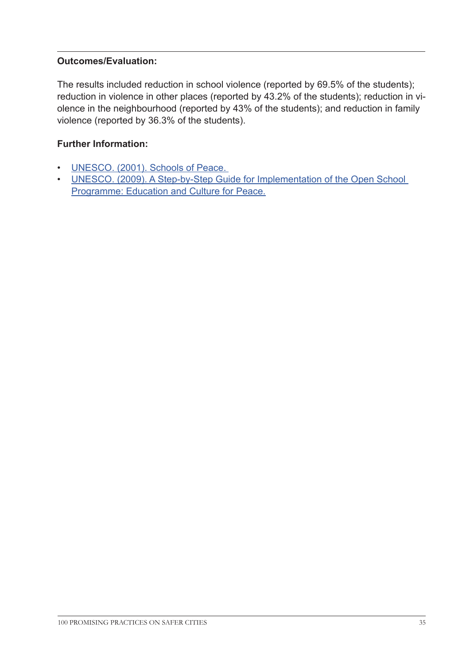#### **Outcomes/Evaluation:**

The results included reduction in school violence (reported by 69.5% of the students); reduction in violence in other places (reported by 43.2% of the students); reduction in violence in the neighbourhood (reported by 43% of the students); and reduction in family violence (reported by 36.3% of the students).

#### **Further Information:**

- [UNESCO. \(2001\). Schools of Peace.](http://unesdoc.unesco.org/images/0012/001244/124483eo.pdf)
- [UNESCO. \(2009\). A Step-by-Step Guide for Implementation of the Open School](http://unesdoc.unesco.org/images/0019/001919/191906e.pdf)  [Programme: Education and Culture for Peace.](http://unesdoc.unesco.org/images/0019/001919/191906e.pdf)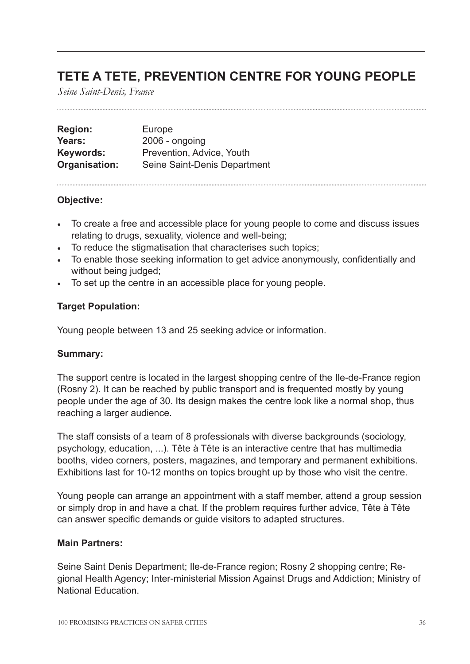### **TETE A TETE, PREVENTION CENTRE FOR YOUNG PEOPLE**

*Seine Saint-Denis, France*

| <b>Region:</b> | Europe                       |
|----------------|------------------------------|
| Years:         | $2006$ - ongoing             |
| Keywords:      | Prevention, Advice, Youth    |
| Organisation:  | Seine Saint-Denis Department |

#### **Objective:**

- To create a free and accessible place for young people to come and discuss issues relating to drugs, sexuality, violence and well-being;
- To reduce the stigmatisation that characterises such topics;
- To enable those seeking information to get advice anonymously, confidentially and without being judged;
- To set up the centre in an accessible place for young people.

#### **Target Population:**

Young people between 13 and 25 seeking advice or information.

#### **Summary:**

The support centre is located in the largest shopping centre of the Ile-de-France region (Rosny 2). It can be reached by public transport and is frequented mostly by young people under the age of 30. Its design makes the centre look like a normal shop, thus reaching a larger audience.

The staff consists of a team of 8 professionals with diverse backgrounds (sociology, psychology, education, ...). Tête à Tête is an interactive centre that has multimedia booths, video corners, posters, magazines, and temporary and permanent exhibitions. Exhibitions last for 10-12 months on topics brought up by those who visit the centre.

Young people can arrange an appointment with a staff member, attend a group session or simply drop in and have a chat. If the problem requires further advice, Tête à Tête can answer specific demands or guide visitors to adapted structures.

#### **Main Partners:**

Seine Saint Denis Department; Ile-de-France region; Rosny 2 shopping centre; Regional Health Agency; Inter-ministerial Mission Against Drugs and Addiction; Ministry of National Education.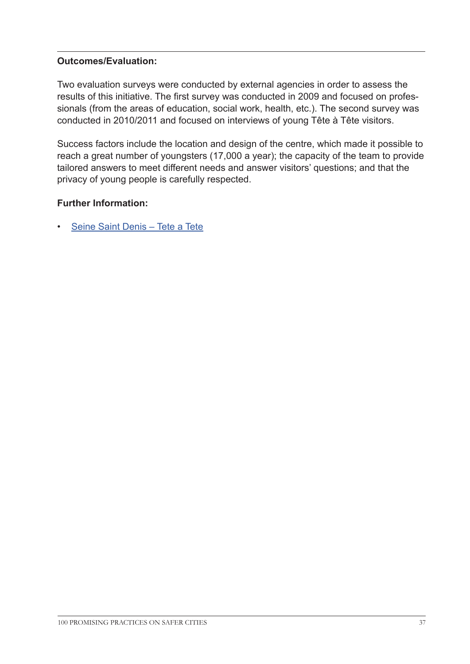# **Outcomes/Evaluation:**

Two evaluation surveys were conducted by external agencies in order to assess the results of this initiative. The first survey was conducted in 2009 and focused on professionals (from the areas of education, social work, health, etc.). The second survey was conducted in 2010/2011 and focused on interviews of young Tête à Tête visitors.

Success factors include the location and design of the centre, which made it possible to reach a great number of youngsters (17,000 a year); the capacity of the team to provide tailored answers to meet different needs and answer visitors' questions; and that the privacy of young people is carefully respected.

# **Further Information:**

• [Seine Saint Denis – Tete a Tete](http://www.seine-saint-denis.fr/Tete-a-Tete,206.html	
)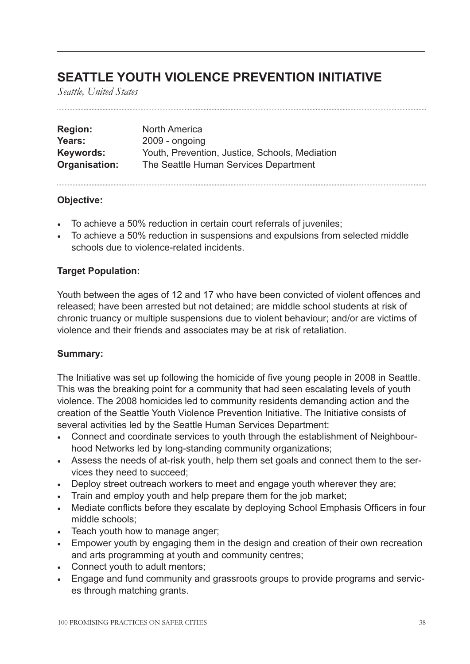# **SEATTLE YOUTH VIOLENCE PREVENTION INITIATIVE**

*Seattle, United States*

| <b>Region:</b> | <b>North America</b>                           |
|----------------|------------------------------------------------|
| Years:         | $2009$ - ongoing                               |
| Keywords:      | Youth, Prevention, Justice, Schools, Mediation |
| Organisation:  | The Seattle Human Services Department          |

### **Objective:**

- To achieve a 50% reduction in certain court referrals of juveniles;
- To achieve a 50% reduction in suspensions and expulsions from selected middle schools due to violence-related incidents.

# **Target Population:**

Youth between the ages of 12 and 17 who have been convicted of violent offences and released; have been arrested but not detained; are middle school students at risk of chronic truancy or multiple suspensions due to violent behaviour; and/or are victims of violence and their friends and associates may be at risk of retaliation.

### **Summary:**

The Initiative was set up following the homicide of five young people in 2008 in Seattle. This was the breaking point for a community that had seen escalating levels of youth violence. The 2008 homicides led to community residents demanding action and the creation of the Seattle Youth Violence Prevention Initiative. The Initiative consists of several activities led by the Seattle Human Services Department:

- Connect and coordinate services to youth through the establishment of Neighbourhood Networks led by long-standing community organizations;
- Assess the needs of at-risk youth, help them set goals and connect them to the services they need to succeed;
- Deploy street outreach workers to meet and engage youth wherever they are;
- Train and employ youth and help prepare them for the job market;
- Mediate conflicts before they escalate by deploying School Emphasis Officers in four middle schools;
- Teach youth how to manage anger;
- Empower youth by engaging them in the design and creation of their own recreation and arts programming at youth and community centres;
- Connect youth to adult mentors;
- Engage and fund community and grassroots groups to provide programs and services through matching grants.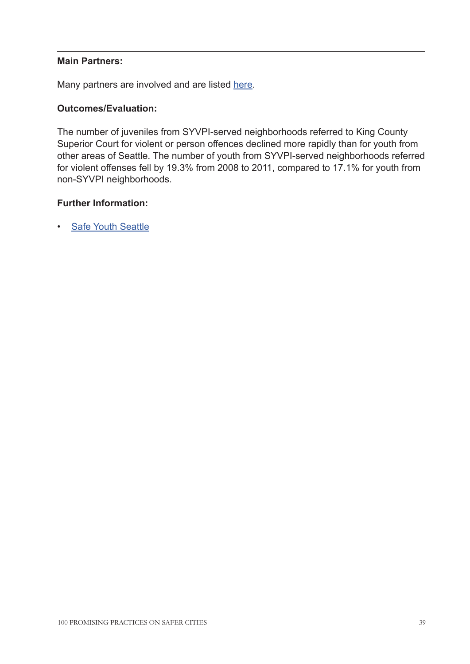### **Main Partners:**

Many partners are involved and are listed [here.](http://safeyouthseattle.org/whoweare/ourpartners/
)

### **Outcomes/Evaluation:**

The number of juveniles from SYVPI-served neighborhoods referred to King County Superior Court for violent or person offences declined more rapidly than for youth from other areas of Seattle. The number of youth from SYVPI-served neighborhoods referred for violent offenses fell by 19.3% from 2008 to 2011, compared to 17.1% for youth from non-SYVPI neighborhoods.

### **Further Information:**

• [Safe Youth Seattle](http://safeyouthseattle.org/ourimpact/
)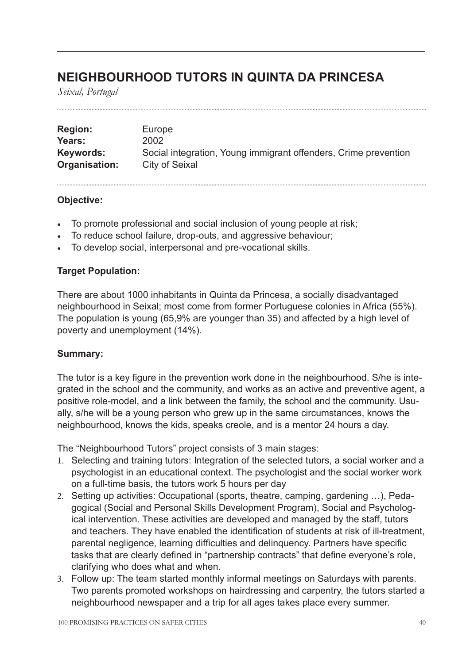# **NEIGHBOURHOOD TUTORS IN QUINTA DA PRINCESA**

*Seixal, Portugal*

| <b>Region:</b> | Europe                                                          |
|----------------|-----------------------------------------------------------------|
| Years:         | 2002                                                            |
| Keywords:      | Social integration, Young immigrant offenders, Crime prevention |
| Organisation:  | <b>City of Seixal</b>                                           |

### **Objective:**

- To promote professional and social inclusion of young people at risk;
- To reduce school failure, drop-outs, and aggressive behaviour;
- To develop social, interpersonal and pre-vocational skills.

### **Target Population:**

There are about 1000 inhabitants in Quinta da Princesa, a socially disadvantaged neighbourhood in Seixal; most come from former Portuguese colonies in Africa (55%). The population is young (65,9% are younger than 35) and affected by a high level of poverty and unemployment (14%).

# **Summary:**

The tutor is a key figure in the prevention work done in the neighbourhood. S/he is integrated in the school and the community, and works as an active and preventive agent, a positive role-model, and a link between the family, the school and the community. Usually, s/he will be a young person who grew up in the same circumstances, knows the neighbourhood, knows the kids, speaks creole, and is a mentor 24 hours a day.

The "Neighbourhood Tutors" project consists of 3 main stages:

- 1. Selecting and training tutors: Integration of the selected tutors, a social worker and a psychologist in an educational context. The psychologist and the social worker work on a full-time basis, the tutors work 5 hours per day
- 2. Setting up activities: Occupational (sports, theatre, camping, gardening …), Pedagogical (Social and Personal Skills Development Program), Social and Psychological intervention. These activities are developed and managed by the staff, tutors and teachers. They have enabled the identification of students at risk of ill-treatment, parental negligence, learning difficulties and delinquency. Partners have specific tasks that are clearly defined in "partnership contracts" that define everyone's role, clarifying who does what and when.
- 3. Follow up: The team started monthly informal meetings on Saturdays with parents. Two parents promoted workshops on hairdressing and carpentry, the tutors started a neighbourhood newspaper and a trip for all ages takes place every summer.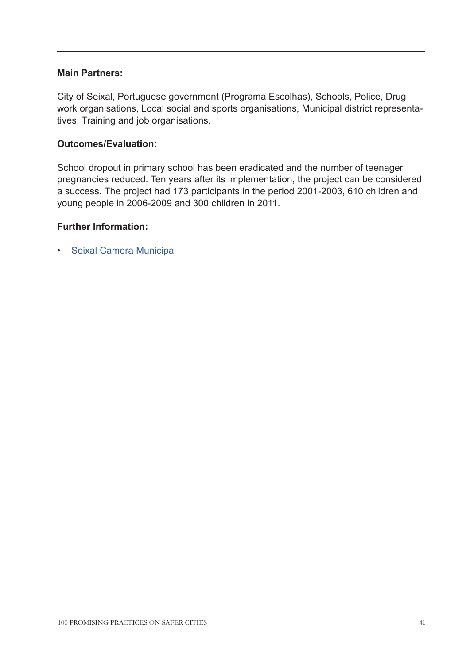### **Main Partners:**

City of Seixal, Portuguese government (Programa Escolhas), Schools, Police, Drug work organisations, Local social and sports organisations, Municipal district representatives, Training and job organisations.

### **Outcomes/Evaluation:**

School dropout in primary school has been eradicated and the number of teenager pregnancies reduced. Ten years after its implementation, the project can be considered a success. The project had 173 participants in the period 2001-2003, 610 children and young people in 2006-2009 and 300 children in 2011.

### **Further Information:**

• [Seixal Camera Municipal](http://www.cm-seixal.pt/CMSEIXAL/ 
)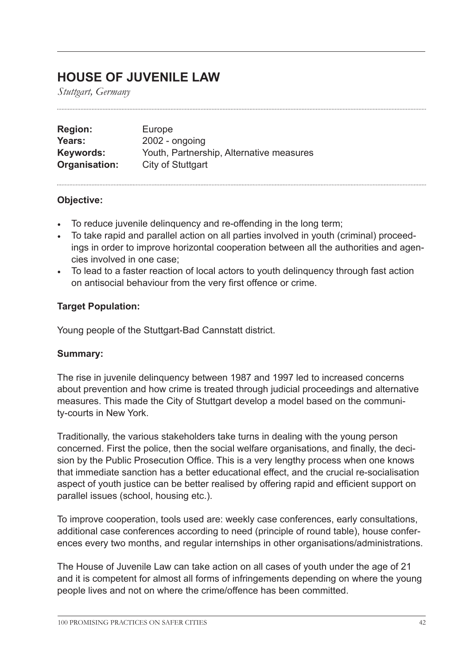# **HOUSE OF JUVENILE LAW**

*Stuttgart, Germany*

| <b>Region:</b> | Europe                                   |
|----------------|------------------------------------------|
| Years:         | $2002$ - ongoing                         |
| Keywords:      | Youth, Partnership, Alternative measures |
| Organisation:  | City of Stuttgart                        |

### **Objective:**

- To reduce juvenile delinquency and re-offending in the long term;
- To take rapid and parallel action on all parties involved in youth (criminal) proceedings in order to improve horizontal cooperation between all the authorities and agencies involved in one case;
- To lead to a faster reaction of local actors to youth delinquency through fast action on antisocial behaviour from the very first offence or crime.

# **Target Population:**

Young people of the Stuttgart-Bad Cannstatt district.

# **Summary:**

The rise in juvenile delinquency between 1987 and 1997 led to increased concerns about prevention and how crime is treated through judicial proceedings and alternative measures. This made the City of Stuttgart develop a model based on the community-courts in New York.

Traditionally, the various stakeholders take turns in dealing with the young person concerned. First the police, then the social welfare organisations, and finally, the decision by the Public Prosecution Office. This is a very lengthy process when one knows that immediate sanction has a better educational effect, and the crucial re-socialisation aspect of youth justice can be better realised by offering rapid and efficient support on parallel issues (school, housing etc.).

To improve cooperation, tools used are: weekly case conferences, early consultations, additional case conferences according to need (principle of round table), house conferences every two months, and regular internships in other organisations/administrations.

The House of Juvenile Law can take action on all cases of youth under the age of 21 and it is competent for almost all forms of infringements depending on where the young people lives and not on where the crime/offence has been committed.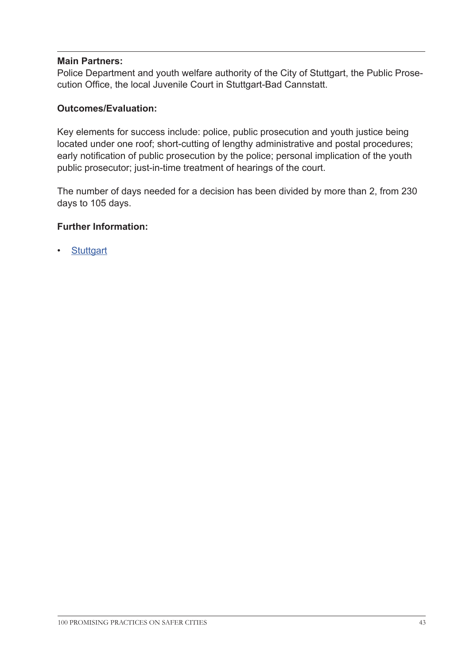### **Main Partners:**

Police Department and youth welfare authority of the City of Stuttgart, the Public Prosecution Office, the local Juvenile Court in Stuttgart-Bad Cannstatt.

### **Outcomes/Evaluation:**

Key elements for success include: police, public prosecution and youth justice being located under one roof; short-cutting of lengthy administrative and postal procedures; early notification of public prosecution by the police; personal implication of the youth public prosecutor; just-in-time treatment of hearings of the court.

The number of days needed for a decision has been divided by more than 2, from 230 days to 105 days.

### **Further Information:**

**[Stuttgart](https://www.stuttgart.de/en/ 
)**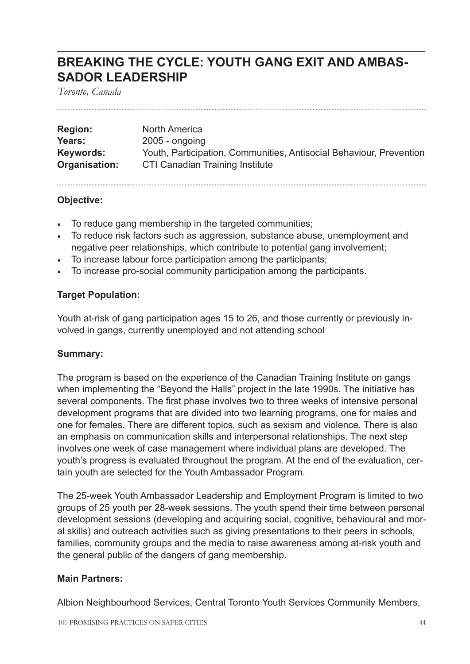# **BREAKING THE CYCLE: YOUTH GANG EXIT AND AMBAS-SADOR LEADERSHIP**

*Toronto, Canada*

| <b>Region:</b> | <b>North America</b>                                                |
|----------------|---------------------------------------------------------------------|
| Years:         | $2005$ - ongoing                                                    |
| Keywords:      | Youth, Participation, Communities, Antisocial Behaviour, Prevention |
| Organisation:  | CTI Canadian Training Institute                                     |

### **Objective:**

- To reduce gang membership in the targeted communities;
- To reduce risk factors such as aggression, substance abuse, unemployment and negative peer relationships, which contribute to potential gang involvement;
- To increase labour force participation among the participants;
- To increase pro-social community participation among the participants.

# **Target Population:**

Youth at-risk of gang participation ages 15 to 26, and those currently or previously involved in gangs, currently unemployed and not attending school

### **Summary:**

The program is based on the experience of the Canadian Training Institute on gangs when implementing the "Beyond the Halls" project in the late 1990s. The initiative has several components. The first phase involves two to three weeks of intensive personal development programs that are divided into two learning programs, one for males and one for females. There are different topics, such as sexism and violence. There is also an emphasis on communication skills and interpersonal relationships. The next step involves one week of case management where individual plans are developed. The youth's progress is evaluated throughout the program. At the end of the evaluation, certain youth are selected for the Youth Ambassador Program.

The 25-week Youth Ambassador Leadership and Employment Program is limited to two groups of 25 youth per 28-week sessions. The youth spend their time between personal development sessions (developing and acquiring social, cognitive, behavioural and moral skills) and outreach activities such as giving presentations to their peers in schools, families, community groups and the media to raise awareness among at-risk youth and the general public of the dangers of gang membership.

# **Main Partners:**

Albion Neighbourhood Services, Central Toronto Youth Services Community Members,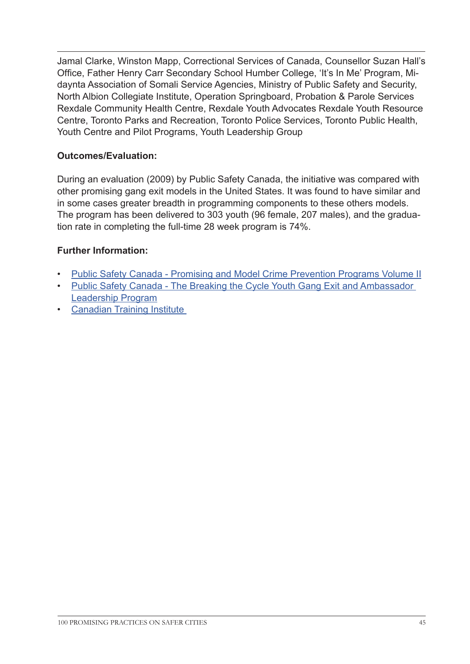Jamal Clarke, Winston Mapp, Correctional Services of Canada, Counsellor Suzan Hall's Office, Father Henry Carr Secondary School Humber College, 'It's In Me' Program, Midaynta Association of Somali Service Agencies, Ministry of Public Safety and Security, North Albion Collegiate Institute, Operation Springboard, Probation & Parole Services Rexdale Community Health Centre, Rexdale Youth Advocates Rexdale Youth Resource Centre, Toronto Parks and Recreation, Toronto Police Services, Toronto Public Health, Youth Centre and Pilot Programs, Youth Leadership Group

# **Outcomes/Evaluation:**

During an evaluation (2009) by Public Safety Canada, the initiative was compared with other promising gang exit models in the United States. It was found to have similar and in some cases greater breadth in programming components to these others models. The program has been delivered to 303 youth (96 female, 207 males), and the graduation rate in completing the full-time 28 week program is 74%.

# **Further Information:**

- [Public Safety Canada Promising and Model Crime Prevention Programs Volume II](http://www.publicsafety.gc.ca/cnt/rsrcs/pblctns/prmsng-mdl-vlm2/index-eng.aspx#toc_5b
)
- [Public Safety Canada The Breaking the Cycle Youth Gang Exit and Ambassador](http://www.publicsafety.gc.ca/cnt/rsrcs/pblctns/prmsng-mdl-vlm2/index-eng.aspx#toc_5b
)  [Leadership Program](http://www.publicsafety.gc.ca/cnt/rsrcs/pblctns/prmsng-mdl-vlm2/index-eng.aspx#toc_5b
)
- [Canadian Training Institute](http://www.canadiantraininginstitute.com/)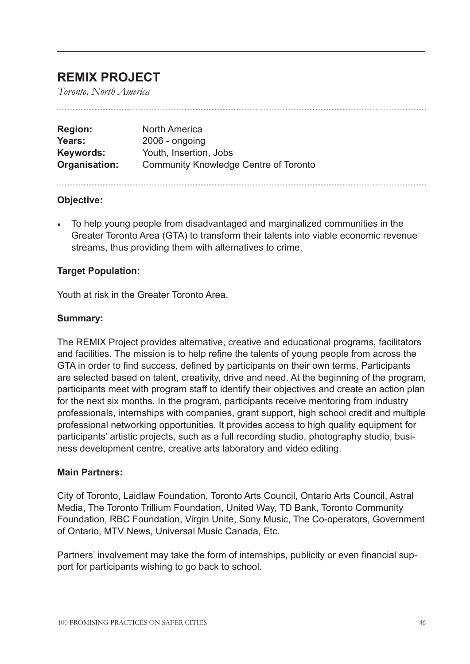# **REMIX PROJECT**

*Toronto, North America*

| <b>Region:</b> | <b>North America</b>                         |
|----------------|----------------------------------------------|
| Years:         | $2006$ - ongoing                             |
| Keywords:      | Youth, Insertion, Jobs                       |
| Organisation:  | <b>Community Knowledge Centre of Toronto</b> |

### **Objective:**

• To help young people from disadvantaged and marginalized communities in the Greater Toronto Area (GTA) to transform their talents into viable economic revenue streams, thus providing them with alternatives to crime.

### **Target Population:**

Youth at risk in the Greater Toronto Area.

#### **Summary:**

The REMIX Project provides alternative, creative and educational programs, facilitators and facilities. The mission is to help refine the talents of young people from across the GTA in order to find success, defined by participants on their own terms. Participants are selected based on talent, creativity, drive and need. At the beginning of the program, participants meet with program staff to identify their objectives and create an action plan for the next six months. In the program, participants receive mentoring from industry professionals, internships with companies, grant support, high school credit and multiple professional networking opportunities. It provides access to high quality equipment for participants' artistic projects, such as a full recording studio, photography studio, business development centre, creative arts laboratory and video editing.

#### **Main Partners:**

City of Toronto, Laidlaw Foundation, Toronto Arts Council, Ontario Arts Council, Astral Media, The Toronto Trillium Foundation, United Way, TD Bank, Toronto Community Foundation, RBC Foundation, Virgin Unite, Sony Music, The Co-operators, Government of Ontario, MTV News, Universal Music Canada, Etc.

Partners' involvement may take the form of internships, publicity or even financial support for participants wishing to go back to school.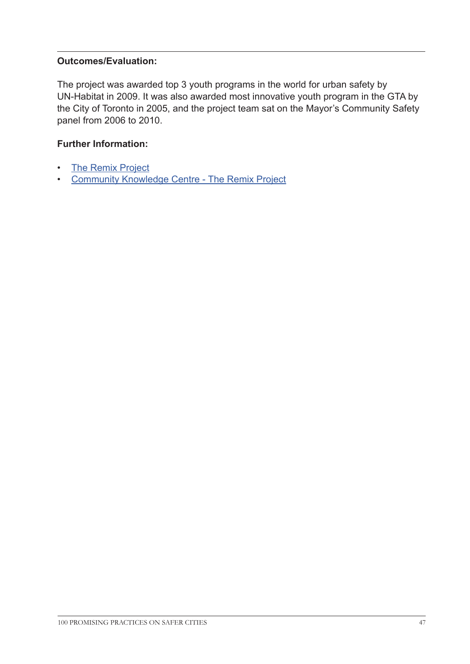# **Outcomes/Evaluation:**

The project was awarded top 3 youth programs in the world for urban safety by UN-Habitat in 2009. It was also awarded most innovative youth program in the GTA by the City of Toronto in 2005, and the project team sat on the Mayor's Community Safety panel from 2006 to 2010.

# **Further Information:**

- [The Remix Project](http://theremixproject.com/
)
- [Community Knowledge Centre The Remix Project](http://ckc.tcf.ca/org/remix-project
)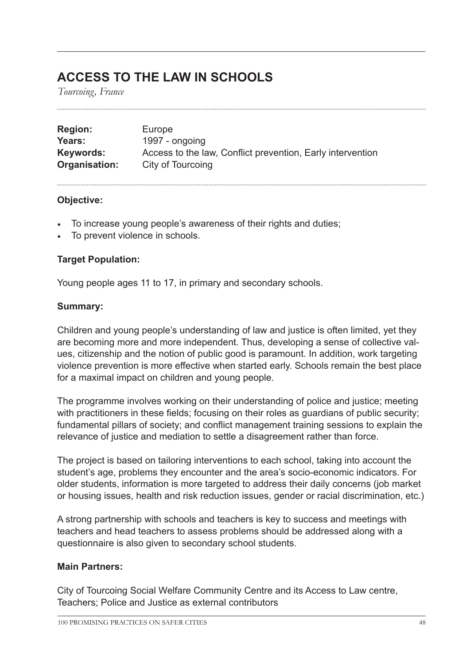# **ACCESS TO THE LAW IN SCHOOLS**

*Tourcoing, France*

| <b>Region:</b> | Europe                                                     |
|----------------|------------------------------------------------------------|
| Years:         | 1997 - ongoing                                             |
| Keywords:      | Access to the law, Conflict prevention, Early intervention |
| Organisation:  | City of Tourcoing                                          |

### **Objective:**

- To increase young people's awareness of their rights and duties;
- To prevent violence in schools.

# **Target Population:**

Young people ages 11 to 17, in primary and secondary schools.

### **Summary:**

Children and young people's understanding of law and justice is often limited, yet they are becoming more and more independent. Thus, developing a sense of collective values, citizenship and the notion of public good is paramount. In addition, work targeting violence prevention is more effective when started early. Schools remain the best place for a maximal impact on children and young people.

The programme involves working on their understanding of police and justice; meeting with practitioners in these fields; focusing on their roles as guardians of public security; fundamental pillars of society; and conflict management training sessions to explain the relevance of justice and mediation to settle a disagreement rather than force.

The project is based on tailoring interventions to each school, taking into account the student's age, problems they encounter and the area's socio-economic indicators. For older students, information is more targeted to address their daily concerns (job market or housing issues, health and risk reduction issues, gender or racial discrimination, etc.)

A strong partnership with schools and teachers is key to success and meetings with teachers and head teachers to assess problems should be addressed along with a questionnaire is also given to secondary school students.

### **Main Partners:**

City of Tourcoing Social Welfare Community Centre and its Access to Law centre, Teachers; Police and Justice as external contributors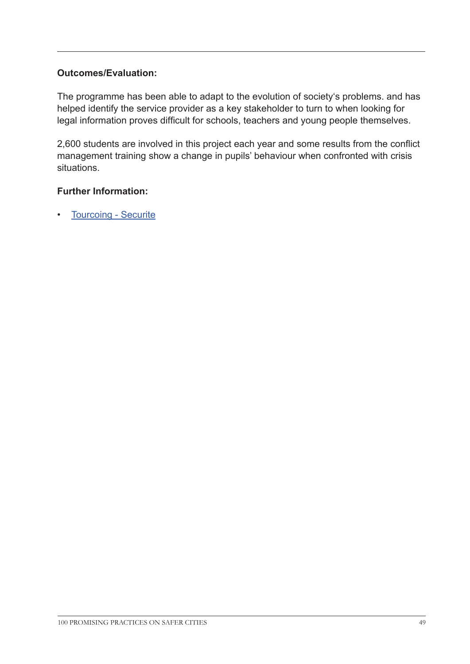# **Outcomes/Evaluation:**

The programme has been able to adapt to the evolution of society's problems. and has helped identify the service provider as a key stakeholder to turn to when looking for legal information proves difficult for schools, teachers and young people themselves.

2,600 students are involved in this project each year and some results from the conflict management training show a change in pupils' behaviour when confronted with crisis situations.

### **Further Information:**

• [Tourcoing - Securite](http://www.tourcoing.fr/securite
)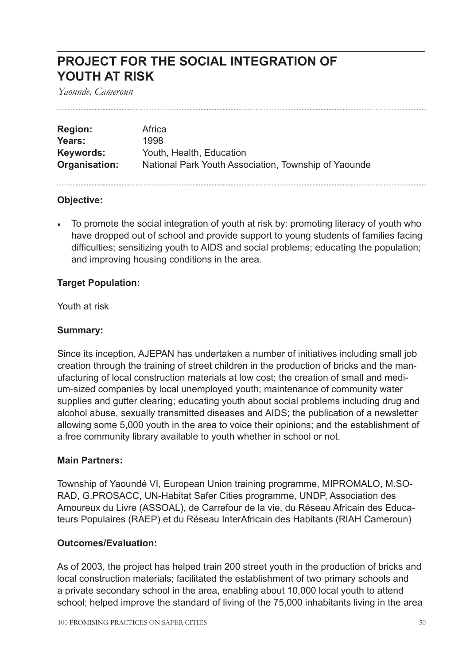# **PROJECT FOR THE SOCIAL INTEGRATION OF YOUTH AT RISK**

*Yaounde, Cameroun*

| <b>Region:</b> | Africa                                               |
|----------------|------------------------------------------------------|
| Years:         | 1998                                                 |
| Keywords:      | Youth, Health, Education                             |
| Organisation:  | National Park Youth Association, Township of Yaounde |

### **Objective:**

• To promote the social integration of youth at risk by: promoting literacy of youth who have dropped out of school and provide support to young students of families facing difficulties; sensitizing youth to AIDS and social problems; educating the population; and improving housing conditions in the area.

### **Target Population:**

Youth at risk

# **Summary:**

Since its inception, AJEPAN has undertaken a number of initiatives including small job creation through the training of street children in the production of bricks and the manufacturing of local construction materials at low cost; the creation of small and medium-sized companies by local unemployed youth; maintenance of community water supplies and gutter clearing; educating youth about social problems including drug and alcohol abuse, sexually transmitted diseases and AIDS; the publication of a newsletter allowing some 5,000 youth in the area to voice their opinions; and the establishment of a free community library available to youth whether in school or not.

### **Main Partners:**

Township of Yaoundé VI, European Union training programme, MIPROMALO, M.SO-RAD, G.PROSACC, UN-Habitat Safer Cities programme, UNDP, Association des Amoureux du Livre (ASSOAL), de Carrefour de la vie, du Réseau Africain des Educateurs Populaires (RAEP) et du Réseau InterAfricain des Habitants (RIAH Cameroun)

### **Outcomes/Evaluation:**

As of 2003, the project has helped train 200 street youth in the production of bricks and local construction materials; facilitated the establishment of two primary schools and a private secondary school in the area, enabling about 10,000 local youth to attend school; helped improve the standard of living of the 75,000 inhabitants living in the area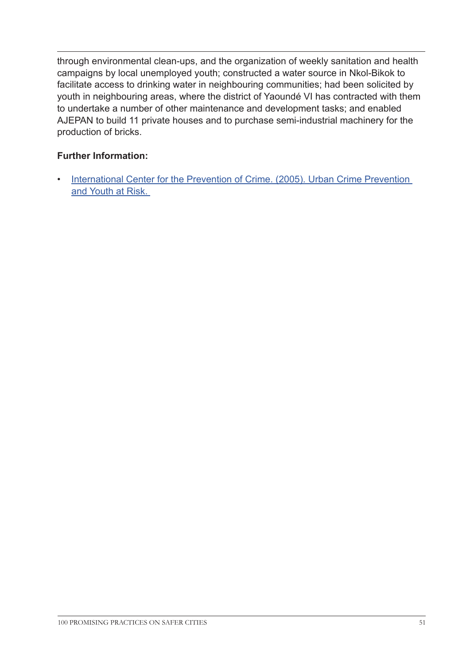through environmental clean-ups, and the organization of weekly sanitation and health campaigns by local unemployed youth; constructed a water source in Nkol-Bikok to facilitate access to drinking water in neighbouring communities; had been solicited by youth in neighbouring areas, where the district of Yaoundé VI has contracted with them to undertake a number of other maintenance and development tasks; and enabled AJEPAN to build 11 private houses and to purchase semi-industrial machinery for the production of bricks.

# **Further Information:**

• International Center for the Prevention of Crime. (2005). Urban Crime Prevention [and Youth at Risk.](http://www.crime-prevention-intl.org/fileadmin/user_upload/Publications/Urban_Crime_Prevention_and_Youth_at_Risk_ANG.pdf)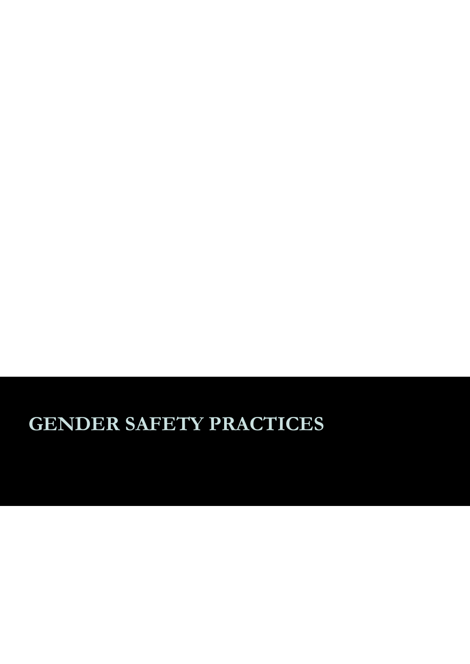# **GENDER SAFETY PRACTICES**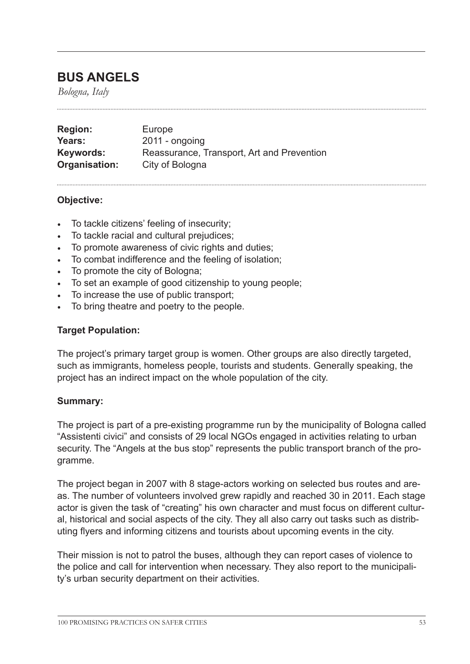# **BUS ANGELS**

*Bologna, Italy*

| <b>Region:</b> | Europe                                     |
|----------------|--------------------------------------------|
| Years:         | $2011 -$ ongoing                           |
| Keywords:      | Reassurance, Transport, Art and Prevention |
| Organisation:  | City of Bologna                            |

### **Objective:**

- To tackle citizens' feeling of insecurity;
- To tackle racial and cultural prejudices;
- To promote awareness of civic rights and duties;
- To combat indifference and the feeling of isolation;
- To promote the city of Bologna;
- To set an example of good citizenship to young people;
- To increase the use of public transport;
- To bring theatre and poetry to the people.

#### **Target Population:**

The project's primary target group is women. Other groups are also directly targeted, such as immigrants, homeless people, tourists and students. Generally speaking, the project has an indirect impact on the whole population of the city.

### **Summary:**

The project is part of a pre-existing programme run by the municipality of Bologna called "Assistenti civici" and consists of 29 local NGOs engaged in activities relating to urban security. The "Angels at the bus stop" represents the public transport branch of the programme.

The project began in 2007 with 8 stage-actors working on selected bus routes and areas. The number of volunteers involved grew rapidly and reached 30 in 2011. Each stage actor is given the task of "creating" his own character and must focus on different cultural, historical and social aspects of the city. They all also carry out tasks such as distributing flyers and informing citizens and tourists about upcoming events in the city.

Their mission is not to patrol the buses, although they can report cases of violence to the police and call for intervention when necessary. They also report to the municipality's urban security department on their activities.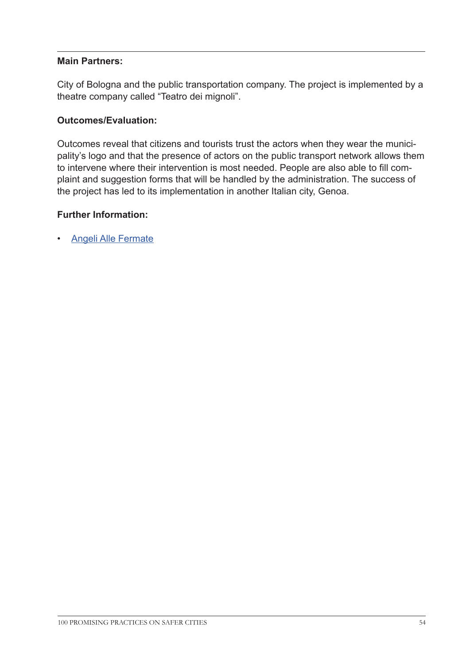### **Main Partners:**

City of Bologna and the public transportation company. The project is implemented by a theatre company called "Teatro dei mignoli".

### **Outcomes/Evaluation:**

Outcomes reveal that citizens and tourists trust the actors when they wear the municipality's logo and that the presence of actors on the public transport network allows them to intervene where their intervention is most needed. People are also able to fill complaint and suggestion forms that will be handled by the administration. The success of the project has led to its implementation in another Italian city, Genoa.

### **Further Information:**

• [Angeli Alle Fermate](http://www.angeliallefermate.it/ 
)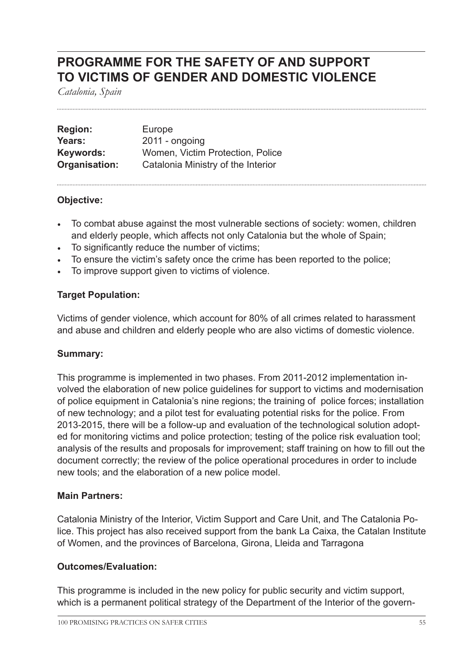# **PROGRAMME FOR THE SAFETY OF AND SUPPORT TO VICTIMS OF GENDER AND DOMESTIC VIOLENCE**

*Catalonia, Spain*

| <b>Region:</b> | Europe                             |
|----------------|------------------------------------|
| Years:         | $2011 -$ ongoing                   |
| Keywords:      | Women, Victim Protection, Police   |
| Organisation:  | Catalonia Ministry of the Interior |

# **Objective:**

- To combat abuse against the most vulnerable sections of society: women, children and elderly people, which affects not only Catalonia but the whole of Spain;
- To significantly reduce the number of victims;
- To ensure the victim's safety once the crime has been reported to the police;
- To improve support given to victims of violence.

### **Target Population:**

Victims of gender violence, which account for 80% of all crimes related to harassment and abuse and children and elderly people who are also victims of domestic violence.

### **Summary:**

This programme is implemented in two phases. From 2011-2012 implementation involved the elaboration of new police guidelines for support to victims and modernisation of police equipment in Catalonia's nine regions; the training of police forces; installation of new technology; and a pilot test for evaluating potential risks for the police. From 2013-2015, there will be a follow-up and evaluation of the technological solution adopted for monitoring victims and police protection; testing of the police risk evaluation tool; analysis of the results and proposals for improvement; staff training on how to fill out the document correctly; the review of the police operational procedures in order to include new tools; and the elaboration of a new police model.

### **Main Partners:**

Catalonia Ministry of the Interior, Victim Support and Care Unit, and The Catalonia Police. This project has also received support from the bank La Caixa, the Catalan Institute of Women, and the provinces of Barcelona, Girona, Lleida and Tarragona

### **Outcomes/Evaluation:**

This programme is included in the new policy for public security and victim support, which is a permanent political strategy of the Department of the Interior of the govern-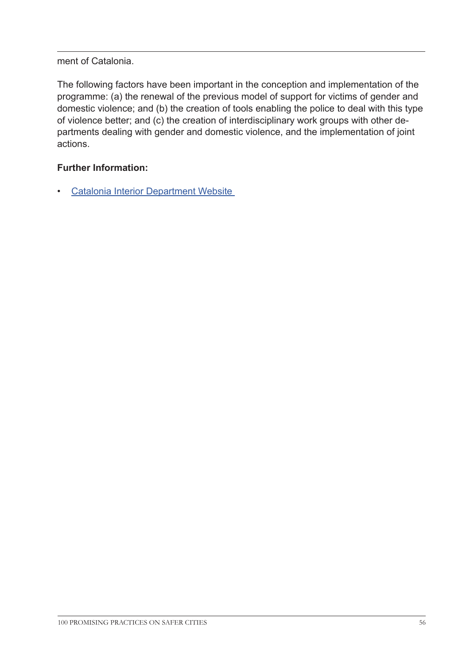# ment of Catalonia.

The following factors have been important in the conception and implementation of the programme: (a) the renewal of the previous model of support for victims of gender and domestic violence; and (b) the creation of tools enabling the police to deal with this type of violence better; and (c) the creation of interdisciplinary work groups with other departments dealing with gender and domestic violence, and the implementation of joint actions.

# **Further Information:**

• [Catalonia Interior Department Website](http://www20.gencat.cat/portal/site/interior/menuitem.28f88cc1ebe4d25dca86da5bb0c0e1a0/?vgnextoid=a6c3450ecbcb0310VgnVCM1000008d0c1e0aRCRD&vgnextchannel=a6c3450ecbcb0310VgnVCM1000008d0c1e0aRCRD&vgnextfmt=default)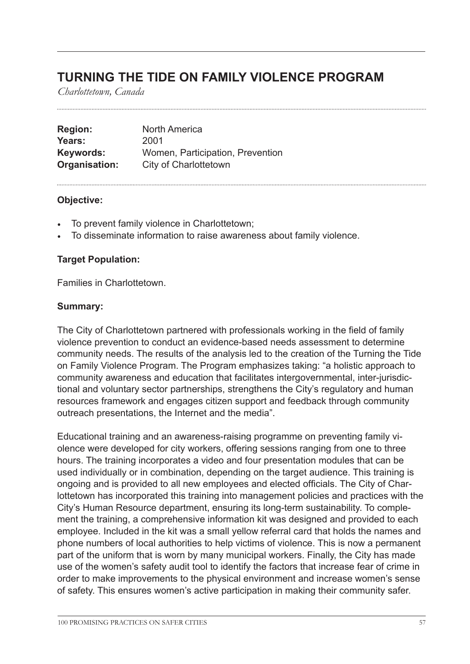# **TURNING THE TIDE ON FAMILY VIOLENCE PROGRAM**

*Charlottetown, Canada*

| <b>Region:</b> | <b>North America</b>             |
|----------------|----------------------------------|
| Years:         | 2001                             |
| Keywords:      | Women, Participation, Prevention |
| Organisation:  | City of Charlottetown            |

### **Objective:**

- To prevent family violence in Charlottetown;
- To disseminate information to raise awareness about family violence.

### **Target Population:**

Families in Charlottetown.

#### **Summary:**

The City of Charlottetown partnered with professionals working in the field of family violence prevention to conduct an evidence-based needs assessment to determine community needs. The results of the analysis led to the creation of the Turning the Tide on Family Violence Program. The Program emphasizes taking: "a holistic approach to community awareness and education that facilitates intergovernmental, inter-jurisdictional and voluntary sector partnerships, strengthens the City's regulatory and human resources framework and engages citizen support and feedback through community outreach presentations, the Internet and the media".

Educational training and an awareness-raising programme on preventing family violence were developed for city workers, offering sessions ranging from one to three hours. The training incorporates a video and four presentation modules that can be used individually or in combination, depending on the target audience. This training is ongoing and is provided to all new employees and elected officials. The City of Charlottetown has incorporated this training into management policies and practices with the City's Human Resource department, ensuring its long-term sustainability. To complement the training, a comprehensive information kit was designed and provided to each employee. Included in the kit was a small yellow referral card that holds the names and phone numbers of local authorities to help victims of violence. This is now a permanent part of the uniform that is worn by many municipal workers. Finally, the City has made use of the women's safety audit tool to identify the factors that increase fear of crime in order to make improvements to the physical environment and increase women's sense of safety. This ensures women's active participation in making their community safer.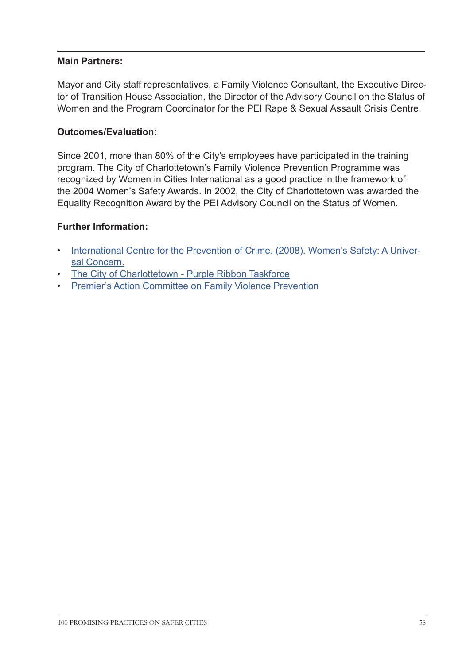### **Main Partners:**

Mayor and City staff representatives, a Family Violence Consultant, the Executive Director of Transition House Association, the Director of the Advisory Council on the Status of Women and the Program Coordinator for the PEI Rape & Sexual Assault Crisis Centre.

### **Outcomes/Evaluation:**

Since 2001, more than 80% of the City's employees have participated in the training program. The City of Charlottetown's Family Violence Prevention Programme was recognized by Women in Cities International as a good practice in the framework of the 2004 Women's Safety Awards. In 2002, the City of Charlottetown was awarded the Equality Recognition Award by the PEI Advisory Council on the Status of Women.

### **Further Information:**

- [International Centre for the Prevention of Crime. \(2008\). Women's Safety: A Univer](http://www.crime-prevention-intl.org/fileadmin/user_upload/Publications/Women_s_Safety._A_universal_concern_ANG.pdf)[sal Concern.](http://www.crime-prevention-intl.org/fileadmin/user_upload/Publications/Women_s_Safety._A_universal_concern_ANG.pdf)
- [The City of Charlottetown Purple Ribbon Taskforce](http://www.city.charlottetown.pe.ca/purple-ribbon-taskforce.php
)
- [Premier's Action Committee on Family Violence Prevention](http://www.stopfamilyviolence.pe.ca/
)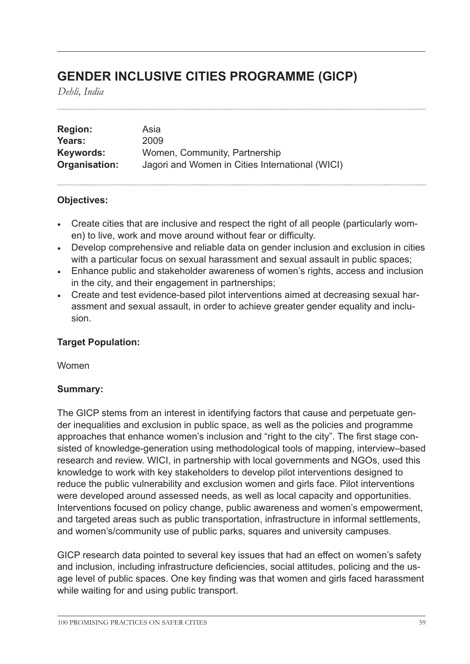# **GENDER INCLUSIVE CITIES PROGRAMME (GICP)**

*Dehli, India*

| <b>Region:</b> | Asia                                            |
|----------------|-------------------------------------------------|
| Years:         | 2009                                            |
| Keywords:      | Women, Community, Partnership                   |
| Organisation:  | Jagori and Women in Cities International (WICI) |

### **Objectives:**

- Create cities that are inclusive and respect the right of all people (particularly women) to live, work and move around without fear or difficulty.
- Develop comprehensive and reliable data on gender inclusion and exclusion in cities with a particular focus on sexual harassment and sexual assault in public spaces;
- Enhance public and stakeholder awareness of women's rights, access and inclusion in the city, and their engagement in partnerships;
- Create and test evidence-based pilot interventions aimed at decreasing sexual harassment and sexual assault, in order to achieve greater gender equality and inclusion.

# **Target Population:**

Women

# **Summary:**

The GICP stems from an interest in identifying factors that cause and perpetuate gender inequalities and exclusion in public space, as well as the policies and programme approaches that enhance women's inclusion and "right to the city". The first stage consisted of knowledge-generation using methodological tools of mapping, interview–based research and review. WICI, in partnership with local governments and NGOs, used this knowledge to work with key stakeholders to develop pilot interventions designed to reduce the public vulnerability and exclusion women and girls face. Pilot interventions were developed around assessed needs, as well as local capacity and opportunities. Interventions focused on policy change, public awareness and women's empowerment, and targeted areas such as public transportation, infrastructure in informal settlements, and women's/community use of public parks, squares and university campuses.

GICP research data pointed to several key issues that had an effect on women's safety and inclusion, including infrastructure deficiencies, social attitudes, policing and the usage level of public spaces. One key finding was that women and girls faced harassment while waiting for and using public transport.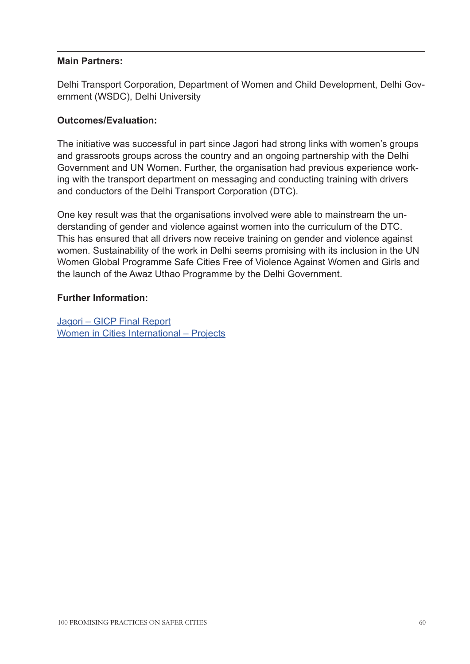### **Main Partners:**

Delhi Transport Corporation, Department of Women and Child Development, Delhi Government (WSDC), Delhi University

# **Outcomes/Evaluation:**

The initiative was successful in part since Jagori had strong links with women's groups and grassroots groups across the country and an ongoing partnership with the Delhi Government and UN Women. Further, the organisation had previous experience working with the transport department on messaging and conducting training with drivers and conductors of the Delhi Transport Corporation (DTC).

One key result was that the organisations involved were able to mainstream the understanding of gender and violence against women into the curriculum of the DTC. This has ensured that all drivers now receive training on gender and violence against women. Sustainability of the work in Delhi seems promising with its inclusion in the UN Women Global Programme Safe Cities Free of Violence Against Women and Girls and the launch of the Awaz Uthao Programme by the Delhi Government.

### **Further Information:**

[Jagori – GICP Final Report](http://jagori.org/wp-content/uploads/2012/04/GICP_Final-report.pdf 
) [Women in Cities International – Projects](http://www.femmesetvilles.org/index.php/en/our-work/projects	
)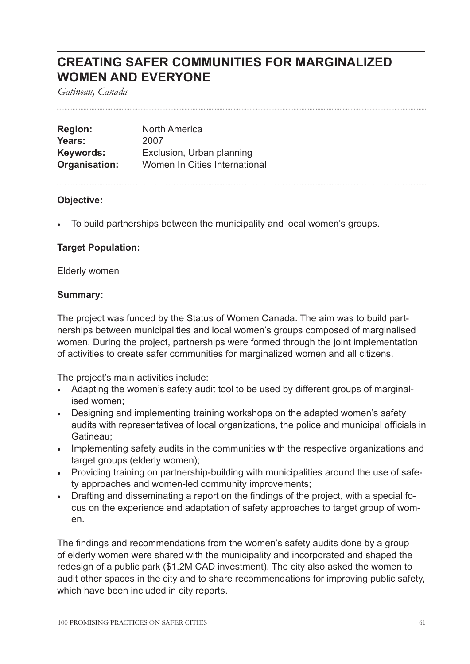# **CREATING SAFER COMMUNITIES FOR MARGINALIZED WOMEN AND EVERYONE**

*Gatineau, Canada*

| <b>Region:</b> | <b>North America</b>          |
|----------------|-------------------------------|
| Years:         | 2007                          |
| Keywords:      | Exclusion, Urban planning     |
| Organisation:  | Women In Cities International |

### **Objective:**

• To build partnerships between the municipality and local women's groups.

### **Target Population:**

Elderly women

### **Summary:**

The project was funded by the Status of Women Canada. The aim was to build partnerships between municipalities and local women's groups composed of marginalised women. During the project, partnerships were formed through the joint implementation of activities to create safer communities for marginalized women and all citizens.

The project's main activities include:

- Adapting the women's safety audit tool to be used by different groups of marginalised women;
- Designing and implementing training workshops on the adapted women's safety audits with representatives of local organizations, the police and municipal officials in Gatineau;
- Implementing safety audits in the communities with the respective organizations and target groups (elderly women);
- Providing training on partnership-building with municipalities around the use of safety approaches and women-led community improvements;
- Drafting and disseminating a report on the findings of the project, with a special focus on the experience and adaptation of safety approaches to target group of women.

The findings and recommendations from the women's safety audits done by a group of elderly women were shared with the municipality and incorporated and shaped the redesign of a public park (\$1.2M CAD investment). The city also asked the women to audit other spaces in the city and to share recommendations for improving public safety, which have been included in city reports.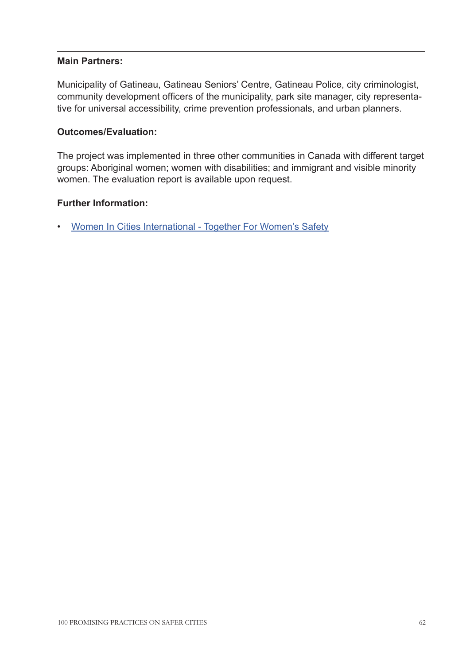### **Main Partners:**

Municipality of Gatineau, Gatineau Seniors' Centre, Gatineau Police, city criminologist, community development officers of the municipality, park site manager, city representative for universal accessibility, crime prevention professionals, and urban planners.

### **Outcomes/Evaluation:**

The project was implemented in three other communities in Canada with different target groups: Aboriginal women; women with disabilities; and immigrant and visible minority women. The evaluation report is available upon request.

### **Further Information:**

• [Women In Cities International - Together For Women's Safety](http://www.femmesetvilles.org/images/Publications/together%20for%20womens%20safety%20en.pdf )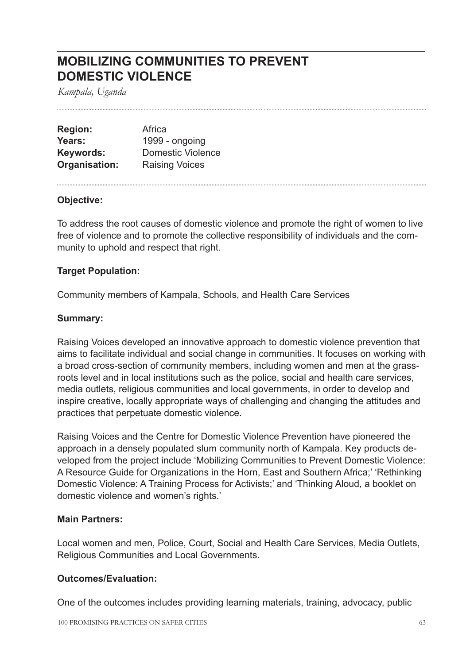# **MOBILIZING COMMUNITIES TO PREVENT DOMESTIC VIOLENCE**

*Kampala, Uganda*

| <b>Region:</b> | Africa                   |
|----------------|--------------------------|
| Years:         | 1999 - ongoing           |
| Keywords:      | <b>Domestic Violence</b> |
| Organisation:  | <b>Raising Voices</b>    |

### **Objective:**

To address the root causes of domestic violence and promote the right of women to live free of violence and to promote the collective responsibility of individuals and the community to uphold and respect that right.

### **Target Population:**

Community members of Kampala, Schools, and Health Care Services

#### **Summary:**

Raising Voices developed an innovative approach to domestic violence prevention that aims to facilitate individual and social change in communities. It focuses on working with a broad cross-section of community members, including women and men at the grassroots level and in local institutions such as the police, social and health care services, media outlets, religious communities and local governments, in order to develop and inspire creative, locally appropriate ways of challenging and changing the attitudes and practices that perpetuate domestic violence.

Raising Voices and the Centre for Domestic Violence Prevention have pioneered the approach in a densely populated slum community north of Kampala. Key products developed from the project include 'Mobilizing Communities to Prevent Domestic Violence: A Resource Guide for Organizations in the Horn, East and Southern Africa;' 'Rethinking Domestic Violence: A Training Process for Activists;' and 'Thinking Aloud, a booklet on domestic violence and women's rights.'

#### **Main Partners:**

Local women and men, Police, Court, Social and Health Care Services, Media Outlets, Religious Communities and Local Governments.

### **Outcomes/Evaluation:**

One of the outcomes includes providing learning materials, training, advocacy, public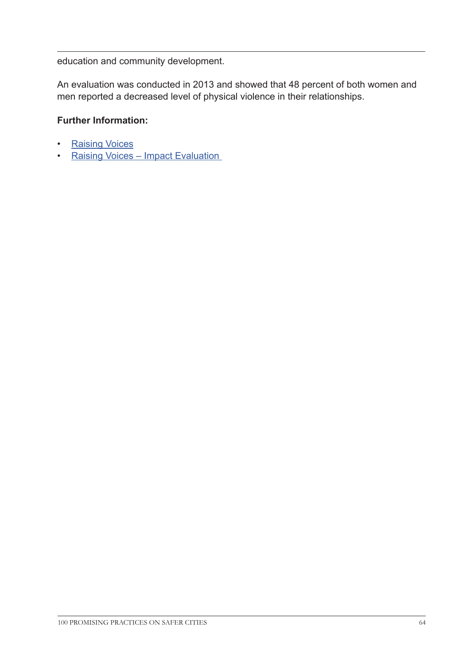education and community development.

An evaluation was conducted in 2013 and showed that 48 percent of both women and men reported a decreased level of physical violence in their relationships.

# **Further Information:**

- [Raising Voices]( http://raisingvoices.org/ )
- Raising Voices Impact Evaluation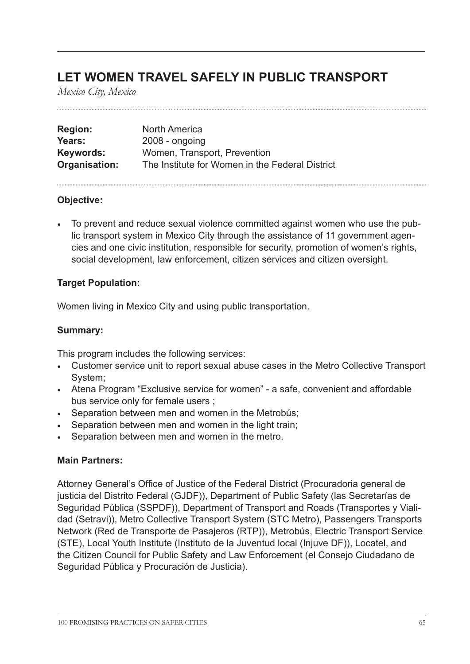# **LET WOMEN TRAVEL SAFELY IN PUBLIC TRANSPORT**

*Mexico City, Mexico*

| <b>Region:</b> | North America                                   |
|----------------|-------------------------------------------------|
| Years:         | $2008 - ongoing$                                |
| Keywords:      | Women, Transport, Prevention                    |
| Organisation:  | The Institute for Women in the Federal District |

### **Objective:**

• To prevent and reduce sexual violence committed against women who use the public transport system in Mexico City through the assistance of 11 government agencies and one civic institution, responsible for security, promotion of women's rights, social development, law enforcement, citizen services and citizen oversight.

### **Target Population:**

Women living in Mexico City and using public transportation.

# **Summary:**

This program includes the following services:

- Customer service unit to report sexual abuse cases in the Metro Collective Transport System;
- Atena Program "Exclusive service for women" a safe, convenient and affordable bus service only for female users ;
- Separation between men and women in the Metrobús;
- Separation between men and women in the light train;
- Separation between men and women in the metro.

### **Main Partners:**

Attorney General's Office of Justice of the Federal District (Procuradoria general de justicia del Distrito Federal (GJDF)), Department of Public Safety (las Secretarías de Seguridad Pública (SSPDF)), Department of Transport and Roads (Transportes y Vialidad (Setravi)), Metro Collective Transport System (STC Metro), Passengers Transports Network (Red de Transporte de Pasajeros (RTP)), Metrobús, Electric Transport Service (STE), Local Youth Institute (Instituto de la Juventud local (Injuve DF)), Locatel, and the Citizen Council for Public Safety and Law Enforcement (el Consejo Ciudadano de Seguridad Pública y Procuración de Justicia).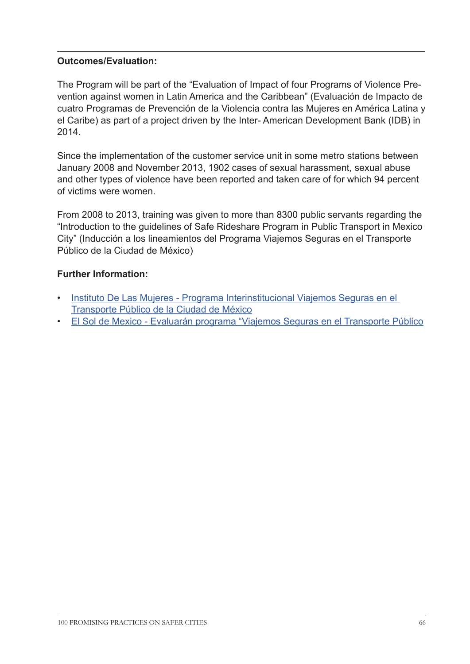# **Outcomes/Evaluation:**

The Program will be part of the "Evaluation of Impact of four Programs of Violence Prevention against women in Latin America and the Caribbean" (Evaluación de Impacto de cuatro Programas de Prevención de la Violencia contra las Mujeres en América Latina y el Caribe) as part of a project driven by the Inter- American Development Bank (IDB) in 2014.

Since the implementation of the customer service unit in some metro stations between January 2008 and November 2013, 1902 cases of sexual harassment, sexual abuse and other types of violence have been reported and taken care of for which 94 percent of victims were women.

From 2008 to 2013, training was given to more than 8300 public servants regarding the "Introduction to the guidelines of Safe Rideshare Program in Public Transport in Mexico City" (Inducción a los lineamientos del Programa Viajemos Seguras en el Transporte Público de la Ciudad de México)

# **Further Information:**

- [Instituto De Las Mujeres Programa Interinstitucional Viajemos Seguras en el](http://www.inmujer.df.gob.mx/wb/inmujeres/programa_interinstitucional_viajemos_seguras_en_el)  [Transporte Público de la Ciudad de México](http://www.inmujer.df.gob.mx/wb/inmujeres/programa_interinstitucional_viajemos_seguras_en_el)
- [El Sol de Mexico Evaluarán programa "Viajemos Seguras en el Transporte Público](http://www.oem.com.mx/elsoldemexico/notas/n3199029.htm)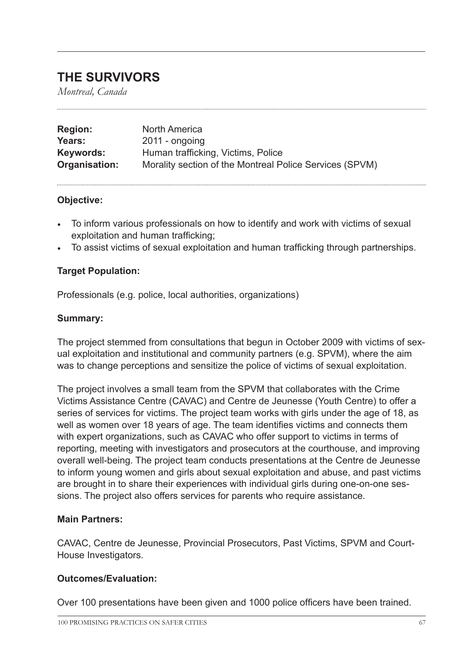# **THE SURVIVORS**

*Montreal, Canada*

| <b>Region:</b> | North America                                           |
|----------------|---------------------------------------------------------|
| Years:         | $2011 -$ ongoing                                        |
| Keywords:      | Human trafficking, Victims, Police                      |
| Organisation:  | Morality section of the Montreal Police Services (SPVM) |

### **Objective:**

- To inform various professionals on how to identify and work with victims of sexual exploitation and human trafficking;
- To assist victims of sexual exploitation and human trafficking through partnerships.

### **Target Population:**

Professionals (e.g. police, local authorities, organizations)

### **Summary:**

The project stemmed from consultations that begun in October 2009 with victims of sexual exploitation and institutional and community partners (e.g. SPVM), where the aim was to change perceptions and sensitize the police of victims of sexual exploitation.

The project involves a small team from the SPVM that collaborates with the Crime Victims Assistance Centre (CAVAC) and Centre de Jeunesse (Youth Centre) to offer a series of services for victims. The project team works with girls under the age of 18, as well as women over 18 years of age. The team identifies victims and connects them with expert organizations, such as CAVAC who offer support to victims in terms of reporting, meeting with investigators and prosecutors at the courthouse, and improving overall well-being. The project team conducts presentations at the Centre de Jeunesse to inform young women and girls about sexual exploitation and abuse, and past victims are brought in to share their experiences with individual girls during one-on-one sessions. The project also offers services for parents who require assistance.

### **Main Partners:**

CAVAC, Centre de Jeunesse, Provincial Prosecutors, Past Victims, SPVM and Court-House Investigators.

### **Outcomes/Evaluation:**

Over 100 presentations have been given and 1000 police officers have been trained.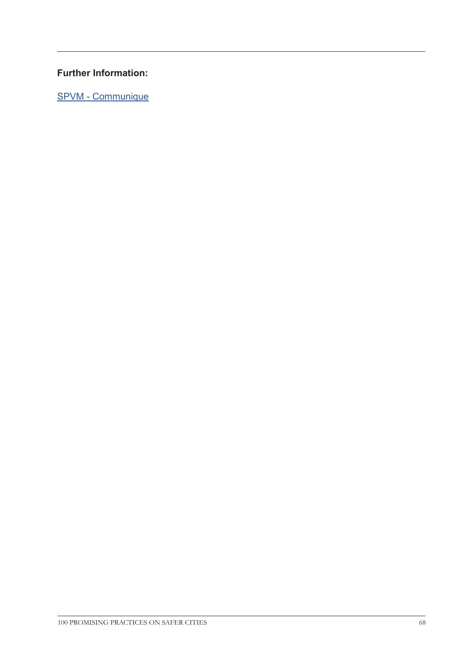# **Further Information:**

[SPVM - Communique](http://www.spvm.qc.ca/fr/documentation/3_1_2_communiques.asp?noComm=824 
)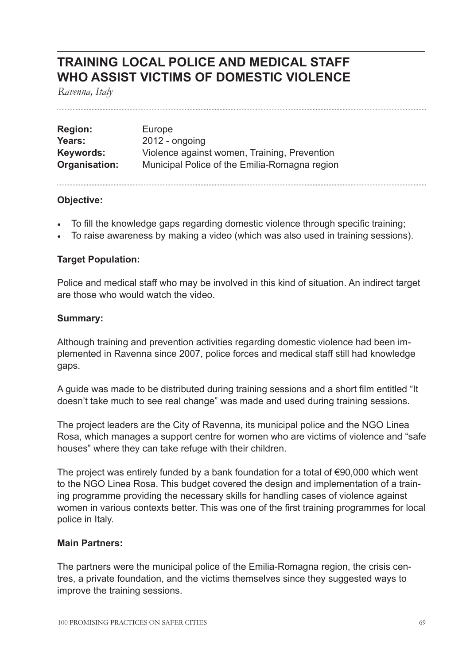# **TRAINING LOCAL POLICE AND MEDICAL STAFF WHO ASSIST VICTIMS OF DOMESTIC VIOLENCE**

*Ravenna, Italy*

| <b>Region:</b> | Europe                                        |
|----------------|-----------------------------------------------|
| Years:         | $2012$ - ongoing                              |
| Keywords:      | Violence against women, Training, Prevention  |
| Organisation:  | Municipal Police of the Emilia-Romagna region |

### **Objective:**

- To fill the knowledge gaps regarding domestic violence through specific training;
- To raise awareness by making a video (which was also used in training sessions).

### **Target Population:**

Police and medical staff who may be involved in this kind of situation. An indirect target are those who would watch the video.

#### **Summary:**

Although training and prevention activities regarding domestic violence had been implemented in Ravenna since 2007, police forces and medical staff still had knowledge gaps.

A guide was made to be distributed during training sessions and a short film entitled "It doesn't take much to see real change" was made and used during training sessions.

The project leaders are the City of Ravenna, its municipal police and the NGO Linea Rosa, which manages a support centre for women who are victims of violence and "safe houses" where they can take refuge with their children.

The project was entirely funded by a bank foundation for a total of €90,000 which went to the NGO Linea Rosa. This budget covered the design and implementation of a training programme providing the necessary skills for handling cases of violence against women in various contexts better. This was one of the first training programmes for local police in Italy.

### **Main Partners:**

The partners were the municipal police of the Emilia-Romagna region, the crisis centres, a private foundation, and the victims themselves since they suggested ways to improve the training sessions.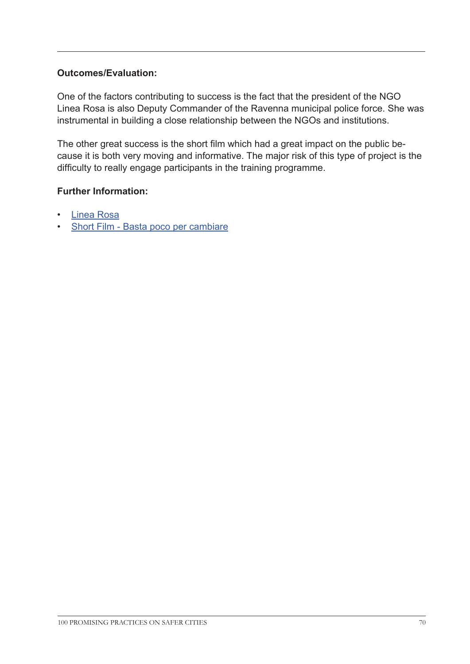# **Outcomes/Evaluation:**

One of the factors contributing to success is the fact that the president of the NGO Linea Rosa is also Deputy Commander of the Ravenna municipal police force. She was instrumental in building a close relationship between the NGOs and institutions.

The other great success is the short film which had a great impact on the public because it is both very moving and informative. The major risk of this type of project is the difficulty to really engage participants in the training programme.

### **Further Information:**

- [Linea Rosa](http://linearosa.it/
)
- [Short Film Basta poco per cambiare](http://vimeo.com/16690806
)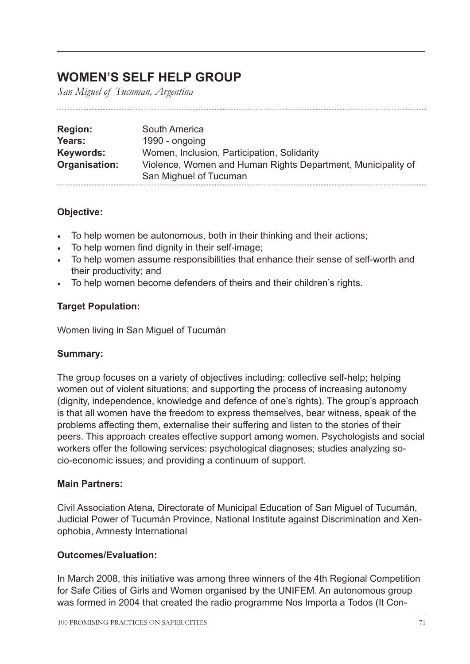# **WOMEN'S SELF HELP GROUP**

*San Miguel of Tucuman, Argentina*

| <b>Region:</b> | South America                                                |
|----------------|--------------------------------------------------------------|
| Years:         | 1990 - ongoing                                               |
| Keywords:      | Women, Inclusion, Participation, Solidarity                  |
| Organisation:  | Violence, Women and Human Rights Department, Municipality of |
|                | San Mighuel of Tucuman                                       |

# **Objective:**

- To help women be autonomous, both in their thinking and their actions;
- To help women find dignity in their self-image;
- To help women assume responsibilities that enhance their sense of self-worth and their productivity; and
- To help women become defenders of theirs and their children's rights.

# **Target Population:**

Women living in San Miguel of Tucumán

# **Summary:**

The group focuses on a variety of objectives including: collective self-help; helping women out of violent situations; and supporting the process of increasing autonomy (dignity, independence, knowledge and defence of one's rights). The group's approach is that all women have the freedom to express themselves, bear witness, speak of the problems affecting them, externalise their suffering and listen to the stories of their peers. This approach creates effective support among women. Psychologists and social workers offer the following services: psychological diagnoses; studies analyzing socio-economic issues; and providing a continuum of support.

# **Main Partners:**

Civil Association Atena, Directorate of Municipal Education of San Miguel of Tucumán, Judicial Power of Tucumán Province, National Institute against Discrimination and Xenophobia, Amnesty International

# **Outcomes/Evaluation:**

In March 2008, this initiative was among three winners of the 4th Regional Competition for Safe Cities of Girls and Women organised by the UNIFEM. An autonomous group was formed in 2004 that created the radio programme Nos Importa a Todos (It Con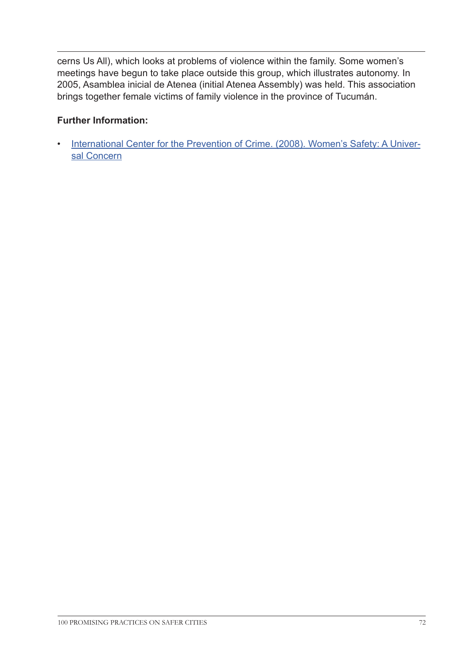cerns Us All), which looks at problems of violence within the family. Some women's meetings have begun to take place outside this group, which illustrates autonomy. In 2005, Asamblea inicial de Atenea (initial Atenea Assembly) was held. This association brings together female victims of family violence in the province of Tucumán.

# **Further Information:**

• [International Center for the Prevention of Crime. \(2008\). Women's Safety: A Univer](http://www.crime-prevention-intl.org/fileadmin/user_upload/Publications/Women_s_Safety._A_universal_concern_ANG.pdf)[sal Concern](http://www.crime-prevention-intl.org/fileadmin/user_upload/Publications/Women_s_Safety._A_universal_concern_ANG.pdf)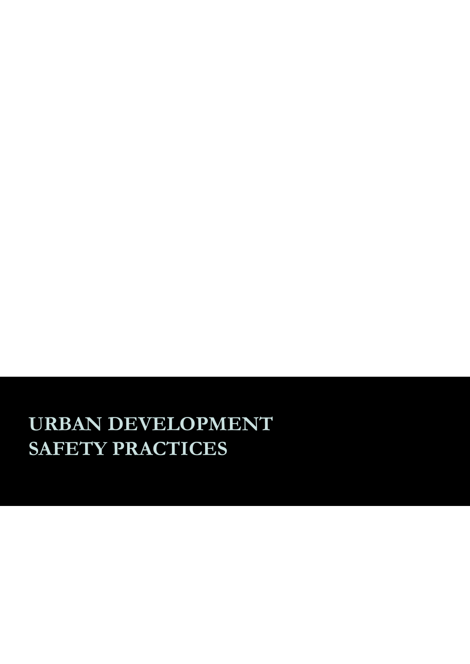# **URBAN DEVELOPMENT SAFETY PRACTICES**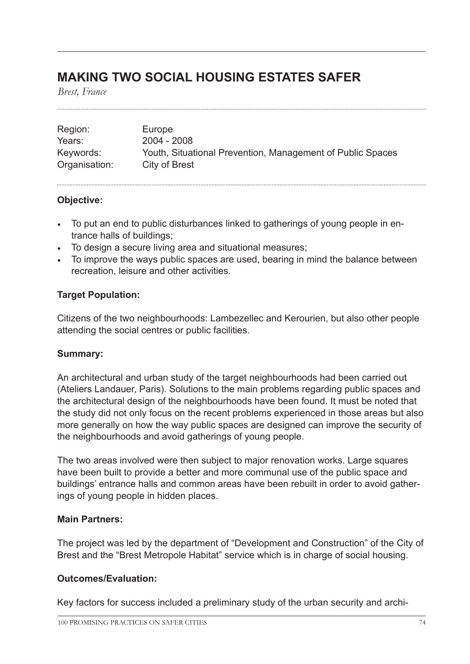# **MAKING TWO SOCIAL HOUSING ESTATES SAFER**

*Brest, France*

| Region:       | Europe                                                     |
|---------------|------------------------------------------------------------|
| Years:        | 2004 - 2008                                                |
| Keywords:     | Youth, Situational Prevention, Management of Public Spaces |
| Organisation: | City of Brest                                              |

# **Objective:**

- To put an end to public disturbances linked to gatherings of young people in entrance halls of buildings;
- To design a secure living area and situational measures;
- To improve the ways public spaces are used, bearing in mind the balance between recreation, leisure and other activities.

# **Target Population:**

Citizens of the two neighbourhoods: Lambezellec and Kerourien, but also other people attending the social centres or public facilities.

# **Summary:**

An architectural and urban study of the target neighbourhoods had been carried out (Ateliers Landauer, Paris). Solutions to the main problems regarding public spaces and the architectural design of the neighbourhoods have been found. It must be noted that the study did not only focus on the recent problems experienced in those areas but also more generally on how the way public spaces are designed can improve the security of the neighbourhoods and avoid gatherings of young people.

The two areas involved were then subject to major renovation works. Large squares have been built to provide a better and more communal use of the public space and buildings' entrance halls and common areas have been rebuilt in order to avoid gatherings of young people in hidden places.

### **Main Partners:**

The project was led by the department of "Development and Construction" of the City of Brest and the "Brest Metropole Habitat" service which is in charge of social housing.

# **Outcomes/Evaluation:**

Key factors for success included a preliminary study of the urban security and archi-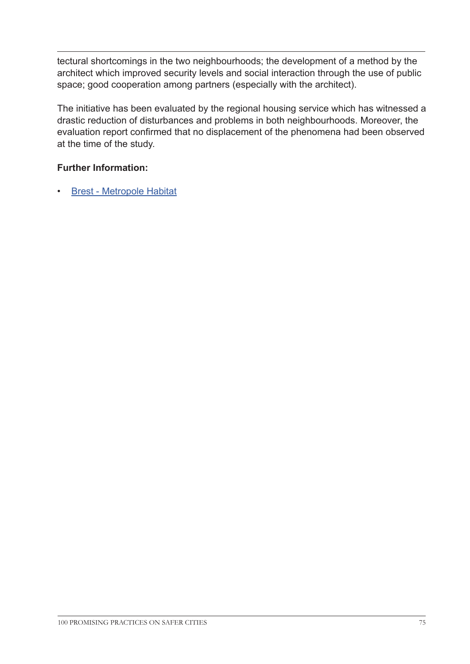tectural shortcomings in the two neighbourhoods; the development of a method by the architect which improved security levels and social interaction through the use of public space; good cooperation among partners (especially with the architect).

The initiative has been evaluated by the regional housing service which has witnessed a drastic reduction of disturbances and problems in both neighbourhoods. Moreover, the evaluation report confirmed that no displacement of the phenomena had been observed at the time of the study.

# **Further Information:**

• [Brest - Metropole Habitat](http://www.brest-metropole-habitat.fr/
)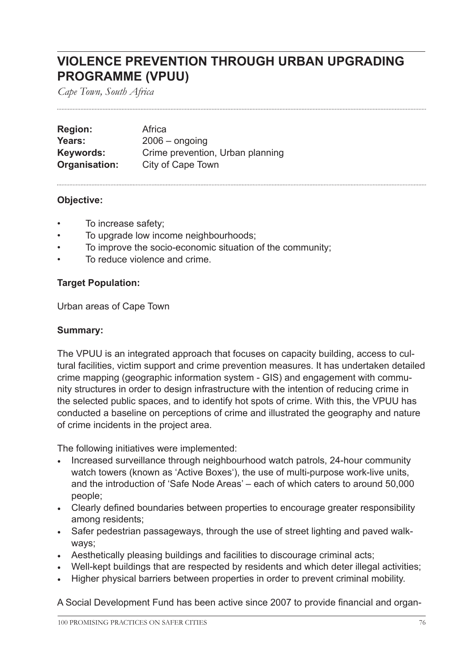# **VIOLENCE PREVENTION THROUGH URBAN UPGRADING PROGRAMME (VPUU)**

*Cape Town, South Africa*

**Region:** Africa **Years:** 2006 – ongoing **Keywords:** Crime prevention, Urban planning **Organisation:** City of Cape Town

# **Objective:**

- To increase safety;
- To upgrade low income neighbourhoods;
- To improve the socio-economic situation of the community;
- To reduce violence and crime.

# **Target Population:**

Urban areas of Cape Town

# **Summary:**

The VPUU is an integrated approach that focuses on capacity building, access to cultural facilities, victim support and crime prevention measures. It has undertaken detailed crime mapping (geographic information system - GIS) and engagement with community structures in order to design infrastructure with the intention of reducing crime in the selected public spaces, and to identify hot spots of crime. With this, the VPUU has conducted a baseline on perceptions of crime and illustrated the geography and nature of crime incidents in the project area.

The following initiatives were implemented:

- Increased surveillance through neighbourhood watch patrols, 24-hour community watch towers (known as 'Active Boxes'), the use of multi-purpose work-live units, and the introduction of 'Safe Node Areas' – each of which caters to around 50,000 people;
- Clearly defined boundaries between properties to encourage greater responsibility among residents;
- Safer pedestrian passageways, through the use of street lighting and paved walkways;
- Aesthetically pleasing buildings and facilities to discourage criminal acts;
- Well-kept buildings that are respected by residents and which deter illegal activities;
- Higher physical barriers between properties in order to prevent criminal mobility.

A Social Development Fund has been active since 2007 to provide financial and organ-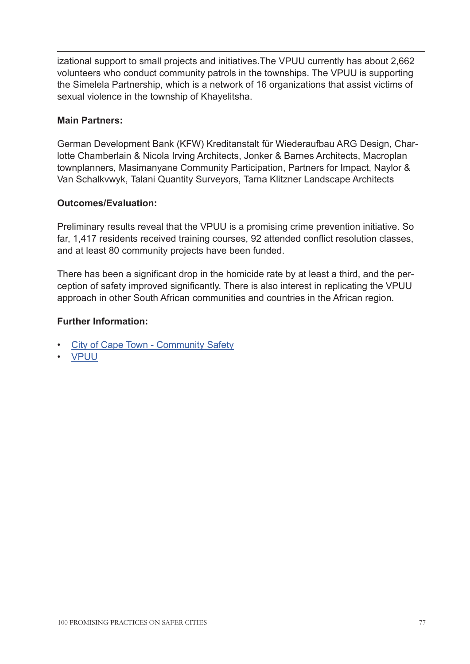izational support to small projects and initiatives.The VPUU currently has about 2,662 volunteers who conduct community patrols in the townships. The VPUU is supporting the Simelela Partnership, which is a network of 16 organizations that assist victims of sexual violence in the township of Khayelitsha.

# **Main Partners:**

German Development Bank (KFW) Kreditanstalt für Wiederaufbau ARG Design, Charlotte Chamberlain & Nicola Irving Architects, Jonker & Barnes Architects, Macroplan townplanners, Masimanyane Community Participation, Partners for Impact, Naylor & Van Schalkvwyk, Talani Quantity Surveyors, Tarna Klitzner Landscape Architects

# **Outcomes/Evaluation:**

Preliminary results reveal that the VPUU is a promising crime prevention initiative. So far, 1,417 residents received training courses, 92 attended conflict resolution classes, and at least 80 community projects have been funded.

There has been a significant drop in the homicide rate by at least a third, and the perception of safety improved significantly. There is also interest in replicating the VPUU approach in other South African communities and countries in the African region.

# **Further Information:**

- [City of Cape Town Community Safety](http://www.capetown.gov.za/en/MetroPolice2/Pages/Violence-prevention.aspx 
)
- [VPUU](http://www.vpuu.org.za/)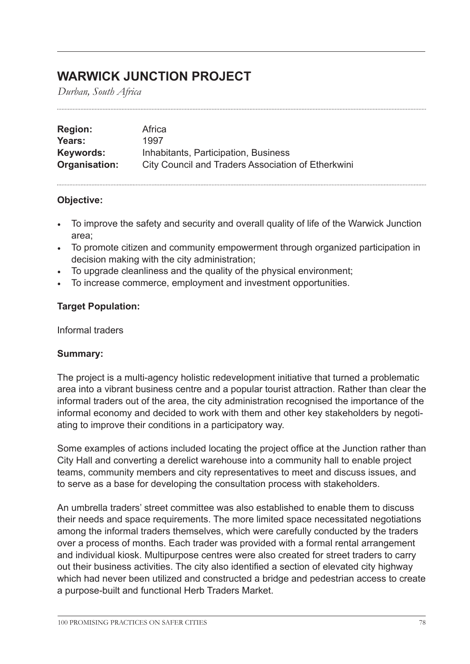# **WARWICK JUNCTION PROJECT**

*Durban, South Africa*

| <b>Region:</b> | Africa                                             |
|----------------|----------------------------------------------------|
| Years:         | 1997                                               |
| Keywords:      | Inhabitants, Participation, Business               |
| Organisation:  | City Council and Traders Association of Etherkwini |

# **Objective:**

- To improve the safety and security and overall quality of life of the Warwick Junction area;
- To promote citizen and community empowerment through organized participation in decision making with the city administration;
- To upgrade cleanliness and the quality of the physical environment;
- To increase commerce, employment and investment opportunities.

# **Target Population:**

Informal traders

### **Summary:**

The project is a multi-agency holistic redevelopment initiative that turned a problematic area into a vibrant business centre and a popular tourist attraction. Rather than clear the informal traders out of the area, the city administration recognised the importance of the informal economy and decided to work with them and other key stakeholders by negotiating to improve their conditions in a participatory way.

Some examples of actions included locating the project office at the Junction rather than City Hall and converting a derelict warehouse into a community hall to enable project teams, community members and city representatives to meet and discuss issues, and to serve as a base for developing the consultation process with stakeholders.

An umbrella traders' street committee was also established to enable them to discuss their needs and space requirements. The more limited space necessitated negotiations among the informal traders themselves, which were carefully conducted by the traders over a process of months. Each trader was provided with a formal rental arrangement and individual kiosk. Multipurpose centres were also created for street traders to carry out their business activities. The city also identified a section of elevated city highway which had never been utilized and constructed a bridge and pedestrian access to create a purpose-built and functional Herb Traders Market.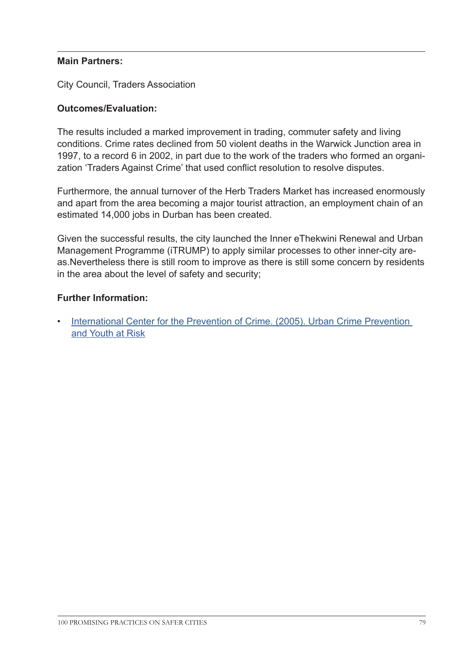## **Main Partners:**

City Council, Traders Association

# **Outcomes/Evaluation:**

The results included a marked improvement in trading, commuter safety and living conditions. Crime rates declined from 50 violent deaths in the Warwick Junction area in 1997, to a record 6 in 2002, in part due to the work of the traders who formed an organization 'Traders Against Crime' that used conflict resolution to resolve disputes.

Furthermore, the annual turnover of the Herb Traders Market has increased enormously and apart from the area becoming a major tourist attraction, an employment chain of an estimated 14,000 jobs in Durban has been created.

Given the successful results, the city launched the Inner eThekwini Renewal and Urban Management Programme (iTRUMP) to apply similar processes to other inner-city areas.Nevertheless there is still room to improve as there is still some concern by residents in the area about the level of safety and security;

### **Further Information:**

• [International Center for the Prevention of Crime. \(2005\). U](http://www.crime-prevention-intl.org/fileadmin/user_upload/Publications/Urban_Crime_Prevention_and_Youth_at_Risk_ANG.pdf)rban Crime Prevention and Youth at Risk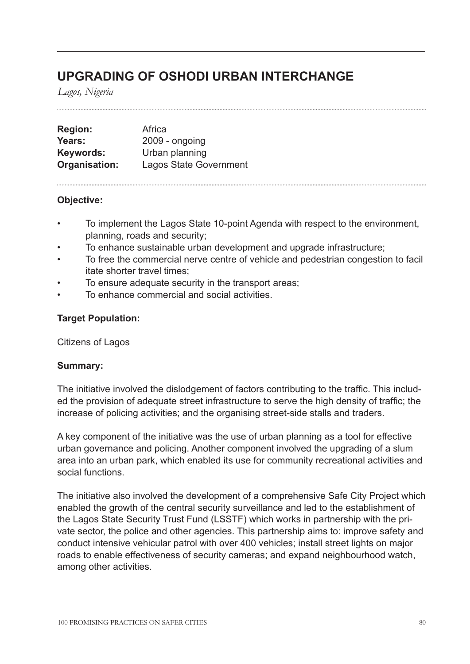# **UPGRADING OF OSHODI URBAN INTERCHANGE**

*Lagos, Nigeria*

| <b>Region:</b> | Africa                        |
|----------------|-------------------------------|
| Years:         | $2009 -$ ongoing              |
| Keywords:      | Urban planning                |
| Organisation:  | <b>Lagos State Government</b> |

# **Objective:**

- To implement the Lagos State 10-point Agenda with respect to the environment, planning, roads and security;
- To enhance sustainable urban development and upgrade infrastructure;
- To free the commercial nerve centre of vehicle and pedestrian congestion to facil itate shorter travel times;
- To ensure adequate security in the transport areas;
- To enhance commercial and social activities.

# **Target Population:**

Citizens of Lagos

### **Summary:**

The initiative involved the dislodgement of factors contributing to the traffic. This included the provision of adequate street infrastructure to serve the high density of traffic; the increase of policing activities; and the organising street-side stalls and traders.

A key component of the initiative was the use of urban planning as a tool for effective urban governance and policing. Another component involved the upgrading of a slum area into an urban park, which enabled its use for community recreational activities and social functions.

The initiative also involved the development of a comprehensive Safe City Project which enabled the growth of the central security surveillance and led to the establishment of the Lagos State Security Trust Fund (LSSTF) which works in partnership with the private sector, the police and other agencies. This partnership aims to: improve safety and conduct intensive vehicular patrol with over 400 vehicles; install street lights on major roads to enable effectiveness of security cameras; and expand neighbourhood watch, among other activities.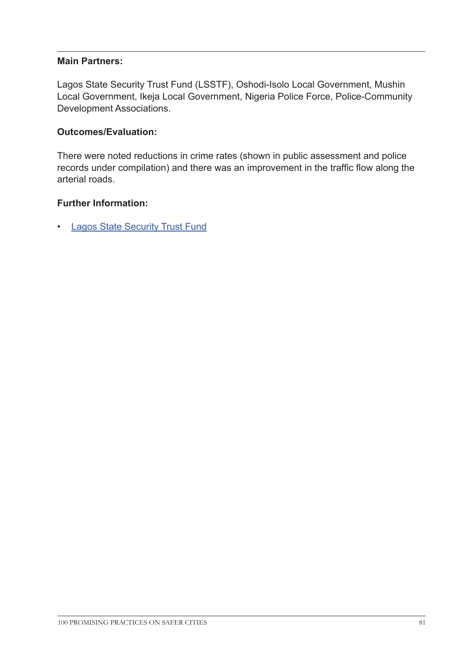## **Main Partners:**

Lagos State Security Trust Fund (LSSTF), Oshodi-Isolo Local Government, Mushin Local Government, Ikeja Local Government, Nigeria Police Force, Police-Community Development Associations.

# **Outcomes/Evaluation:**

There were noted reductions in crime rates (shown in public assessment and police records under compilation) and there was an improvement in the traffic flow along the arterial roads.

# **Further Information:**

• [Lagos State Security Trust Fund](http://www.lagosstatesecuritytrustfund.org/home
)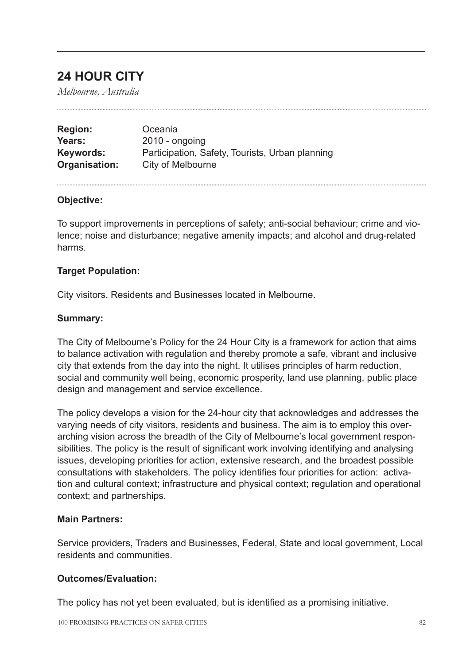# **24 HOUR CITY**

*Melbourne, Australia*

| <b>Region:</b> | Oceania                                         |
|----------------|-------------------------------------------------|
| Years:         | $2010 -$ ongoing                                |
| Keywords:      | Participation, Safety, Tourists, Urban planning |
| Organisation:  | City of Melbourne                               |

### **Objective:**

To support improvements in perceptions of safety; anti-social behaviour; crime and violence; noise and disturbance; negative amenity impacts; and alcohol and drug-related harms.

#### **Target Population:**

City visitors, Residents and Businesses located in Melbourne.

#### **Summary:**

The City of Melbourne's Policy for the 24 Hour City is a framework for action that aims to balance activation with regulation and thereby promote a safe, vibrant and inclusive city that extends from the day into the night. It utilises principles of harm reduction, social and community well being, economic prosperity, land use planning, public place design and management and service excellence.

The policy develops a vision for the 24-hour city that acknowledges and addresses the varying needs of city visitors, residents and business. The aim is to employ this overarching vision across the breadth of the City of Melbourne's local government responsibilities. The policy is the result of significant work involving identifying and analysing issues, developing priorities for action, extensive research, and the broadest possible consultations with stakeholders. The policy identifies four priorities for action: activation and cultural context; infrastructure and physical context; regulation and operational context; and partnerships.

#### **Main Partners:**

Service providers, Traders and Businesses, Federal, State and local government, Local residents and communities.

### **Outcomes/Evaluation:**

The policy has not yet been evaluated, but is identified as a promising initiative.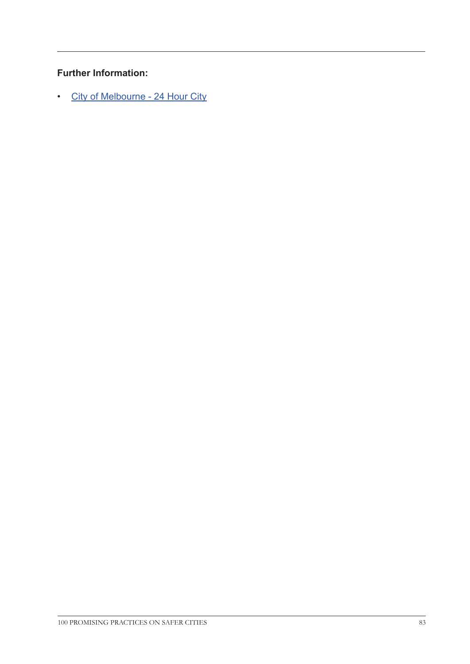# **Further Information:**

• [City of Melbourne - 24 Hour City](http://www.melbourne.vic.gov.au/CommunityServices/CommunitySafety/Documents/24%20Hour%20City%20Policy.pdf)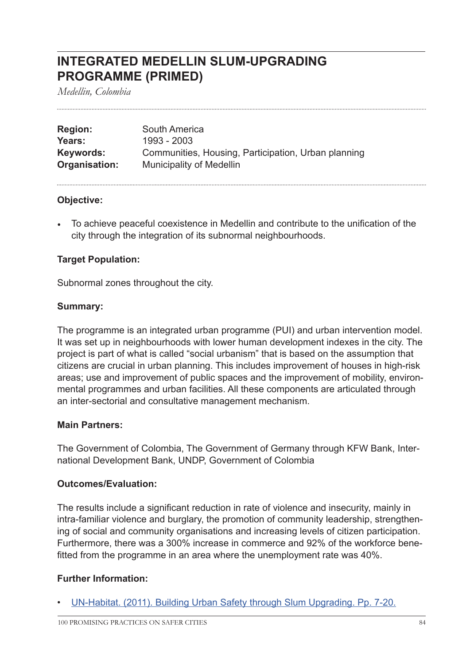# **INTEGRATED MEDELLIN SLUM-UPGRADING PROGRAMME (PRIMED)**

*Medellin, Colombia*

| <b>Region:</b> | South America                                       |
|----------------|-----------------------------------------------------|
| Years:         | 1993 - 2003                                         |
| Keywords:      | Communities, Housing, Participation, Urban planning |
| Organisation:  | <b>Municipality of Medellin</b>                     |

### **Objective:**

• To achieve peaceful coexistence in Medellin and contribute to the unification of the city through the integration of its subnormal neighbourhoods.

### **Target Population:**

Subnormal zones throughout the city.

#### **Summary:**

The programme is an integrated urban programme (PUI) and urban intervention model. It was set up in neighbourhoods with lower human development indexes in the city. The project is part of what is called "social urbanism" that is based on the assumption that citizens are crucial in urban planning. This includes improvement of houses in high-risk areas; use and improvement of public spaces and the improvement of mobility, environmental programmes and urban facilities. All these components are articulated through an inter-sectorial and consultative management mechanism.

### **Main Partners:**

The Government of Colombia, The Government of Germany through KFW Bank, International Development Bank, UNDP, Government of Colombia

### **Outcomes/Evaluation:**

The results include a significant reduction in rate of violence and insecurity, mainly in intra-familiar violence and burglary, the promotion of community leadership, strengthening of social and community organisations and increasing levels of citizen participation. Furthermore, there was a 300% increase in commerce and 92% of the workforce benefitted from the programme in an area where the unemployment rate was 40%.

### **Further Information:**

• [UN-Habitat. \(2011\). Building Urban Safety through Slum Upgrading. Pp. 7-20.](http://mirror.unhabitat.org/pmss/listItemDetails.aspx?publicationID=3222)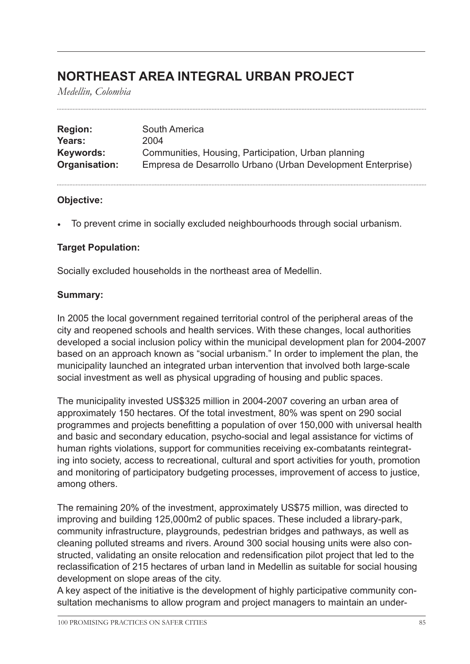# **NORTHEAST AREA INTEGRAL URBAN PROJECT**

*Medellin, Colombia*

| <b>Region:</b> | South America                                               |
|----------------|-------------------------------------------------------------|
| Years:         | 2004                                                        |
| Keywords:      | Communities, Housing, Participation, Urban planning         |
| Organisation:  | Empresa de Desarrollo Urbano (Urban Development Enterprise) |

# **Objective:**

• To prevent crime in socially excluded neighbourhoods through social urbanism.

# **Target Population:**

Socially excluded households in the northeast area of Medellin.

# **Summary:**

In 2005 the local government regained territorial control of the peripheral areas of the city and reopened schools and health services. With these changes, local authorities developed a social inclusion policy within the municipal development plan for 2004-2007 based on an approach known as "social urbanism." In order to implement the plan, the municipality launched an integrated urban intervention that involved both large-scale social investment as well as physical upgrading of housing and public spaces.

The municipality invested US\$325 million in 2004-2007 covering an urban area of approximately 150 hectares. Of the total investment, 80% was spent on 290 social programmes and projects benefitting a population of over 150,000 with universal health and basic and secondary education, psycho-social and legal assistance for victims of human rights violations, support for communities receiving ex-combatants reintegrating into society, access to recreational, cultural and sport activities for youth, promotion and monitoring of participatory budgeting processes, improvement of access to justice, among others.

The remaining 20% of the investment, approximately US\$75 million, was directed to improving and building 125,000m2 of public spaces. These included a library-park, community infrastructure, playgrounds, pedestrian bridges and pathways, as well as cleaning polluted streams and rivers. Around 300 social housing units were also constructed, validating an onsite relocation and redensification pilot project that led to the reclassification of 215 hectares of urban land in Medellin as suitable for social housing development on slope areas of the city.

A key aspect of the initiative is the development of highly participative community consultation mechanisms to allow program and project managers to maintain an under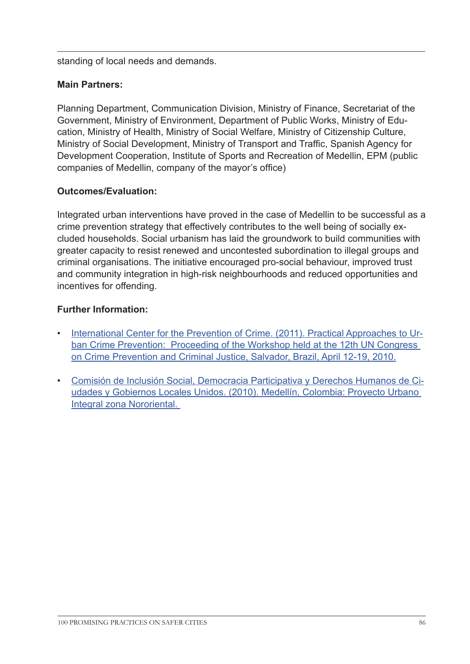standing of local needs and demands.

# **Main Partners:**

Planning Department, Communication Division, Ministry of Finance, Secretariat of the Government, Ministry of Environment, Department of Public Works, Ministry of Education, Ministry of Health, Ministry of Social Welfare, Ministry of Citizenship Culture, Ministry of Social Development, Ministry of Transport and Traffic, Spanish Agency for Development Cooperation, Institute of Sports and Recreation of Medellin, EPM (public companies of Medellin, company of the mayor's office)

# **Outcomes/Evaluation:**

Integrated urban interventions have proved in the case of Medellin to be successful as a crime prevention strategy that effectively contributes to the well being of socially excluded households. Social urbanism has laid the groundwork to build communities with greater capacity to resist renewed and uncontested subordination to illegal groups and criminal organisations. The initiative encouraged pro-social behaviour, improved trust and community integration in high-risk neighbourhoods and reduced opportunities and incentives for offending.

# **Further Information:**

- [International Center for the Prevention of Crime. \(2011\). Practical Approaches to Ur](http://www.crime-prevention-intl.org/fileadmin/user_upload/Publications/Practical_approaches_to_urban_crime_prevention_ANG.pdf)[ban Crime Prevention: Proceeding of the Workshop held at the 12th UN Congress](http://www.crime-prevention-intl.org/fileadmin/user_upload/Publications/Practical_approaches_to_urban_crime_prevention_ANG.pdf)  [on Crime Prevention and Criminal Justice, Salvador, Brazil, April 12-19, 2010.](http://www.crime-prevention-intl.org/fileadmin/user_upload/Publications/Practical_approaches_to_urban_crime_prevention_ANG.pdf)
- [Comisión de Inclusión Social, Democracia Participativa y Derechos Humanos de Ci](http://www.uclg-cisdp.org/sites/default/files/Medell%C3%ADn_2010_es_FINAL.pdf)[udades y Gobiernos Locales Unidos. \(2010\). Medellín, Colombia: Proyecto Urbano](http://www.uclg-cisdp.org/sites/default/files/Medell%C3%ADn_2010_es_FINAL.pdf)  [Integral zona Nororiental.](http://www.uclg-cisdp.org/sites/default/files/Medell%C3%ADn_2010_es_FINAL.pdf)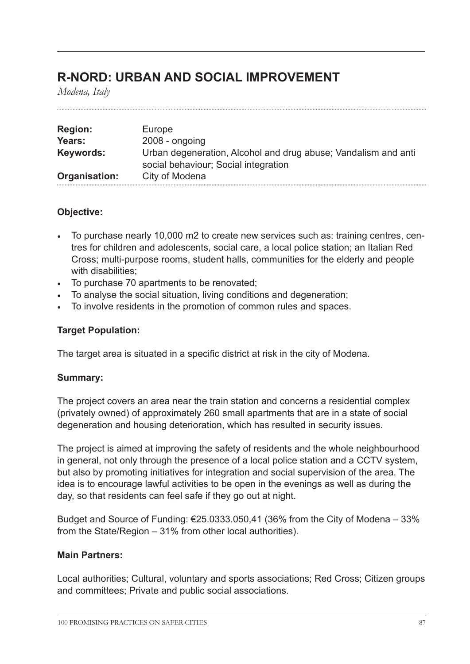# **R-NORD: URBAN AND SOCIAL IMPROVEMENT**

*Modena, Italy*

| <b>Region:</b> | Europe                                                                                                 |
|----------------|--------------------------------------------------------------------------------------------------------|
| Years:         | $2008 - ongoing$                                                                                       |
| Keywords:      | Urban degeneration, Alcohol and drug abuse; Vandalism and anti<br>social behaviour; Social integration |
| Organisation:  | City of Modena                                                                                         |

# **Objective:**

- To purchase nearly 10,000 m2 to create new services such as: training centres, centres for children and adolescents, social care, a local police station; an Italian Red Cross; multi-purpose rooms, student halls, communities for the elderly and people with disabilities;
- To purchase 70 apartments to be renovated;
- To analyse the social situation, living conditions and degeneration;
- To involve residents in the promotion of common rules and spaces.

# **Target Population:**

The target area is situated in a specific district at risk in the city of Modena.

### **Summary:**

The project covers an area near the train station and concerns a residential complex (privately owned) of approximately 260 small apartments that are in a state of social degeneration and housing deterioration, which has resulted in security issues.

The project is aimed at improving the safety of residents and the whole neighbourhood in general, not only through the presence of a local police station and a CCTV system, but also by promoting initiatives for integration and social supervision of the area. The idea is to encourage lawful activities to be open in the evenings as well as during the day, so that residents can feel safe if they go out at night.

Budget and Source of Funding:  $\epsilon$ 25.0333.050,41 (36% from the City of Modena – 33% from the State/Region – 31% from other local authorities).

### **Main Partners:**

Local authorities; Cultural, voluntary and sports associations; Red Cross; Citizen groups and committees; Private and public social associations.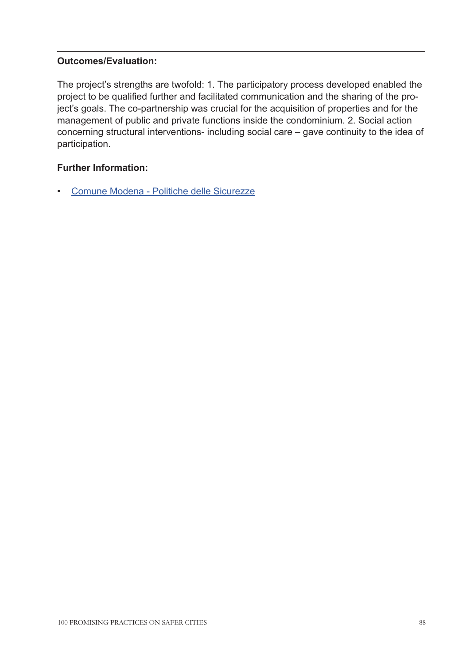# **Outcomes/Evaluation:**

The project's strengths are twofold: 1. The participatory process developed enabled the project to be qualified further and facilitated communication and the sharing of the project's goals. The co-partnership was crucial for the acquisition of properties and for the management of public and private functions inside the condominium. 2. Social action concerning structural interventions- including social care – gave continuity to the idea of participation.

# **Further Information:**

• [Comune Modena - Politiche delle Sicurezze](http://www.comune.modena.it/politichedellesicurezze/sicurezza-urbana/sicurezza-urbana )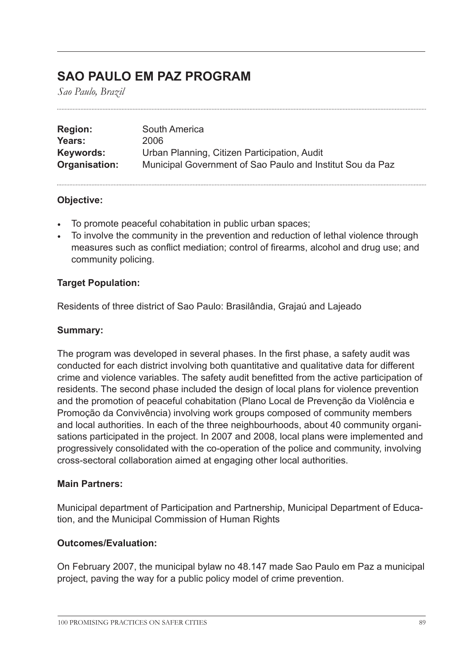# **SAO PAULO EM PAZ PROGRAM**

*Sao Paulo, Brazil*

| <b>Region:</b> | South America                                             |
|----------------|-----------------------------------------------------------|
| Years:         | 2006                                                      |
| Keywords:      | Urban Planning, Citizen Participation, Audit              |
| Organisation:  | Municipal Government of Sao Paulo and Institut Sou da Paz |

### **Objective:**

- To promote peaceful cohabitation in public urban spaces;
- To involve the community in the prevention and reduction of lethal violence through measures such as conflict mediation; control of firearms, alcohol and drug use; and community policing.

# **Target Population:**

Residents of three district of Sao Paulo: Brasilândia, Grajaú and Lajeado

## **Summary:**

The program was developed in several phases. In the first phase, a safety audit was conducted for each district involving both quantitative and qualitative data for different crime and violence variables. The safety audit benefitted from the active participation of residents. The second phase included the design of local plans for violence prevention and the promotion of peaceful cohabitation (Plano Local de Prevenção da Violência e Promoção da Convivência) involving work groups composed of community members and local authorities. In each of the three neighbourhoods, about 40 community organisations participated in the project. In 2007 and 2008, local plans were implemented and progressively consolidated with the co-operation of the police and community, involving cross-sectoral collaboration aimed at engaging other local authorities.

### **Main Partners:**

Municipal department of Participation and Partnership, Municipal Department of Education, and the Municipal Commission of Human Rights

### **Outcomes/Evaluation:**

On February 2007, the municipal bylaw no 48.147 made Sao Paulo em Paz a municipal project, paving the way for a public policy model of crime prevention.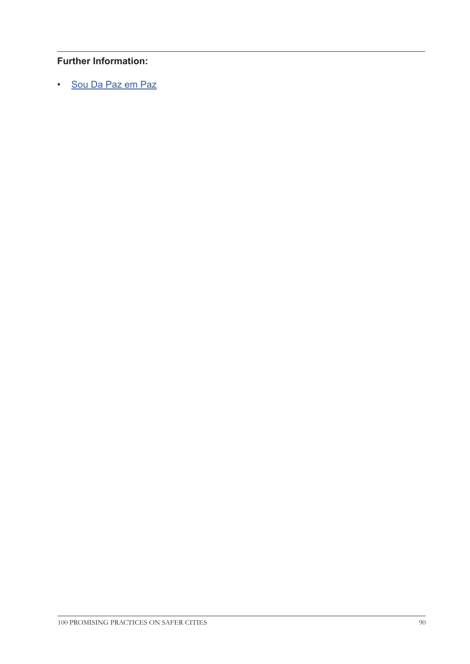# **Further Information:**

• [Sou Da Paz em Paz](http://www.soudapaz.org/upload/pdf/sistematiza_o_sp_em_paz.pdf
)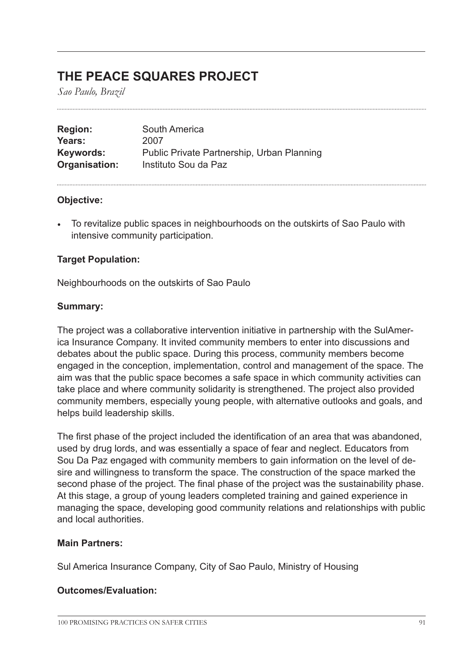# **THE PEACE SQUARES PROJECT**

*Sao Paulo, Brazil*

| <b>Region:</b> | South America                              |
|----------------|--------------------------------------------|
| Years:         | 2007                                       |
| Keywords:      | Public Private Partnership, Urban Planning |
| Organisation:  | Instituto Sou da Paz                       |

### **Objective:**

• To revitalize public spaces in neighbourhoods on the outskirts of Sao Paulo with intensive community participation.

# **Target Population:**

Neighbourhoods on the outskirts of Sao Paulo

# **Summary:**

The project was a collaborative intervention initiative in partnership with the SulAmerica Insurance Company. It invited community members to enter into discussions and debates about the public space. During this process, community members become engaged in the conception, implementation, control and management of the space. The aim was that the public space becomes a safe space in which community activities can take place and where community solidarity is strengthened. The project also provided community members, especially young people, with alternative outlooks and goals, and helps build leadership skills.

The first phase of the project included the identification of an area that was abandoned, used by drug lords, and was essentially a space of fear and neglect. Educators from Sou Da Paz engaged with community members to gain information on the level of desire and willingness to transform the space. The construction of the space marked the second phase of the project. The final phase of the project was the sustainability phase. At this stage, a group of young leaders completed training and gained experience in managing the space, developing good community relations and relationships with public and local authorities.

### **Main Partners:**

Sul America Insurance Company, City of Sao Paulo, Ministry of Housing

# **Outcomes/Evaluation:**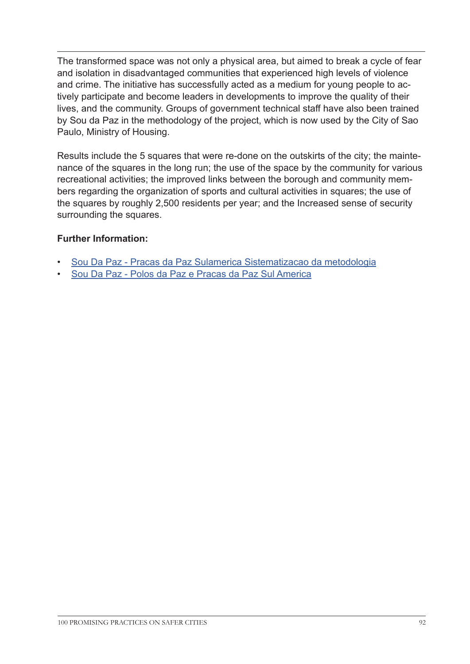The transformed space was not only a physical area, but aimed to break a cycle of fear and isolation in disadvantaged communities that experienced high levels of violence and crime. The initiative has successfully acted as a medium for young people to actively participate and become leaders in developments to improve the quality of their lives, and the community. Groups of government technical staff have also been trained by Sou da Paz in the methodology of the project, which is now used by the City of Sao Paulo, Ministry of Housing.

Results include the 5 squares that were re-done on the outskirts of the city; the maintenance of the squares in the long run; the use of the space by the community for various recreational activities; the improved links between the borough and community members regarding the organization of sports and cultural activities in squares; the use of the squares by roughly 2,500 residents per year; and the Increased sense of security surrounding the squares.

# **Further Information:**

- [Sou Da Paz Pracas da Paz Sulamerica Sistematizacao da metodologia](http://www.soudapaz.org/upload/pdf/pra_as_da_paz_sulam_rica_sistematiza_o_da_metodologia.pdf)
- [Sou Da Paz Polos da Paz e Pracas da Paz Sul America](http://www.soudapaz.org/upload/pdf/p_los_pra_as_da_paz_sulamerica.pdf)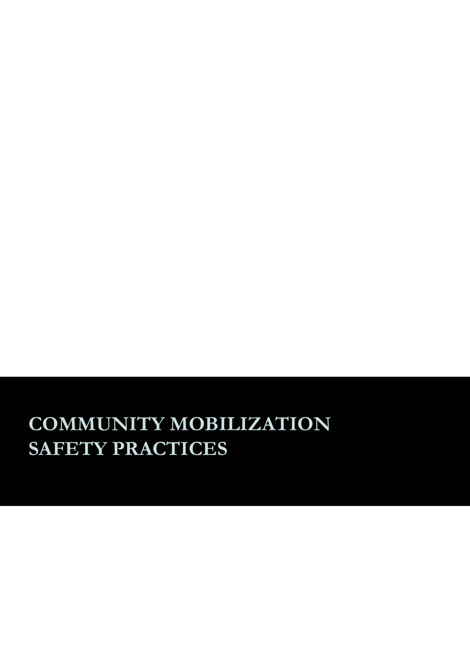# **COMMUNITY MOBILIZATION SAFETY PRACTICES**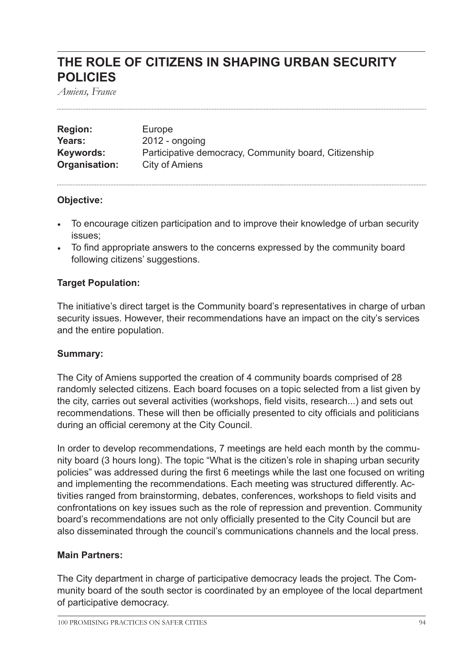# **THE ROLE OF CITIZENS IN SHAPING URBAN SECURITY POLICIES**

*Amiens, France*

| <b>Region:</b> | Europe                                                |
|----------------|-------------------------------------------------------|
| Years:         | $2012$ - ongoing                                      |
| Keywords:      | Participative democracy, Community board, Citizenship |
| Organisation:  | City of Amiens                                        |

# **Objective:**

- To encourage citizen participation and to improve their knowledge of urban security issues;
- To find appropriate answers to the concerns expressed by the community board following citizens' suggestions.

# **Target Population:**

The initiative's direct target is the Community board's representatives in charge of urban security issues. However, their recommendations have an impact on the city's services and the entire population.

### **Summary:**

The City of Amiens supported the creation of 4 community boards comprised of 28 randomly selected citizens. Each board focuses on a topic selected from a list given by the city, carries out several activities (workshops, field visits, research...) and sets out recommendations. These will then be officially presented to city officials and politicians during an official ceremony at the City Council.

In order to develop recommendations, 7 meetings are held each month by the community board (3 hours long). The topic "What is the citizen's role in shaping urban security policies" was addressed during the first 6 meetings while the last one focused on writing and implementing the recommendations. Each meeting was structured differently. Activities ranged from brainstorming, debates, conferences, workshops to field visits and confrontations on key issues such as the role of repression and prevention. Community board's recommendations are not only officially presented to the City Council but are also disseminated through the council's communications channels and the local press.

### **Main Partners:**

The City department in charge of participative democracy leads the project. The Community board of the south sector is coordinated by an employee of the local department of participative democracy.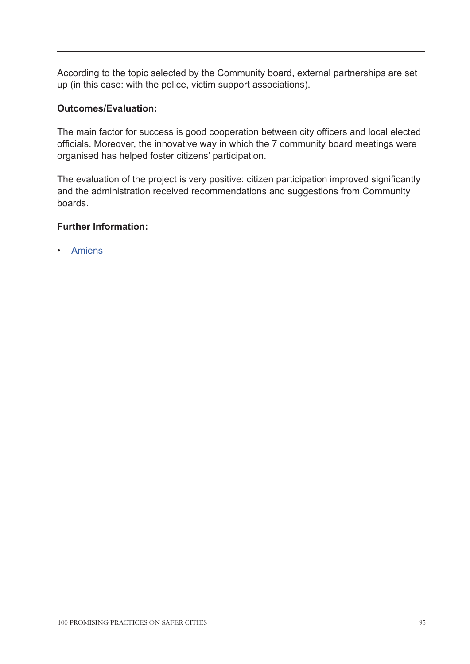According to the topic selected by the Community board, external partnerships are set up (in this case: with the police, victim support associations).

# **Outcomes/Evaluation:**

The main factor for success is good cooperation between city officers and local elected officials. Moreover, the innovative way in which the 7 community board meetings were organised has helped foster citizens' participation.

The evaluation of the project is very positive: citizen participation improved significantly and the administration received recommendations and suggestions from Community boards.

# **Further Information:**

**[Amiens](http://www.amiens.fr/ 
)**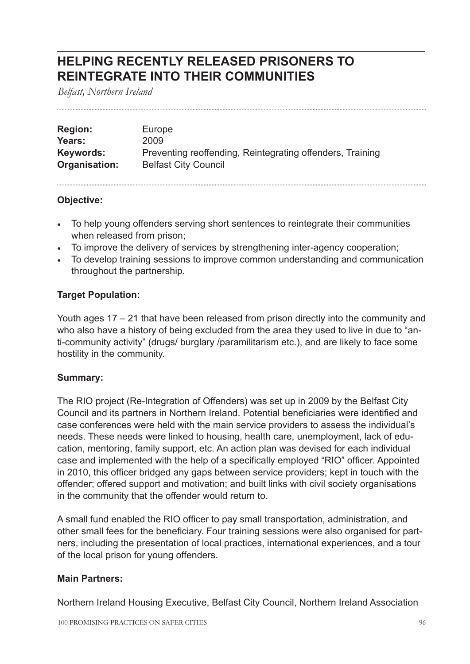# **HELPING RECENTLY RELEASED PRISONERS TO REINTEGRATE INTO THEIR COMMUNITIES**

*Belfast, Northern Ireland*

| <b>Region:</b> | Europe                                                    |
|----------------|-----------------------------------------------------------|
| Years:         | 2009                                                      |
| Keywords:      | Preventing reoffending, Reintegrating offenders, Training |
| Organisation:  | <b>Belfast City Council</b>                               |

# **Objective:**

- To help young offenders serving short sentences to reintegrate their communities when released from prison;
- To improve the delivery of services by strengthening inter-agency cooperation;
- To develop training sessions to improve common understanding and communication throughout the partnership.

# **Target Population:**

Youth ages 17 – 21 that have been released from prison directly into the community and who also have a history of being excluded from the area they used to live in due to "anti-community activity" (drugs/ burglary /paramilitarism etc.), and are likely to face some hostility in the community.

# **Summary:**

The RIO project (Re-Integration of Offenders) was set up in 2009 by the Belfast City Council and its partners in Northern Ireland. Potential beneficiaries were identified and case conferences were held with the main service providers to assess the individual's needs. These needs were linked to housing, health care, unemployment, lack of education, mentoring, family support, etc. An action plan was devised for each individual case and implemented with the help of a specifically employed "RIO" officer. Appointed in 2010, this officer bridged any gaps between service providers; kept in touch with the offender; offered support and motivation; and built links with civil society organisations in the community that the offender would return to.

A small fund enabled the RIO officer to pay small transportation, administration, and other small fees for the beneficiary. Four training sessions were also organised for partners, including the presentation of local practices, international experiences, and a tour of the local prison for young offenders.

# **Main Partners:**

Northern Ireland Housing Executive, Belfast City Council, Northern Ireland Association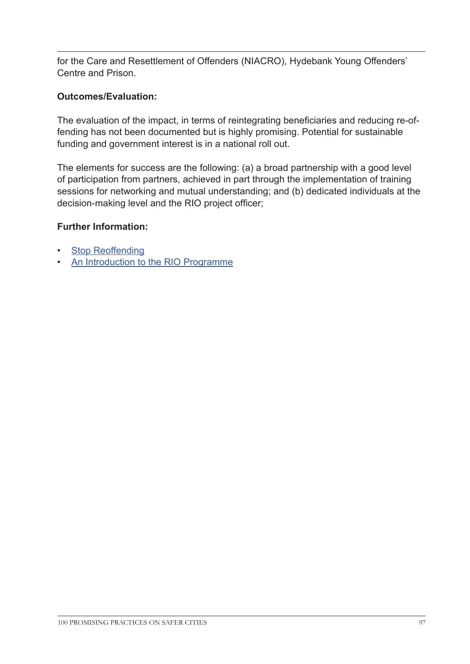for the Care and Resettlement of Offenders (NIACRO), Hydebank Young Offenders' Centre and Prison.

# **Outcomes/Evaluation:**

The evaluation of the impact, in terms of reintegrating beneficiaries and reducing re-offending has not been documented but is highly promising. Potential for sustainable funding and government interest is in a national roll out.

The elements for success are the following: (a) a broad partnership with a good level of participation from partners, achieved in part through the implementation of training sessions for networking and mutual understanding; and (b) dedicated individuals at the decision-making level and the RIO project officer;

# **Further Information:**

- **[Stop Reoffending](www.stop-reoffending.org
)**
- [An Introduction to the RIO Programme]( http://www.youtube.com/watch?v=mHLARvEd1no
)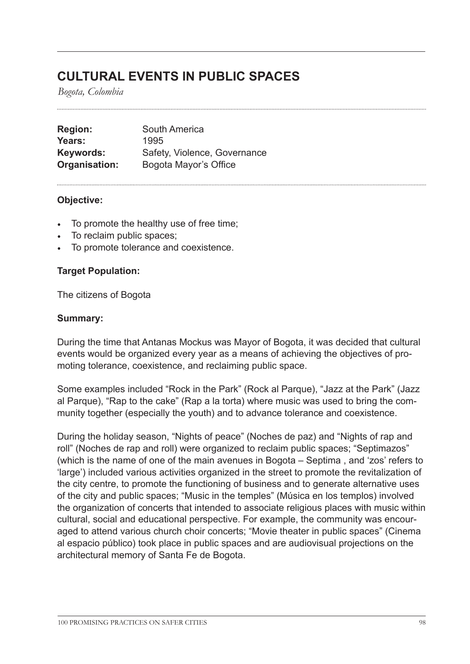# **CULTURAL EVENTS IN PUBLIC SPACES**

*Bogota, Colombia*

**Region:** South America **Years:** 1995 Keywords: Safety, Violence, Governance **Organisation:** Bogota Mayor's Office

### **Objective:**

- To promote the healthy use of free time;
- To reclaim public spaces;
- To promote tolerance and coexistence.

# **Target Population:**

The citizens of Bogota

#### **Summary:**

During the time that Antanas Mockus was Mayor of Bogota, it was decided that cultural events would be organized every year as a means of achieving the objectives of promoting tolerance, coexistence, and reclaiming public space.

Some examples included "Rock in the Park" (Rock al Parque), "Jazz at the Park" (Jazz al Parque), "Rap to the cake" (Rap a la torta) where music was used to bring the community together (especially the youth) and to advance tolerance and coexistence.

During the holiday season, "Nights of peace" (Noches de paz) and "Nights of rap and roll" (Noches de rap and roll) were organized to reclaim public spaces; "Septimazos" (which is the name of one of the main avenues in Bogota – Septima , and 'zos' refers to 'large') included various activities organized in the street to promote the revitalization of the city centre, to promote the functioning of business and to generate alternative uses of the city and public spaces; "Music in the temples" (Música en los templos) involved the organization of concerts that intended to associate religious places with music within cultural, social and educational perspective. For example, the community was encouraged to attend various church choir concerts; "Movie theater in public spaces" (Cinema al espacio público) took place in public spaces and are audiovisual projections on the architectural memory of Santa Fe de Bogota.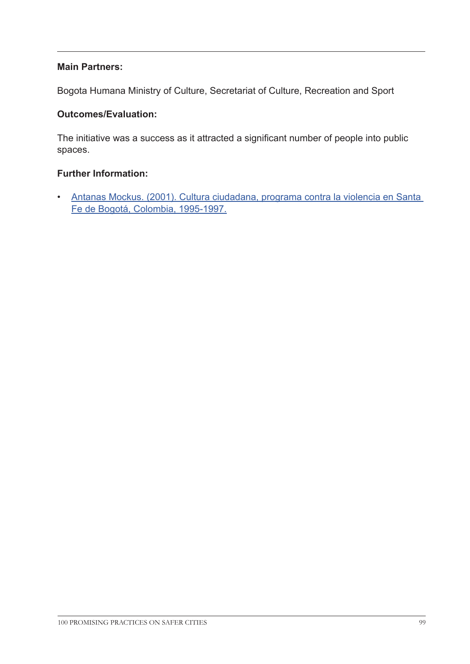# **Main Partners:**

Bogota Humana Ministry of Culture, Secretariat of Culture, Recreation and Sport

### **Outcomes/Evaluation:**

The initiative was a success as it attracted a significant number of people into public spaces.

### **Further Information:**

• [Antanas Mockus. \(2001\). Cultura ciudadana, programa contra la violencia en Santa](http://idbdocs.iadb.org/wsdocs/getdocument.aspx?docnum=353306)  [Fe de Bogotá, Colombia, 1995-1997.](http://idbdocs.iadb.org/wsdocs/getdocument.aspx?docnum=353306)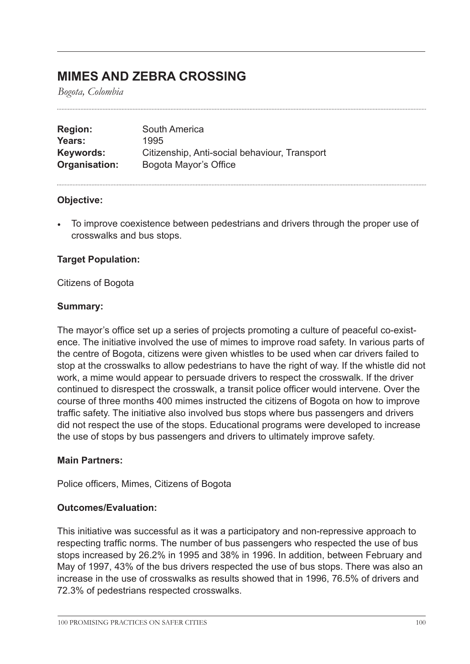# **MIMES AND ZEBRA CROSSING**

*Bogota, Colombia*

| <b>Region:</b> | South America                                 |
|----------------|-----------------------------------------------|
| Years:         | 1995                                          |
| Keywords:      | Citizenship, Anti-social behaviour, Transport |
| Organisation:  | Bogota Mayor's Office                         |

### **Objective:**

• To improve coexistence between pedestrians and drivers through the proper use of crosswalks and bus stops.

### **Target Population:**

Citizens of Bogota

#### **Summary:**

The mayor's office set up a series of projects promoting a culture of peaceful co-existence. The initiative involved the use of mimes to improve road safety. In various parts of the centre of Bogota, citizens were given whistles to be used when car drivers failed to stop at the crosswalks to allow pedestrians to have the right of way. If the whistle did not work, a mime would appear to persuade drivers to respect the crosswalk. If the driver continued to disrespect the crosswalk, a transit police officer would intervene. Over the course of three months 400 mimes instructed the citizens of Bogota on how to improve traffic safety. The initiative also involved bus stops where bus passengers and drivers did not respect the use of the stops. Educational programs were developed to increase the use of stops by bus passengers and drivers to ultimately improve safety.

### **Main Partners:**

Police officers, Mimes, Citizens of Bogota

### **Outcomes/Evaluation:**

This initiative was successful as it was a participatory and non-repressive approach to respecting traffic norms. The number of bus passengers who respected the use of bus stops increased by 26.2% in 1995 and 38% in 1996. In addition, between February and May of 1997, 43% of the bus drivers respected the use of bus stops. There was also an increase in the use of crosswalks as results showed that in 1996, 76.5% of drivers and 72.3% of pedestrians respected crosswalks.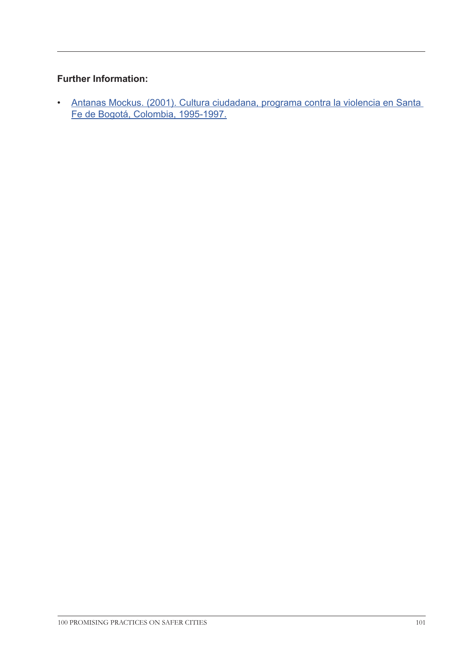# **Further Information:**

• [Antanas Mockus. \(2001\). Cultura ciudadana, programa contra la violencia en Santa](http://idbdocs.iadb.org/wsdocs/getdocument.aspx?docnum=353306)  [Fe de Bogotá, Colombia, 1995-1997.](http://idbdocs.iadb.org/wsdocs/getdocument.aspx?docnum=353306)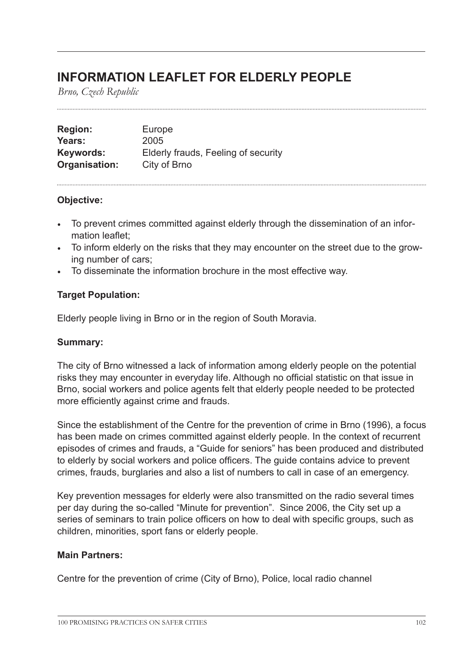# **INFORMATION LEAFLET FOR ELDERLY PEOPLE**

*Brno, Czech Republic*

| <b>Region:</b>   | Europe                              |
|------------------|-------------------------------------|
| Years:           | 2005                                |
| <b>Keywords:</b> | Elderly frauds, Feeling of security |
| Organisation:    | City of Brno                        |

# **Objective:**

- To prevent crimes committed against elderly through the dissemination of an information leaflet;
- To inform elderly on the risks that they may encounter on the street due to the growing number of cars;
- To disseminate the information brochure in the most effective way.

# **Target Population:**

Elderly people living in Brno or in the region of South Moravia.

### **Summary:**

The city of Brno witnessed a lack of information among elderly people on the potential risks they may encounter in everyday life. Although no official statistic on that issue in Brno, social workers and police agents felt that elderly people needed to be protected more efficiently against crime and frauds.

Since the establishment of the Centre for the prevention of crime in Brno (1996), a focus has been made on crimes committed against elderly people. In the context of recurrent episodes of crimes and frauds, a "Guide for seniors" has been produced and distributed to elderly by social workers and police officers. The guide contains advice to prevent crimes, frauds, burglaries and also a list of numbers to call in case of an emergency.

Key prevention messages for elderly were also transmitted on the radio several times per day during the so-called "Minute for prevention". Since 2006, the City set up a series of seminars to train police officers on how to deal with specific groups, such as children, minorities, sport fans or elderly people.

### **Main Partners:**

Centre for the prevention of crime (City of Brno), Police, local radio channel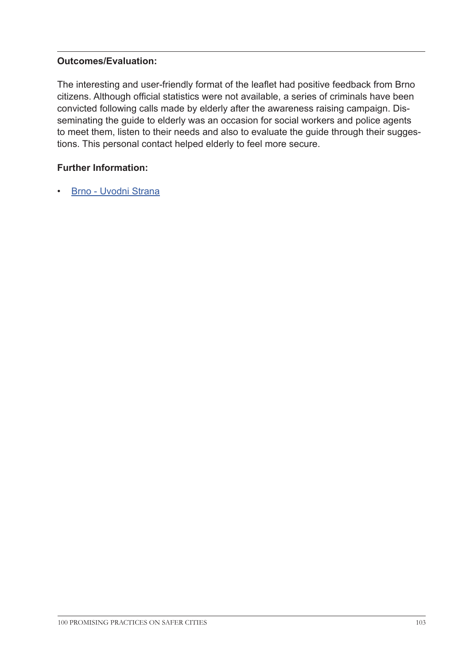# **Outcomes/Evaluation:**

The interesting and user-friendly format of the leaflet had positive feedback from Brno citizens. Although official statistics were not available, a series of criminals have been convicted following calls made by elderly after the awareness raising campaign. Disseminating the guide to elderly was an occasion for social workers and police agents to meet them, listen to their needs and also to evaluate the guide through their suggestions. This personal contact helped elderly to feel more secure.

# **Further Information:**

• [Brno - Uvodni Strana](http://www.brno.cz/uvodni-strana/
 Strana )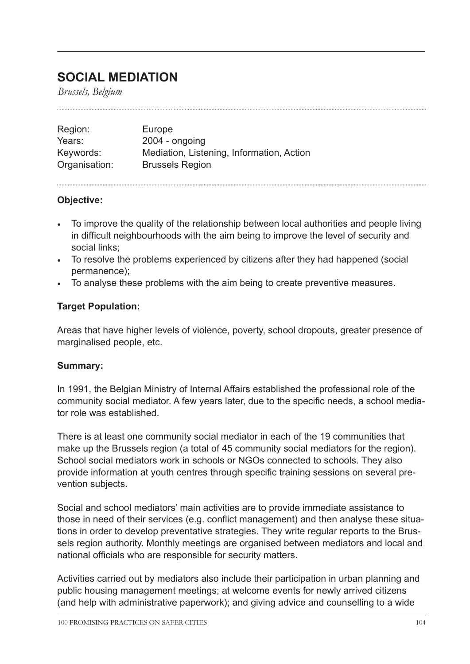# **SOCIAL MEDIATION**

*Brussels, Belgium*

| Region:       | Europe                                    |
|---------------|-------------------------------------------|
| Years:        | $2004 - ongoing$                          |
| Keywords:     | Mediation, Listening, Information, Action |
| Organisation: | <b>Brussels Region</b>                    |

# **Objective:**

- To improve the quality of the relationship between local authorities and people living in difficult neighbourhoods with the aim being to improve the level of security and social links;
- To resolve the problems experienced by citizens after they had happened (social permanence);
- To analyse these problems with the aim being to create preventive measures.

# **Target Population:**

Areas that have higher levels of violence, poverty, school dropouts, greater presence of marginalised people, etc.

# **Summary:**

In 1991, the Belgian Ministry of Internal Affairs established the professional role of the community social mediator. A few years later, due to the specific needs, a school mediator role was established.

There is at least one community social mediator in each of the 19 communities that make up the Brussels region (a total of 45 community social mediators for the region). School social mediators work in schools or NGOs connected to schools. They also provide information at youth centres through specific training sessions on several prevention subjects.

Social and school mediators' main activities are to provide immediate assistance to those in need of their services (e.g. conflict management) and then analyse these situations in order to develop preventative strategies. They write regular reports to the Brussels region authority. Monthly meetings are organised between mediators and local and national officials who are responsible for security matters.

Activities carried out by mediators also include their participation in urban planning and public housing management meetings; at welcome events for newly arrived citizens (and help with administrative paperwork); and giving advice and counselling to a wide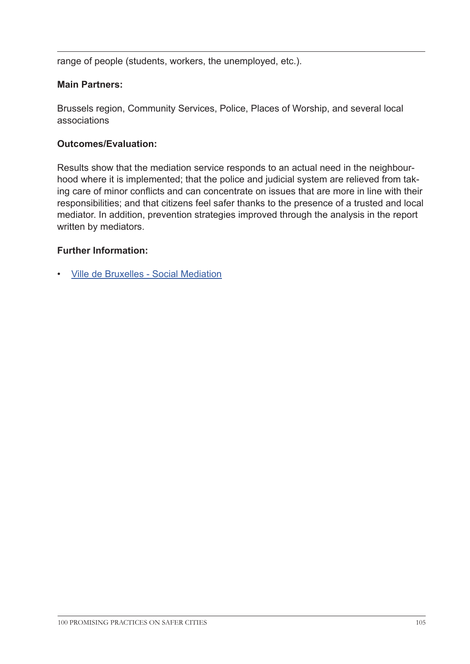range of people (students, workers, the unemployed, etc.).

# **Main Partners:**

Brussels region, Community Services, Police, Places of Worship, and several local associations

# **Outcomes/Evaluation:**

Results show that the mediation service responds to an actual need in the neighbourhood where it is implemented; that the police and judicial system are relieved from taking care of minor conflicts and can concentrate on issues that are more in line with their responsibilities; and that citizens feel safer thanks to the presence of a trusted and local mediator. In addition, prevention strategies improved through the analysis in the report written by mediators.

# **Further Information:**

• Ville de [Bruxelles - Social Mediation](http://www.bruxelles.be/artdet.cfm/4776
)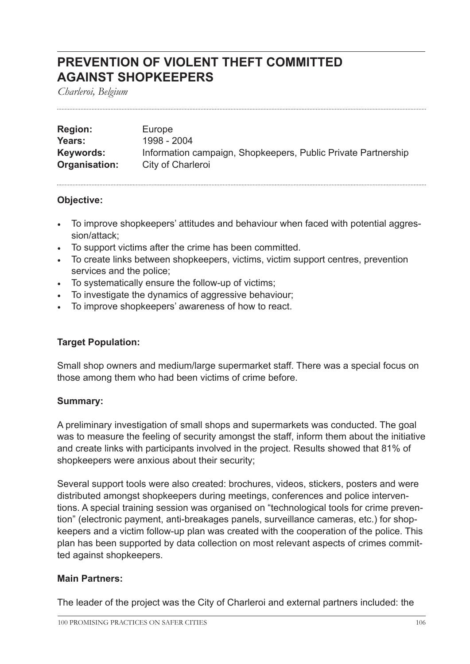# **PREVENTION OF VIOLENT THEFT COMMITTED AGAINST SHOPKEEPERS**

*Charleroi, Belgium*

| <b>Region:</b> | Europe                                                        |
|----------------|---------------------------------------------------------------|
| Years:         | 1998 - 2004                                                   |
| Keywords:      | Information campaign, Shopkeepers, Public Private Partnership |
| Organisation:  | City of Charleroi                                             |

# **Objective:**

- To improve shopkeepers' attitudes and behaviour when faced with potential aggression/attack;
- To support victims after the crime has been committed.
- To create links between shopkeepers, victims, victim support centres, prevention services and the police;
- To systematically ensure the follow-up of victims;
- To investigate the dynamics of aggressive behaviour;
- To improve shopkeepers' awareness of how to react.

# **Target Population:**

Small shop owners and medium/large supermarket staff. There was a special focus on those among them who had been victims of crime before.

### **Summary:**

A preliminary investigation of small shops and supermarkets was conducted. The goal was to measure the feeling of security amongst the staff, inform them about the initiative and create links with participants involved in the project. Results showed that 81% of shopkeepers were anxious about their security;

Several support tools were also created: brochures, videos, stickers, posters and were distributed amongst shopkeepers during meetings, conferences and police interventions. A special training session was organised on "technological tools for crime prevention" (electronic payment, anti-breakages panels, surveillance cameras, etc.) for shopkeepers and a victim follow-up plan was created with the cooperation of the police. This plan has been supported by data collection on most relevant aspects of crimes committed against shopkeepers.

### **Main Partners:**

The leader of the project was the City of Charleroi and external partners included: the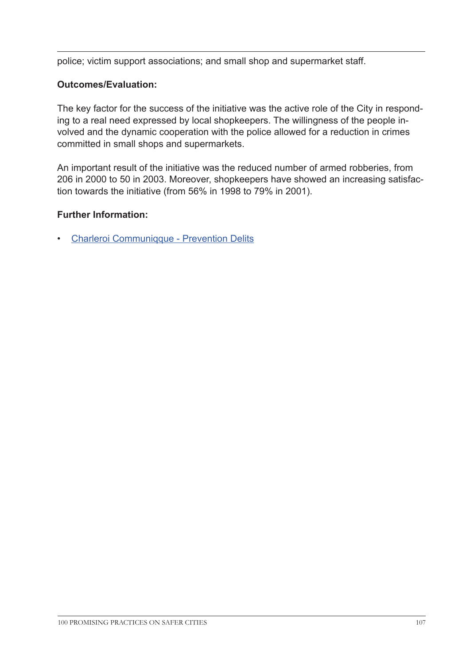police; victim support associations; and small shop and supermarket staff.

# **Outcomes/Evaluation:**

The key factor for the success of the initiative was the active role of the City in responding to a real need expressed by local shopkeepers. The willingness of the people involved and the dynamic cooperation with the police allowed for a reduction in crimes committed in small shops and supermarkets.

An important result of the initiative was the reduced number of armed robberies, from 206 in 2000 to 50 in 2003. Moreover, shopkeepers have showed an increasing satisfaction towards the initiative (from 56% in 1998 to 79% in 2001).

# **Further Information:**

• [Charleroi Communiqque - Prevention Delits](http://www.charleroi.be/node/160
)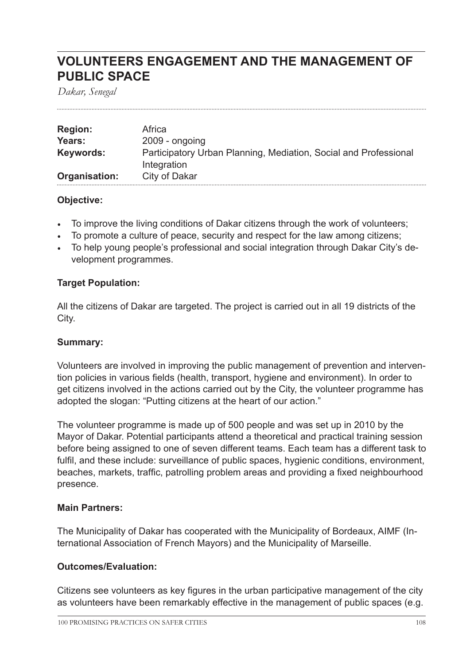# **VOLUNTEERS ENGAGEMENT AND THE MANAGEMENT OF PUBLIC SPACE**

*Dakar, Senegal*

| <b>Region:</b> | Africa                                                                          |
|----------------|---------------------------------------------------------------------------------|
| Years:         | $2009 - ongoing$                                                                |
| Keywords:      | Participatory Urban Planning, Mediation, Social and Professional<br>Integration |
| Organisation:  | City of Dakar                                                                   |

# **Objective:**

- To improve the living conditions of Dakar citizens through the work of volunteers;
- To promote a culture of peace, security and respect for the law among citizens;
- To help young people's professional and social integration through Dakar City's development programmes.

# **Target Population:**

All the citizens of Dakar are targeted. The project is carried out in all 19 districts of the City.

### **Summary:**

Volunteers are involved in improving the public management of prevention and intervention policies in various fields (health, transport, hygiene and environment). In order to get citizens involved in the actions carried out by the City, the volunteer programme has adopted the slogan: "Putting citizens at the heart of our action."

The volunteer programme is made up of 500 people and was set up in 2010 by the Mayor of Dakar. Potential participants attend a theoretical and practical training session before being assigned to one of seven different teams. Each team has a different task to fulfil, and these include: surveillance of public spaces, hygienic conditions, environment, beaches, markets, traffic, patrolling problem areas and providing a fixed neighbourhood presence.

# **Main Partners:**

The Municipality of Dakar has cooperated with the Municipality of Bordeaux, AIMF (International Association of French Mayors) and the Municipality of Marseille.

### **Outcomes/Evaluation:**

Citizens see volunteers as key figures in the urban participative management of the city as volunteers have been remarkably effective in the management of public spaces (e.g.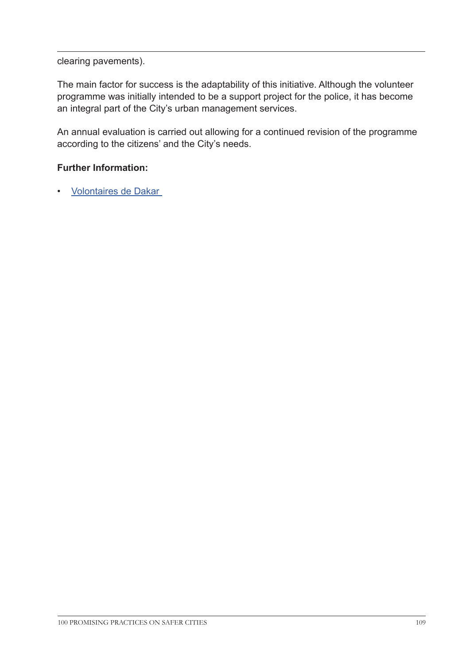#### clearing pavements).

The main factor for success is the adaptability of this initiative. Although the volunteer programme was initially intended to be a support project for the police, it has become an integral part of the City's urban management services.

An annual evaluation is carried out allowing for a continued revision of the programme according to the citizens' and the City's needs.

## **Further Information:**

• [Volontaires de Dakar](www.facebook.com/volontaires.dakar.3
)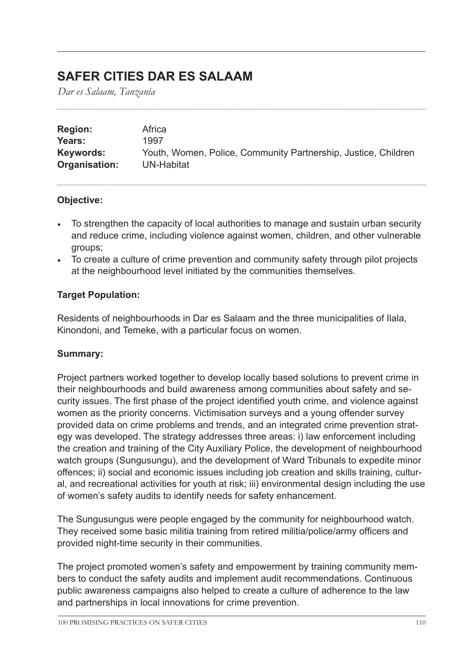# **SAFER CITIES DAR ES SALAAM**

*Dar es Salaam, Tanzania*

| <b>Region:</b> | Africa                                                         |
|----------------|----------------------------------------------------------------|
| Years:         | 1997                                                           |
| Keywords:      | Youth, Women, Police, Community Partnership, Justice, Children |
| Organisation:  | UN-Habitat                                                     |

## **Objective:**

- To strengthen the capacity of local authorities to manage and sustain urban security and reduce crime, including violence against women, children, and other vulnerable groups;
- To create a culture of crime prevention and community safety through pilot projects at the neighbourhood level initiated by the communities themselves.

# **Target Population:**

Residents of neighbourhoods in Dar es Salaam and the three municipalities of Ilala, Kinondoni, and Temeke, with a particular focus on women.

# **Summary:**

Project partners worked together to develop locally based solutions to prevent crime in their neighbourhoods and build awareness among communities about safety and security issues. The first phase of the project identified youth crime, and violence against women as the priority concerns. Victimisation surveys and a young offender survey provided data on crime problems and trends, and an integrated crime prevention strategy was developed. The strategy addresses three areas: i) law enforcement including the creation and training of the City Auxiliary Police, the development of neighbourhood watch groups (Sungusungu), and the development of Ward Tribunals to expedite minor offences; ii) social and economic issues including job creation and skills training, cultural, and recreational activities for youth at risk; iii) environmental design including the use of women's safety audits to identify needs for safety enhancement.

The Sungusungus were people engaged by the community for neighbourhood watch. They received some basic militia training from retired militia/police/army officers and provided night-time security in their communities.

The project promoted women's safety and empowerment by training community members to conduct the safety audits and implement audit recommendations. Continuous public awareness campaigns also helped to create a culture of adherence to the law and partnerships in local innovations for crime prevention.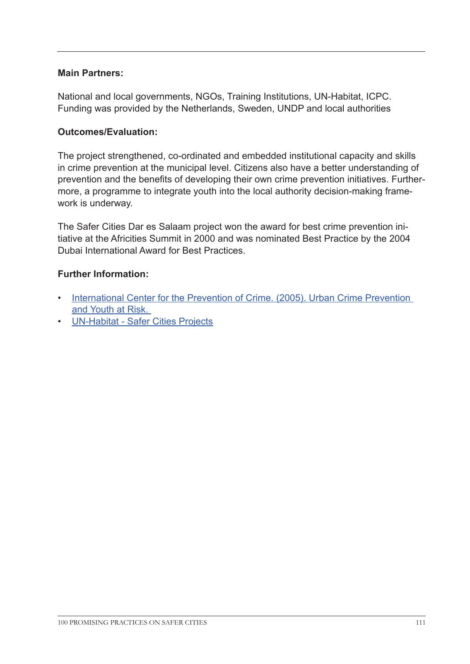## **Main Partners:**

National and local governments, NGOs, Training Institutions, UN-Habitat, ICPC. Funding was provided by the Netherlands, Sweden, UNDP and local authorities

### **Outcomes/Evaluation:**

The project strengthened, co-ordinated and embedded institutional capacity and skills in crime prevention at the municipal level. Citizens also have a better understanding of prevention and the benefits of developing their own crime prevention initiatives. Furthermore, a programme to integrate youth into the local authority decision-making framework is underway.

The Safer Cities Dar es Salaam project won the award for best crime prevention initiative at the Africities Summit in 2000 and was nominated Best Practice by the 2004 Dubai International Award for Best Practices.

## **Further Information:**

- [International Center for the Prevention of Crime. \(20](http://www.crime-prevention-intl.org/fileadmin/user_upload/Publications/Urban_Crime_Prevention_and_Youth_at_Risk_ANG.pdf)05). Urban Crime Prevention and Youth at Risk.
- [UN-Habitat Safer Cities Projects](http://ww2.unhabitat.org/programmes/safercities/projects.asp#3)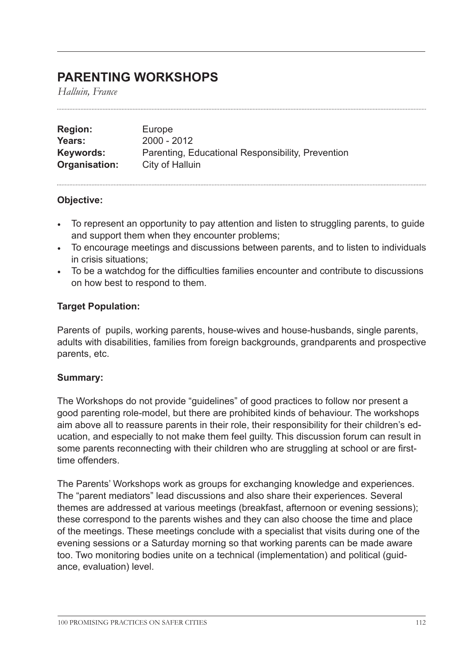# **PARENTING WORKSHOPS**

*Halluin, France*

| <b>Region:</b> | Europe                                            |
|----------------|---------------------------------------------------|
| Years:         | 2000 - 2012                                       |
| Keywords:      | Parenting, Educational Responsibility, Prevention |
| Organisation:  | City of Halluin                                   |

#### **Objective:**

- To represent an opportunity to pay attention and listen to struggling parents, to guide and support them when they encounter problems;
- To encourage meetings and discussions between parents, and to listen to individuals in crisis situations;
- To be a watchdog for the difficulties families encounter and contribute to discussions on how best to respond to them.

## **Target Population:**

Parents of pupils, working parents, house-wives and house-husbands, single parents, adults with disabilities, families from foreign backgrounds, grandparents and prospective parents, etc.

#### **Summary:**

The Workshops do not provide "guidelines" of good practices to follow nor present a good parenting role-model, but there are prohibited kinds of behaviour. The workshops aim above all to reassure parents in their role, their responsibility for their children's education, and especially to not make them feel guilty. This discussion forum can result in some parents reconnecting with their children who are struggling at school or are firsttime offenders.

The Parents' Workshops work as groups for exchanging knowledge and experiences. The "parent mediators" lead discussions and also share their experiences. Several themes are addressed at various meetings (breakfast, afternoon or evening sessions); these correspond to the parents wishes and they can also choose the time and place of the meetings. These meetings conclude with a specialist that visits during one of the evening sessions or a Saturday morning so that working parents can be made aware too. Two monitoring bodies unite on a technical (implementation) and political (guidance, evaluation) level.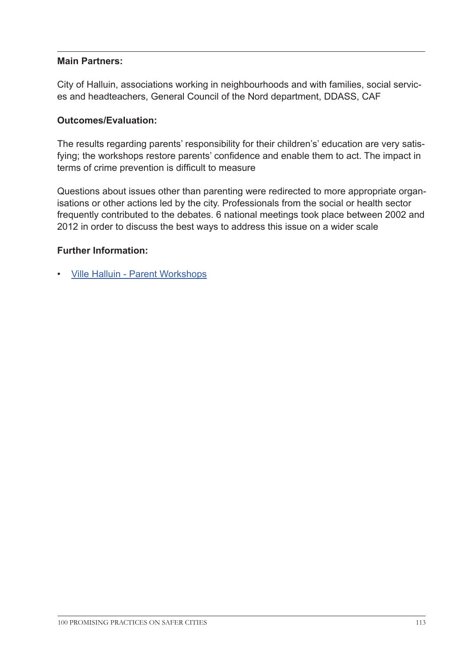## **Main Partners:**

City of Halluin, associations working in neighbourhoods and with families, social services and headteachers, General Council of the Nord department, DDASS, CAF

### **Outcomes/Evaluation:**

The results regarding parents' responsibility for their children's' education are very satisfying; the workshops restore parents' confidence and enable them to act. The impact in terms of crime prevention is difficult to measure

Questions about issues other than parenting were redirected to more appropriate organisations or other actions led by the city. Professionals from the social or health sector frequently contributed to the debates. 6 national meetings took place between 2002 and 2012 in order to discuss the best ways to address this issue on a wider scale

## **Further Information:**

• [Ville Halluin - Parent Workshops](http://www.ville-halluin.fr/citoyen/dossiers.php?id_dossier=10
)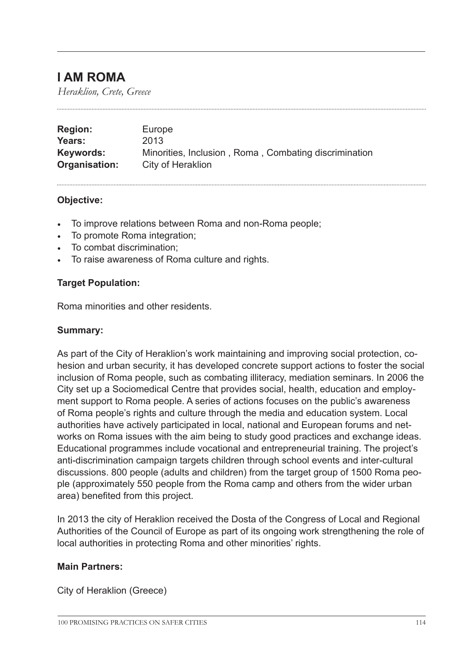# **I AM ROMA**

*Heraklion, Crete, Greece*

| <b>Region:</b> | Europe                                                |
|----------------|-------------------------------------------------------|
| Years:         | 2013                                                  |
| Keywords:      | Minorities, Inclusion, Roma, Combating discrimination |
| Organisation:  | City of Heraklion                                     |

#### **Objective:**

- To improve relations between Roma and non-Roma people;
- To promote Roma integration;
- To combat discrimination;
- To raise awareness of Roma culture and rights.

## **Target Population:**

Roma minorities and other residents.

### **Summary:**

As part of the City of Heraklion's work maintaining and improving social protection, cohesion and urban security, it has developed concrete support actions to foster the social inclusion of Roma people, such as combating illiteracy, mediation seminars. In 2006 the City set up a Sociomedical Centre that provides social, health, education and employment support to Roma people. A series of actions focuses on the public's awareness of Roma people's rights and culture through the media and education system. Local authorities have actively participated in local, national and European forums and networks on Roma issues with the aim being to study good practices and exchange ideas. Educational programmes include vocational and entrepreneurial training. The project's anti-discrimination campaign targets children through school events and inter-cultural discussions. 800 people (adults and children) from the target group of 1500 Roma people (approximately 550 people from the Roma camp and others from the wider urban area) benefited from this project.

In 2013 the city of Heraklion received the Dosta of the Congress of Local and Regional Authorities of the Council of Europe as part of its ongoing work strengthening the role of local authorities in protecting Roma and other minorities' rights.

#### **Main Partners:**

City of Heraklion (Greece)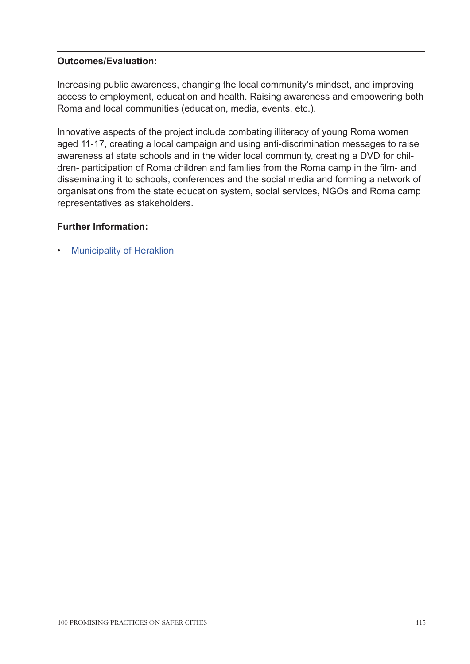Increasing public awareness, changing the local community's mindset, and improving access to employment, education and health. Raising awareness and empowering both Roma and local communities (education, media, events, etc.).

Innovative aspects of the project include combating illiteracy of young Roma women aged 11-17, creating a local campaign and using anti-discrimination messages to raise awareness at state schools and in the wider local community, creating a DVD for children- participation of Roma children and families from the Roma camp in the film- and disseminating it to schools, conferences and the social media and forming a network of organisations from the state education system, social services, NGOs and Roma camp representatives as stakeholders.

# **Further Information:**

**[Municipality of Heraklion](http://www.heraklion.gr/en
)**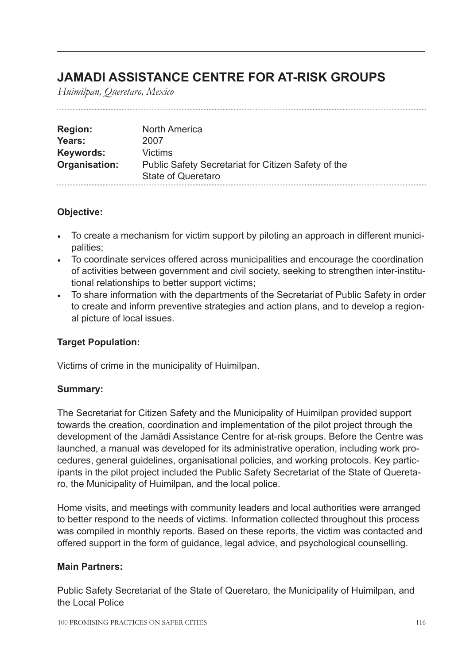# **JAMADI ASSISTANCE CENTRE FOR AT-RISK GROUPS**

*Huimilpan, Queretaro, Mexico*

| <b>Region:</b> | North America                                       |
|----------------|-----------------------------------------------------|
| Years:         | 2007                                                |
| Keywords:      | Victims                                             |
| Organisation:  | Public Safety Secretariat for Citizen Safety of the |
|                | State of Queretaro                                  |

# **Objective:**

- To create a mechanism for victim support by piloting an approach in different municipalities;
- To coordinate services offered across municipalities and encourage the coordination of activities between government and civil society, seeking to strengthen inter-institutional relationships to better support victims;
- To share information with the departments of the Secretariat of Public Safety in order to create and inform preventive strategies and action plans, and to develop a regional picture of local issues.

# **Target Population:**

Victims of crime in the municipality of Huimilpan.

# **Summary:**

The Secretariat for Citizen Safety and the Municipality of Huimilpan provided support towards the creation, coordination and implementation of the pilot project through the development of the Jamädi Assistance Centre for at-risk groups. Before the Centre was launched, a manual was developed for its administrative operation, including work procedures, general guidelines, organisational policies, and working protocols. Key participants in the pilot project included the Public Safety Secretariat of the State of Queretaro, the Municipality of Huimilpan, and the local police.

Home visits, and meetings with community leaders and local authorities were arranged to better respond to the needs of victims. Information collected throughout this process was compiled in monthly reports. Based on these reports, the victim was contacted and offered support in the form of guidance, legal advice, and psychological counselling.

# **Main Partners:**

Public Safety Secretariat of the State of Queretaro, the Municipality of Huimilpan, and the Local Police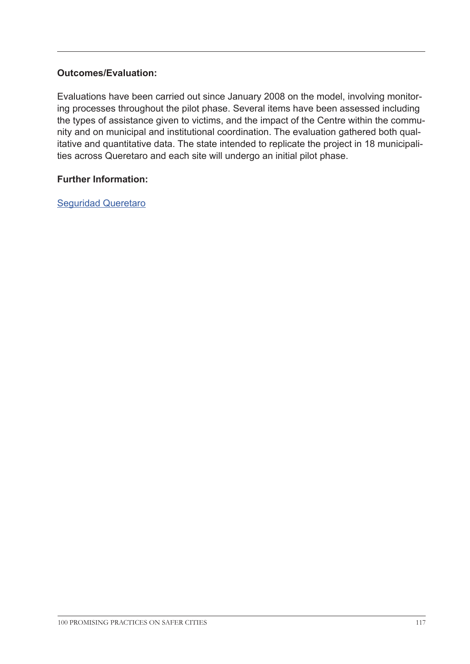Evaluations have been carried out since January 2008 on the model, involving monitoring processes throughout the pilot phase. Several items have been assessed including the types of assistance given to victims, and the impact of the Centre within the community and on municipal and institutional coordination. The evaluation gathered both qualitative and quantitative data. The state intended to replicate the project in 18 municipalities across Queretaro and each site will undergo an initial pilot phase.

#### **Further Information:**

[Seguridad Queretaro](http://seguridad.queretaro.gob.mx/ssc/ssc/comunicacion/eventos/se_inauguro_el_primer_ )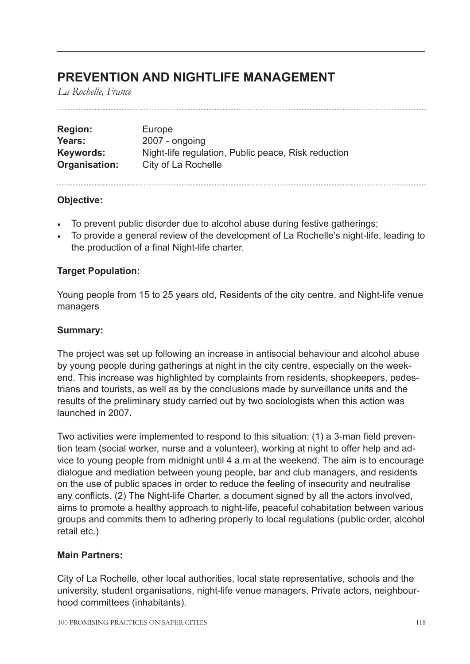# **PREVENTION AND NIGHTLIFE MANAGEMENT**

*La Rochelle, France*

| <b>Region:</b> | Europe                                              |
|----------------|-----------------------------------------------------|
| Years:         | 2007 - ongoing                                      |
| Keywords:      | Night-life regulation, Public peace, Risk reduction |
| Organisation:  | City of La Rochelle                                 |

## **Objective:**

- To prevent public disorder due to alcohol abuse during festive gatherings;
- To provide a general review of the development of La Rochelle's night-life, leading to the production of a final Night-life charter.

# **Target Population:**

Young people from 15 to 25 years old, Residents of the city centre, and Night-life venue managers

# **Summary:**

The project was set up following an increase in antisocial behaviour and alcohol abuse by young people during gatherings at night in the city centre, especially on the weekend. This increase was highlighted by complaints from residents, shopkeepers, pedestrians and tourists, as well as by the conclusions made by surveillance units and the results of the preliminary study carried out by two sociologists when this action was launched in 2007.

Two activities were implemented to respond to this situation: (1) a 3-man field prevention team (social worker, nurse and a volunteer), working at night to offer help and advice to young people from midnight until 4 a.m at the weekend. The aim is to encourage dialogue and mediation between young people, bar and club managers, and residents on the use of public spaces in order to reduce the feeling of insecurity and neutralise any conflicts. (2) The Night-life Charter, a document signed by all the actors involved, aims to promote a healthy approach to night-life, peaceful cohabitation between various groups and commits them to adhering properly to local regulations (public order, alcohol retail etc.)

# **Main Partners:**

City of La Rochelle, other local authorities, local state representative, schools and the university, student organisations, night-life venue managers, Private actors, neighbourhood committees (inhabitants).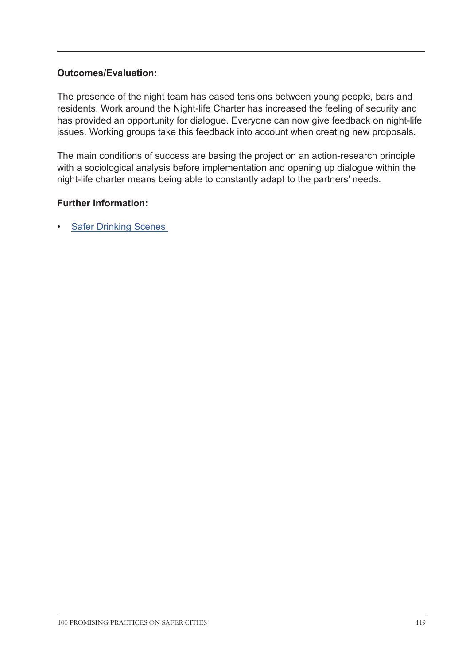The presence of the night team has eased tensions between young people, bars and residents. Work around the Night-life Charter has increased the feeling of security and has provided an opportunity for dialogue. Everyone can now give feedback on night-life issues. Working groups take this feedback into account when creating new proposals.

The main conditions of success are basing the project on an action-research principle with a sociological analysis before implementation and opening up dialogue within the night-life charter means being able to constantly adapt to the partners' needs.

## **Further Information:**

• [Safer Drinking Scenes](www.sds-project.eu
)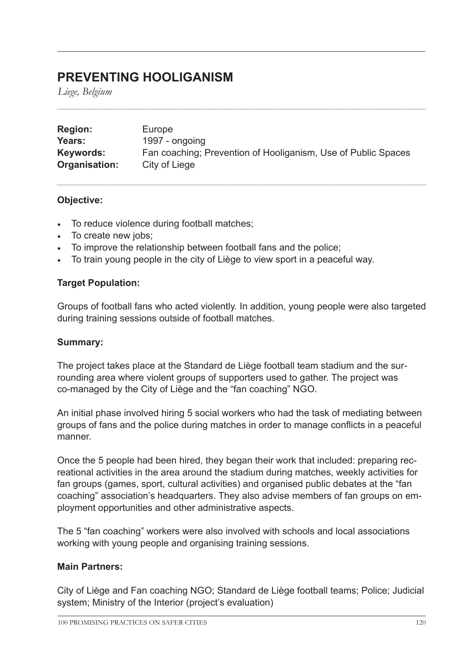# **PREVENTING HOOLIGANISM**

*Liege, Belgium*

| <b>Region:</b> | Europe                                                        |
|----------------|---------------------------------------------------------------|
| Years:         | 1997 - ongoing                                                |
| Keywords:      | Fan coaching; Prevention of Hooliganism, Use of Public Spaces |
| Organisation:  | City of Liege                                                 |

## **Objective:**

- To reduce violence during football matches;
- To create new jobs;
- To improve the relationship between football fans and the police;
- To train young people in the city of Liège to view sport in a peaceful way.

## **Target Population:**

Groups of football fans who acted violently. In addition, young people were also targeted during training sessions outside of football matches.

#### **Summary:**

The project takes place at the Standard de Liège football team stadium and the surrounding area where violent groups of supporters used to gather. The project was co-managed by the City of Liège and the "fan coaching" NGO.

An initial phase involved hiring 5 social workers who had the task of mediating between groups of fans and the police during matches in order to manage conflicts in a peaceful manner.

Once the 5 people had been hired, they began their work that included: preparing recreational activities in the area around the stadium during matches, weekly activities for fan groups (games, sport, cultural activities) and organised public debates at the "fan coaching" association's headquarters. They also advise members of fan groups on employment opportunities and other administrative aspects.

The 5 "fan coaching" workers were also involved with schools and local associations working with young people and organising training sessions.

#### **Main Partners:**

City of Liège and Fan coaching NGO; Standard de Liège football teams; Police; Judicial system; Ministry of the Interior (project's evaluation)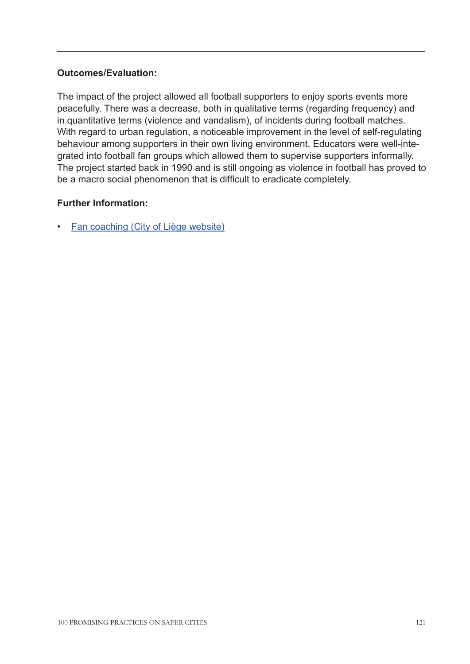The impact of the project allowed all football supporters to enjoy sports events more peacefully. There was a decrease, both in qualitative terms (regarding frequency) and in quantitative terms (violence and vandalism), of incidents during football matches. With regard to urban regulation, a noticeable improvement in the level of self-regulating behaviour among supporters in their own living environment. Educators were well-integrated into football fan groups which allowed them to supervise supporters informally. The project started back in 1990 and is still ongoing as violence in football has proved to be a macro social phenomenon that is difficult to eradicate completely.

# **Further Information:**

• [Fan coaching \(City of Liège website\)](http://www.liege.be/securite/plan-de-prevention/prevention-integree-approche-par-quartiers/prevention-integree-approche-par-quartiers-1/fan-coaching)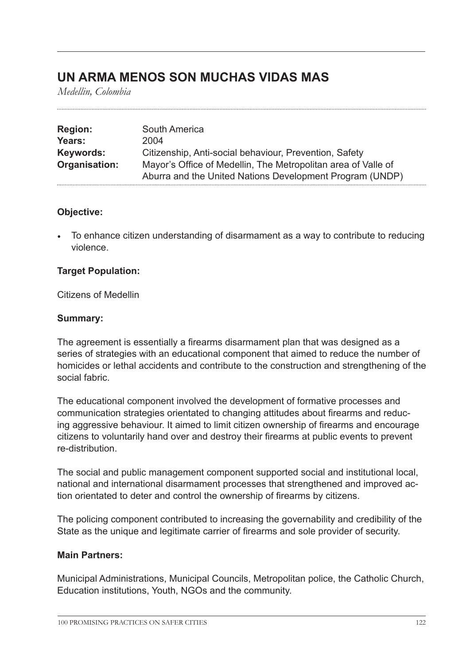# **UN ARMA MENOS SON MUCHAS VIDAS MAS**

*Medellin, Colombia*

| <b>Region:</b> | South America                                                 |
|----------------|---------------------------------------------------------------|
| Years:         | 2004                                                          |
| Keywords:      | Citizenship, Anti-social behaviour, Prevention, Safety        |
| Organisation:  | Mayor's Office of Medellin, The Metropolitan area of Valle of |
|                | Aburra and the United Nations Development Program (UNDP)      |

## **Objective:**

• To enhance citizen understanding of disarmament as a way to contribute to reducing violence.

## **Target Population:**

Citizens of Medellin

## **Summary:**

The agreement is essentially a firearms disarmament plan that was designed as a series of strategies with an educational component that aimed to reduce the number of homicides or lethal accidents and contribute to the construction and strengthening of the social fabric.

The educational component involved the development of formative processes and communication strategies orientated to changing attitudes about firearms and reducing aggressive behaviour. It aimed to limit citizen ownership of firearms and encourage citizens to voluntarily hand over and destroy their firearms at public events to prevent re-distribution.

The social and public management component supported social and institutional local, national and international disarmament processes that strengthened and improved action orientated to deter and control the ownership of firearms by citizens.

The policing component contributed to increasing the governability and credibility of the State as the unique and legitimate carrier of firearms and sole provider of security.

#### **Main Partners:**

Municipal Administrations, Municipal Councils, Metropolitan police, the Catholic Church, Education institutions, Youth, NGOs and the community.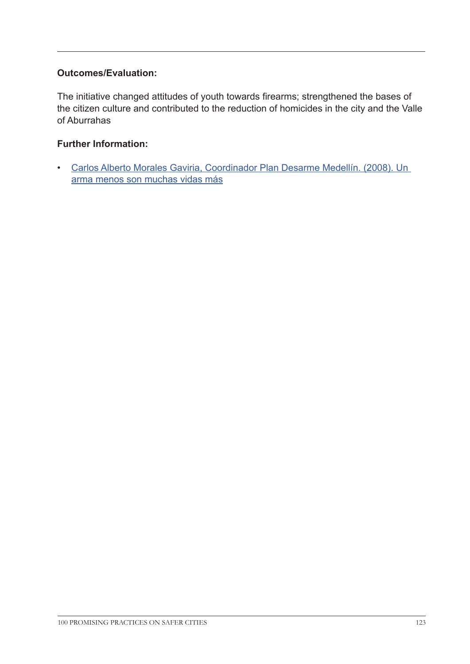The initiative changed attitudes of youth towards firearms; strengthened the bases of the citizen culture and contributed to the reduction of homicides in the city and the Valle of Aburrahas

# **Further Information:**

• [Carlos Alberto Morales Gaviria, Coordinador Plan Desarme Medellín. \(2008\). Un](http://www.comunidadesegura.org/pt-br/node/39192)  [arma menos son muchas vidas más](http://www.comunidadesegura.org/pt-br/node/39192)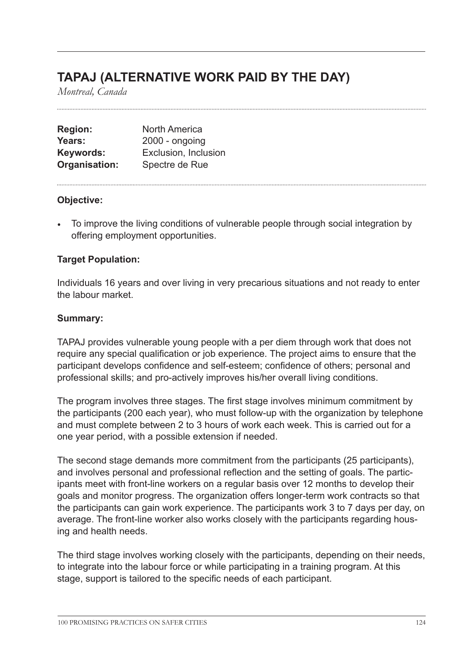# **TAPAJ (ALTERNATIVE WORK PAID BY THE DAY)**

*Montreal, Canada*

| <b>Region:</b> | <b>North America</b> |
|----------------|----------------------|
| Years:         | $2000 -$ ongoing     |
| Keywords:      | Exclusion, Inclusion |
| Organisation:  | Spectre de Rue       |

#### **Objective:**

• To improve the living conditions of vulnerable people through social integration by offering employment opportunities.

# **Target Population:**

Individuals 16 years and over living in very precarious situations and not ready to enter the labour market.

#### **Summary:**

TAPAJ provides vulnerable young people with a per diem through work that does not require any special qualification or job experience. The project aims to ensure that the participant develops confidence and self-esteem; confidence of others; personal and professional skills; and pro-actively improves his/her overall living conditions.

The program involves three stages. The first stage involves minimum commitment by the participants (200 each year), who must follow-up with the organization by telephone and must complete between 2 to 3 hours of work each week. This is carried out for a one year period, with a possible extension if needed.

The second stage demands more commitment from the participants (25 participants), and involves personal and professional reflection and the setting of goals. The participants meet with front-line workers on a regular basis over 12 months to develop their goals and monitor progress. The organization offers longer-term work contracts so that the participants can gain work experience. The participants work 3 to 7 days per day, on average. The front-line worker also works closely with the participants regarding housing and health needs.

The third stage involves working closely with the participants, depending on their needs, to integrate into the labour force or while participating in a training program. At this stage, support is tailored to the specific needs of each participant.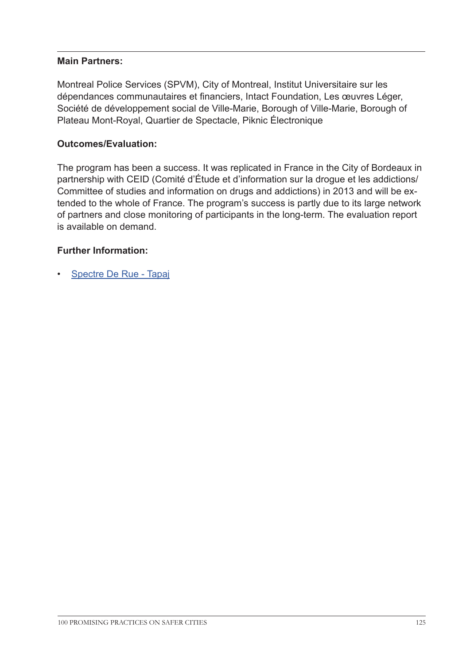## **Main Partners:**

Montreal Police Services (SPVM), City of Montreal, Institut Universitaire sur les dépendances communautaires et financiers, Intact Foundation, Les œuvres Léger, Société de développement social de Ville-Marie, Borough of Ville-Marie, Borough of Plateau Mont-Royal, Quartier de Spectacle, Piknic Électronique

### **Outcomes/Evaluation:**

The program has been a success. It was replicated in France in the City of Bordeaux in partnership with CEID (Comité d'Étude et d'information sur la drogue et les addictions/ Committee of studies and information on drugs and addictions) in 2013 and will be extended to the whole of France. The program's success is partly due to its large network of partners and close monitoring of participants in the long-term. The evaluation report is available on demand.

## **Further Information:**

• [Spectre De Rue - Tapaj](http://spectrederue.org/tapaj/)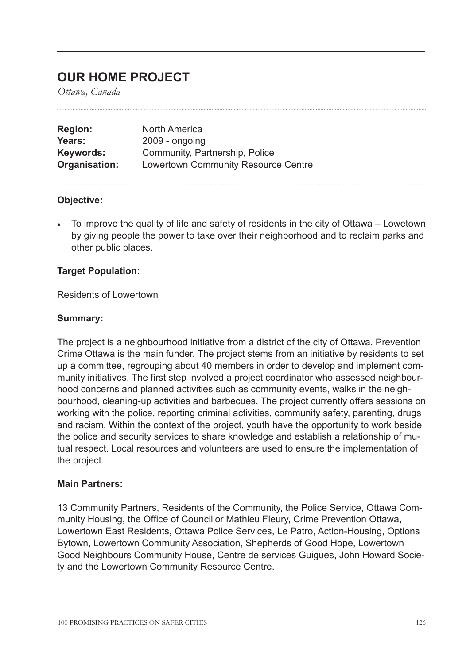# **OUR HOME PROJECT**

*Ottawa, Canada*

| <b>Region:</b> | North America                              |
|----------------|--------------------------------------------|
| Years:         | $2009 -$ ongoing                           |
| Keywords:      | Community, Partnership, Police             |
| Organisation:  | <b>Lowertown Community Resource Centre</b> |

## **Objective:**

• To improve the quality of life and safety of residents in the city of Ottawa – Lowetown by giving people the power to take over their neighborhood and to reclaim parks and other public places.

## **Target Population:**

Residents of Lowertown

#### **Summary:**

The project is a neighbourhood initiative from a district of the city of Ottawa. Prevention Crime Ottawa is the main funder. The project stems from an initiative by residents to set up a committee, regrouping about 40 members in order to develop and implement community initiatives. The first step involved a project coordinator who assessed neighbourhood concerns and planned activities such as community events, walks in the neighbourhood, cleaning-up activities and barbecues. The project currently offers sessions on working with the police, reporting criminal activities, community safety, parenting, drugs and racism. Within the context of the project, youth have the opportunity to work beside the police and security services to share knowledge and establish a relationship of mutual respect. Local resources and volunteers are used to ensure the implementation of the project.

#### **Main Partners:**

13 Community Partners, Residents of the Community, the Police Service, Ottawa Community Housing, the Office of Councillor Mathieu Fleury, Crime Prevention Ottawa, Lowertown East Residents, Ottawa Police Services, Le Patro, Action-Housing, Options Bytown, Lowertown Community Association, Shepherds of Good Hope, Lowertown Good Neighbours Community House, Centre de services Guigues, John Howard Society and the Lowertown Community Resource Centre.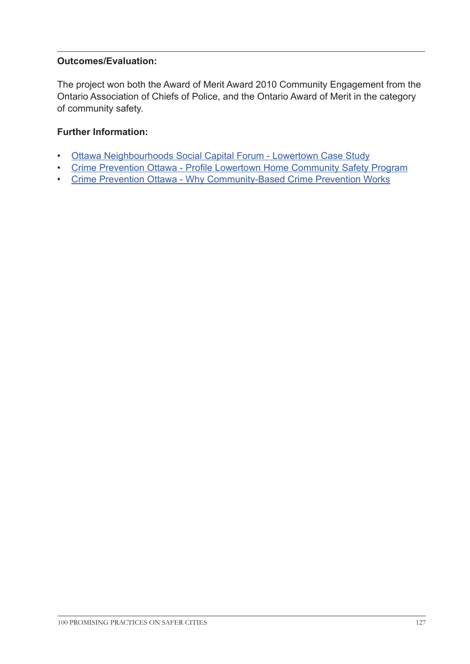The project won both the Award of Merit Award 2010 Community Engagement from the Ontario Association of Chiefs of Police, and the Ontario Award of Merit in the category of community safety.

# **Further Information:**

- [Ottawa Neighbourhoods Social Capital Forum Lowertown Case Study](http://www.onscf.ca/wp-content/uploads/2013/08/Case_Study_Lowertown_2011-12_Final1.pdf)
- [Crime Prevention Ottawa Profile Lowertown Home Community Safety Program](http://www.crimepreventionottawa.ca/uploads/files/news/media_profile-lowertown_our_home-community_safety_program-fr.pdf)
- Crime Prevention Ottawa Why Community-Based Crime Prevention Works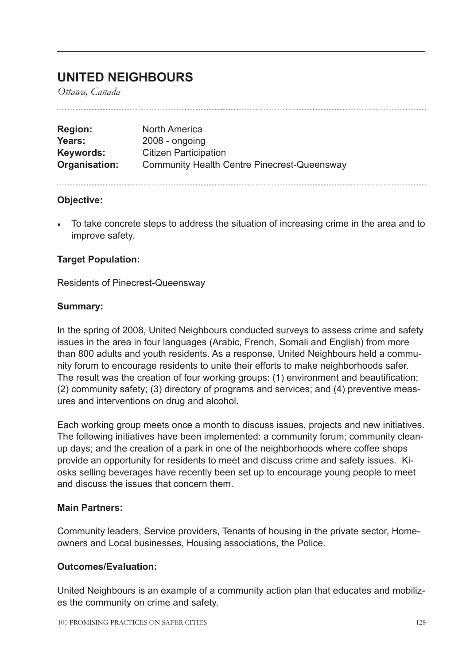# **UNITED NEIGHBOURS**

*Ottawa, Canada*

| <b>Region:</b> | <b>North America</b>                               |
|----------------|----------------------------------------------------|
| Years:         | $2008 - ongoing$                                   |
| Keywords:      | <b>Citizen Participation</b>                       |
| Organisation:  | <b>Community Health Centre Pinecrest-Queensway</b> |

#### **Objective:**

• To take concrete steps to address the situation of increasing crime in the area and to improve safety.

# **Target Population:**

Residents of Pinecrest-Queensway

## **Summary:**

In the spring of 2008, United Neighbours conducted surveys to assess crime and safety issues in the area in four languages (Arabic, French, Somali and English) from more than 800 adults and youth residents. As a response, United Neighbours held a community forum to encourage residents to unite their efforts to make neighborhoods safer. The result was the creation of four working groups: (1) environment and beautification; (2) community safety; (3) directory of programs and services; and (4) preventive measures and interventions on drug and alcohol.

Each working group meets once a month to discuss issues, projects and new initiatives. The following initiatives have been implemented: a community forum; community cleanup days; and the creation of a park in one of the neighborhoods where coffee shops provide an opportunity for residents to meet and discuss crime and safety issues. Kiosks selling beverages have recently been set up to encourage young people to meet and discuss the issues that concern them.

#### **Main Partners:**

Community leaders, Service providers, Tenants of housing in the private sector, Homeowners and Local businesses, Housing associations, the Police.

#### **Outcomes/Evaluation:**

United Neighbours is an example of a community action plan that educates and mobilizes the community on crime and safety.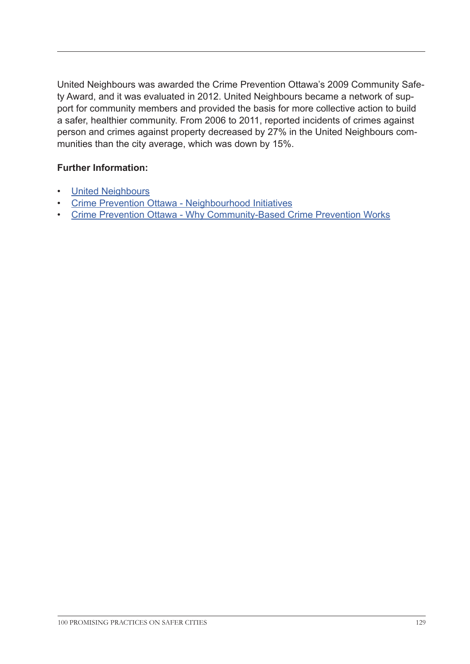United Neighbours was awarded the Crime Prevention Ottawa's 2009 Community Safety Award, and it was evaluated in 2012. United Neighbours became a network of support for community members and provided the basis for more collective action to build a safer, healthier community. From 2006 to 2011, reported incidents of crimes against person and crimes against property decreased by 27% in the United Neighbours communities than the city average, which was down by 15%.

# **Further Information:**

- [United Neighbours](http://www.crimepreventionottawa.ca/Media/Content/files/Initiatives/Neighbourhoods/Why%20Community-Base%20Crime%20Prev%20Works%20EN%20web-final.pdf)
- [Crime Prevention Ottawa Neighbourhood Initiatives](http://www.crimepreventionottawa.ca/Media/Content/files/Initiatives/Neighbourhoods/Why%20Community-Base%20Crime%20Prev%20Works%20EN%20web-final.pdf)
- [Crime Prevention Ottawa Why Community-Based Crime Prevention Works](http://www.crimepreventionottawa.ca/Media/Content/files/Initiatives/Neighbourhoods/Why%20Community-Base%20Crime%20Prev%20Works%20EN%20web-final.pdf)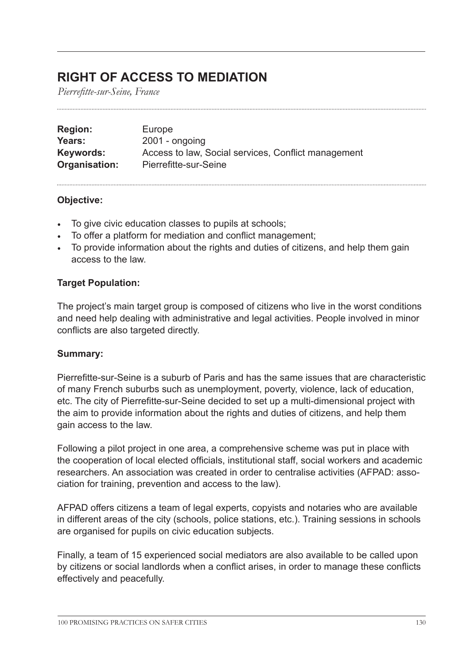# **RIGHT OF ACCESS TO MEDIATION**

*Pierrefitte-sur-Seine, France*

| <b>Region:</b> | Europe                                              |
|----------------|-----------------------------------------------------|
| Years:         | $2001 -$ ongoing                                    |
| Keywords:      | Access to law, Social services, Conflict management |
| Organisation:  | Pierrefitte-sur-Seine                               |

## **Objective:**

- To give civic education classes to pupils at schools;
- To offer a platform for mediation and conflict management;
- To provide information about the rights and duties of citizens, and help them gain access to the law.

# **Target Population:**

The project's main target group is composed of citizens who live in the worst conditions and need help dealing with administrative and legal activities. People involved in minor conflicts are also targeted directly.

#### **Summary:**

Pierrefitte-sur-Seine is a suburb of Paris and has the same issues that are characteristic of many French suburbs such as unemployment, poverty, violence, lack of education, etc. The city of Pierrefitte-sur-Seine decided to set up a multi-dimensional project with the aim to provide information about the rights and duties of citizens, and help them gain access to the law.

Following a pilot project in one area, a comprehensive scheme was put in place with the cooperation of local elected officials, institutional staff, social workers and academic researchers. An association was created in order to centralise activities (AFPAD: association for training, prevention and access to the law).

AFPAD offers citizens a team of legal experts, copyists and notaries who are available in different areas of the city (schools, police stations, etc.). Training sessions in schools are organised for pupils on civic education subjects.

Finally, a team of 15 experienced social mediators are also available to be called upon by citizens or social landlords when a conflict arises, in order to manage these conflicts effectively and peacefully.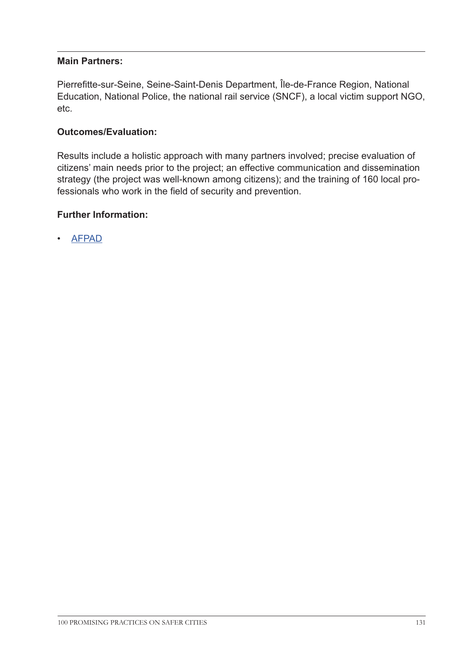### **Main Partners:**

Pierrefitte-sur-Seine, Seine-Saint-Denis Department, Île-de-France Region, National Education, National Police, the national rail service (SNCF), a local victim support NGO, etc.

## **Outcomes/Evaluation:**

Results include a holistic approach with many partners involved; precise evaluation of citizens' main needs prior to the project; an effective communication and dissemination strategy (the project was well-known among citizens); and the training of 160 local professionals who work in the field of security and prevention.

#### **Further Information:**

• [AFPAD](http://afpad.pierrefitte93.fr/rubrique.php3?id_rubrique=2
)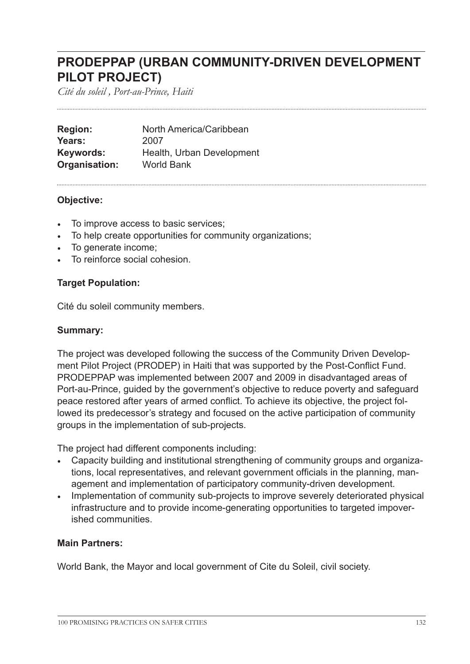# **PRODEPPAP (URBAN COMMUNITY-DRIVEN DEVELOPMENT PILOT PROJECT)**

*Cité du soleil , Port-au-Prince, Haiti*

| <b>Region:</b> | North America/Caribbean   |
|----------------|---------------------------|
| Years:         | 2007                      |
| Keywords:      | Health, Urban Development |
| Organisation:  | <b>World Bank</b>         |

#### **Objective:**

- To improve access to basic services;
- To help create opportunities for community organizations;
- To generate income;
- To reinforce social cohesion.

## **Target Population:**

Cité du soleil community members.

## **Summary:**

The project was developed following the success of the Community Driven Development Pilot Project (PRODEP) in Haiti that was supported by the Post-Conflict Fund. PRODEPPAP was implemented between 2007 and 2009 in disadvantaged areas of Port-au-Prince, guided by the government's objective to reduce poverty and safeguard peace restored after years of armed conflict. To achieve its objective, the project followed its predecessor's strategy and focused on the active participation of community groups in the implementation of sub-projects.

The project had different components including:

- Capacity building and institutional strengthening of community groups and organizations, local representatives, and relevant government officials in the planning, management and implementation of participatory community-driven development.
- Implementation of community sub-projects to improve severely deteriorated physical infrastructure and to provide income-generating opportunities to targeted impoverished communities.

# **Main Partners:**

World Bank, the Mayor and local government of Cite du Soleil, civil society.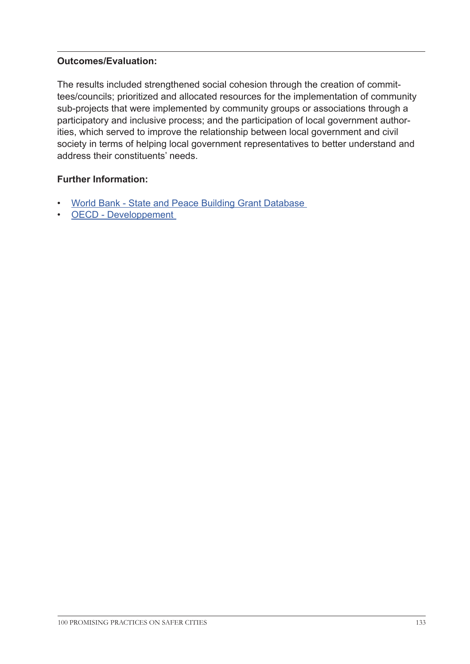The results included strengthened social cohesion through the creation of committees/councils; prioritized and allocated resources for the implementation of community sub-projects that were implemented by community groups or associations through a participatory and inclusive process; and the participation of local government authorities, which served to improve the relationship between local government and civil society in terms of helping local government representatives to better understand and address their constituents' needs.

# **Further Information:**

- [World Bank State and Peace Building Grant Database](http://siteresources.worldbank.org/EXTLICUS/Resources/511777-1292880178543/335.html  )
- [OECD Developpement](http://www.oecd.org/fr/developpement/incaf/48646395.pdf 
)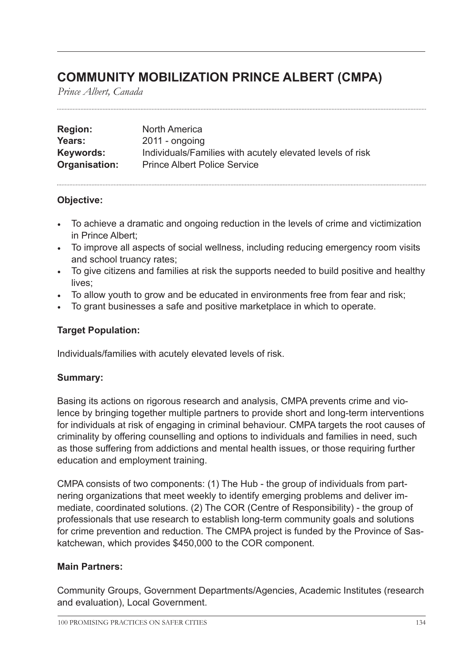# **COMMUNITY MOBILIZATION PRINCE ALBERT (CMPA)**

*Prince Albert, Canada*

| <b>Region:</b> | North America                                             |
|----------------|-----------------------------------------------------------|
| Years:         | $2011 -$ ongoing                                          |
| Keywords:      | Individuals/Families with acutely elevated levels of risk |
| Organisation:  | <b>Prince Albert Police Service</b>                       |

# **Objective:**

- To achieve a dramatic and ongoing reduction in the levels of crime and victimization in Prince Albert;
- To improve all aspects of social wellness, including reducing emergency room visits and school truancy rates;
- To give citizens and families at risk the supports needed to build positive and healthy lives;
- To allow youth to grow and be educated in environments free from fear and risk;
- To grant businesses a safe and positive marketplace in which to operate.

## **Target Population:**

Individuals/families with acutely elevated levels of risk.

#### **Summary:**

Basing its actions on rigorous research and analysis, CMPA prevents crime and violence by bringing together multiple partners to provide short and long-term interventions for individuals at risk of engaging in criminal behaviour. CMPA targets the root causes of criminality by offering counselling and options to individuals and families in need, such as those suffering from addictions and mental health issues, or those requiring further education and employment training.

CMPA consists of two components: (1) The Hub - the group of individuals from partnering organizations that meet weekly to identify emerging problems and deliver immediate, coordinated solutions. (2) The COR (Centre of Responsibility) - the group of professionals that use research to establish long-term community goals and solutions for crime prevention and reduction. The CMPA project is funded by the Province of Saskatchewan, which provides \$450,000 to the COR component.

#### **Main Partners:**

Community Groups, Government Departments/Agencies, Academic Institutes (research and evaluation), Local Government.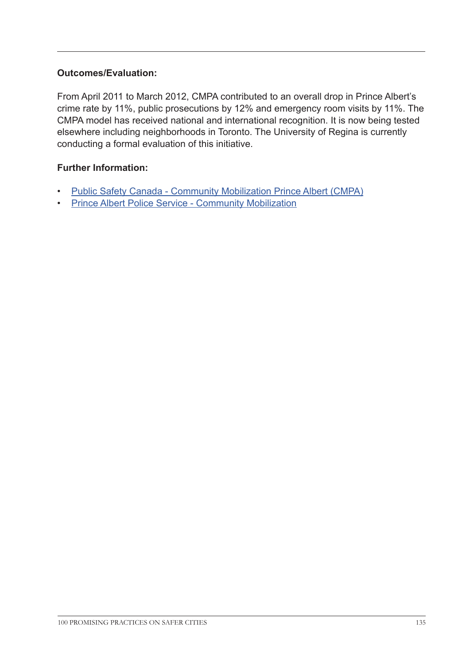From April 2011 to March 2012, CMPA contributed to an overall drop in Prince Albert's crime rate by 11%, public prosecutions by 12% and emergency room visits by 11%. The CMPA model has received national and international recognition. It is now being tested elsewhere including neighborhoods in Toronto. The University of Regina is currently conducting a formal evaluation of this initiative.

## **Further Information:**

- [Public Safety Canada Community Mobilization Prince Albert \(CMPA\)](http://www.publicsafety.gc.ca/cnt/cntrng-crm/plcng/cnmcs-plcng/ndx/dtls-eng.aspx?n=152 )
- [Prince Albert Police Service Community Mobilization](http://papolice.ca/Programs/CommunityMobilization.aspx 
)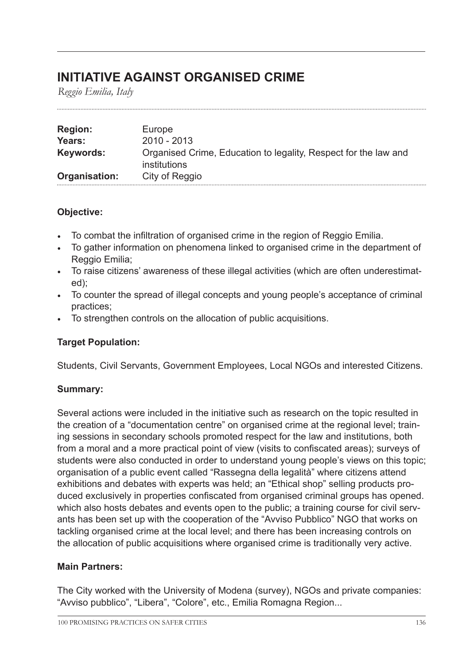# **INITIATIVE AGAINST ORGANISED CRIME**

*Reggio Emilia, Italy*

| <b>Region:</b> | Europe                                                                          |
|----------------|---------------------------------------------------------------------------------|
| Years:         | $2010 - 2013$                                                                   |
| Keywords:      | Organised Crime, Education to legality, Respect for the law and<br>institutions |
| Organisation:  | City of Reggio                                                                  |

# **Objective:**

- To combat the infiltration of organised crime in the region of Reggio Emilia.
- To gather information on phenomena linked to organised crime in the department of Reggio Emilia;
- To raise citizens' awareness of these illegal activities (which are often underestimated);
- To counter the spread of illegal concepts and young people's acceptance of criminal practices;
- To strengthen controls on the allocation of public acquisitions.

# **Target Population:**

Students, Civil Servants, Government Employees, Local NGOs and interested Citizens.

# **Summary:**

Several actions were included in the initiative such as research on the topic resulted in the creation of a "documentation centre" on organised crime at the regional level; training sessions in secondary schools promoted respect for the law and institutions, both from a moral and a more practical point of view (visits to confiscated areas); surveys of students were also conducted in order to understand young people's views on this topic; organisation of a public event called "Rassegna della legalità" where citizens attend exhibitions and debates with experts was held; an "Ethical shop" selling products produced exclusively in properties confiscated from organised criminal groups has opened. which also hosts debates and events open to the public; a training course for civil servants has been set up with the cooperation of the "Avviso Pubblico" NGO that works on tackling organised crime at the local level; and there has been increasing controls on the allocation of public acquisitions where organised crime is traditionally very active.

# **Main Partners:**

The City worked with the University of Modena (survey), NGOs and private companies: "Avviso pubblico", "Libera", "Colore", etc., Emilia Romagna Region...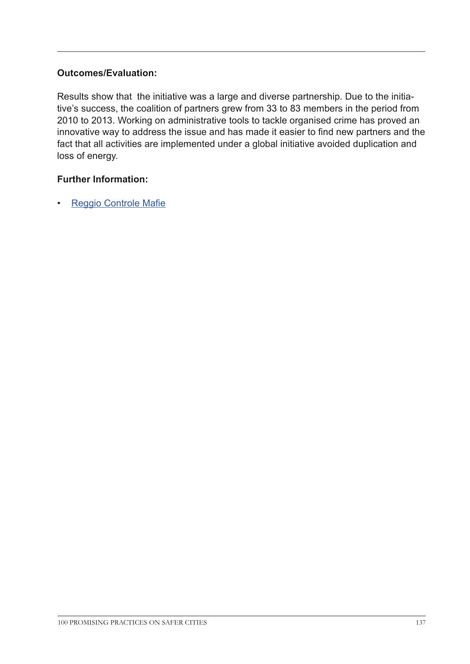Results show that the initiative was a large and diverse partnership. Due to the initiative's success, the coalition of partners grew from 33 to 83 members in the period from 2010 to 2013. Working on administrative tools to tackle organised crime has proved an innovative way to address the issue and has made it easier to find new partners and the fact that all activities are implemented under a global initiative avoided duplication and loss of energy.

## **Further Information:**

• [Reggio Controle Mafie](http://www.reggiocontrolemafie.it/
)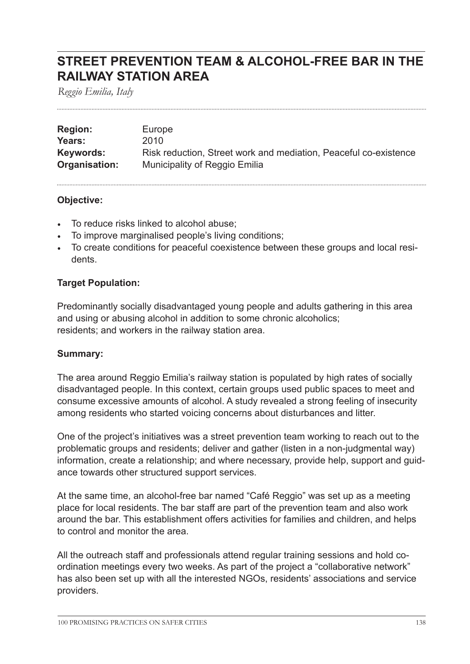# **STREET PREVENTION TEAM & ALCOHOL-FREE BAR IN THE RAILWAY STATION AREA**

*Reggio Emilia, Italy*

| <b>Region:</b> | Europe                                                           |
|----------------|------------------------------------------------------------------|
| Years:         | 2010                                                             |
| Keywords:      | Risk reduction, Street work and mediation, Peaceful co-existence |
| Organisation:  | Municipality of Reggio Emilia                                    |

#### **Objective:**

- To reduce risks linked to alcohol abuse;
- To improve marginalised people's living conditions;
- To create conditions for peaceful coexistence between these groups and local residents.

## **Target Population:**

Predominantly socially disadvantaged young people and adults gathering in this area and using or abusing alcohol in addition to some chronic alcoholics; residents; and workers in the railway station area.

#### **Summary:**

The area around Reggio Emilia's railway station is populated by high rates of socially disadvantaged people. In this context, certain groups used public spaces to meet and consume excessive amounts of alcohol. A study revealed a strong feeling of insecurity among residents who started voicing concerns about disturbances and litter.

One of the project's initiatives was a street prevention team working to reach out to the problematic groups and residents; deliver and gather (listen in a non-judgmental way) information, create a relationship; and where necessary, provide help, support and guidance towards other structured support services.

At the same time, an alcohol-free bar named "Café Reggio" was set up as a meeting place for local residents. The bar staff are part of the prevention team and also work around the bar. This establishment offers activities for families and children, and helps to control and monitor the area.

All the outreach staff and professionals attend regular training sessions and hold coordination meetings every two weeks. As part of the project a "collaborative network" has also been set up with all the interested NGOs, residents' associations and service providers.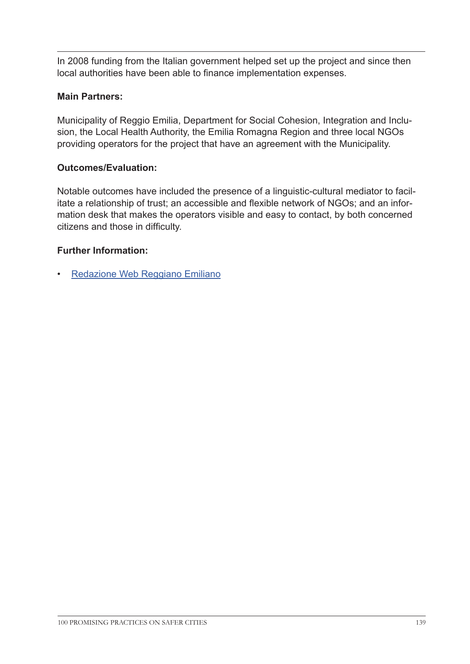In 2008 funding from the Italian government helped set up the project and since then local authorities have been able to finance implementation expenses.

# **Main Partners:**

Municipality of Reggio Emilia, Department for Social Cohesion, Integration and Inclusion, the Local Health Authority, the Emilia Romagna Region and three local NGOs providing operators for the project that have an agreement with the Municipality.

# **Outcomes/Evaluation:**

Notable outcomes have included the presence of a linguistic-cultural mediator to facilitate a relationship of trust; an accessible and flexible network of NGOs; and an information desk that makes the operators visible and easy to contact, by both concerned citizens and those in difficulty.

# **Further Information:**

• [Redazione Web Reggiano Emiliano]( http://www.youtube.com/watch?v=Oq7RtNJue8A#t=268)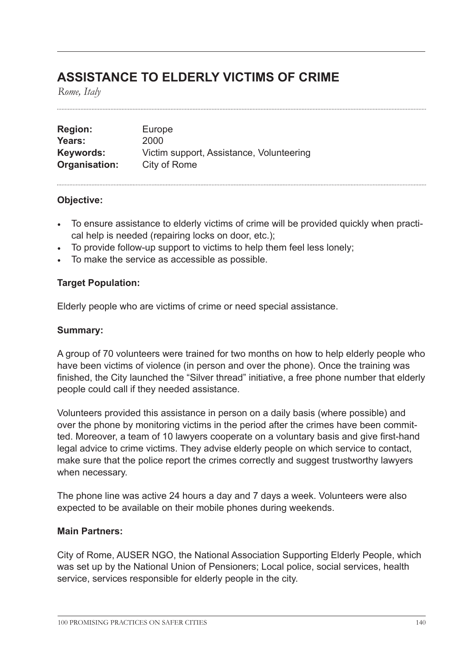# **ASSISTANCE TO ELDERLY VICTIMS OF CRIME**

*Rome, Italy*

| <b>Region:</b> | Europe                                   |
|----------------|------------------------------------------|
| Years:         | 2000                                     |
| Keywords:      | Victim support, Assistance, Volunteering |
| Organisation:  | City of Rome                             |

#### **Objective:**

- To ensure assistance to elderly victims of crime will be provided quickly when practical help is needed (repairing locks on door, etc.);
- To provide follow-up support to victims to help them feel less lonely;
- To make the service as accessible as possible.

#### **Target Population:**

Elderly people who are victims of crime or need special assistance.

#### **Summary:**

A group of 70 volunteers were trained for two months on how to help elderly people who have been victims of violence (in person and over the phone). Once the training was finished, the City launched the "Silver thread" initiative, a free phone number that elderly people could call if they needed assistance.

Volunteers provided this assistance in person on a daily basis (where possible) and over the phone by monitoring victims in the period after the crimes have been committed. Moreover, a team of 10 lawyers cooperate on a voluntary basis and give first-hand legal advice to crime victims. They advise elderly people on which service to contact, make sure that the police report the crimes correctly and suggest trustworthy lawyers when necessary.

The phone line was active 24 hours a day and 7 days a week. Volunteers were also expected to be available on their mobile phones during weekends.

#### **Main Partners:**

City of Rome, AUSER NGO, the National Association Supporting Elderly People, which was set up by the National Union of Pensioners; Local police, social services, health service, services responsible for elderly people in the city.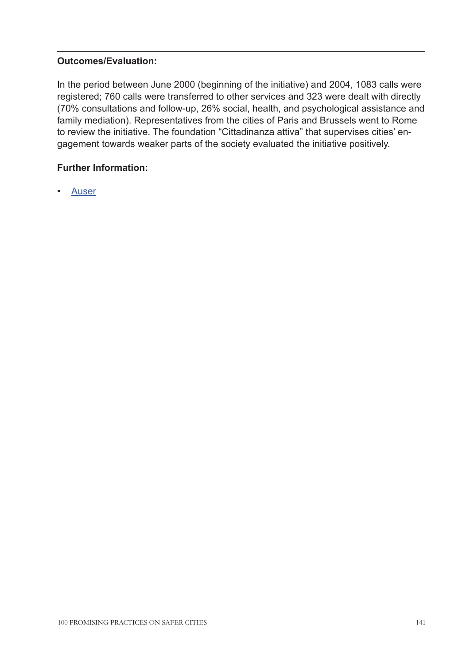In the period between June 2000 (beginning of the initiative) and 2004, 1083 calls were registered; 760 calls were transferred to other services and 323 were dealt with directly (70% consultations and follow-up, 26% social, health, and psychological assistance and family mediation). Representatives from the cities of Paris and Brussels went to Rome to review the initiative. The foundation "Cittadinanza attiva" that supervises cities' engagement towards weaker parts of the society evaluated the initiative positively.

# **Further Information:**

• [Auser](http://www1.auser.it/IT/HomePage
)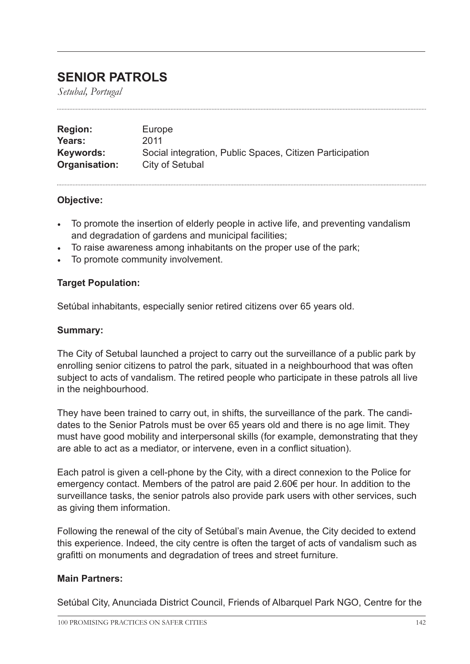# **SENIOR PATROLS**

*Setubal, Portugal*

| <b>Region:</b> | Europe                                                   |
|----------------|----------------------------------------------------------|
| Years:         | 2011                                                     |
| Keywords:      | Social integration, Public Spaces, Citizen Participation |
| Organisation:  | City of Setubal                                          |

#### **Objective:**

- To promote the insertion of elderly people in active life, and preventing vandalism and degradation of gardens and municipal facilities;
- To raise awareness among inhabitants on the proper use of the park;
- To promote community involvement.

## **Target Population:**

Setúbal inhabitants, especially senior retired citizens over 65 years old.

### **Summary:**

The City of Setubal launched a project to carry out the surveillance of a public park by enrolling senior citizens to patrol the park, situated in a neighbourhood that was often subject to acts of vandalism. The retired people who participate in these patrols all live in the neighbourhood.

They have been trained to carry out, in shifts, the surveillance of the park. The candidates to the Senior Patrols must be over 65 years old and there is no age limit. They must have good mobility and interpersonal skills (for example, demonstrating that they are able to act as a mediator, or intervene, even in a conflict situation).

Each patrol is given a cell-phone by the City, with a direct connexion to the Police for emergency contact. Members of the patrol are paid 2.60€ per hour. In addition to the surveillance tasks, the senior patrols also provide park users with other services, such as giving them information.

Following the renewal of the city of Setúbal's main Avenue, the City decided to extend this experience. Indeed, the city centre is often the target of acts of vandalism such as grafitti on monuments and degradation of trees and street furniture.

#### **Main Partners:**

Setúbal City, Anunciada District Council, Friends of Albarquel Park NGO, Centre for the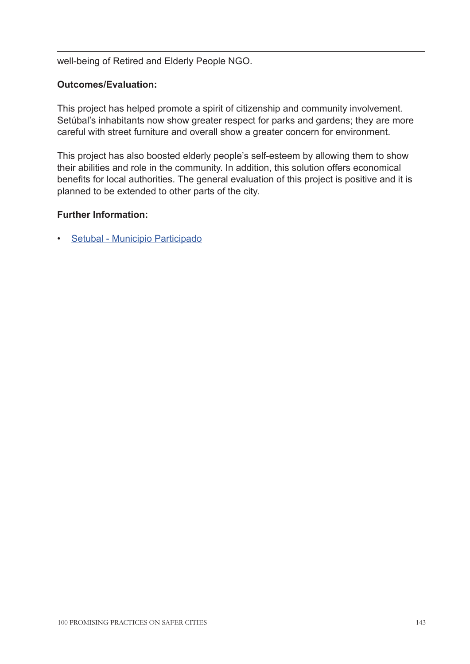well-being of Retired and Elderly People NGO.

## **Outcomes/Evaluation:**

This project has helped promote a spirit of citizenship and community involvement. Setúbal's inhabitants now show greater respect for parks and gardens; they are more careful with street furniture and overall show a greater concern for environment.

This project has also boosted elderly people's self-esteem by allowing them to show their abilities and role in the community. In addition, this solution offers economical benefits for local authorities. The general evaluation of this project is positive and it is planned to be extended to other parts of the city.

#### **Further Information:**

• [Setubal - Municipio Participado](http://www.mun-setubal.pt/ 
)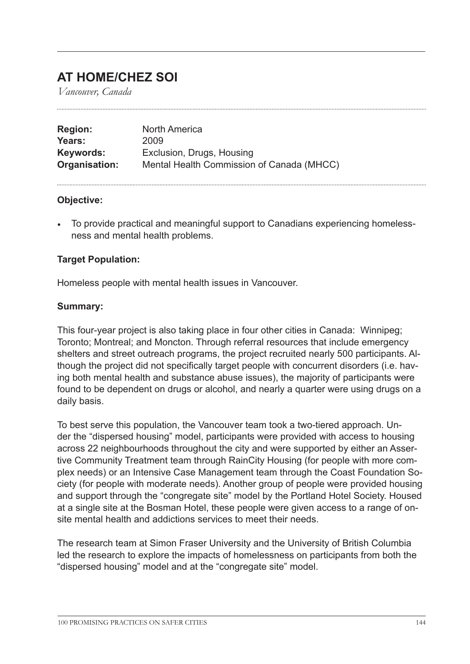# **AT HOME/CHEZ SOI**

*Vancouver, Canada*

| <b>Region:</b> | North America                             |
|----------------|-------------------------------------------|
| Years:         | 2009                                      |
| Keywords:      | Exclusion, Drugs, Housing                 |
| Organisation:  | Mental Health Commission of Canada (MHCC) |

#### **Objective:**

• To provide practical and meaningful support to Canadians experiencing homelessness and mental health problems.

#### **Target Population:**

Homeless people with mental health issues in Vancouver.

#### **Summary:**

This four-year project is also taking place in four other cities in Canada: Winnipeg; Toronto; Montreal; and Moncton. Through referral resources that include emergency shelters and street outreach programs, the project recruited nearly 500 participants. Although the project did not specifically target people with concurrent disorders (i.e. having both mental health and substance abuse issues), the majority of participants were found to be dependent on drugs or alcohol, and nearly a quarter were using drugs on a daily basis.

To best serve this population, the Vancouver team took a two-tiered approach. Under the "dispersed housing" model, participants were provided with access to housing across 22 neighbourhoods throughout the city and were supported by either an Assertive Community Treatment team through RainCity Housing (for people with more complex needs) or an Intensive Case Management team through the Coast Foundation Society (for people with moderate needs). Another group of people were provided housing and support through the "congregate site" model by the Portland Hotel Society. Housed at a single site at the Bosman Hotel, these people were given access to a range of onsite mental health and addictions services to meet their needs.

The research team at Simon Fraser University and the University of British Columbia led the research to explore the impacts of homelessness on participants from both the "dispersed housing" model and at the "congregate site" model.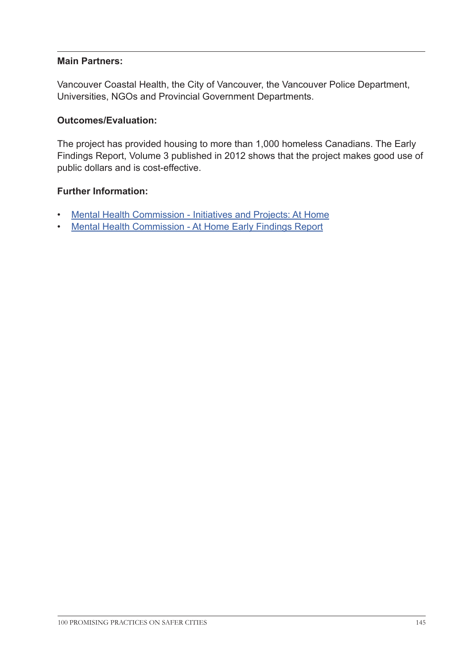## **Main Partners:**

Vancouver Coastal Health, the City of Vancouver, the Vancouver Police Department, Universities, NGOs and Provincial Government Departments.

### **Outcomes/Evaluation:**

The project has provided housing to more than 1,000 homeless Canadians. The Early Findings Report, Volume 3 published in 2012 shows that the project makes good use of public dollars and is cost-effective.

- [Mental Health Commission Initiatives and Projects: At Home](http://www.mentalhealthcommission.ca/English/initiatives-and-projects/home?terminitial=38&routetoken=f28a159f7f50911693a59ee1c4941372 )
- [Mental Health Commission At Home Early Findings Report](http://www.mentalhealthcommission.ca/English/node/775?terminitial=41 
)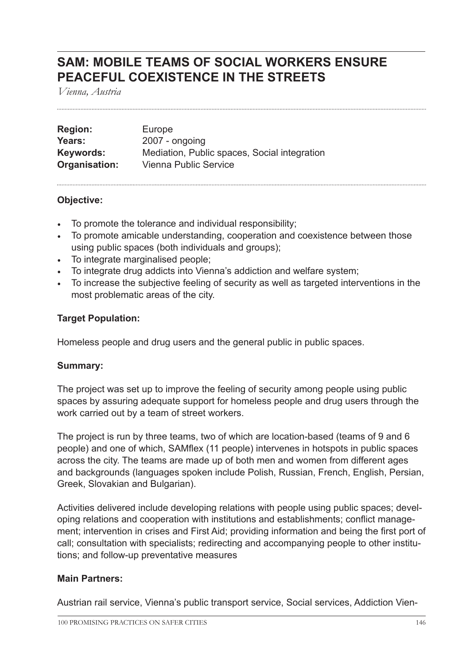## **SAM: MOBILE TEAMS OF SOCIAL WORKERS ENSURE PEACEFUL COEXISTENCE IN THE STREETS**

*Vienna, Austria*

| <b>Region:</b> | Europe                                       |
|----------------|----------------------------------------------|
| Years:         | 2007 - ongoing                               |
| Keywords:      | Mediation, Public spaces, Social integration |
| Organisation:  | Vienna Public Service                        |

## **Objective:**

- To promote the tolerance and individual responsibility;
- To promote amicable understanding, cooperation and coexistence between those using public spaces (both individuals and groups);
- To integrate marginalised people;
- To integrate drug addicts into Vienna's addiction and welfare system;
- To increase the subjective feeling of security as well as targeted interventions in the most problematic areas of the city.

## **Target Population:**

Homeless people and drug users and the general public in public spaces.

#### **Summary:**

The project was set up to improve the feeling of security among people using public spaces by assuring adequate support for homeless people and drug users through the work carried out by a team of street workers.

The project is run by three teams, two of which are location-based (teams of 9 and 6 people) and one of which, SAMflex (11 people) intervenes in hotspots in public spaces across the city. The teams are made up of both men and women from different ages and backgrounds (languages spoken include Polish, Russian, French, English, Persian, Greek, Slovakian and Bulgarian).

Activities delivered include developing relations with people using public spaces; developing relations and cooperation with institutions and establishments; conflict management; intervention in crises and First Aid; providing information and being the first port of call; consultation with specialists; redirecting and accompanying people to other institutions; and follow-up preventative measures

## **Main Partners:**

Austrian rail service, Vienna's public transport service, Social services, Addiction Vien-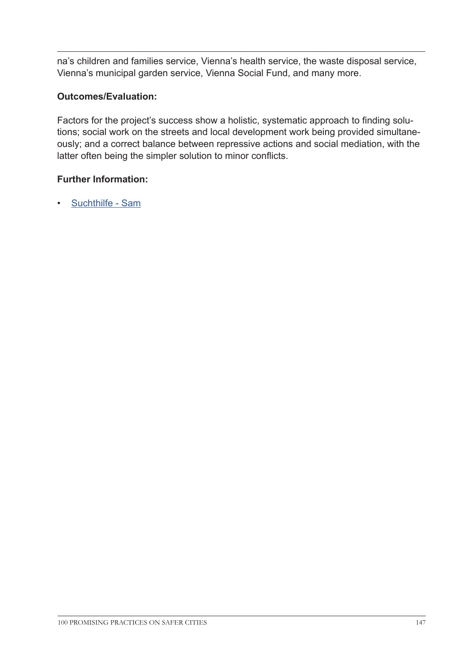na's children and families service, Vienna's health service, the waste disposal service, Vienna's municipal garden service, Vienna Social Fund, and many more.

## **Outcomes/Evaluation:**

Factors for the project's success show a holistic, systematic approach to finding solutions; social work on the streets and local development work being provided simultaneously; and a correct balance between repressive actions and social mediation, with the latter often being the simpler solution to minor conflicts.

## **Further Information:**

• [Suchthilfe - Sam](http://www.suchthilfe.at/mobile-soziale-arbeit/sam/	
)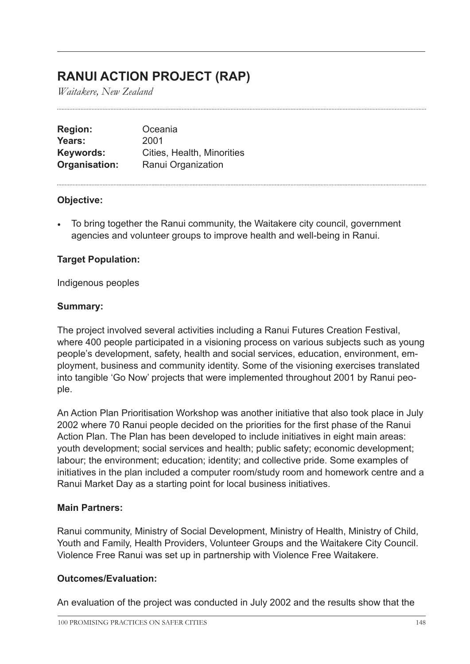## **RANUI ACTION PROJECT (RAP)**

*Waitakere, New Zealand*

**Region:** Oceania **Years:** 2001 **Keywords:** Cities, Health, Minorities **Organisation:** Ranui Organization

## **Objective:**

• To bring together the Ranui community, the Waitakere city council, government agencies and volunteer groups to improve health and well-being in Ranui.

## **Target Population:**

Indigenous peoples

## **Summary:**

The project involved several activities including a Ranui Futures Creation Festival, where 400 people participated in a visioning process on various subjects such as young people's development, safety, health and social services, education, environment, employment, business and community identity. Some of the visioning exercises translated into tangible 'Go Now' projects that were implemented throughout 2001 by Ranui people.

An Action Plan Prioritisation Workshop was another initiative that also took place in July 2002 where 70 Ranui people decided on the priorities for the first phase of the Ranui Action Plan. The Plan has been developed to include initiatives in eight main areas: youth development; social services and health; public safety; economic development; labour; the environment; education; identity; and collective pride. Some examples of initiatives in the plan included a computer room/study room and homework centre and a Ranui Market Day as a starting point for local business initiatives.

## **Main Partners:**

Ranui community, Ministry of Social Development, Ministry of Health, Ministry of Child, Youth and Family, Health Providers, Volunteer Groups and the Waitakere City Council. Violence Free Ranui was set up in partnership with Violence Free Waitakere.

## **Outcomes/Evaluation:**

An evaluation of the project was conducted in July 2002 and the results show that the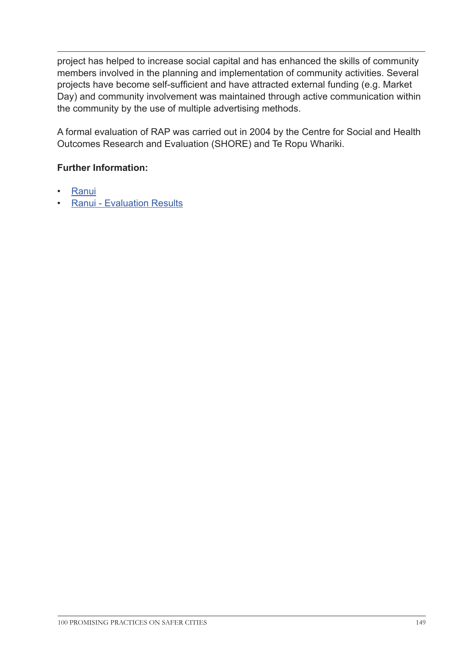project has helped to increase social capital and has enhanced the skills of community members involved in the planning and implementation of community activities. Several projects have become self-sufficient and have attracted external funding (e.g. Market Day) and community involvement was maintained through active communication within the community by the use of multiple advertising methods.

A formal evaluation of RAP was carried out in 2004 by the Centre for Social and Health Outcomes Research and Evaluation (SHORE) and Te Ropu Whariki.

- [Ranui](http://www.ranui.org.nz/  
)
- [Ranui Evaluation Results](http://www.ranui.org.nz/page.php?view=rap_evaluation )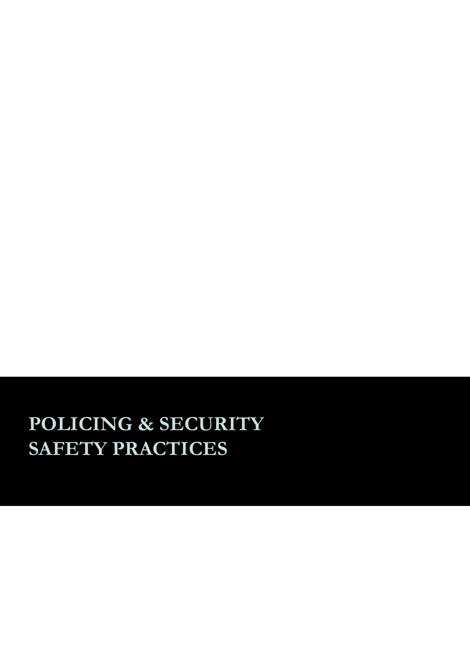# **POLICING & SECURITY SAFETY PRACTICES**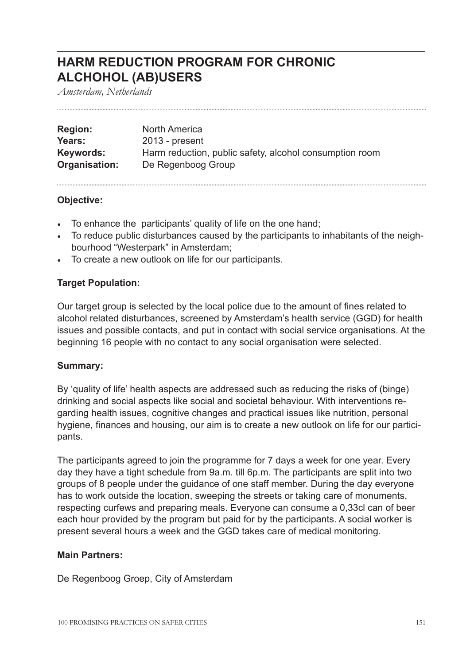## **HARM REDUCTION PROGRAM FOR CHRONIC ALCHOHOL (AB)USERS**

*Amsterdam, Netherlands*

| <b>Region:</b> | North America                                           |
|----------------|---------------------------------------------------------|
| Years:         | $2013$ - present                                        |
| Keywords:      | Harm reduction, public safety, alcohol consumption room |
| Organisation:  | De Regenboog Group                                      |

#### **Objective:**

- To enhance the participants' quality of life on the one hand;
- To reduce public disturbances caused by the participants to inhabitants of the neighbourhood "Westerpark" in Amsterdam;
- To create a new outlook on life for our participants.

## **Target Population:**

Our target group is selected by the local police due to the amount of fines related to alcohol related disturbances, screened by Amsterdam's health service (GGD) for health issues and possible contacts, and put in contact with social service organisations. At the beginning 16 people with no contact to any social organisation were selected.

#### **Summary:**

By 'quality of life' health aspects are addressed such as reducing the risks of (binge) drinking and social aspects like social and societal behaviour. With interventions regarding health issues, cognitive changes and practical issues like nutrition, personal hygiene, finances and housing, our aim is to create a new outlook on life for our participants.

The participants agreed to join the programme for 7 days a week for one year. Every day they have a tight schedule from 9a.m. till 6p.m. The participants are split into two groups of 8 people under the guidance of one staff member. During the day everyone has to work outside the location, sweeping the streets or taking care of monuments, respecting curfews and preparing meals. Everyone can consume a 0,33cl can of beer each hour provided by the program but paid for by the participants. A social worker is present several hours a week and the GGD takes care of medical monitoring.

#### **Main Partners:**

De Regenboog Groep, City of Amsterdam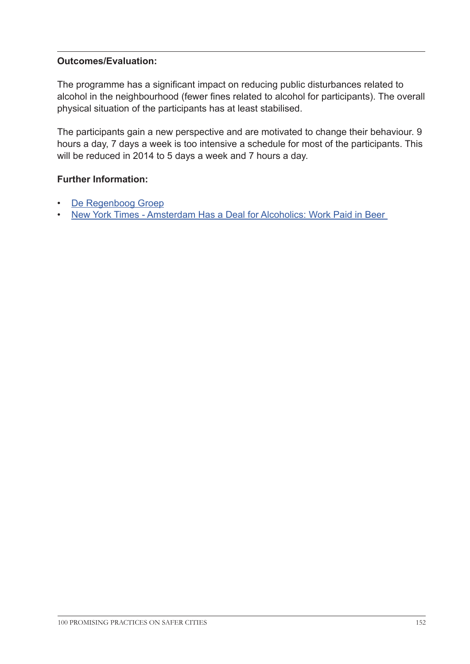## **Outcomes/Evaluation:**

The programme has a significant impact on reducing public disturbances related to alcohol in the neighbourhood (fewer fines related to alcohol for participants). The overall physical situation of the participants has at least stabilised.

The participants gain a new perspective and are motivated to change their behaviour. 9 hours a day, 7 days a week is too intensive a schedule for most of the participants. This will be reduced in 2014 to 5 days a week and 7 hours a day.

- [De Regenboog Groep](http://www.deregenboog.org/en 
)
- [New York Times Amsterdam Has a Deal for Alcoholics: Work Paid in Beer](http://www.nytimes.com/2013/12/05/world/europe/amsterdam-has-a-deal-for-alcoholics-work-paid-in-beer.html?pagewanted=2&_r=0 )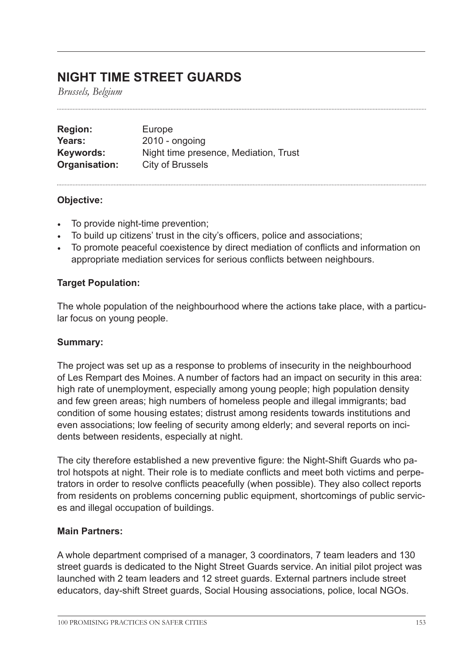## **NIGHT TIME STREET GUARDS**

*Brussels, Belgium*

| <b>Region:</b> | Europe                                |
|----------------|---------------------------------------|
| Years:         | $2010 -$ ongoing                      |
| Keywords:      | Night time presence, Mediation, Trust |
| Organisation:  | City of Brussels                      |

## **Objective:**

- To provide night-time prevention;
- To build up citizens' trust in the city's officers, police and associations;
- To promote peaceful coexistence by direct mediation of conflicts and information on appropriate mediation services for serious conflicts between neighbours.

## **Target Population:**

The whole population of the neighbourhood where the actions take place, with a particular focus on young people.

#### **Summary:**

The project was set up as a response to problems of insecurity in the neighbourhood of Les Rempart des Moines. A number of factors had an impact on security in this area: high rate of unemployment, especially among young people; high population density and few green areas; high numbers of homeless people and illegal immigrants; bad condition of some housing estates; distrust among residents towards institutions and even associations; low feeling of security among elderly; and several reports on incidents between residents, especially at night.

The city therefore established a new preventive figure: the Night-Shift Guards who patrol hotspots at night. Their role is to mediate conflicts and meet both victims and perpetrators in order to resolve conflicts peacefully (when possible). They also collect reports from residents on problems concerning public equipment, shortcomings of public services and illegal occupation of buildings.

#### **Main Partners:**

A whole department comprised of a manager, 3 coordinators, 7 team leaders and 130 street guards is dedicated to the Night Street Guards service. An initial pilot project was launched with 2 team leaders and 12 street guards. External partners include street educators, day-shift Street guards, Social Housing associations, police, local NGOs.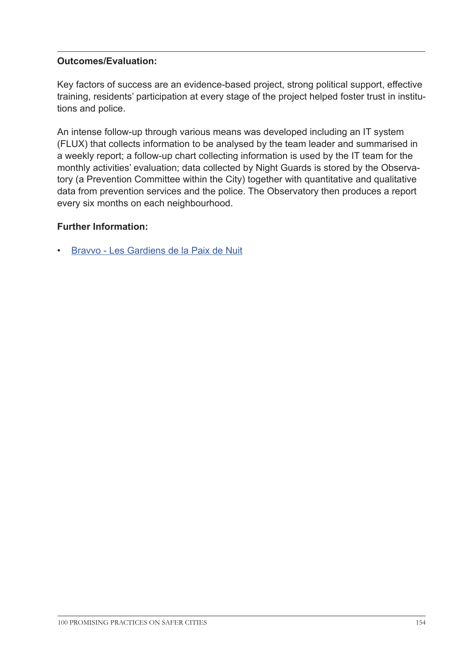## **Outcomes/Evaluation:**

Key factors of success are an evidence-based project, strong political support, effective training, residents' participation at every stage of the project helped foster trust in institutions and police.

An intense follow-up through various means was developed including an IT system (FLUX) that collects information to be analysed by the team leader and summarised in a weekly report; a follow-up chart collecting information is used by the IT team for the monthly activities' evaluation; data collected by Night Guards is stored by the Observatory (a Prevention Committee within the City) together with quantitative and qualitative data from prevention services and the police. The Observatory then produces a report every six months on each neighbourhood.

## **Further Information:**

• [Bravvo - Les Gardiens de la Paix de Nuit](http://bravvo.be/Les-gardiens-de-la-paix-de-nuit
)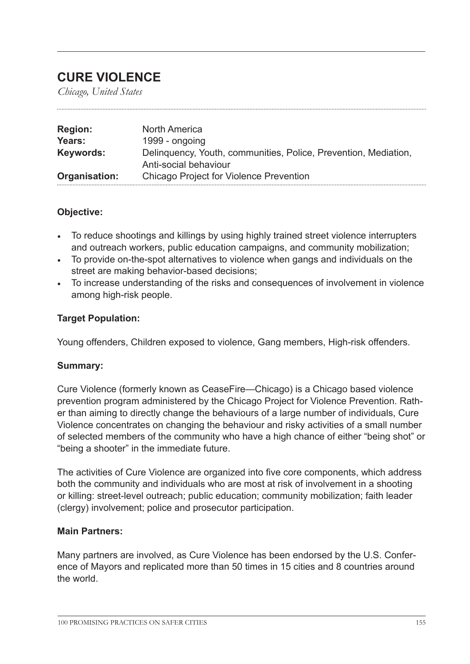## **CURE VIOLENCE**

*Chicago, United States*

| <b>Region:</b> | <b>North America</b>                                                                     |
|----------------|------------------------------------------------------------------------------------------|
| Years:         | 1999 - ongoing                                                                           |
| Keywords:      | Delinquency, Youth, communities, Police, Prevention, Mediation,<br>Anti-social behaviour |
| Organisation:  | <b>Chicago Project for Violence Prevention</b>                                           |

## **Objective:**

- To reduce shootings and killings by using highly trained street violence interrupters and outreach workers, public education campaigns, and community mobilization;
- To provide on-the-spot alternatives to violence when gangs and individuals on the street are making behavior-based decisions;
- To increase understanding of the risks and consequences of involvement in violence among high-risk people.

## **Target Population:**

Young offenders, Children exposed to violence, Gang members, High-risk offenders.

## **Summary:**

Cure Violence (formerly known as CeaseFire—Chicago) is a Chicago based violence prevention program administered by the Chicago Project for Violence Prevention. Rather than aiming to directly change the behaviours of a large number of individuals, Cure Violence concentrates on changing the behaviour and risky activities of a small number of selected members of the community who have a high chance of either "being shot" or "being a shooter" in the immediate future.

The activities of Cure Violence are organized into five core components, which address both the community and individuals who are most at risk of involvement in a shooting or killing: street-level outreach; public education; community mobilization; faith leader (clergy) involvement; police and prosecutor participation.

#### **Main Partners:**

Many partners are involved, as Cure Violence has been endorsed by the U.S. Conference of Mayors and replicated more than 50 times in 15 cities and 8 countries around the world.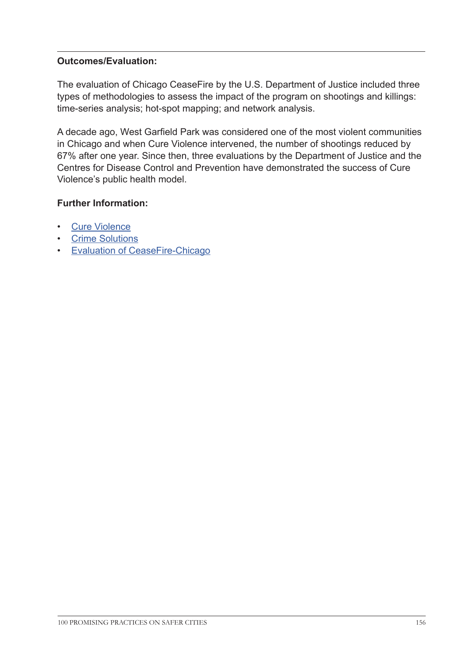## **Outcomes/Evaluation:**

The evaluation of Chicago CeaseFire by the U.S. Department of Justice included three types of methodologies to assess the impact of the program on shootings and killings: time-series analysis; hot-spot mapping; and network analysis.

A decade ago, West Garfield Park was considered one of the most violent communities in Chicago and when Cure Violence intervened, the number of shootings reduced by 67% after one year. Since then, three evaluations by the Department of Justice and the Centres for Disease Control and Prevention have demonstrated the success of Cure Violence's public health model.

- [Cure Violence](http://cureviolence.org/)
- [Crime Solutions](http://www.crimesolutions.gov/ProgramDetails.aspx?ID=205
)
- [Evaluation of CeaseFire-Chicago](https://www.ncjrs.gov/pdffiles1/nij/grants/227181.pdf)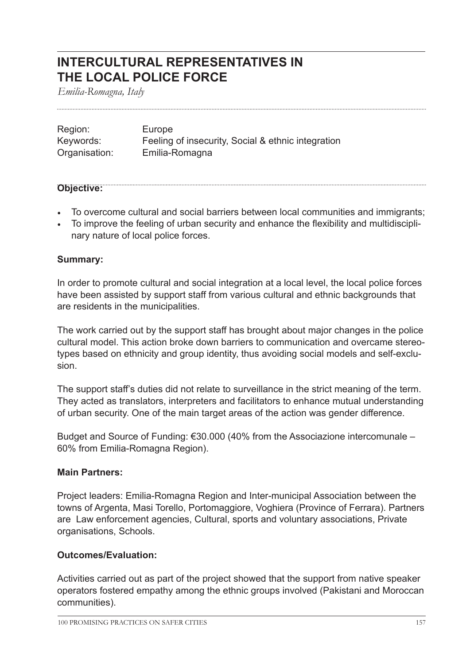## **INTERCULTURAL REPRESENTATIVES IN THE LOCAL POLICE FORCE**

*Emilia-Romagna, Italy*

| Region:       | Europe                                             |
|---------------|----------------------------------------------------|
| Keywords:     | Feeling of insecurity, Social & ethnic integration |
| Organisation: | Emilia-Romagna                                     |

#### **Objective:**

- To overcome cultural and social barriers between local communities and immigrants;
- To improve the feeling of urban security and enhance the flexibility and multidisciplinary nature of local police forces.

## **Summary:**

In order to promote cultural and social integration at a local level, the local police forces have been assisted by support staff from various cultural and ethnic backgrounds that are residents in the municipalities.

The work carried out by the support staff has brought about major changes in the police cultural model. This action broke down barriers to communication and overcame stereotypes based on ethnicity and group identity, thus avoiding social models and self-exclusion.

The support staff's duties did not relate to surveillance in the strict meaning of the term. They acted as translators, interpreters and facilitators to enhance mutual understanding of urban security. One of the main target areas of the action was gender difference.

Budget and Source of Funding: €30.000 (40% from the Associazione intercomunale – 60% from Emilia-Romagna Region).

#### **Main Partners:**

Project leaders: Emilia-Romagna Region and Inter-municipal Association between the towns of Argenta, Masi Torello, Portomaggiore, Voghiera (Province of Ferrara). Partners are Law enforcement agencies, Cultural, sports and voluntary associations, Private organisations, Schools.

#### **Outcomes/Evaluation:**

Activities carried out as part of the project showed that the support from native speaker operators fostered empathy among the ethnic groups involved (Pakistani and Moroccan communities).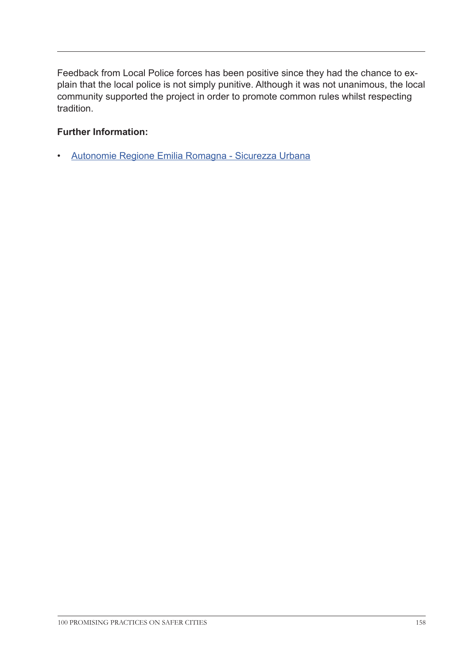Feedback from Local Police forces has been positive since they had the chance to explain that the local police is not simply punitive. Although it was not unanimous, the local community supported the project in order to promote common rules whilst respecting tradition.

## **Further Information:**

• [Autonomie Regione Emilia Romagna - Sicurezza Urbana](http://autonomie.regione.emilia-romagna.it/sicurezza-urbana/sicurezza-urbana)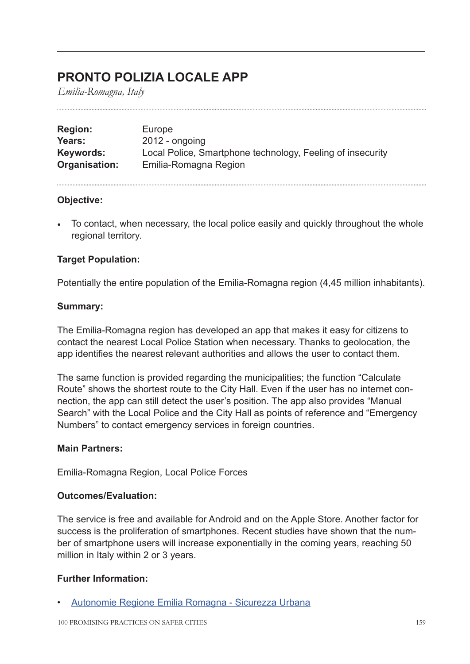## **PRONTO POLIZIA LOCALE APP**

*Emilia-Romagna, Italy*

| <b>Region:</b> | Europe                                                     |
|----------------|------------------------------------------------------------|
| Years:         | $2012$ - ongoing                                           |
| Keywords:      | Local Police, Smartphone technology, Feeling of insecurity |
| Organisation:  | Emilia-Romagna Region                                      |

## **Objective:**

• To contact, when necessary, the local police easily and quickly throughout the whole regional territory.

## **Target Population:**

Potentially the entire population of the Emilia-Romagna region (4,45 million inhabitants).

#### **Summary:**

The Emilia-Romagna region has developed an app that makes it easy for citizens to contact the nearest Local Police Station when necessary. Thanks to geolocation, the app identifies the nearest relevant authorities and allows the user to contact them.

The same function is provided regarding the municipalities; the function "Calculate Route" shows the shortest route to the City Hall. Even if the user has no internet connection, the app can still detect the user's position. The app also provides "Manual Search" with the Local Police and the City Hall as points of reference and "Emergency Numbers" to contact emergency services in foreign countries.

#### **Main Partners:**

Emilia-Romagna Region, Local Police Forces

#### **Outcomes/Evaluation:**

The service is free and available for Android and on the Apple Store. Another factor for success is the proliferation of smartphones. Recent studies have shown that the number of smartphone users will increase exponentially in the coming years, reaching 50 million in Italy within 2 or 3 years.

#### **Further Information:**

• [Autonomie Regione Emilia Romagna - Sicurezza Urbana](http://autonomie.regione.emilia-romagna.it/sicurezza-urbana/sicurezza-urbana)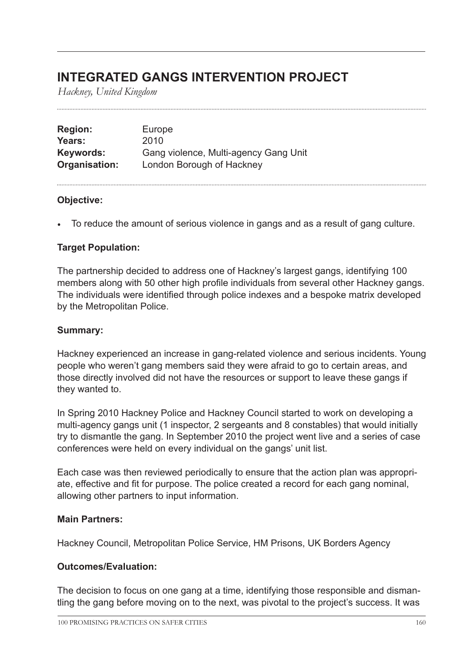## **INTEGRATED GANGS INTERVENTION PROJECT**

*Hackney, United Kingdom*

| <b>Region:</b> | Europe                                |
|----------------|---------------------------------------|
| Years:         | 2010                                  |
| Keywords:      | Gang violence, Multi-agency Gang Unit |
| Organisation:  | London Borough of Hackney             |

## **Objective:**

• To reduce the amount of serious violence in gangs and as a result of gang culture.

## **Target Population:**

The partnership decided to address one of Hackney's largest gangs, identifying 100 members along with 50 other high profile individuals from several other Hackney gangs. The individuals were identified through police indexes and a bespoke matrix developed by the Metropolitan Police.

#### **Summary:**

Hackney experienced an increase in gang-related violence and serious incidents. Young people who weren't gang members said they were afraid to go to certain areas, and those directly involved did not have the resources or support to leave these gangs if they wanted to.

In Spring 2010 Hackney Police and Hackney Council started to work on developing a multi-agency gangs unit (1 inspector, 2 sergeants and 8 constables) that would initially try to dismantle the gang. In September 2010 the project went live and a series of case conferences were held on every individual on the gangs' unit list.

Each case was then reviewed periodically to ensure that the action plan was appropriate, effective and fit for purpose. The police created a record for each gang nominal, allowing other partners to input information.

#### **Main Partners:**

Hackney Council, Metropolitan Police Service, HM Prisons, UK Borders Agency

#### **Outcomes/Evaluation:**

The decision to focus on one gang at a time, identifying those responsible and dismantling the gang before moving on to the next, was pivotal to the project's success. It was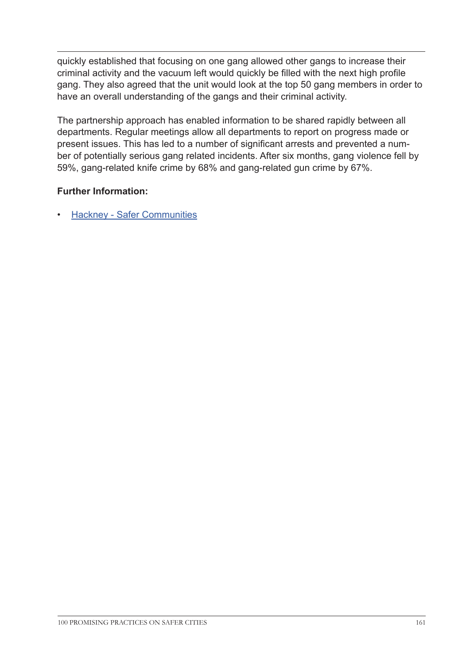quickly established that focusing on one gang allowed other gangs to increase their criminal activity and the vacuum left would quickly be filled with the next high profile gang. They also agreed that the unit would look at the top 50 gang members in order to have an overall understanding of the gangs and their criminal activity.

The partnership approach has enabled information to be shared rapidly between all departments. Regular meetings allow all departments to report on progress made or present issues. This has led to a number of significant arrests and prevented a number of potentially serious gang related incidents. After six months, gang violence fell by 59%, gang-related knife crime by 68% and gang-related gun crime by 67%.

## **Further Information:**

**[Hackney - Safer Communities](http://www.hackney.gov.uk/safer-communities-crime-community-safety.htm#
)**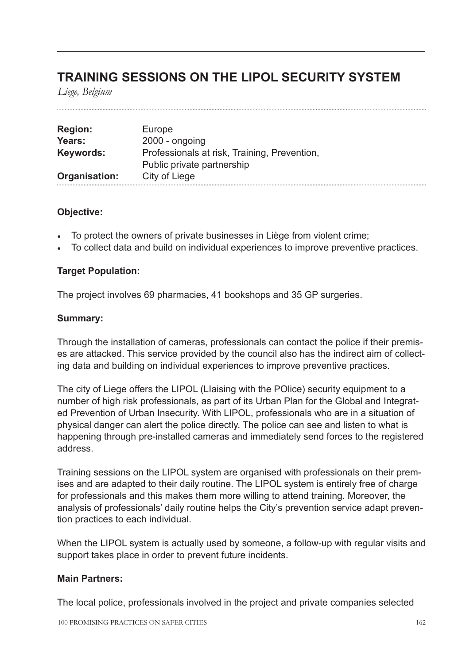## **TRAINING SESSIONS ON THE LIPOL SECURITY SYSTEM**

*Liege, Belgium*

| <b>Region:</b> | Europe                                       |
|----------------|----------------------------------------------|
| Years:         | $2000 - ongoing$                             |
| Keywords:      | Professionals at risk, Training, Prevention, |
|                | Public private partnership                   |
| Organisation:  | City of Liege                                |

## **Objective:**

- To protect the owners of private businesses in Liège from violent crime;
- To collect data and build on individual experiences to improve preventive practices.

#### **Target Population:**

The project involves 69 pharmacies, 41 bookshops and 35 GP surgeries.

#### **Summary:**

Through the installation of cameras, professionals can contact the police if their premises are attacked. This service provided by the council also has the indirect aim of collecting data and building on individual experiences to improve preventive practices.

The city of Liege offers the LIPOL (LIaising with the POlice) security equipment to a number of high risk professionals, as part of its Urban Plan for the Global and Integrated Prevention of Urban Insecurity. With LIPOL, professionals who are in a situation of physical danger can alert the police directly. The police can see and listen to what is happening through pre-installed cameras and immediately send forces to the registered address.

Training sessions on the LIPOL system are organised with professionals on their premises and are adapted to their daily routine. The LIPOL system is entirely free of charge for professionals and this makes them more willing to attend training. Moreover, the analysis of professionals' daily routine helps the City's prevention service adapt prevention practices to each individual.

When the LIPOL system is actually used by someone, a follow-up with regular visits and support takes place in order to prevent future incidents.

#### **Main Partners:**

The local police, professionals involved in the project and private companies selected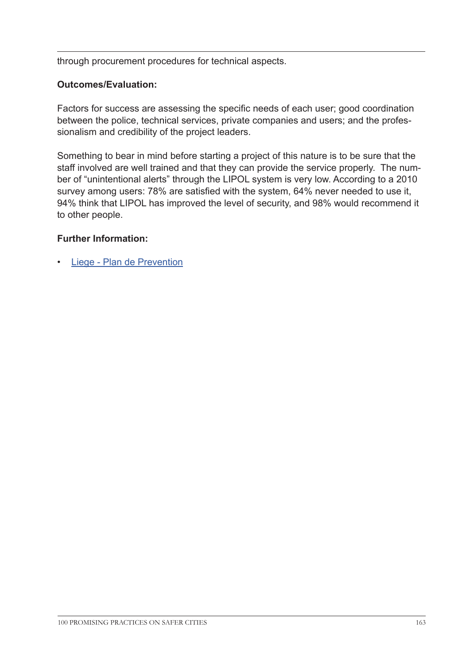through procurement procedures for technical aspects.

## **Outcomes/Evaluation:**

Factors for success are assessing the specific needs of each user; good coordination between the police, technical services, private companies and users; and the professionalism and credibility of the project leaders.

Something to bear in mind before starting a project of this nature is to be sure that the staff involved are well trained and that they can provide the service properly. The number of "unintentional alerts" through the LIPOL system is very low. According to a 2010 survey among users: 78% are satisfied with the system, 64% never needed to use it, 94% think that LIPOL has improved the level of security, and 98% would recommend it to other people.

## **Further Information:**

• [Liege - Plan de Prevention](http://www.liege.be/securite/plan-de-prevention
)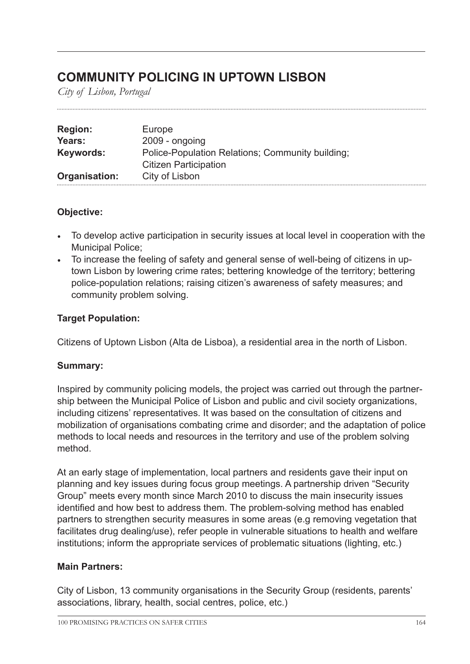## **COMMUNITY POLICING IN UPTOWN LISBON**

*City of Lisbon, Portugal*

| <b>Region:</b> | Europe                                           |
|----------------|--------------------------------------------------|
| Years:         | $2009 - ongoing$                                 |
| Keywords:      | Police-Population Relations; Community building; |
|                | <b>Citizen Participation</b>                     |
| Organisation:  | City of Lisbon                                   |

## **Objective:**

- To develop active participation in security issues at local level in cooperation with the Municipal Police;
- To increase the feeling of safety and general sense of well-being of citizens in uptown Lisbon by lowering crime rates; bettering knowledge of the territory; bettering police-population relations; raising citizen's awareness of safety measures; and community problem solving.

## **Target Population:**

Citizens of Uptown Lisbon (Alta de Lisboa), a residential area in the north of Lisbon.

## **Summary:**

Inspired by community policing models, the project was carried out through the partnership between the Municipal Police of Lisbon and public and civil society organizations, including citizens' representatives. It was based on the consultation of citizens and mobilization of organisations combating crime and disorder; and the adaptation of police methods to local needs and resources in the territory and use of the problem solving method.

At an early stage of implementation, local partners and residents gave their input on planning and key issues during focus group meetings. A partnership driven "Security Group" meets every month since March 2010 to discuss the main insecurity issues identified and how best to address them. The problem-solving method has enabled partners to strengthen security measures in some areas (e.g removing vegetation that facilitates drug dealing/use), refer people in vulnerable situations to health and welfare institutions; inform the appropriate services of problematic situations (lighting, etc.)

## **Main Partners:**

City of Lisbon, 13 community organisations in the Security Group (residents, parents' associations, library, health, social centres, police, etc.)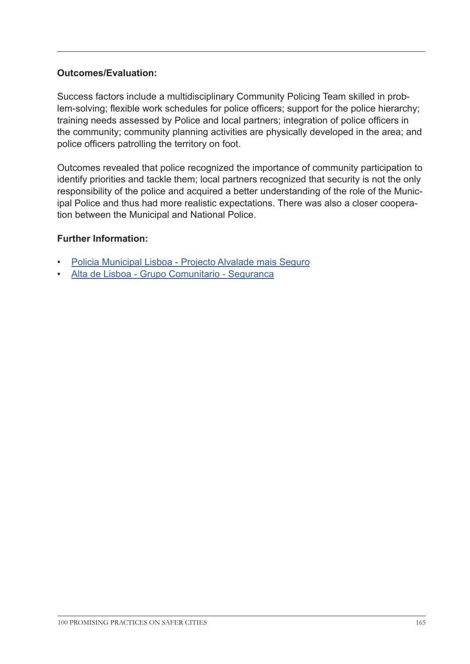## **Outcomes/Evaluation:**

Success factors include a multidisciplinary Community Policing Team skilled in problem-solving; flexible work schedules for police officers; support for the police hierarchy; training needs assessed by Police and local partners; integration of police officers in the community; community planning activities are physically developed in the area; and police officers patrolling the territory on foot.

Outcomes revealed that police recognized the importance of community participation to identify priorities and tackle them; local partners recognized that security is not the only responsibility of the police and acquired a better understanding of the role of the Municipal Police and thus had more realistic expectations. There was also a closer cooperation between the Municipal and National Police.

- [Policia Municipal Lisboa Projecto Alvalade mais Seguro](http://pm.cm-lisboa.pt/conteudos/menu-principal/area-operacional/policiamento-comunitario.html )
- [Alta de Lisboa Grupo Comunitario Seguranca](http://grupocomunitarioalta.wordpress.com/category/seguranca/ 
)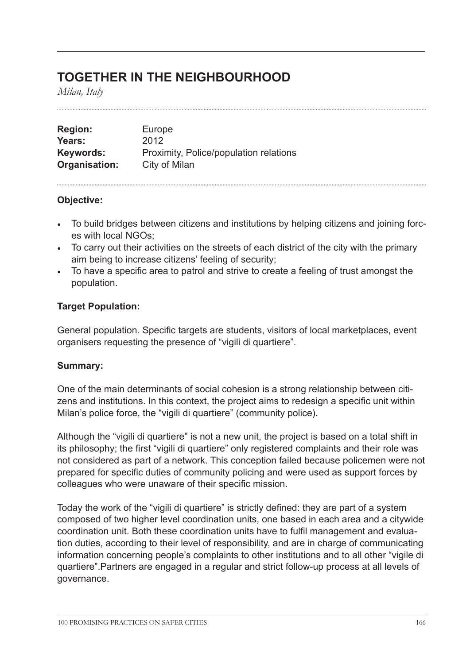## **TOGETHER IN THE NEIGHBOURHOOD**

*Milan, Italy*

| <b>Region:</b> | Europe                                 |
|----------------|----------------------------------------|
| Years:         | 2012                                   |
| Keywords:      | Proximity, Police/population relations |
| Organisation:  | City of Milan                          |

## **Objective:**

- To build bridges between citizens and institutions by helping citizens and joining forces with local NGOs;
- To carry out their activities on the streets of each district of the city with the primary aim being to increase citizens' feeling of security;
- To have a specific area to patrol and strive to create a feeling of trust amongst the population.

## **Target Population:**

General population. Specific targets are students, visitors of local marketplaces, event organisers requesting the presence of "vigili di quartiere".

#### **Summary:**

One of the main determinants of social cohesion is a strong relationship between citizens and institutions. In this context, the project aims to redesign a specific unit within Milan's police force, the "vigili di quartiere" (community police).

Although the "vigili di quartiere" is not a new unit, the project is based on a total shift in its philosophy; the first "vigili di quartiere" only registered complaints and their role was not considered as part of a network. This conception failed because policemen were not prepared for specific duties of community policing and were used as support forces by colleagues who were unaware of their specific mission.

Today the work of the "vigili di quartiere" is strictly defined: they are part of a system composed of two higher level coordination units, one based in each area and a citywide coordination unit. Both these coordination units have to fulfil management and evaluation duties, according to their level of responsibility, and are in charge of communicating information concerning people's complaints to other institutions and to all other "vigile di quartiere".Partners are engaged in a regular and strict follow-up process at all levels of governance.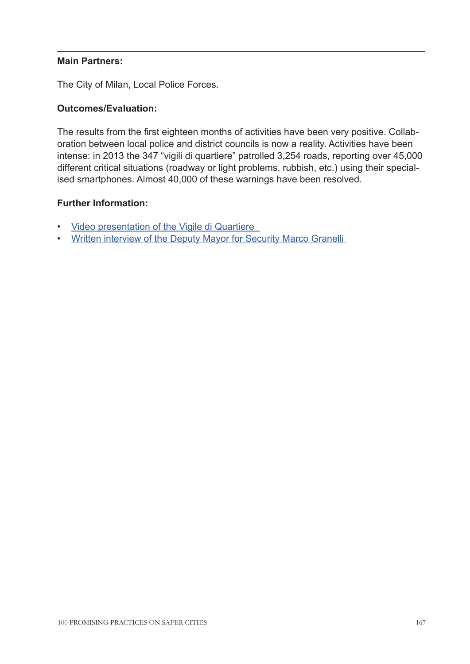## **Main Partners:**

The City of Milan, Local Police Forces.

## **Outcomes/Evaluation:**

The results from the first eighteen months of activities have been very positive. Collaboration between local police and district councils is now a reality. Activities have been intense: in 2013 the 347 "vigili di quartiere" patrolled 3,254 roads, reporting over 45,000 different critical situations (roadway or light problems, rubbish, etc.) using their specialised smartphones. Almost 40,000 of these warnings have been resolved.

- [Video presentation of the Vigile di Quartiere](https://www.youtube.com/watch?v=ERBnhdPX_JE)
- [Written interview of the Deputy Mayor for Security Marco Granelli](http://www.z3xmi.it/pagina.phtml?_id_articolo=507-Vigili-di-quartiere-verso-il-raddoppio.html)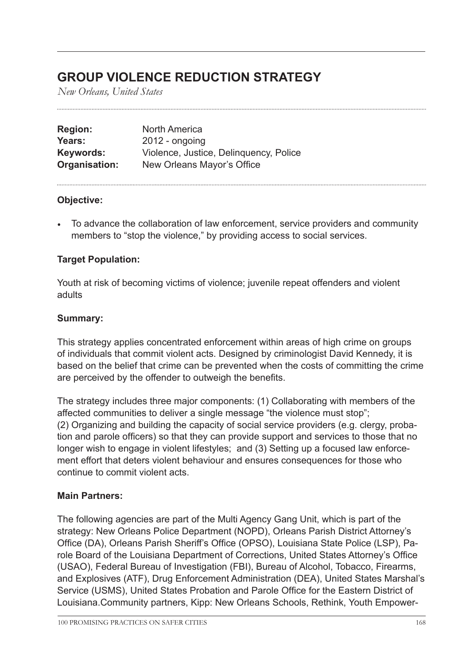## **GROUP VIOLENCE REDUCTION STRATEGY**

*New Orleans, United States*

| <b>Region:</b> | <b>North America</b>                   |
|----------------|----------------------------------------|
| Years:         | $2012$ - ongoing                       |
| Keywords:      | Violence, Justice, Delinguency, Police |
| Organisation:  | New Orleans Mayor's Office             |

## **Objective:**

• To advance the collaboration of law enforcement, service providers and community members to "stop the violence," by providing access to social services.

## **Target Population:**

Youth at risk of becoming victims of violence; juvenile repeat offenders and violent adults

#### **Summary:**

This strategy applies concentrated enforcement within areas of high crime on groups of individuals that commit violent acts. Designed by criminologist David Kennedy, it is based on the belief that crime can be prevented when the costs of committing the crime are perceived by the offender to outweigh the benefits.

The strategy includes three major components: (1) Collaborating with members of the affected communities to deliver a single message "the violence must stop"; (2) Organizing and building the capacity of social service providers (e.g. clergy, probation and parole officers) so that they can provide support and services to those that no longer wish to engage in violent lifestyles; and (3) Setting up a focused law enforcement effort that deters violent behaviour and ensures consequences for those who continue to commit violent acts.

#### **Main Partners:**

The following agencies are part of the Multi Agency Gang Unit, which is part of the strategy: New Orleans Police Department (NOPD), Orleans Parish District Attorney's Office (DA), Orleans Parish Sheriff's Office (OPSO), Louisiana State Police (LSP), Parole Board of the Louisiana Department of Corrections, United States Attorney's Office (USAO), Federal Bureau of Investigation (FBI), Bureau of Alcohol, Tobacco, Firearms, and Explosives (ATF), Drug Enforcement Administration (DEA), United States Marshal's Service (USMS), United States Probation and Parole Office for the Eastern District of Louisiana.Community partners, Kipp: New Orleans Schools, Rethink, Youth Empower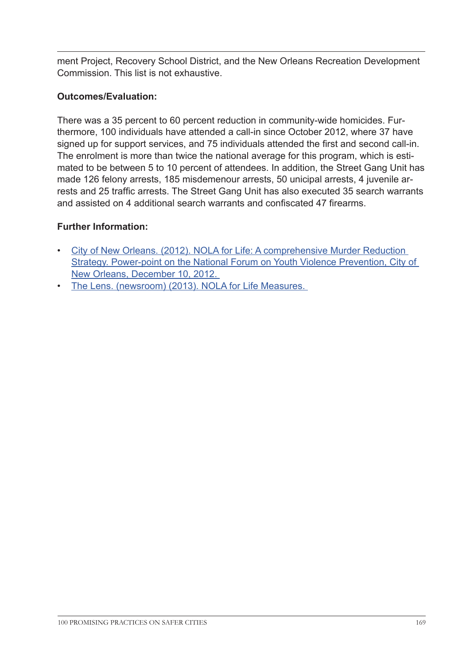ment Project, Recovery School District, and the New Orleans Recreation Development Commission. This list is not exhaustive.

## **Outcomes/Evaluation:**

There was a 35 percent to 60 percent reduction in community-wide homicides. Furthermore, 100 individuals have attended a call-in since October 2012, where 37 have signed up for support services, and 75 individuals attended the first and second call-in. The enrolment is more than twice the national average for this program, which is estimated to be between 5 to 10 percent of attendees. In addition, the Street Gang Unit has made 126 felony arrests, 185 misdemenour arrests, 50 unicipal arrests, 4 juvenile arrests and 25 traffic arrests. The Street Gang Unit has also executed 35 search warrants and assisted on 4 additional search warrants and confiscated 47 firearms.

- [City of New Orleans. \(2012\). NOLA for Life: A comprehensive Murder Reduction](http://www.fbi.gov/neworleans/press-releases/2013/multi-agency-gang-unit-investigation-nets-sweeping-indictment-of-20-defendants)  [Strategy. Power-point on the National Forum on Youth Violence Prevention, City of](http://www.fbi.gov/neworleans/press-releases/2013/multi-agency-gang-unit-investigation-nets-sweeping-indictment-of-20-defendants)  [New Orleans, December 10, 2012.](http://www.fbi.gov/neworleans/press-releases/2013/multi-agency-gang-unit-investigation-nets-sweeping-indictment-of-20-defendants)
- [The Lens. \(newsroom\) \(2013\). NOLA for Life Measures.](http://lensnola.wpengine.netdna-cdn.com/wp-content/uploads/2013/05/NOLA-For-Life-Measures-1.pdf)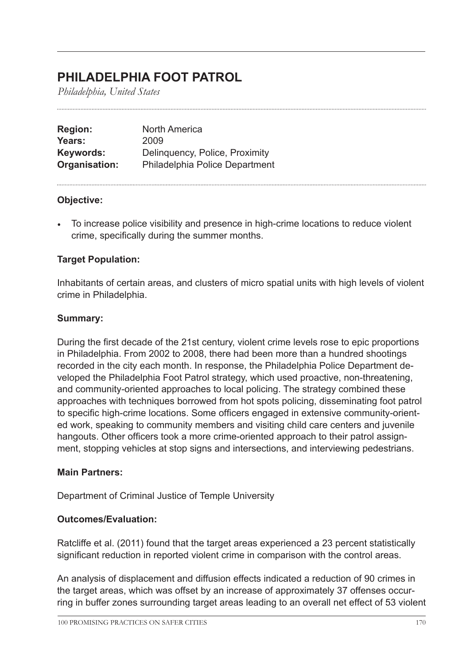## **PHILADELPHIA FOOT PATROL**

*Philadelphia, United States*

| <b>North America</b>           |
|--------------------------------|
| 2009                           |
| Delinquency, Police, Proximity |
| Philadelphia Police Department |
|                                |

## **Objective:**

• To increase police visibility and presence in high-crime locations to reduce violent crime, specifically during the summer months.

## **Target Population:**

Inhabitants of certain areas, and clusters of micro spatial units with high levels of violent crime in Philadelphia.

#### **Summary:**

During the first decade of the 21st century, violent crime levels rose to epic proportions in Philadelphia. From 2002 to 2008, there had been more than a hundred shootings recorded in the city each month. In response, the Philadelphia Police Department developed the Philadelphia Foot Patrol strategy, which used proactive, non-threatening, and community-oriented approaches to local policing. The strategy combined these approaches with techniques borrowed from hot spots policing, disseminating foot patrol to specific high-crime locations. Some officers engaged in extensive community-oriented work, speaking to community members and visiting child care centers and juvenile hangouts. Other officers took a more crime-oriented approach to their patrol assignment, stopping vehicles at stop signs and intersections, and interviewing pedestrians.

#### **Main Partners:**

Department of Criminal Justice of Temple University

#### **Outcomes/Evaluation:**

Ratcliffe et al. (2011) found that the target areas experienced a 23 percent statistically significant reduction in reported violent crime in comparison with the control areas.

An analysis of displacement and diffusion effects indicated a reduction of 90 crimes in the target areas, which was offset by an increase of approximately 37 offenses occurring in buffer zones surrounding target areas leading to an overall net effect of 53 violent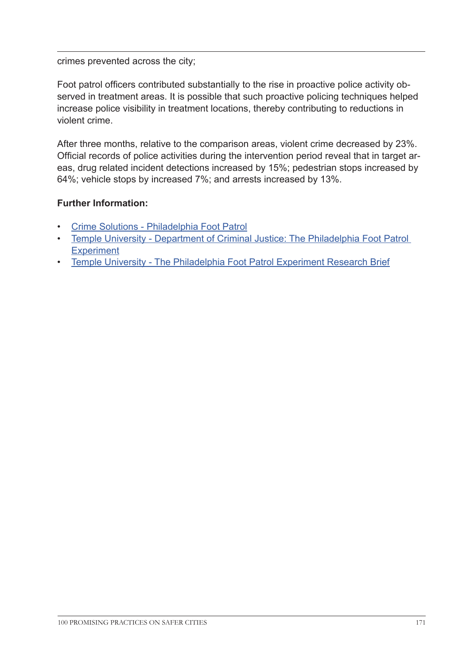#### crimes prevented across the city;

Foot patrol officers contributed substantially to the rise in proactive police activity observed in treatment areas. It is possible that such proactive policing techniques helped increase police visibility in treatment locations, thereby contributing to reductions in violent crime.

After three months, relative to the comparison areas, violent crime decreased by 23%. Official records of police activities during the intervention period reveal that in target areas, drug related incident detections increased by 15%; pedestrian stops increased by 64%; vehicle stops by increased 7%; and arrests increased by 13%.

- [Crime Solutions Philadelphia Foot Patrol](http://www.crimesolutions.gov/ProgramDetails.aspx?ID=234
)
- [Temple University Department of Criminal Justice: The Philadelphia Foot Patrol](http://www.temple.edu/cj/FootPatrolProject/
)  **[Experiment](http://www.temple.edu/cj/FootPatrolProject/
)**
- [Temple University The Philadelphia Foot Patrol Experiment Research Brief](http://www.temple.edu/cj/FootPatrolProject/documents/PFPE_research_brief.pdf
)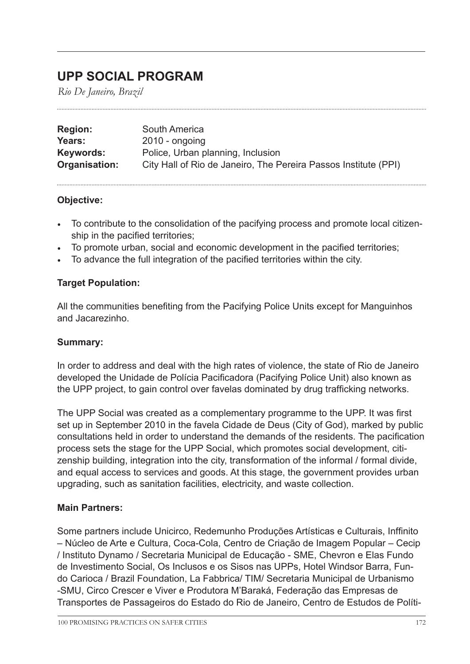## **UPP SOCIAL PROGRAM**

*Rio De Janeiro, Brazil*

| <b>Region:</b> | South America                                                   |
|----------------|-----------------------------------------------------------------|
| Years:         | $2010 -$ ongoing                                                |
| Keywords:      | Police, Urban planning, Inclusion                               |
| Organisation:  | City Hall of Rio de Janeiro, The Pereira Passos Institute (PPI) |

## **Objective:**

- To contribute to the consolidation of the pacifying process and promote local citizenship in the pacified territories;
- To promote urban, social and economic development in the pacified territories;
- To advance the full integration of the pacified territories within the city.

## **Target Population:**

All the communities benefiting from the Pacifying Police Units except for Manguinhos and Jacarezinho.

#### **Summary:**

In order to address and deal with the high rates of violence, the state of Rio de Janeiro developed the Unidade de Polícia Pacificadora (Pacifying Police Unit) also known as the UPP project, to gain control over favelas dominated by drug trafficking networks.

The UPP Social was created as a complementary programme to the UPP. It was first set up in September 2010 in the favela Cidade de Deus (City of God), marked by public consultations held in order to understand the demands of the residents. The pacification process sets the stage for the UPP Social, which promotes social development, citizenship building, integration into the city, transformation of the informal / formal divide, and equal access to services and goods. At this stage, the government provides urban upgrading, such as sanitation facilities, electricity, and waste collection.

## **Main Partners:**

Some partners include Unicirco, Redemunho Produções Artísticas e Culturais, Inffinito – Núcleo de Arte e Cultura, Coca-Cola, Centro de Criação de Imagem Popular – Cecip / Instituto Dynamo / Secretaria Municipal de Educação - SME, Chevron e Elas Fundo de Investimento Social, Os Inclusos e os Sisos nas UPPs, Hotel Windsor Barra, Fundo Carioca / Brazil Foundation, La Fabbrica/ TIM/ Secretaria Municipal de Urbanismo -SMU, Circo Crescer e Viver e Produtora M'Baraká, Federação das Empresas de Transportes de Passageiros do Estado do Rio de Janeiro, Centro de Estudos de Políti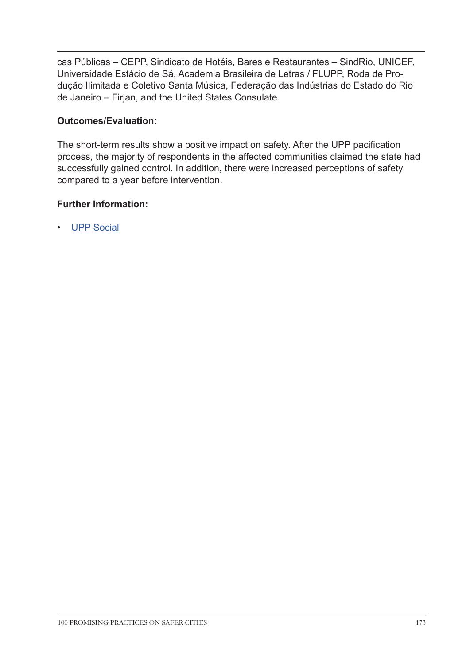cas Públicas – CEPP, Sindicato de Hotéis, Bares e Restaurantes – SindRio, UNICEF, Universidade Estácio de Sá, Academia Brasileira de Letras / FLUPP, Roda de Produção Ilimitada e Coletivo Santa Música, Federação das Indústrias do Estado do Rio de Janeiro – Firjan, and the United States Consulate.

## **Outcomes/Evaluation:**

The short-term results show a positive impact on safety. After the UPP pacification process, the majority of respondents in the affected communities claimed the state had successfully gained control. In addition, there were increased perceptions of safety compared to a year before intervention.

## **Further Information:**

• [UPP Social](http://uppsocial.org/about/
)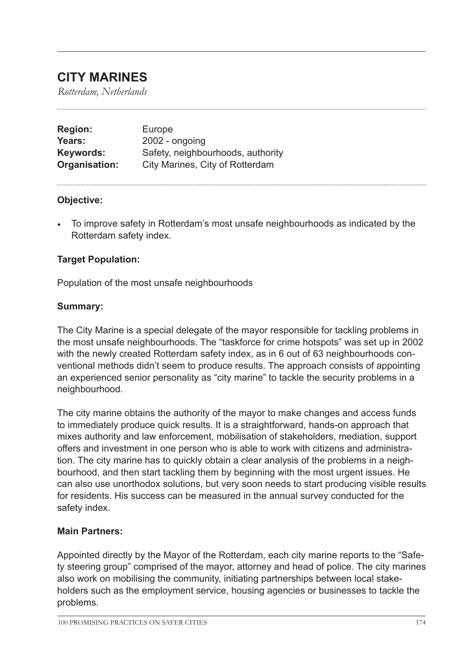## **CITY MARINES**

*Rotterdam, Netherlands*

| <b>Region:</b> | Europe                            |
|----------------|-----------------------------------|
| Years:         | $2002$ - ongoing                  |
| Keywords:      | Safety, neighbourhoods, authority |
| Organisation:  | City Marines, City of Rotterdam   |

#### **Objective:**

• To improve safety in Rotterdam's most unsafe neighbourhoods as indicated by the Rotterdam safety index.

## **Target Population:**

Population of the most unsafe neighbourhoods

#### **Summary:**

The City Marine is a special delegate of the mayor responsible for tackling problems in the most unsafe neighbourhoods. The "taskforce for crime hotspots" was set up in 2002 with the newly created Rotterdam safety index, as in 6 out of 63 neighbourhoods conventional methods didn't seem to produce results. The approach consists of appointing an experienced senior personality as "city marine" to tackle the security problems in a neighbourhood.

The city marine obtains the authority of the mayor to make changes and access funds to immediately produce quick results. It is a straightforward, hands-on approach that mixes authority and law enforcement, mobilisation of stakeholders, mediation, support offers and investment in one person who is able to work with citizens and administration. The city marine has to quickly obtain a clear analysis of the problems in a neighbourhood, and then start tackling them by beginning with the most urgent issues. He can also use unorthodox solutions, but very soon needs to start producing visible results for residents. His success can be measured in the annual survey conducted for the safety index.

#### **Main Partners:**

Appointed directly by the Mayor of the Rotterdam, each city marine reports to the "Safety steering group" comprised of the mayor, attorney and head of police. The city marines also work on mobilising the community, initiating partnerships between local stakeholders such as the employment service, housing agencies or businesses to tackle the problems.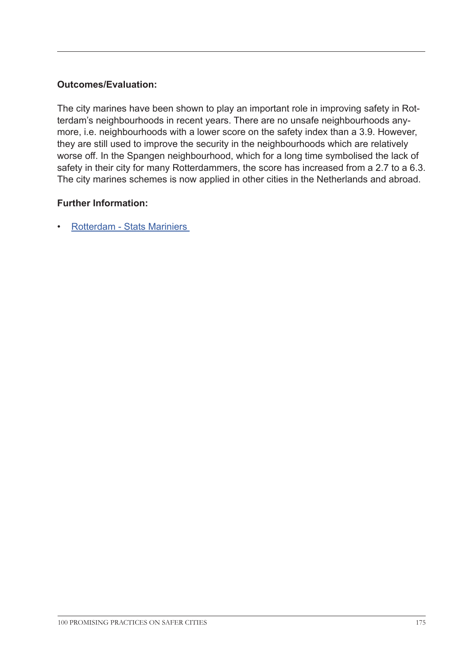## **Outcomes/Evaluation:**

The city marines have been shown to play an important role in improving safety in Rotterdam's neighbourhoods in recent years. There are no unsafe neighbourhoods anymore, i.e. neighbourhoods with a lower score on the safety index than a 3.9. However, they are still used to improve the security in the neighbourhoods which are relatively worse off. In the Spangen neighbourhood, which for a long time symbolised the lack of safety in their city for many Rotterdammers, the score has increased from a 2.7 to a 6.3. The city marines schemes is now applied in other cities in the Netherlands and abroad.

## **Further Information:**

• [Rotterdam - Stats Mariniers](http://www.rotterdam.nl/stadsmariniers )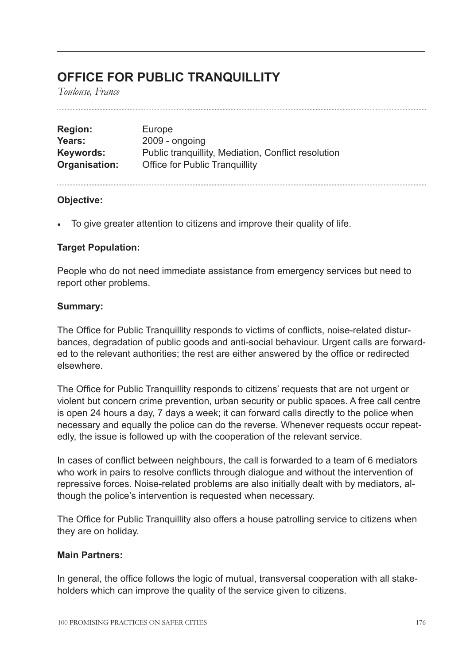## **OFFICE FOR PUBLIC TRANQUILLITY**

*Toulouse, France*

| <b>Region:</b> | Europe                                              |
|----------------|-----------------------------------------------------|
| Years:         | 2009 - ongoing                                      |
| Keywords:      | Public tranquillity, Mediation, Conflict resolution |
| Organisation:  | <b>Office for Public Tranguillity</b>               |

#### **Objective:**

• To give greater attention to citizens and improve their quality of life.

## **Target Population:**

People who do not need immediate assistance from emergency services but need to report other problems.

#### **Summary:**

The Office for Public Tranquillity responds to victims of conflicts, noise-related disturbances, degradation of public goods and anti-social behaviour. Urgent calls are forwarded to the relevant authorities; the rest are either answered by the office or redirected elsewhere.

The Office for Public Tranquillity responds to citizens' requests that are not urgent or violent but concern crime prevention, urban security or public spaces. A free call centre is open 24 hours a day, 7 days a week; it can forward calls directly to the police when necessary and equally the police can do the reverse. Whenever requests occur repeatedly, the issue is followed up with the cooperation of the relevant service.

In cases of conflict between neighbours, the call is forwarded to a team of 6 mediators who work in pairs to resolve conflicts through dialogue and without the intervention of repressive forces. Noise-related problems are also initially dealt with by mediators, although the police's intervention is requested when necessary.

The Office for Public Tranquillity also offers a house patrolling service to citizens when they are on holiday.

#### **Main Partners:**

In general, the office follows the logic of mutual, transversal cooperation with all stakeholders which can improve the quality of the service given to citizens.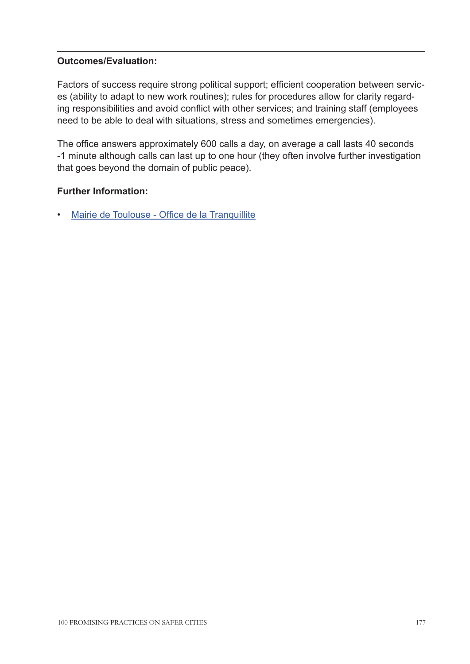## **Outcomes/Evaluation:**

Factors of success require strong political support; efficient cooperation between services (ability to adapt to new work routines); rules for procedures allow for clarity regarding responsibilities and avoid conflict with other services; and training staff (employees need to be able to deal with situations, stress and sometimes emergencies).

The office answers approximately 600 calls a day, on average a call lasts 40 seconds -1 minute although calls can last up to one hour (they often involve further investigation that goes beyond the domain of public peace).

## **Further Information:**

• [Mairie de Toulouse - Office de la Tranquillite](http://www.toulouse.fr/web/prevention-securite/3101-office-tranquillite)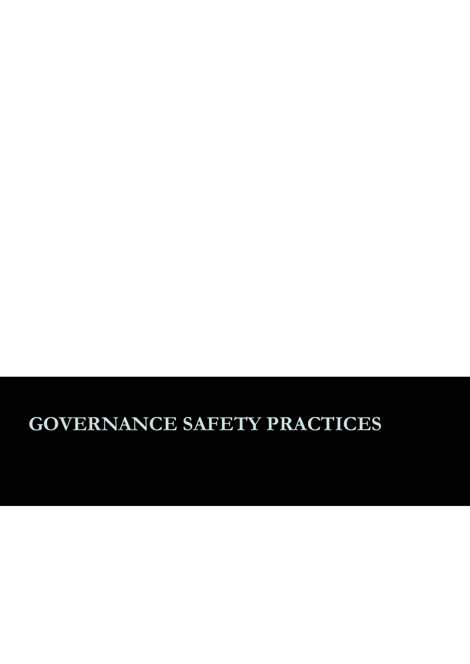# **GOVERNANCE SAFETY PRACTICES**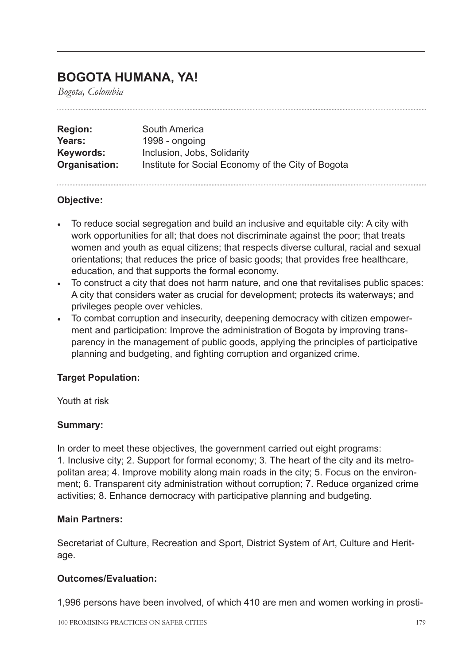## **BOGOTA HUMANA, YA!**

*Bogota, Colombia*

| <b>Region:</b> | South America                                      |
|----------------|----------------------------------------------------|
| Years:         | 1998 - ongoing                                     |
| Keywords:      | Inclusion, Jobs, Solidarity                        |
| Organisation:  | Institute for Social Economy of the City of Bogota |

## **Objective:**

- To reduce social segregation and build an inclusive and equitable city: A city with work opportunities for all; that does not discriminate against the poor; that treats women and youth as equal citizens; that respects diverse cultural, racial and sexual orientations; that reduces the price of basic goods; that provides free healthcare, education, and that supports the formal economy.
- To construct a city that does not harm nature, and one that revitalises public spaces: A city that considers water as crucial for development; protects its waterways; and privileges people over vehicles.
- To combat corruption and insecurity, deepening democracy with citizen empowerment and participation: Improve the administration of Bogota by improving transparency in the management of public goods, applying the principles of participative planning and budgeting, and fighting corruption and organized crime.

## **Target Population:**

Youth at risk

## **Summary:**

In order to meet these objectives, the government carried out eight programs: 1. Inclusive city; 2. Support for formal economy; 3. The heart of the city and its metropolitan area; 4. Improve mobility along main roads in the city; 5. Focus on the environment; 6. Transparent city administration without corruption; 7. Reduce organized crime activities; 8. Enhance democracy with participative planning and budgeting.

#### **Main Partners:**

Secretariat of Culture, Recreation and Sport, District System of Art, Culture and Heritage.

## **Outcomes/Evaluation:**

1,996 persons have been involved, of which 410 are men and women working in prosti-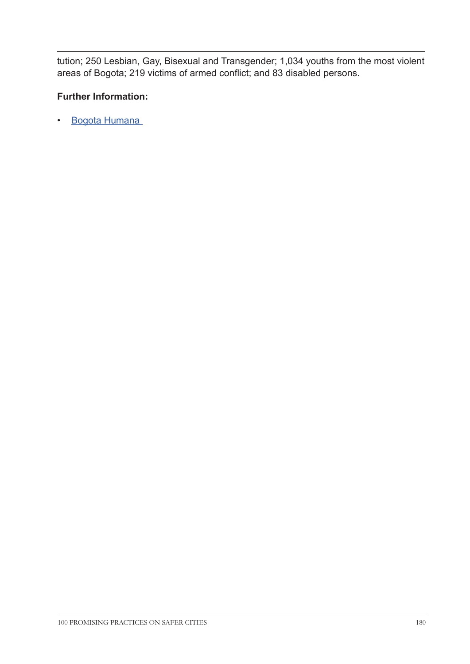tution; 250 Lesbian, Gay, Bisexual and Transgender; 1,034 youths from the most violent areas of Bogota; 219 victims of armed conflict; and 83 disabled persons.

## **Further Information:**

• [Bogota Humana](http://www.bogotahumana.gov.co/index.php/2012-01-04-20-46-15/bogota-humana)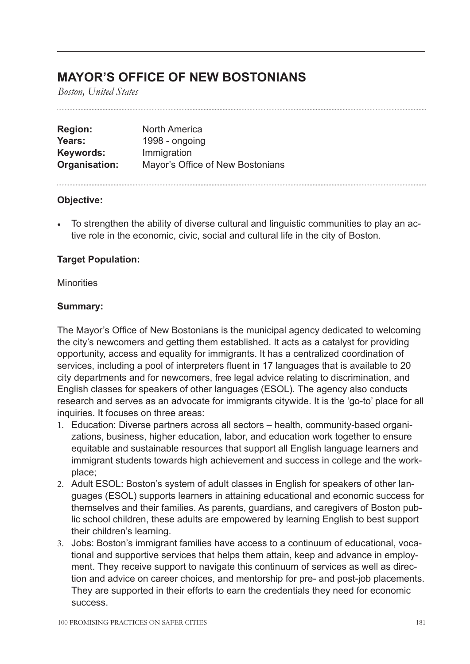## **MAYOR'S OFFICE OF NEW BOSTONIANS**

*Boston, United States*

| <b>Region:</b> | <b>North America</b>             |
|----------------|----------------------------------|
| Years:         | 1998 - ongoing                   |
| Keywords:      | Immigration                      |
| Organisation:  | Mayor's Office of New Bostonians |

#### **Objective:**

• To strengthen the ability of diverse cultural and linguistic communities to play an active role in the economic, civic, social and cultural life in the city of Boston.

## **Target Population:**

#### **Minorities**

#### **Summary:**

The Mayor's Office of New Bostonians is the municipal agency dedicated to welcoming the city's newcomers and getting them established. It acts as a catalyst for providing opportunity, access and equality for immigrants. It has a centralized coordination of services, including a pool of interpreters fluent in 17 languages that is available to 20 city departments and for newcomers, free legal advice relating to discrimination, and English classes for speakers of other languages (ESOL). The agency also conducts research and serves as an advocate for immigrants citywide. It is the 'go-to' place for all inquiries. It focuses on three areas:

- 1. Education: Diverse partners across all sectors health, community-based organizations, business, higher education, labor, and education work together to ensure equitable and sustainable resources that support all English language learners and immigrant students towards high achievement and success in college and the workplace;
- 2. Adult ESOL: Boston's system of adult classes in English for speakers of other languages (ESOL) supports learners in attaining educational and economic success for themselves and their families. As parents, guardians, and caregivers of Boston public school children, these adults are empowered by learning English to best support their children's learning.
- 3. Jobs: Boston's immigrant families have access to a continuum of educational, vocational and supportive services that helps them attain, keep and advance in employment. They receive support to navigate this continuum of services as well as direction and advice on career choices, and mentorship for pre- and post-job placements. They are supported in their efforts to earn the credentials they need for economic success.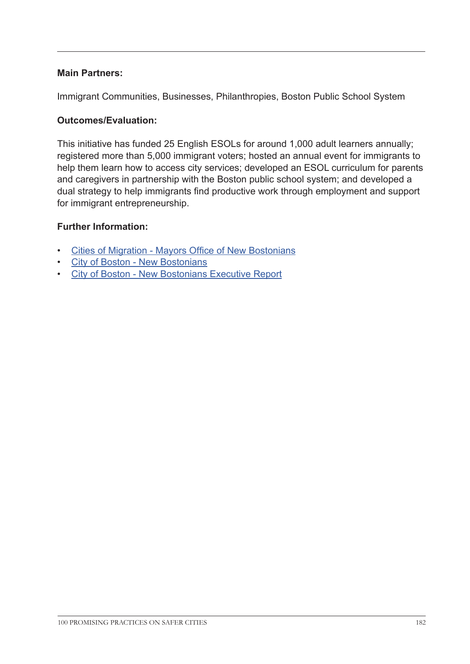### **Main Partners:**

Immigrant Communities, Businesses, Philanthropies, Boston Public School System

#### **Outcomes/Evaluation:**

This initiative has funded 25 English ESOLs for around 1,000 adult learners annually; registered more than 5,000 immigrant voters; hosted an annual event for immigrants to help them learn how to access city services; developed an ESOL curriculum for parents and caregivers in partnership with the Boston public school system; and developed a dual strategy to help immigrants find productive work through employment and support for immigrant entrepreneurship.

#### **Further Information:**

- [Cities of Migration Mayors Office of New Bostonians](http://citiesofmigration.ca/good_idea/mayors-office-of-new-bostonians/
)
- [City of Boston New Bostonians](http://www.cityofboston.gov/newbostonians/
)
- [City of Boston New Bostonians Executive Report](http://www.cityofboston.gov/Images_Documents/Final%20New%20Bostonians%20Summit%20Executive%20Report%20-%20Color_tcm3-16608.pdf)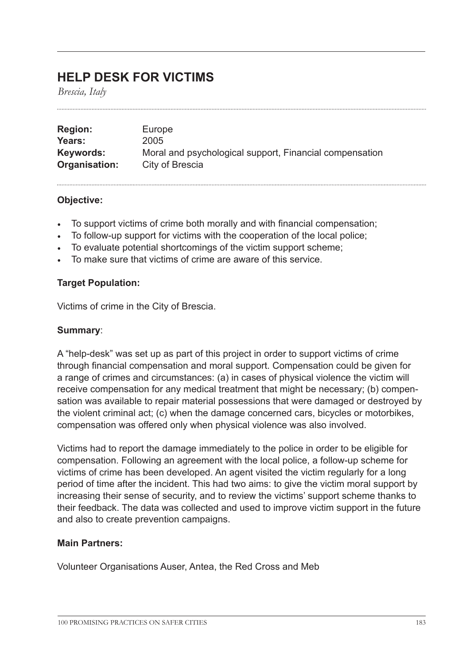## **HELP DESK FOR VICTIMS**

*Brescia, Italy*

| <b>Region:</b> | Europe                                                  |
|----------------|---------------------------------------------------------|
| Years:         | 2005                                                    |
| Keywords:      | Moral and psychological support, Financial compensation |
| Organisation:  | City of Brescia                                         |

#### **Objective:**

- To support victims of crime both morally and with financial compensation;
- To follow-up support for victims with the cooperation of the local police;
- To evaluate potential shortcomings of the victim support scheme;
- To make sure that victims of crime are aware of this service.

#### **Target Population:**

Victims of crime in the City of Brescia.

#### **Summary**:

A "help-desk" was set up as part of this project in order to support victims of crime through financial compensation and moral support. Compensation could be given for a range of crimes and circumstances: (a) in cases of physical violence the victim will receive compensation for any medical treatment that might be necessary; (b) compensation was available to repair material possessions that were damaged or destroyed by the violent criminal act; (c) when the damage concerned cars, bicycles or motorbikes, compensation was offered only when physical violence was also involved.

Victims had to report the damage immediately to the police in order to be eligible for compensation. Following an agreement with the local police, a follow-up scheme for victims of crime has been developed. An agent visited the victim regularly for a long period of time after the incident. This had two aims: to give the victim moral support by increasing their sense of security, and to review the victims' support scheme thanks to their feedback. The data was collected and used to improve victim support in the future and also to create prevention campaigns.

#### **Main Partners:**

Volunteer Organisations Auser, Antea, the Red Cross and Meb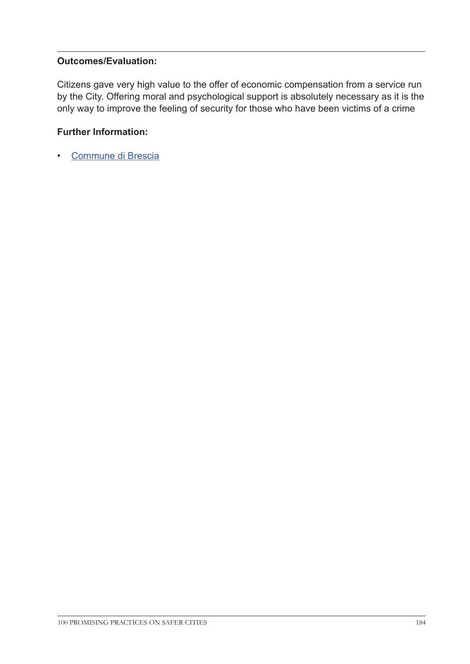## **Outcomes/Evaluation:**

Citizens gave very high value to the offer of economic compensation from a service run by the City. Offering moral and psychological support is absolutely necessary as it is the only way to improve the feeling of security for those who have been victims of a crime

## **Further Information:**

• [Commune di Brescia](http://www.comune.brescia.it/online/appuntamenti/Pagine/SportelloVittimeViolenza.aspx
)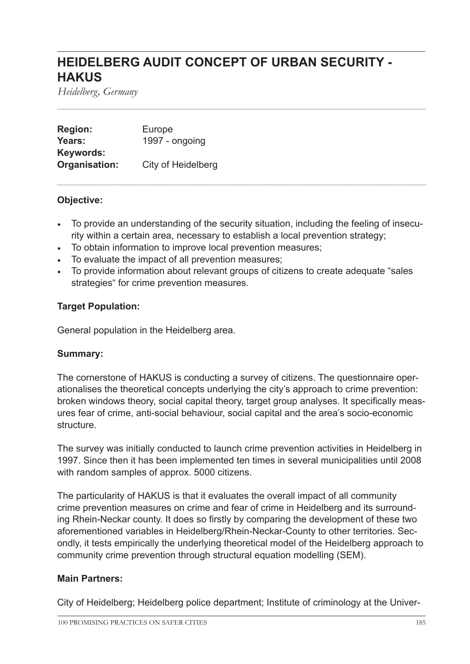## **HEIDELBERG AUDIT CONCEPT OF URBAN SECURITY - HAKUS**

*Heidelberg, Germany*

**Region:** Europe Years: 1997 - ongoing **Keywords: Organisation:** City of Heidelberg

#### **Objective:**

- To provide an understanding of the security situation, including the feeling of insecurity within a certain area, necessary to establish a local prevention strategy;
- To obtain information to improve local prevention measures;
- To evaluate the impact of all prevention measures;
- To provide information about relevant groups of citizens to create adequate "sales strategies" for crime prevention measures.

## **Target Population:**

General population in the Heidelberg area.

#### **Summary:**

The cornerstone of HAKUS is conducting a survey of citizens. The questionnaire operationalises the theoretical concepts underlying the city's approach to crime prevention: broken windows theory, social capital theory, target group analyses. It specifically measures fear of crime, anti-social behaviour, social capital and the area's socio-economic structure.

The survey was initially conducted to launch crime prevention activities in Heidelberg in 1997. Since then it has been implemented ten times in several municipalities until 2008 with random samples of approx. 5000 citizens.

The particularity of HAKUS is that it evaluates the overall impact of all community crime prevention measures on crime and fear of crime in Heidelberg and its surrounding Rhein-Neckar county. It does so firstly by comparing the development of these two aforementioned variables in Heidelberg/Rhein-Neckar-County to other territories. Secondly, it tests empirically the underlying theoretical model of the Heidelberg approach to community crime prevention through structural equation modelling (SEM).

#### **Main Partners:**

City of Heidelberg; Heidelberg police department; Institute of criminology at the Univer-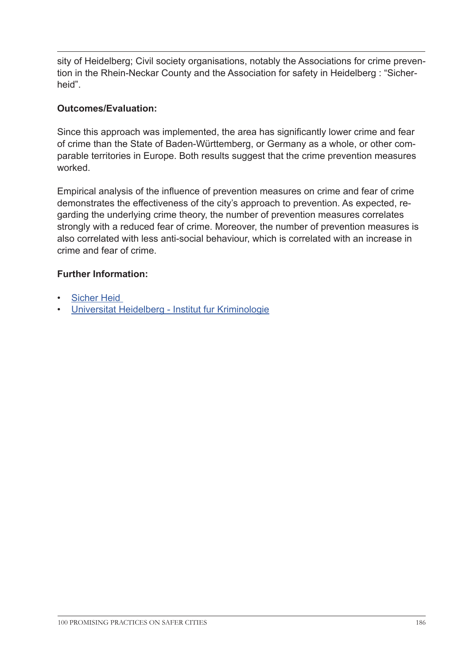sity of Heidelberg; Civil society organisations, notably the Associations for crime prevention in the Rhein-Neckar County and the Association for safety in Heidelberg : "Sicherheid".

## **Outcomes/Evaluation:**

Since this approach was implemented, the area has significantly lower crime and fear of crime than the State of Baden-Württemberg, or Germany as a whole, or other comparable territories in Europe. Both results suggest that the crime prevention measures worked.

Empirical analysis of the influence of prevention measures on crime and fear of crime demonstrates the effectiveness of the city's approach to prevention. As expected, regarding the underlying crime theory, the number of prevention measures correlates strongly with a reduced fear of crime. Moreover, the number of prevention measures is also correlated with less anti-social behaviour, which is correlated with an increase in crime and fear of crime.

## **Further Information:**

- Sicher Heid
- [Universitat Heidelberg Institut fur Kriminologie](http://www.uni-heidelberg.de/institute/fak2/krimi/hermann.html
)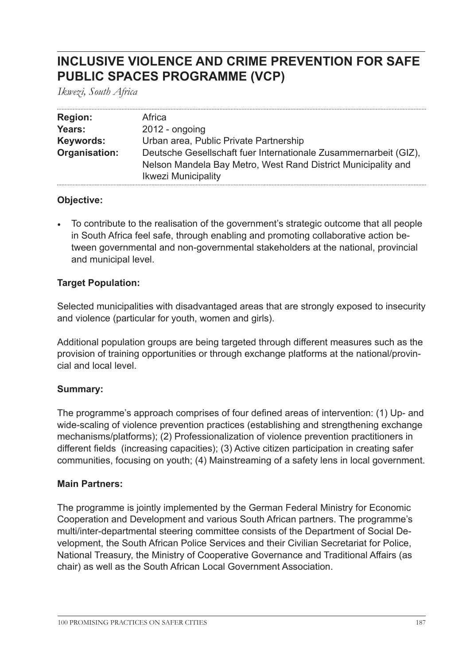## **INCLUSIVE VIOLENCE AND CRIME PREVENTION FOR SAFE PUBLIC SPACES PROGRAMME (VCP)**

*Ikwezi, South Africa*

| <b>Region:</b> | Africa                                                                                                                                                          |
|----------------|-----------------------------------------------------------------------------------------------------------------------------------------------------------------|
| Years:         | $2012$ - ongoing                                                                                                                                                |
| Keywords:      | Urban area, Public Private Partnership                                                                                                                          |
| Organisation:  | Deutsche Gesellschaft fuer Internationale Zusammernarbeit (GIZ).<br>Nelson Mandela Bay Metro, West Rand District Municipality and<br><b>Ikwezi Municipality</b> |

#### **Objective:**

• To contribute to the realisation of the government's strategic outcome that all people in South Africa feel safe, through enabling and promoting collaborative action between governmental and non-governmental stakeholders at the national, provincial and municipal level.

#### **Target Population:**

Selected municipalities with disadvantaged areas that are strongly exposed to insecurity and violence (particular for youth, women and girls).

Additional population groups are being targeted through different measures such as the provision of training opportunities or through exchange platforms at the national/provincial and local level.

## **Summary:**

The programme's approach comprises of four defined areas of intervention: (1) Up- and wide-scaling of violence prevention practices (establishing and strengthening exchange mechanisms/platforms); (2) Professionalization of violence prevention practitioners in different fields (increasing capacities); (3) Active citizen participation in creating safer communities, focusing on youth; (4) Mainstreaming of a safety lens in local government.

#### **Main Partners:**

The programme is jointly implemented by the German Federal Ministry for Economic Cooperation and Development and various South African partners. The programme's multi/inter-departmental steering committee consists of the Department of Social Development, the South African Police Services and their Civilian Secretariat for Police, National Treasury, the Ministry of Cooperative Governance and Traditional Affairs (as chair) as well as the South African Local Government Association.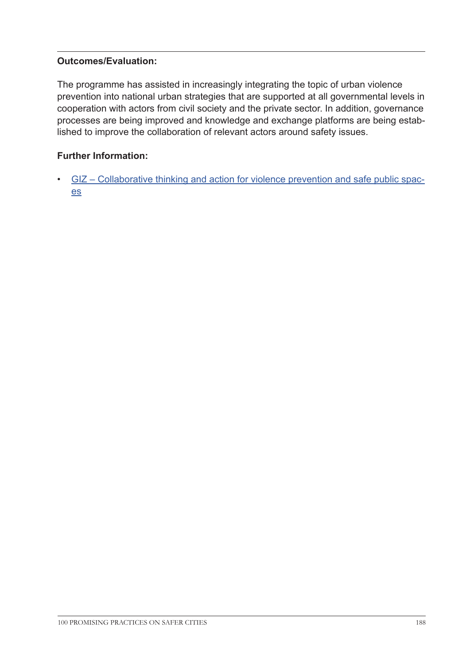## **Outcomes/Evaluation:**

The programme has assisted in increasingly integrating the topic of urban violence prevention into national urban strategies that are supported at all governmental levels in cooperation with actors from civil society and the private sector. In addition, governance processes are being improved and knowledge and exchange platforms are being established to improve the collaboration of relevant actors around safety issues.

## **Further Information:**

• [GIZ – Collaborative thinking and action for violence prevention and safe public spac](http://www.giz.de/en/worldwide/17705.html)[es](http://www.giz.de/en/worldwide/17705.html)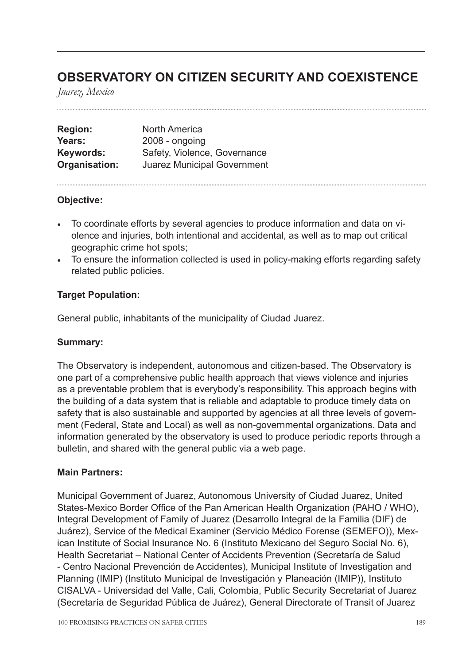## **OBSERVATORY ON CITIZEN SECURITY AND COEXISTENCE**

*Juarez, Mexico*

| <b>Region:</b> | <b>North America</b>               |
|----------------|------------------------------------|
| Years:         | $2008 -$ ongoing                   |
| Keywords:      | Safety, Violence, Governance       |
| Organisation:  | <b>Juarez Municipal Government</b> |

#### **Objective:**

- To coordinate efforts by several agencies to produce information and data on violence and injuries, both intentional and accidental, as well as to map out critical geographic crime hot spots;
- To ensure the information collected is used in policy-making efforts regarding safety related public policies.

#### **Target Population:**

General public, inhabitants of the municipality of Ciudad Juarez.

#### **Summary:**

The Observatory is independent, autonomous and citizen-based. The Observatory is one part of a comprehensive public health approach that views violence and injuries as a preventable problem that is everybody's responsibility. This approach begins with the building of a data system that is reliable and adaptable to produce timely data on safety that is also sustainable and supported by agencies at all three levels of government (Federal, State and Local) as well as non-governmental organizations. Data and information generated by the observatory is used to produce periodic reports through a bulletin, and shared with the general public via a web page.

#### **Main Partners:**

Municipal Government of Juarez, Autonomous University of Ciudad Juarez, United States-Mexico Border Office of the Pan American Health Organization (PAHO / WHO), Integral Development of Family of Juarez (Desarrollo Integral de la Familia (DIF) de Juárez), Service of the Medical Examiner (Servicio Médico Forense (SEMEFO)), Mexican Institute of Social Insurance No. 6 (Instituto Mexicano del Seguro Social No. 6), Health Secretariat – National Center of Accidents Prevention (Secretaría de Salud - Centro Nacional Prevención de Accidentes), Municipal Institute of Investigation and Planning (IMIP) (Instituto Municipal de Investigación y Planeación (IMIP)), Instituto CISALVA - Universidad del Valle, Cali, Colombia, Public Security Secretariat of Juarez (Secretaría de Seguridad Pública de Juárez), General Directorate of Transit of Juarez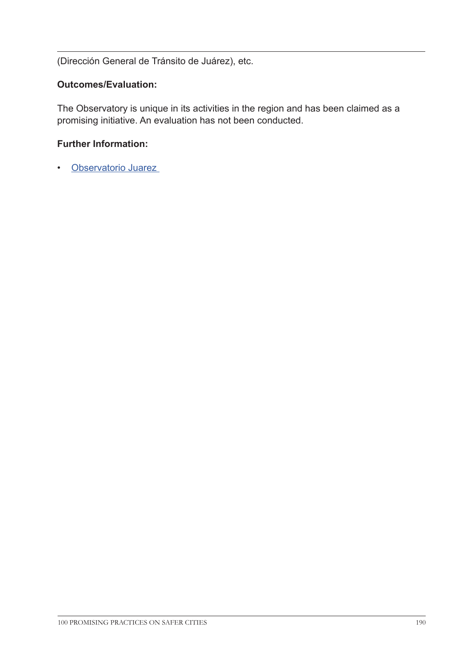(Dirección General de Tránsito de Juárez), etc.

### **Outcomes/Evaluation:**

The Observatory is unique in its activities in the region and has been claimed as a promising initiative. An evaluation has not been conducted.

#### **Further Information:**

• [Observatorio Juarez](http://observatoriodejuarez.org/dnn/Acercade/Vision.aspx)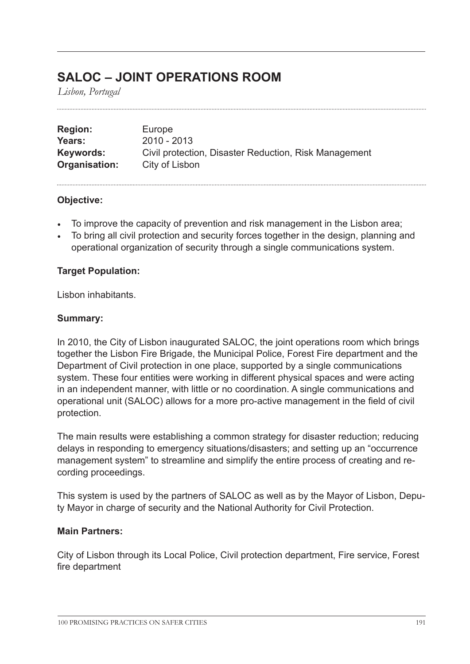## **SALOC – JOINT OPERATIONS ROOM**

*Lisbon, Portugal*

| <b>Region:</b> | Europe                                                |
|----------------|-------------------------------------------------------|
| Years:         | $2010 - 2013$                                         |
| Keywords:      | Civil protection, Disaster Reduction, Risk Management |
| Organisation:  | City of Lisbon                                        |

#### **Objective:**

- To improve the capacity of prevention and risk management in the Lisbon area;
- To bring all civil protection and security forces together in the design, planning and operational organization of security through a single communications system.

#### **Target Population:**

Lisbon inhabitants.

#### **Summary:**

In 2010, the City of Lisbon inaugurated SALOC, the joint operations room which brings together the Lisbon Fire Brigade, the Municipal Police, Forest Fire department and the Department of Civil protection in one place, supported by a single communications system. These four entities were working in different physical spaces and were acting in an independent manner, with little or no coordination. A single communications and operational unit (SALOC) allows for a more pro-active management in the field of civil protection.

The main results were establishing a common strategy for disaster reduction; reducing delays in responding to emergency situations/disasters; and setting up an "occurrence management system" to streamline and simplify the entire process of creating and recording proceedings.

This system is used by the partners of SALOC as well as by the Mayor of Lisbon, Deputy Mayor in charge of security and the National Authority for Civil Protection.

#### **Main Partners:**

City of Lisbon through its Local Police, Civil protection department, Fire service, Forest fire department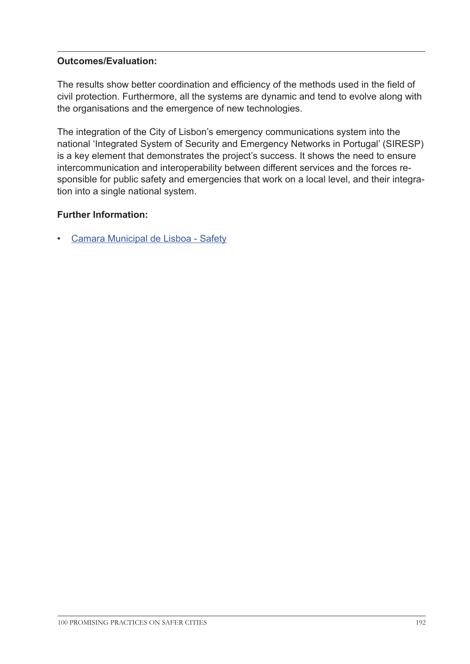## **Outcomes/Evaluation:**

The results show better coordination and efficiency of the methods used in the field of civil protection. Furthermore, all the systems are dynamic and tend to evolve along with the organisations and the emergence of new technologies.

The integration of the City of Lisbon's emergency communications system into the national 'Integrated System of Security and Emergency Networks in Portugal' (SIRESP) is a key element that demonstrates the project's success. It shows the need to ensure intercommunication and interoperability between different services and the forces responsible for public safety and emergencies that work on a local level, and their integration into a single national system.

## **Further Information:**

• [Camara Municipal de Lisboa - Safety](http://www.cm-lisboa.pt/en/living-in/safety/sos-program)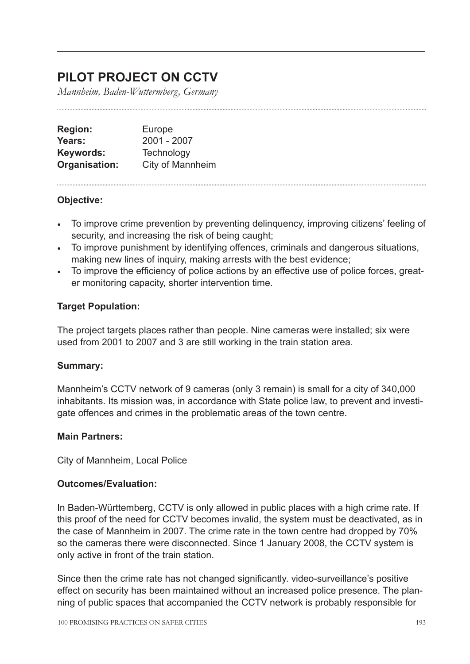## **PILOT PROJECT ON CCTV**

*Mannheim, Baden-Wuttermberg, Germany*

| <b>Region:</b> | Europe           |
|----------------|------------------|
| Years:         | 2001 - 2007      |
| Keywords:      | Technology       |
| Organisation:  | City of Mannheim |

## **Objective:**

- To improve crime prevention by preventing delinquency, improving citizens' feeling of security, and increasing the risk of being caught;
- To improve punishment by identifying offences, criminals and dangerous situations, making new lines of inquiry, making arrests with the best evidence;
- To improve the efficiency of police actions by an effective use of police forces, greater monitoring capacity, shorter intervention time.

## **Target Population:**

The project targets places rather than people. Nine cameras were installed; six were used from 2001 to 2007 and 3 are still working in the train station area.

#### **Summary:**

Mannheim's CCTV network of 9 cameras (only 3 remain) is small for a city of 340,000 inhabitants. Its mission was, in accordance with State police law, to prevent and investigate offences and crimes in the problematic areas of the town centre.

#### **Main Partners:**

City of Mannheim, Local Police

#### **Outcomes/Evaluation:**

In Baden-Württemberg, CCTV is only allowed in public places with a high crime rate. If this proof of the need for CCTV becomes invalid, the system must be deactivated, as in the case of Mannheim in 2007. The crime rate in the town centre had dropped by 70% so the cameras there were disconnected. Since 1 January 2008, the CCTV system is only active in front of the train station.

Since then the crime rate has not changed significantly. video-surveillance's positive effect on security has been maintained without an increased police presence. The planning of public spaces that accompanied the CCTV network is probably responsible for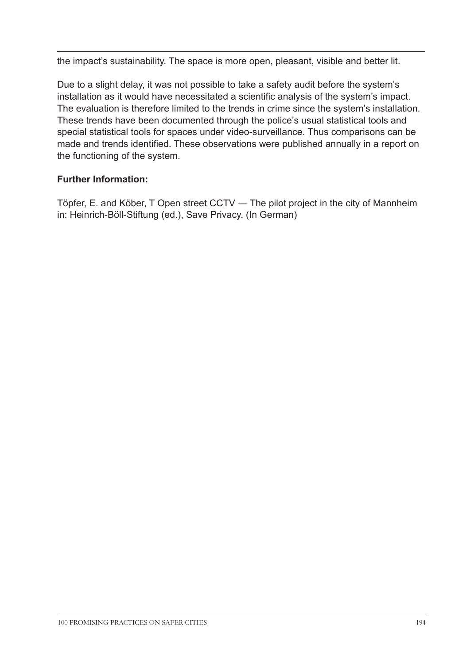the impact's sustainability. The space is more open, pleasant, visible and better lit.

Due to a slight delay, it was not possible to take a safety audit before the system's installation as it would have necessitated a scientific analysis of the system's impact. The evaluation is therefore limited to the trends in crime since the system's installation. These trends have been documented through the police's usual statistical tools and special statistical tools for spaces under video-surveillance. Thus comparisons can be made and trends identified. These observations were published annually in a report on the functioning of the system.

## **Further Information:**

Töpfer, E. and Köber, T Open street CCTV — The pilot project in the city of Mannheim in: Heinrich-Böll-Stiftung (ed.), Save Privacy. (In German)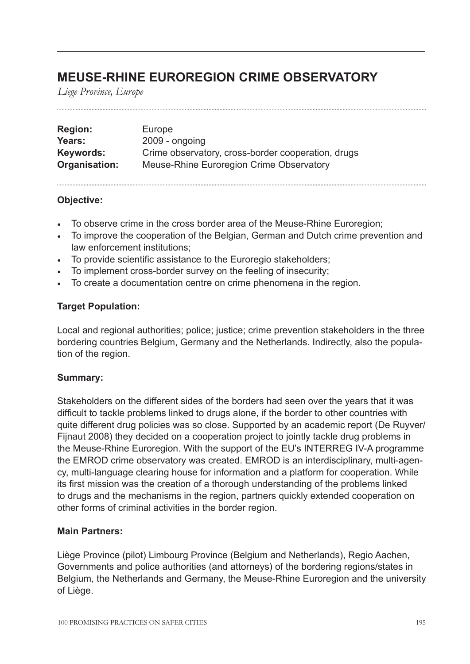## **MEUSE-RHINE EUROREGION CRIME OBSERVATORY**

*Liege Province, Europe*

| <b>Region:</b> | Europe                                             |
|----------------|----------------------------------------------------|
| Years:         | $2009 - ongoing$                                   |
| Keywords:      | Crime observatory, cross-border cooperation, drugs |
| Organisation:  | Meuse-Rhine Euroregion Crime Observatory           |

#### **Objective:**

- To observe crime in the cross border area of the Meuse-Rhine Euroregion;
- To improve the cooperation of the Belgian, German and Dutch crime prevention and law enforcement institutions;
- To provide scientific assistance to the Euroregio stakeholders;
- To implement cross-border survey on the feeling of insecurity;
- To create a documentation centre on crime phenomena in the region.

#### **Target Population:**

Local and regional authorities; police; justice; crime prevention stakeholders in the three bordering countries Belgium, Germany and the Netherlands. Indirectly, also the population of the region.

## **Summary:**

Stakeholders on the different sides of the borders had seen over the years that it was difficult to tackle problems linked to drugs alone, if the border to other countries with quite different drug policies was so close. Supported by an academic report (De Ruyver/ Fijnaut 2008) they decided on a cooperation project to jointly tackle drug problems in the Meuse-Rhine Euroregion. With the support of the EU's INTERREG IV-A programme the EMROD crime observatory was created. EMROD is an interdisciplinary, multi-agency, multi-language clearing house for information and a platform for cooperation. While its first mission was the creation of a thorough understanding of the problems linked to drugs and the mechanisms in the region, partners quickly extended cooperation on other forms of criminal activities in the border region.

#### **Main Partners:**

Liège Province (pilot) Limbourg Province (Belgium and Netherlands), Regio Aachen, Governments and police authorities (and attorneys) of the bordering regions/states in Belgium, the Netherlands and Germany, the Meuse-Rhine Euroregion and the university of Liège.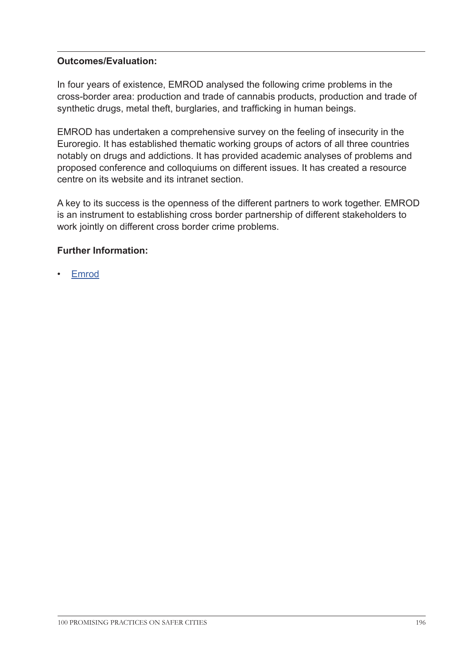## **Outcomes/Evaluation:**

In four years of existence, EMROD analysed the following crime problems in the cross-border area: production and trade of cannabis products, production and trade of synthetic drugs, metal theft, burglaries, and trafficking in human beings.

EMROD has undertaken a comprehensive survey on the feeling of insecurity in the Euroregio. It has established thematic working groups of actors of all three countries notably on drugs and addictions. It has provided academic analyses of problems and proposed conference and colloquiums on different issues. It has created a resource centre on its website and its intranet section.

A key to its success is the openness of the different partners to work together. EMROD is an instrument to establishing cross border partnership of different stakeholders to work jointly on different cross border crime problems.

## **Further Information:**

• [Emrod](www.emrod.org 
)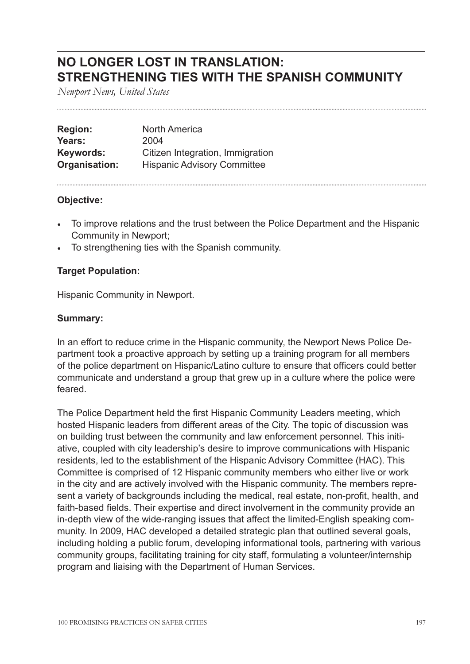## **NO LONGER LOST IN TRANSLATION: STRENGTHENING TIES WITH THE SPANISH COMMUNITY**

*Newport News, United States*

| <b>Region:</b> | <b>North America</b>               |
|----------------|------------------------------------|
| Years:         | 2004                               |
| Keywords:      | Citizen Integration, Immigration   |
| Organisation:  | <b>Hispanic Advisory Committee</b> |

#### **Objective:**

- To improve relations and the trust between the Police Department and the Hispanic Community in Newport;
- To strengthening ties with the Spanish community.

#### **Target Population:**

Hispanic Community in Newport.

#### **Summary:**

In an effort to reduce crime in the Hispanic community, the Newport News Police Department took a proactive approach by setting up a training program for all members of the police department on Hispanic/Latino culture to ensure that officers could better communicate and understand a group that grew up in a culture where the police were feared.

The Police Department held the first Hispanic Community Leaders meeting, which hosted Hispanic leaders from different areas of the City. The topic of discussion was on building trust between the community and law enforcement personnel. This initiative, coupled with city leadership's desire to improve communications with Hispanic residents, led to the establishment of the Hispanic Advisory Committee (HAC). This Committee is comprised of 12 Hispanic community members who either live or work in the city and are actively involved with the Hispanic community. The members represent a variety of backgrounds including the medical, real estate, non-profit, health, and faith-based fields. Their expertise and direct involvement in the community provide an in-depth view of the wide-ranging issues that affect the limited-English speaking community. In 2009, HAC developed a detailed strategic plan that outlined several goals, including holding a public forum, developing informational tools, partnering with various community groups, facilitating training for city staff, formulating a volunteer/internship program and liaising with the Department of Human Services.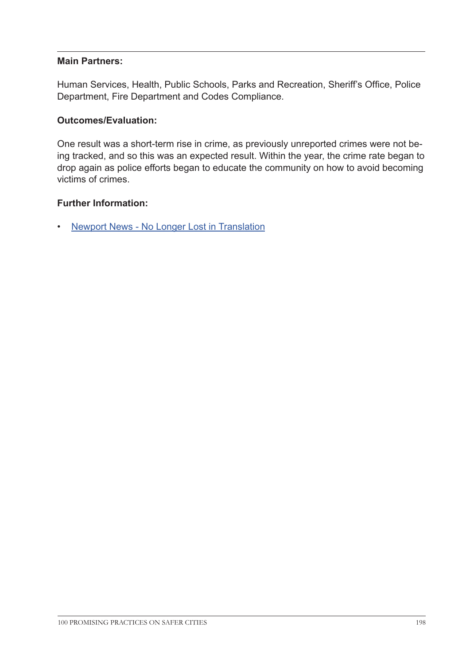#### **Main Partners:**

Human Services, Health, Public Schools, Parks and Recreation, Sheriff's Office, Police Department, Fire Department and Codes Compliance.

#### **Outcomes/Evaluation:**

One result was a short-term rise in crime, as previously unreported crimes were not being tracked, and so this was an expected result. Within the year, the crime rate began to drop again as police efforts began to educate the community on how to avoid becoming victims of crimes.

#### **Further Information:**

• [Newport News - No Longer Lost in Translation](http://www.nngov.com/city-manager/hispanic/NLC%20AME%20application%202010.pdf
)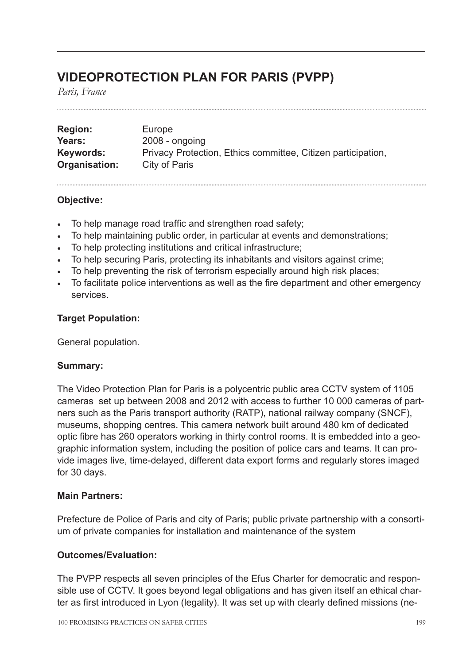## **VIDEOPROTECTION PLAN FOR PARIS (PVPP)**

*Paris, France*

| <b>Region:</b> | Europe                                                       |
|----------------|--------------------------------------------------------------|
| Years:         | $2008 - ongoing$                                             |
| Keywords:      | Privacy Protection, Ethics committee, Citizen participation, |
| Organisation:  | City of Paris                                                |

#### **Objective:**

- To help manage road traffic and strengthen road safety;
- To help maintaining public order, in particular at events and demonstrations;
- To help protecting institutions and critical infrastructure;
- To help securing Paris, protecting its inhabitants and visitors against crime;
- To help preventing the risk of terrorism especially around high risk places;
- To facilitate police interventions as well as the fire department and other emergency services.

#### **Target Population:**

General population.

## **Summary:**

The Video Protection Plan for Paris is a polycentric public area CCTV system of 1105 cameras set up between 2008 and 2012 with access to further 10 000 cameras of partners such as the Paris transport authority (RATP), national railway company (SNCF), museums, shopping centres. This camera network built around 480 km of dedicated optic fibre has 260 operators working in thirty control rooms. It is embedded into a geographic information system, including the position of police cars and teams. It can provide images live, time-delayed, different data export forms and regularly stores imaged for 30 days.

#### **Main Partners:**

Prefecture de Police of Paris and city of Paris; public private partnership with a consortium of private companies for installation and maintenance of the system

#### **Outcomes/Evaluation:**

The PVPP respects all seven principles of the Efus Charter for democratic and responsible use of CCTV. It goes beyond legal obligations and has given itself an ethical charter as first introduced in Lyon (legality). It was set up with clearly defined missions (ne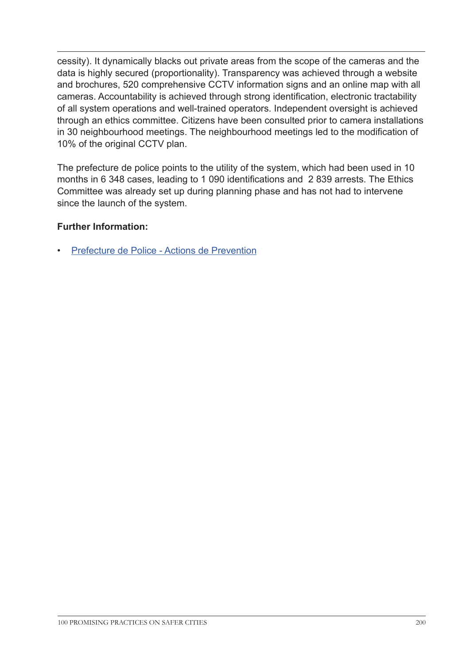cessity). It dynamically blacks out private areas from the scope of the cameras and the data is highly secured (proportionality). Transparency was achieved through a website and brochures, 520 comprehensive CCTV information signs and an online map with all cameras. Accountability is achieved through strong identification, electronic tractability of all system operations and well-trained operators. Independent oversight is achieved through an ethics committee. Citizens have been consulted prior to camera installations in 30 neighbourhood meetings. The neighbourhood meetings led to the modification of 10% of the original CCTV plan.

The prefecture de police points to the utility of the system, which had been used in 10 months in 6 348 cases, leading to 1 090 identifications and 2 839 arrests. The Ethics Committee was already set up during planning phase and has not had to intervene since the launch of the system.

## **Further Information:**

• [Prefecture de Police - Actions de Prevention](http://www.prefecturedepolice.interieur.gouv.fr/Vous-aider/Actions-de-prevention/Dispositifs-ZSP-et-videoprotection/Le-Plan-de-videoprotection-pour-Paris)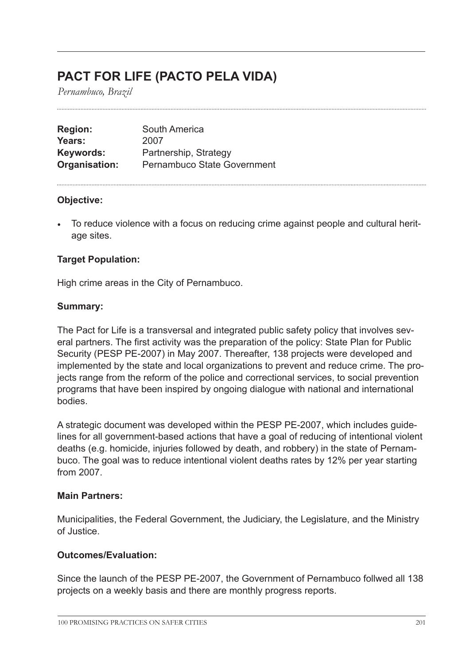## **PACT FOR LIFE (PACTO PELA VIDA)**

*Pernambuco, Brazil*

| <b>Region:</b> | South America                      |
|----------------|------------------------------------|
| Years:         | 2007                               |
| Keywords:      | Partnership, Strategy              |
| Organisation:  | <b>Pernambuco State Government</b> |

#### **Objective:**

• To reduce violence with a focus on reducing crime against people and cultural heritage sites.

## **Target Population:**

High crime areas in the City of Pernambuco.

#### **Summary:**

The Pact for Life is a transversal and integrated public safety policy that involves several partners. The first activity was the preparation of the policy: State Plan for Public Security (PESP PE-2007) in May 2007. Thereafter, 138 projects were developed and implemented by the state and local organizations to prevent and reduce crime. The projects range from the reform of the police and correctional services, to social prevention programs that have been inspired by ongoing dialogue with national and international bodies.

A strategic document was developed within the PESP PE-2007, which includes guidelines for all government-based actions that have a goal of reducing of intentional violent deaths (e.g. homicide, injuries followed by death, and robbery) in the state of Pernambuco. The goal was to reduce intentional violent deaths rates by 12% per year starting from 2007.

#### **Main Partners:**

Municipalities, the Federal Government, the Judiciary, the Legislature, and the Ministry of Justice.

#### **Outcomes/Evaluation:**

Since the launch of the PESP PE-2007, the Government of Pernambuco follwed all 138 projects on a weekly basis and there are monthly progress reports.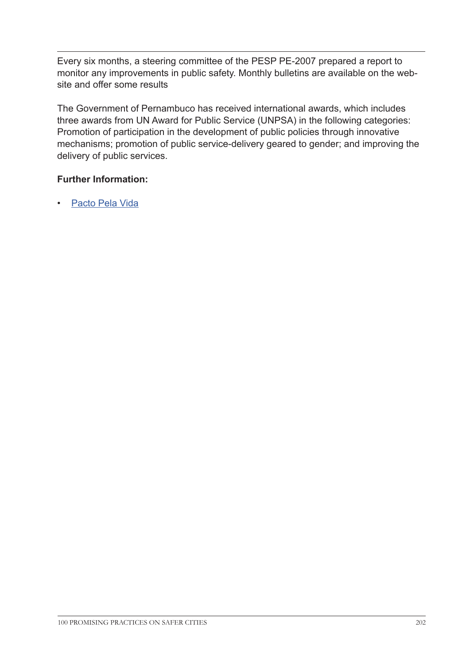Every six months, a steering committee of the PESP PE-2007 prepared a report to monitor any improvements in public safety. Monthly bulletins are available on the website and offer some results

The Government of Pernambuco has received international awards, which includes three awards from UN Award for Public Service (UNPSA) in the following categories: Promotion of participation in the development of public policies through innovative mechanisms; promotion of public service-delivery geared to gender; and improving the delivery of public services.

## **Further Information:**

• [Pacto Pela Vida](http://www.pactopelavida.ba.gov.br/)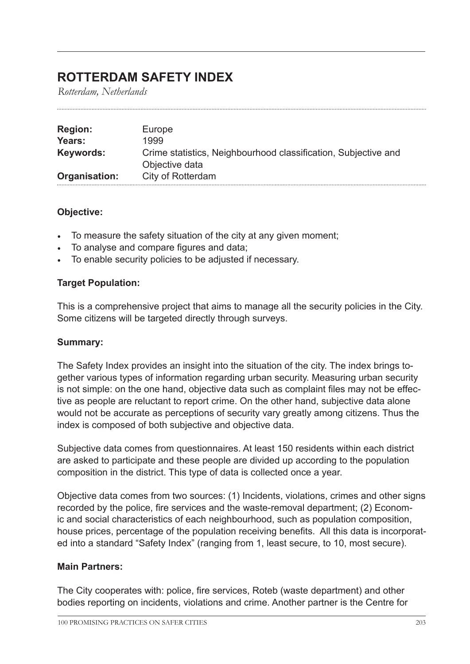## **ROTTERDAM SAFETY INDEX**

*Rotterdam, Netherlands*

| <b>Region:</b> | Europe                                                                           |
|----------------|----------------------------------------------------------------------------------|
| Years:         | 1999                                                                             |
| Keywords:      | Crime statistics, Neighbourhood classification, Subjective and<br>Objective data |
| Organisation:  | City of Rotterdam                                                                |

## **Objective:**

- To measure the safety situation of the city at any given moment;
- To analyse and compare figures and data;
- To enable security policies to be adjusted if necessary.

#### **Target Population:**

This is a comprehensive project that aims to manage all the security policies in the City. Some citizens will be targeted directly through surveys.

#### **Summary:**

The Safety Index provides an insight into the situation of the city. The index brings together various types of information regarding urban security. Measuring urban security is not simple: on the one hand, objective data such as complaint files may not be effective as people are reluctant to report crime. On the other hand, subjective data alone would not be accurate as perceptions of security vary greatly among citizens. Thus the index is composed of both subjective and objective data.

Subjective data comes from questionnaires. At least 150 residents within each district are asked to participate and these people are divided up according to the population composition in the district. This type of data is collected once a year.

Objective data comes from two sources: (1) Incidents, violations, crimes and other signs recorded by the police, fire services and the waste-removal department; (2) Economic and social characteristics of each neighbourhood, such as population composition, house prices, percentage of the population receiving benefits. All this data is incorporated into a standard "Safety Index" (ranging from 1, least secure, to 10, most secure).

## **Main Partners:**

The City cooperates with: police, fire services, Roteb (waste department) and other bodies reporting on incidents, violations and crime. Another partner is the Centre for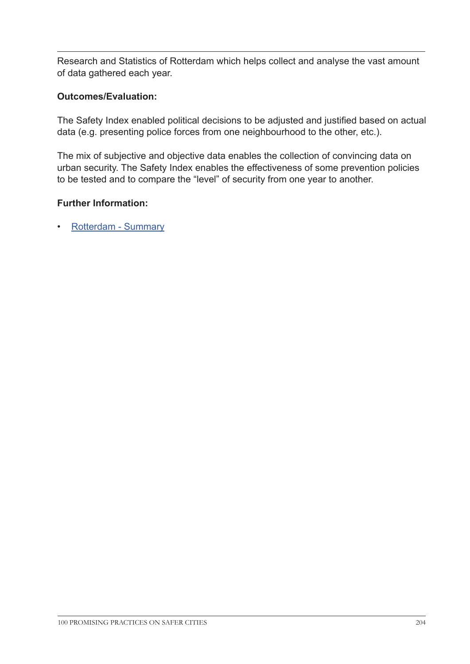Research and Statistics of Rotterdam which helps collect and analyse the vast amount of data gathered each year.

### **Outcomes/Evaluation:**

The Safety Index enabled political decisions to be adjusted and justified based on actual data (e.g. presenting police forces from one neighbourhood to the other, etc.).

The mix of subjective and objective data enables the collection of convincing data on urban security. The Safety Index enables the effectiveness of some prevention policies to be tested and to compare the "level" of security from one year to another.

#### **Further Information:**

• [Rotterdam](http://www.rotterdam.nl/Directie%20Veilig/PDF/VJAPengels%202010-2014.pdf
) - Summary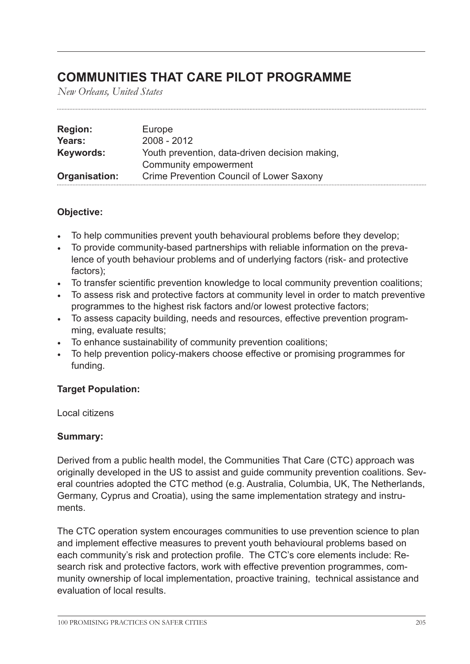## **COMMUNITIES THAT CARE PILOT PROGRAMME**

*New Orleans, United States*

| <b>Region:</b> | Europe                                         |
|----------------|------------------------------------------------|
| Years:         | $2008 - 2012$                                  |
| Keywords:      | Youth prevention, data-driven decision making, |
|                | Community empowerment                          |
| Organisation:  | Crime Prevention Council of Lower Saxony       |

#### **Objective:**

- To help communities prevent youth behavioural problems before they develop;
- To provide community-based partnerships with reliable information on the prevalence of youth behaviour problems and of underlying factors (risk- and protective factors);
- To transfer scientific prevention knowledge to local community prevention coalitions;
- To assess risk and protective factors at community level in order to match preventive programmes to the highest risk factors and/or lowest protective factors;
- To assess capacity building, needs and resources, effective prevention programming, evaluate results;
- To enhance sustainability of community prevention coalitions;
- To help prevention policy-makers choose effective or promising programmes for funding.

#### **Target Population:**

Local citizens

## **Summary:**

Derived from a public health model, the Communities That Care (CTC) approach was originally developed in the US to assist and guide community prevention coalitions. Several countries adopted the CTC method (e.g. Australia, Columbia, UK, The Netherlands, Germany, Cyprus and Croatia), using the same implementation strategy and instruments.

The CTC operation system encourages communities to use prevention science to plan and implement effective measures to prevent youth behavioural problems based on each community's risk and protection profile. The CTC's core elements include: Research risk and protective factors, work with effective prevention programmes, community ownership of local implementation, proactive training, technical assistance and evaluation of local results.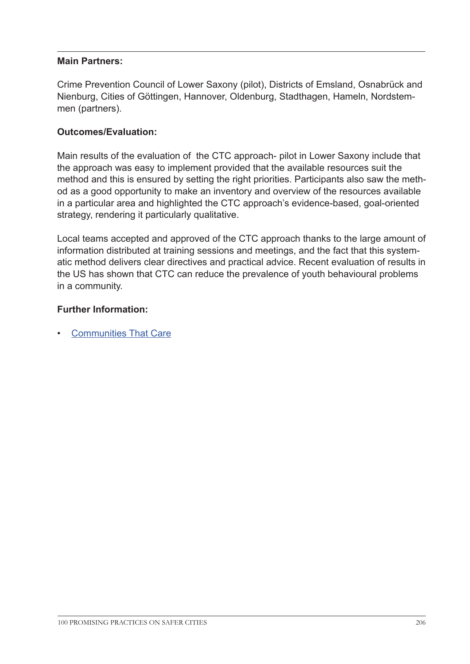#### **Main Partners:**

Crime Prevention Council of Lower Saxony (pilot), Districts of Emsland, Osnabrück and Nienburg, Cities of Göttingen, Hannover, Oldenburg, Stadthagen, Hameln, Nordstemmen (partners).

### **Outcomes/Evaluation:**

Main results of the evaluation of the CTC approach- pilot in Lower Saxony include that the approach was easy to implement provided that the available resources suit the method and this is ensured by setting the right priorities. Participants also saw the method as a good opportunity to make an inventory and overview of the resources available in a particular area and highlighted the CTC approach's evidence-based, goal-oriented strategy, rendering it particularly qualitative.

Local teams accepted and approved of the CTC approach thanks to the large amount of information distributed at training sessions and meetings, and the fact that this systematic method delivers clear directives and practical advice. Recent evaluation of results in the US has shown that CTC can reduce the prevalence of youth behavioural problems in a community.

#### **Further Information:**

• [Communities That Care](http://www.ctc-info.de/
)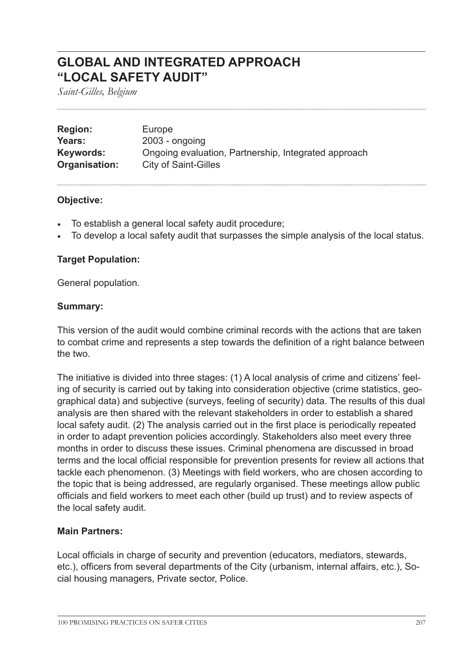## **GLOBAL AND INTEGRATED APPROACH "LOCAL SAFETY AUDIT"**

*Saint-Gilles, Belgium*

| <b>Region:</b> | Europe                                               |
|----------------|------------------------------------------------------|
| Years:         | $2003$ - ongoing                                     |
| Keywords:      | Ongoing evaluation, Partnership, Integrated approach |
| Organisation:  | <b>City of Saint-Gilles</b>                          |

#### **Objective:**

- To establish a general local safety audit procedure;
- To develop a local safety audit that surpasses the simple analysis of the local status.

## **Target Population:**

General population.

#### **Summary:**

This version of the audit would combine criminal records with the actions that are taken to combat crime and represents a step towards the definition of a right balance between the two.

The initiative is divided into three stages: (1) A local analysis of crime and citizens' feeling of security is carried out by taking into consideration objective (crime statistics, geographical data) and subjective (surveys, feeling of security) data. The results of this dual analysis are then shared with the relevant stakeholders in order to establish a shared local safety audit. (2) The analysis carried out in the first place is periodically repeated in order to adapt prevention policies accordingly. Stakeholders also meet every three months in order to discuss these issues. Criminal phenomena are discussed in broad terms and the local official responsible for prevention presents for review all actions that tackle each phenomenon. (3) Meetings with field workers, who are chosen according to the topic that is being addressed, are regularly organised. These meetings allow public officials and field workers to meet each other (build up trust) and to review aspects of the local safety audit.

## **Main Partners:**

Local officials in charge of security and prevention (educators, mediators, stewards, etc.), officers from several departments of the City (urbanism, internal affairs, etc.), Social housing managers, Private sector, Police.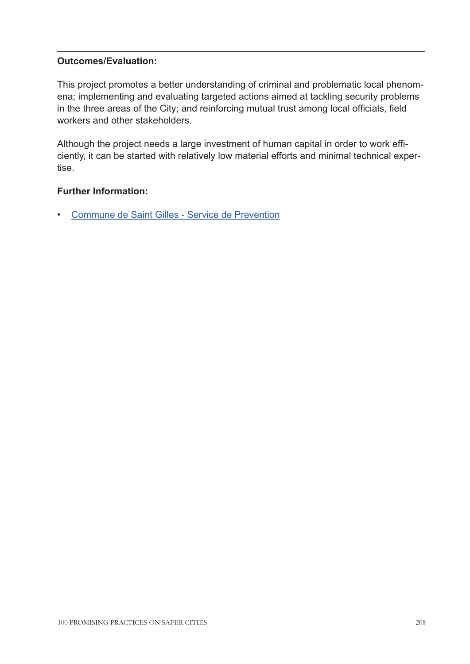## **Outcomes/Evaluation:**

This project promotes a better understanding of criminal and problematic local phenomena; implementing and evaluating targeted actions aimed at tackling security problems in the three areas of the City; and reinforcing mutual trust among local officials, field workers and other stakeholders.

Although the project needs a large investment of human capital in order to work efficiently, it can be started with relatively low material efforts and minimal technical expertise.

## **Further Information:**

• Commune de [Saint Gilles - Service de Prevention](http://www.stgilles.irisnet.be/fr/services-administratifs/prevention/service-de-prevention/
)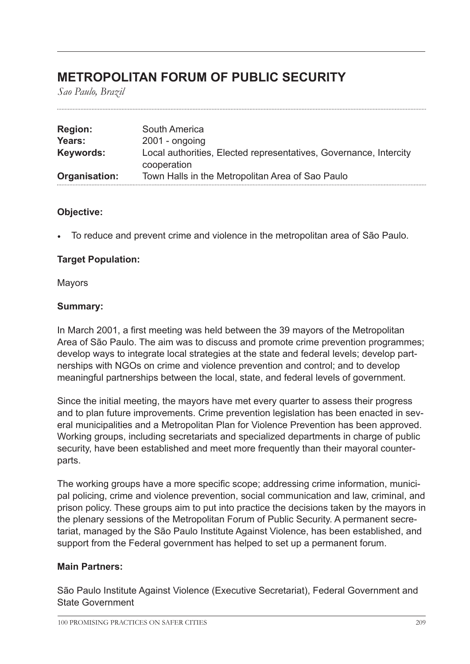## **METROPOLITAN FORUM OF PUBLIC SECURITY**

*Sao Paulo, Brazil*

| <b>Region:</b> | South America                                                     |
|----------------|-------------------------------------------------------------------|
| Years:         | $2001 - ongoing$                                                  |
| Keywords:      | Local authorities, Elected representatives, Governance, Intercity |
|                | cooperation                                                       |
| Organisation:  | Town Halls in the Metropolitan Area of Sao Paulo                  |

#### **Objective:**

• To reduce and prevent crime and violence in the metropolitan area of São Paulo.

## **Target Population:**

Mayors

#### **Summary:**

In March 2001, a first meeting was held between the 39 mayors of the Metropolitan Area of São Paulo. The aim was to discuss and promote crime prevention programmes; develop ways to integrate local strategies at the state and federal levels; develop partnerships with NGOs on crime and violence prevention and control; and to develop meaningful partnerships between the local, state, and federal levels of government.

Since the initial meeting, the mayors have met every quarter to assess their progress and to plan future improvements. Crime prevention legislation has been enacted in several municipalities and a Metropolitan Plan for Violence Prevention has been approved. Working groups, including secretariats and specialized departments in charge of public security, have been established and meet more frequently than their mayoral counterparts.

The working groups have a more specific scope; addressing crime information, municipal policing, crime and violence prevention, social communication and law, criminal, and prison policy. These groups aim to put into practice the decisions taken by the mayors in the plenary sessions of the Metropolitan Forum of Public Security. A permanent secretariat, managed by the São Paulo Institute Against Violence, has been established, and support from the Federal government has helped to set up a permanent forum.

## **Main Partners:**

São Paulo Institute Against Violence (Executive Secretariat), Federal Government and State Government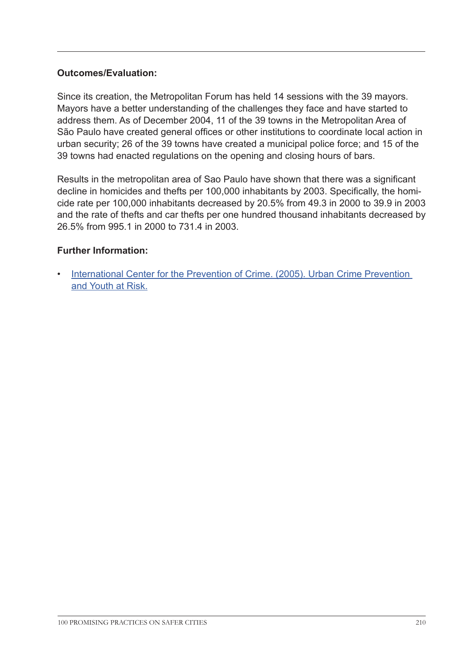### **Outcomes/Evaluation:**

Since its creation, the Metropolitan Forum has held 14 sessions with the 39 mayors. Mayors have a better understanding of the challenges they face and have started to address them. As of December 2004, 11 of the 39 towns in the Metropolitan Area of São Paulo have created general offices or other institutions to coordinate local action in urban security; 26 of the 39 towns have created a municipal police force; and 15 of the 39 towns had enacted regulations on the opening and closing hours of bars.

Results in the metropolitan area of Sao Paulo have shown that there was a significant decline in homicides and thefts per 100,000 inhabitants by 2003. Specifically, the homicide rate per 100,000 inhabitants decreased by 20.5% from 49.3 in 2000 to 39.9 in 2003 and the rate of thefts and car thefts per one hundred thousand inhabitants decreased by 26.5% from 995.1 in 2000 to 731.4 in 2003.

#### **Further Information:**

• [International Center for the Prevention of Crime. \(2005\). Urban Crime Prevention](http://www.crime-prevention-intl.org/fileadmin/user_upload/Publications/Urban_Crime_Prevention_and_Youth_at_Risk_ANG.pdf)  [and Youth at Risk.](http://www.crime-prevention-intl.org/fileadmin/user_upload/Publications/Urban_Crime_Prevention_and_Youth_at_Risk_ANG.pdf)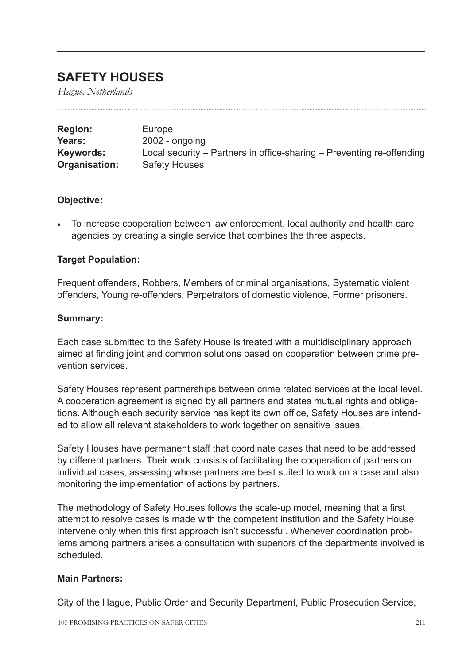## **SAFETY HOUSES**

*Hague, Netherlands*

| <b>Region:</b> | Europe                                                                |
|----------------|-----------------------------------------------------------------------|
| Years:         | $2002$ - ongoing                                                      |
| Keywords:      | Local security – Partners in office-sharing – Preventing re-offending |
| Organisation:  | <b>Safety Houses</b>                                                  |

#### **Objective:**

• To increase cooperation between law enforcement, local authority and health care agencies by creating a single service that combines the three aspects.

#### **Target Population:**

Frequent offenders, Robbers, Members of criminal organisations, Systematic violent offenders, Young re-offenders, Perpetrators of domestic violence, Former prisoners.

#### **Summary:**

Each case submitted to the Safety House is treated with a multidisciplinary approach aimed at finding joint and common solutions based on cooperation between crime prevention services.

Safety Houses represent partnerships between crime related services at the local level. A cooperation agreement is signed by all partners and states mutual rights and obligations. Although each security service has kept its own office, Safety Houses are intended to allow all relevant stakeholders to work together on sensitive issues.

Safety Houses have permanent staff that coordinate cases that need to be addressed by different partners. Their work consists of facilitating the cooperation of partners on individual cases, assessing whose partners are best suited to work on a case and also monitoring the implementation of actions by partners.

The methodology of Safety Houses follows the scale-up model, meaning that a first attempt to resolve cases is made with the competent institution and the Safety House intervene only when this first approach isn't successful. Whenever coordination problems among partners arises a consultation with superiors of the departments involved is scheduled.

#### **Main Partners:**

City of the Hague, Public Order and Security Department, Public Prosecution Service,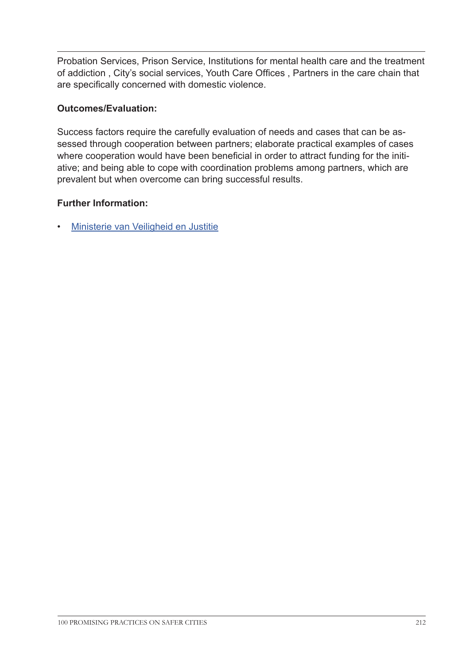Probation Services, Prison Service, Institutions for mental health care and the treatment of addiction , City's social services, Youth Care Offices , Partners in the care chain that are specifically concerned with domestic violence.

## **Outcomes/Evaluation:**

Success factors require the carefully evaluation of needs and cases that can be assessed through cooperation between partners; elaborate practical examples of cases where cooperation would have been beneficial in order to attract funding for the initiative; and being able to cope with coordination problems among partners, which are prevalent but when overcome can bring successful results.

## **Further Information:**

• [Ministerie van Veiligheid en Justitie](http://www.veiligheidshuizen.nl
)